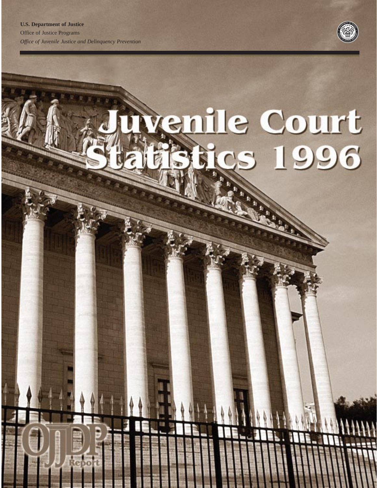O



# venille Court cs 1996

 $\frac{1}{4}$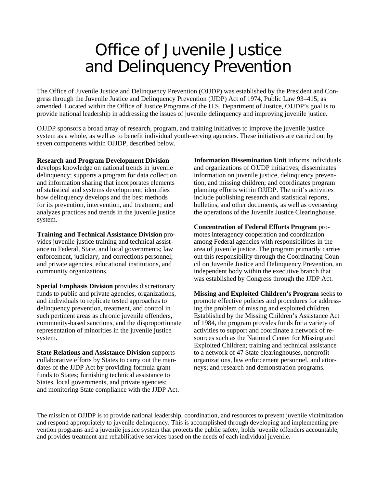# Office of Juvenile Justice and Delinquency Prevention

The Office of Juvenile Justice and Delinquency Prevention (OJJDP) was established by the President and Congress through the Juvenile Justice and Delinquency Prevention (JJDP) Act of 1974, Public Law 93–415, as amended. Located within the Office of Justice Programs of the U.S. Department of Justice, OJJDP's goal is to provide national leadership in addressing the issues of juvenile delinquency and improving juvenile justice.

OJJDP sponsors a broad array of research, program, and training initiatives to improve the juvenile justice system as a whole, as well as to benefit individual youth-serving agencies. These initiatives are carried out by seven components within OJJDP, described below.

#### **Research and Program Development Division**

develops knowledge on national trends in juvenile delinquency; supports a program for data collection and information sharing that incorporates elements of statistical and systems development; identifies how delinquency develops and the best methods for its prevention, intervention, and treatment; and analyzes practices and trends in the juvenile justice system.

**Training and Technical Assistance Division** provides juvenile justice training and technical assistance to Federal, State, and local governments; law enforcement, judiciary, and corrections personnel; and private agencies, educational institutions, and community organizations.

**Special Emphasis Division** provides discretionary funds to public and private agencies, organizations, and individuals to replicate tested approaches to delinquency prevention, treatment, and control in such pertinent areas as chronic juvenile offenders, community-based sanctions, and the disproportionate representation of minorities in the juvenile justice system.

**State Relations and Assistance Division** supports collaborative efforts by States to carry out the mandates of the JJDP Act by providing formula grant funds to States; furnishing technical assistance to States, local governments, and private agencies; and monitoring State compliance with the JJDP Act. **Information Dissemination Unit** informs individuals and organizations of OJJDP initiatives; disseminates information on juvenile justice, delinquency prevention, and missing children; and coordinates program planning efforts within OJJDP. The unit's activities include publishing research and statistical reports, bulletins, and other documents, as well as overseeing the operations of the Juvenile Justice Clearinghouse.

**Concentration of Federal Efforts Program** promotes interagency cooperation and coordination among Federal agencies with responsibilities in the area of juvenile justice. The program primarily carries out this responsibility through the Coordinating Council on Juvenile Justice and Delinquency Prevention, an independent body within the executive branch that was established by Congress through the JJDP Act.

**Missing and Exploited Children's Program** seeks to promote effective policies and procedures for addressing the problem of missing and exploited children. Established by the Missing Children's Assistance Act of 1984, the program provides funds for a variety of activities to support and coordinate a network of resources such as the National Center for Missing and Exploited Children; training and technical assistance to a network of 47 State clearinghouses, nonprofit organizations, law enforcement personnel, and attorneys; and research and demonstration programs.

The mission of OJJDP is to provide national leadership, coordination, and resources to prevent juvenile victimization and respond appropriately to juvenile delinquency. This is accomplished through developing and implementing prevention programs and a juvenile justice system that protects the public safety, holds juvenile offenders accountable, and provides treatment and rehabilitative services based on the needs of each individual juvenile.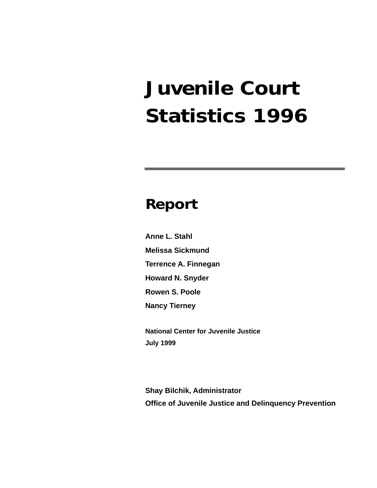# **Juvenile Court Statistics 1996**

### **Report**

**Anne L. Stahl Melissa Sickmund Terrence A. Finnegan Howard N. Snyder Rowen S. Poole Nancy Tierney**

**National Center for Juvenile Justice July 1999**

**Shay Bilchik, Administrator Office of Juvenile Justice and Delinquency Prevention**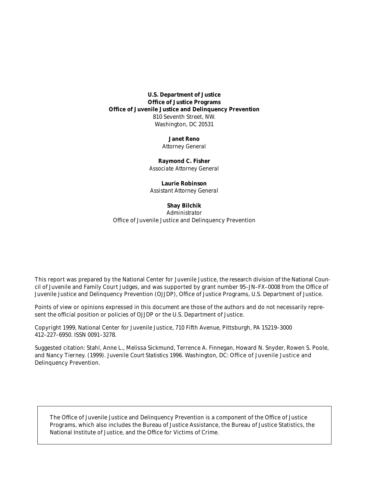**U.S. Department of Justice Office of Justice Programs Office of Juvenile Justice and Delinquency Prevention** 810 Seventh Street, NW. Washington, DC 20531

> **Janet Reno** *Attorney General*

**Raymond C. Fisher** *Associate Attorney General*

**Laurie Robinson** *Assistant Attorney General*

#### **Shay Bilchik**

*Administrator* Office of Juvenile Justice and Delinquency Prevention

This report was prepared by the National Center for Juvenile Justice, the research division of the National Council of Juvenile and Family Court Judges, and was supported by grant number 95–JN–FX–0008 from the Office of Juvenile Justice and Delinquency Prevention (OJJDP), Office of Justice Programs, U.S. Department of Justice.

Points of view or opinions expressed in this document are those of the authors and do not necessarily represent the official position or policies of OJJDP or the U.S. Department of Justice.

Copyright 1999, National Center for Juvenile Justice, 710 Fifth Avenue, Pittsburgh, PA 15219–3000 412–227–6950. ISSN 0091–3278.

Suggested citation: Stahl, Anne L., Melissa Sickmund, Terrence A. Finnegan, Howard N. Snyder, Rowen S. Poole, and Nancy Tierney. (1999). *Juvenile Court Statistics 1996*. Washington, DC: Office of Juvenile Justice and Delinquency Prevention.

The Office of Juvenile Justice and Delinquency Prevention is a component of the Office of Justice Programs, which also includes the Bureau of Justice Assistance, the Bureau of Justice Statistics, the National Institute of Justice, and the Office for Victims of Crime.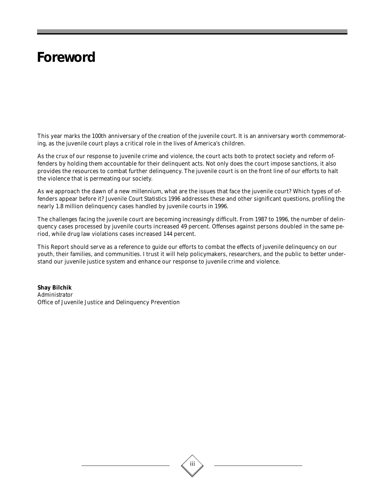### **Foreword**

This year marks the 100th anniversary of the creation of the juvenile court. It is an anniversary worth commemorating, as the juvenile court plays a critical role in the lives of America's children.

As the crux of our response to juvenile crime and violence, the court acts both to protect society and reform offenders by holding them accountable for their delinquent acts. Not only does the court impose sanctions, it also provides the resources to combat further delinquency. The juvenile court is on the front line of our efforts to halt the violence that is permeating our society.

As we approach the dawn of a new millennium, what are the issues that face the juvenile court? Which types of offenders appear before it? *Juvenile Court Statistics 1996* addresses these and other significant questions, profiling the nearly 1.8 million delinquency cases handled by juvenile courts in 1996.

The challenges facing the juvenile court are becoming increasingly difficult. From 1987 to 1996, the number of delinquency cases processed by juvenile courts increased 49 percent. Offenses against persons doubled in the same period, while drug law violations cases increased 144 percent.

This Report should serve as a reference to guide our efforts to combat the effects of juvenile delinquency on our youth, their families, and communities. I trust it will help policymakers, researchers, and the public to better understand our juvenile justice system and enhance our response to juvenile crime and violence.

**Shay Bilchik** *Administrator* Office of Juvenile Justice and Delinquency Prevention

iii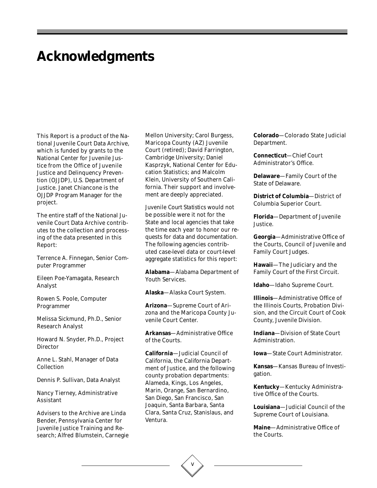### **Acknowledgments**

This Report is a product of the National Juvenile Court Data Archive, which is funded by grants to the National Center for Juvenile Justice from the Office of Juvenile Justice and Delinquency Prevention (OJJDP), U.S. Department of Justice. Janet Chiancone is the OJJDP Program Manager for the project.

The entire staff of the National Juvenile Court Data Archive contributes to the collection and processing of the data presented in this Report:

Terrence A. Finnegan, Senior Computer Programmer

Eileen Poe-Yamagata, Research Analyst

Rowen S. Poole, Computer Programmer

Melissa Sickmund, Ph.D., Senior Research Analyst

Howard N. Snyder, Ph.D., Project **Director** 

Anne L. Stahl, Manager of Data Collection

Dennis P. Sullivan, Data Analyst

Nancy Tierney, Administrative Assistant

Advisers to the Archive are Linda Bender, Pennsylvania Center for Juvenile Justice Training and Research; Alfred Blumstein, Carnegie Mellon University; Carol Burgess, Maricopa County (AZ) Juvenile Court (retired); David Farrington, Cambridge University; Daniel Kasprzyk, National Center for Education Statistics; and Malcolm Klein, University of Southern California. Their support and involvement are deeply appreciated.

*Juvenile Court Statistics* would not be possible were it not for the State and local agencies that take the time each year to honor our requests for data and documentation. The following agencies contributed case-level data or court-level aggregate statistics for this report:

**Alabama**—Alabama Department of Youth Services.

**Alaska**—Alaska Court System.

**Arizona**—Supreme Court of Arizona and the Maricopa County Juvenile Court Center.

**Arkansas**—Administrative Office of the Courts.

**California**—Judicial Council of California, the California Department of Justice, and the following county probation departments: Alameda, Kings, Los Angeles, Marin, Orange, San Bernardino, San Diego, San Francisco, San Joaquin, Santa Barbara, Santa Clara, Santa Cruz, Stanislaus, and Ventura.

**Colorado**—Colorado State Judicial Department.

**Connecticut**—Chief Court Administrator's Office.

**Delaware**—Family Court of the State of Delaware.

**District of Columbia**—District of Columbia Superior Court.

**Florida**—Department of Juvenile Justice.

**Georgia**—Administrative Office of the Courts, Council of Juvenile and Family Court Judges.

**Hawaii**—The Judiciary and the Family Court of the First Circuit.

**Idaho**—Idaho Supreme Court.

**Illinois**—Administrative Office of the Illinois Courts, Probation Division, and the Circuit Court of Cook County, Juvenile Division.

**Indiana**—Division of State Court Administration.

**Iowa**—State Court Administrator.

**Kansas**—Kansas Bureau of Investigation.

**Kentucky**—Kentucky Administrative Office of the Courts.

**Louisiana**—Judicial Council of the Supreme Court of Louisiana.

**Maine**—Administrative Office of the Courts.

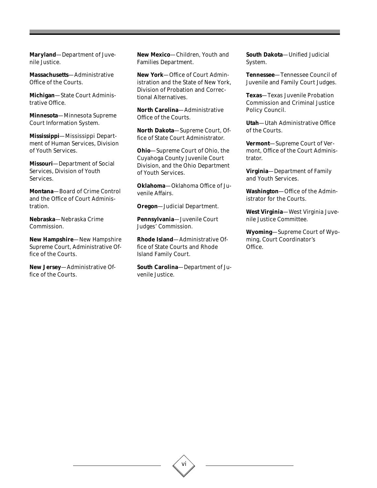**Maryland**—Department of Juvenile Justice.

**Massachusetts**—Administrative Office of the Courts.

**Michigan**—State Court Administrative Office.

**Minnesota**—Minnesota Supreme Court Information System.

**Mississippi**—Mississippi Department of Human Services, Division of Youth Services.

**Missouri**—Department of Social Services, Division of Youth Services.

**Montana**—Board of Crime Control and the Office of Court Administration.

**Nebraska**—Nebraska Crime Commission.

**New Hampshire**—New Hampshire Supreme Court, Administrative Office of the Courts.

**New Jersey**—Administrative Office of the Courts.

**New Mexico**—Children, Youth and Families Department.

**New York**—Office of Court Administration and the State of New York, Division of Probation and Correctional Alternatives.

**North Carolina**—Administrative Office of the Courts.

**North Dakota**—Supreme Court, Office of State Court Administrator.

**Ohio**—Supreme Court of Ohio, the Cuyahoga County Juvenile Court Division, and the Ohio Department of Youth Services.

**Oklahoma**—Oklahoma Office of Juvenile Affairs.

**Oregon**—Judicial Department.

**Pennsylvania**—Juvenile Court Judges' Commission.

**Rhode Island**—Administrative Office of State Courts and Rhode Island Family Court.

**South Carolina**—Department of Juvenile Justice.

**South Dakota**—Unified Judicial System.

**Tennessee**—Tennessee Council of Juvenile and Family Court Judges.

**Texas**—Texas Juvenile Probation Commission and Criminal Justice Policy Council.

**Utah**—Utah Administrative Office of the Courts.

**Vermont**—Supreme Court of Vermont, Office of the Court Administrator.

**Virginia**—Department of Family and Youth Services.

**Washington**—Office of the Administrator for the Courts.

**West Virginia**—West Virginia Juvenile Justice Committee.

**Wyoming**—Supreme Court of Wyoming, Court Coordinator's Office.

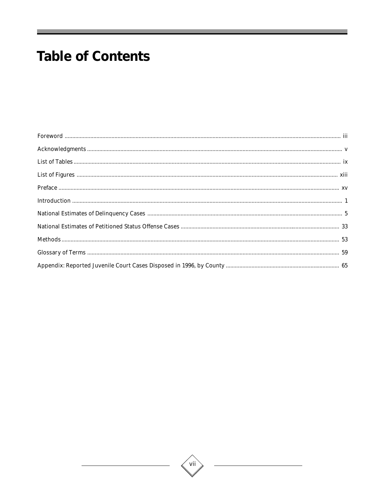# **Table of Contents**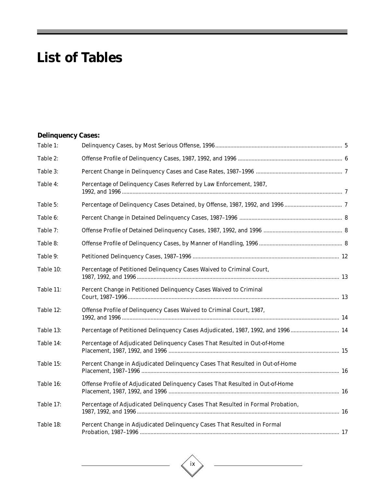# **List of Tables**

### **Delinquency Cases:**

| Table 1:  |                                                                                 |  |
|-----------|---------------------------------------------------------------------------------|--|
| Table 2:  |                                                                                 |  |
| Table 3:  |                                                                                 |  |
| Table 4:  | Percentage of Delinquency Cases Referred by Law Enforcement, 1987,              |  |
| Table 5:  |                                                                                 |  |
| Table 6:  |                                                                                 |  |
| Table 7:  |                                                                                 |  |
| Table 8:  |                                                                                 |  |
| Table 9:  |                                                                                 |  |
| Table 10: | Percentage of Petitioned Delinquency Cases Waived to Criminal Court,            |  |
| Table 11: | Percent Change in Petitioned Delinquency Cases Waived to Criminal               |  |
| Table 12: | Offense Profile of Delinquency Cases Waived to Criminal Court, 1987,            |  |
| Table 13: | Percentage of Petitioned Delinquency Cases Adjudicated, 1987, 1992, and 1996 14 |  |
| Table 14: | Percentage of Adjudicated Delinquency Cases That Resulted in Out-of-Home        |  |
| Table 15: | Percent Change in Adjudicated Delinquency Cases That Resulted in Out-of-Home    |  |
| Table 16: | Offense Profile of Adjudicated Delinquency Cases That Resulted in Out-of-Home   |  |
| Table 17: | Percentage of Adjudicated Delinquency Cases That Resulted in Formal Probation,  |  |
| Table 18: | Percent Change in Adjudicated Delinquency Cases That Resulted in Formal         |  |



 $\overline{\phantom{0}}$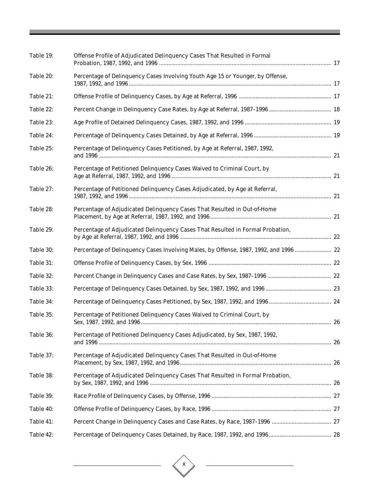| Table 19: | Offense Profile of Adjudicated Delinquency Cases That Resulted in Formal              |  |
|-----------|---------------------------------------------------------------------------------------|--|
| Table 20: | Percentage of Delinquency Cases Involving Youth Age 15 or Younger, by Offense,        |  |
| Table 21: |                                                                                       |  |
| Table 22: |                                                                                       |  |
| Table 23: |                                                                                       |  |
| Table 24: |                                                                                       |  |
| Table 25: | Percentage of Delinquency Cases Petitioned, by Age at Referral, 1987, 1992,           |  |
| Table 26: | Percentage of Petitioned Delinquency Cases Waived to Criminal Court, by               |  |
| Table 27: | Percentage of Petitioned Delinquency Cases Adjudicated, by Age at Referral,           |  |
| Table 28: | Percentage of Adjudicated Delinquency Cases That Resulted in Out-of-Home              |  |
| Table 29: | Percentage of Adjudicated Delinquency Cases That Resulted in Formal Probation,        |  |
| Table 30: | Percentage of Delinquency Cases Involving Males, by Offense, 1987, 1992, and 1996  22 |  |
| Table 31: |                                                                                       |  |
| Table 32: |                                                                                       |  |
| Table 33: |                                                                                       |  |
| Table 34: |                                                                                       |  |
| Table 35: | Percentage of Petitioned Delinquency Cases Waived to Criminal Court, by               |  |
| Table 36: | Percentage of Petitioned Delinquency Cases Adjudicated, by Sex, 1987, 1992,           |  |
| Table 37: | Percentage of Adjudicated Delinquency Cases That Resulted in Out-of-Home              |  |
| Table 38: | Percentage of Adjudicated Delinquency Cases That Resulted in Formal Probation,        |  |
| Table 39: |                                                                                       |  |
| Table 40: |                                                                                       |  |
| Table 41: |                                                                                       |  |
| Table 42: |                                                                                       |  |

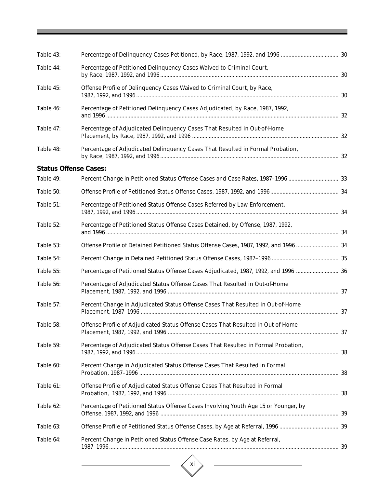| Table 43:                    |                                                                                       |  |
|------------------------------|---------------------------------------------------------------------------------------|--|
| Table 44:                    | Percentage of Petitioned Delinquency Cases Waived to Criminal Court,                  |  |
| Table 45:                    | Offense Profile of Delinquency Cases Waived to Criminal Court, by Race,               |  |
| Table 46:                    | Percentage of Petitioned Delinquency Cases Adjudicated, by Race, 1987, 1992,          |  |
| Table 47:                    | Percentage of Adjudicated Delinquency Cases That Resulted in Out-of-Home              |  |
| Table 48:                    | Percentage of Adjudicated Delinquency Cases That Resulted in Formal Probation,        |  |
| <b>Status Offense Cases:</b> |                                                                                       |  |
| Table 49:                    | Percent Change in Petitioned Status Offense Cases and Case Rates, 1987-1996  33       |  |
| Table 50:                    |                                                                                       |  |
| Table 51:                    | Percentage of Petitioned Status Offense Cases Referred by Law Enforcement,            |  |
| Table 52:                    | Percentage of Petitioned Status Offense Cases Detained, by Offense, 1987, 1992,       |  |
| Table 53:                    | Offense Profile of Detained Petitioned Status Offense Cases, 1987, 1992, and 1996  34 |  |
| Table 54:                    |                                                                                       |  |
| Table 55:                    | Percentage of Petitioned Status Offense Cases Adjudicated, 1987, 1992, and 1996  36   |  |
| Table 56:                    | Percentage of Adjudicated Status Offense Cases That Resulted in Out-of-Home           |  |
| Table 57:                    | Percent Change in Adjudicated Status Offense Cases That Resulted in Out-of-Home       |  |
| Table 58:                    | Offense Profile of Adjudicated Status Offense Cases That Resulted in Out-of-Home      |  |
| Table 59:                    | Percentage of Adjudicated Status Offense Cases That Resulted in Formal Probation,     |  |
| Table 60:                    | Percent Change in Adjudicated Status Offense Cases That Resulted in Formal            |  |
| Table 61:                    | Offense Profile of Adjudicated Status Offense Cases That Resulted in Formal           |  |
| Table 62:                    | Percentage of Petitioned Status Offense Cases Involving Youth Age 15 or Younger, by   |  |
| Table 63:                    |                                                                                       |  |
| Table 64:                    | Percent Change in Petitioned Status Offense Case Rates, by Age at Referral,           |  |
|                              |                                                                                       |  |

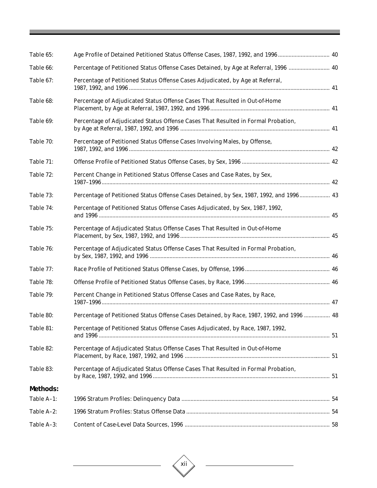| Table 65:       | Age Profile of Detained Petitioned Status Offense Cases, 1987, 1992, and 1996 40          |  |
|-----------------|-------------------------------------------------------------------------------------------|--|
| Table 66:       | Percentage of Petitioned Status Offense Cases Detained, by Age at Referral, 1996  40      |  |
| Table 67:       | Percentage of Petitioned Status Offense Cases Adjudicated, by Age at Referral,            |  |
| Table 68:       | Percentage of Adjudicated Status Offense Cases That Resulted in Out-of-Home               |  |
| Table 69:       | Percentage of Adjudicated Status Offense Cases That Resulted in Formal Probation,         |  |
| Table 70:       | Percentage of Petitioned Status Offense Cases Involving Males, by Offense,                |  |
| Table 71:       |                                                                                           |  |
| Table 72:       | Percent Change in Petitioned Status Offense Cases and Case Rates, by Sex,                 |  |
| Table 73:       | Percentage of Petitioned Status Offense Cases Detained, by Sex, 1987, 1992, and 1996 43   |  |
| Table 74:       | Percentage of Petitioned Status Offense Cases Adjudicated, by Sex, 1987, 1992,            |  |
| Table 75:       | Percentage of Adjudicated Status Offense Cases That Resulted in Out-of-Home               |  |
| Table 76:       | Percentage of Adjudicated Status Offense Cases That Resulted in Formal Probation,         |  |
| Table 77:       |                                                                                           |  |
| Table 78:       |                                                                                           |  |
| Table 79:       | Percent Change in Petitioned Status Offense Cases and Case Rates, by Race,                |  |
| Table 80:       | Percentage of Petitioned Status Offense Cases Detained, by Race, 1987, 1992, and 1996  48 |  |
| Table 81:       | Percentage of Petitioned Status Offense Cases Adjudicated, by Race, 1987, 1992,           |  |
| Table 82:       | Percentage of Adjudicated Status Offense Cases That Resulted in Out-of-Home               |  |
| Table 83:       | Percentage of Adjudicated Status Offense Cases That Resulted in Formal Probation,         |  |
| <b>Methods:</b> |                                                                                           |  |
| Table A-1:      |                                                                                           |  |
| Table A-2:      |                                                                                           |  |
| Table A-3:      |                                                                                           |  |

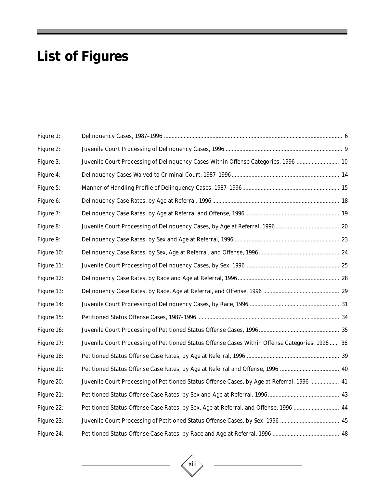# **List of Figures**

| Figure 1:  |                                                                                                  |  |
|------------|--------------------------------------------------------------------------------------------------|--|
| Figure 2:  |                                                                                                  |  |
| Figure 3:  | Juvenile Court Processing of Delinquency Cases Within Offense Categories, 1996  10               |  |
| Figure 4:  |                                                                                                  |  |
| Figure 5:  |                                                                                                  |  |
| Figure 6:  |                                                                                                  |  |
| Figure 7:  |                                                                                                  |  |
| Figure 8:  |                                                                                                  |  |
| Figure 9:  |                                                                                                  |  |
| Figure 10: |                                                                                                  |  |
| Figure 11: |                                                                                                  |  |
| Figure 12: |                                                                                                  |  |
| Figure 13: |                                                                                                  |  |
| Figure 14: |                                                                                                  |  |
| Figure 15: |                                                                                                  |  |
| Figure 16: |                                                                                                  |  |
| Figure 17: | Juvenile Court Processing of Petitioned Status Offense Cases Within Offense Categories, 1996  36 |  |
| Figure 18: |                                                                                                  |  |
| Figure 19: |                                                                                                  |  |
| Figure 20: | Juvenile Court Processing of Petitioned Status Offense Cases, by Age at Referral, 1996  41       |  |
| Figure 21: |                                                                                                  |  |
| Figure 22: | Petitioned Status Offense Case Rates, by Sex, Age at Referral, and Offense, 1996  44             |  |
| Figure 23: |                                                                                                  |  |
| Figure 24: |                                                                                                  |  |

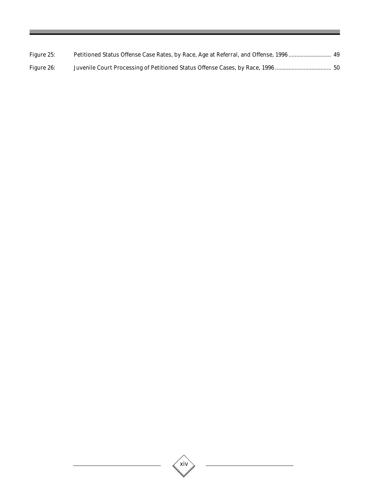| Figure 25: | Petitioned Status Offense Case Rates, by Race, Age at Referral, and Offense, 1996  49 |  |
|------------|---------------------------------------------------------------------------------------|--|
| Figure 26: |                                                                                       |  |

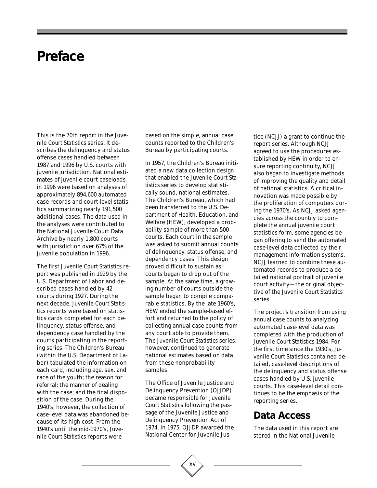### **Preface**

This is the 70th report in the *Juvenile Court Statistics* series. It describes the delinquency and status offense cases handled between 1987 and 1996 by U.S. courts with juvenile jurisdiction. National estimates of juvenile court caseloads in 1996 were based on analyses of approximately 894,600 automated case records and court-level statistics summarizing nearly 191,500 additional cases. The data used in the analyses were contributed to the National Juvenile Court Data Archive by nearly 1,800 courts with jurisdiction over 67% of the juvenile population in 1996.

The first *Juvenile Court Statistics* report was published in 1929 by the U.S. Department of Labor and described cases handled by 42 courts during 1927. During the next decade, *Juvenile Court Statistics* reports were based on statistics cards completed for each delinquency, status offense, and dependency case handled by the courts participating in the reporting series. The Children's Bureau (within the U.S. Department of Labor) tabulated the information on each card, including age, sex, and race of the youth; the reason for referral; the manner of dealing with the case; and the final disposition of the case. During the 1940's, however, the collection of case-level data was abandoned because of its high cost. From the 1940's until the mid-1970's, *Juvenile Court Statistics* reports were

based on the simple, annual case counts reported to the Children's Bureau by participating courts.

In 1957, the Children's Bureau initiated a new data collection design that enabled the *Juvenile Court Statistics* series to develop statistically sound, national estimates. The Children's Bureau, which had been transferred to the U.S. Department of Health, Education, and Welfare (HEW), developed a probability sample of more than 500 courts. Each court in the sample was asked to submit annual counts of delinquency, status offense, and dependency cases. This design proved difficult to sustain as courts began to drop out of the sample. At the same time, a growing number of courts outside the sample began to compile comparable statistics. By the late 1960's, HEW ended the sample-based effort and returned to the policy of collecting annual case counts from any court able to provide them. The *Juvenile Court Statistics* series, however, continued to generate national estimates based on data from these nonprobability samples.

The Office of Juvenile Justice and Delinquency Prevention (OJJDP) became responsible for *Juvenile Court Statistics* following the passage of the Juvenile Justice and Delinquency Prevention Act of 1974. In 1975, OJJDP awarded the National Center for Juvenile Justice (NCJJ) a grant to continue the report series. Although NCJJ agreed to use the procedures established by HEW in order to ensure reporting continuity, NCJJ also began to investigate methods of improving the quality and detail of national statistics. A critical innovation was made possible by the proliferation of computers during the 1970's. As NCJJ asked agencies across the country to complete the annual juvenile court statistics form, some agencies began offering to send the automated case-level data collected by their management information systems. NCJJ learned to combine these automated records to produce a detailed national portrait of juvenile court activity—the original objective of the *Juvenile Court Statistics* series.

The project's transition from using annual case counts to analyzing automated case-level data was completed with the production of *Juvenile Court Statistics 1984*. For the first time since the 1930's, *Juvenile Court Statistics* contained detailed, case-level descriptions of the delinquency and status offense cases handled by U.S. juvenile courts. This case-level detail continues to be the emphasis of the reporting series.

### **Data Access**

The data used in this report are stored in the National Juvenile

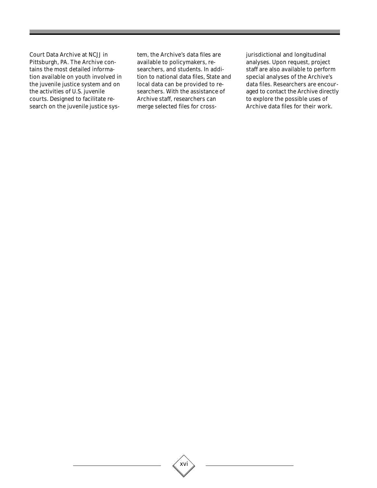Court Data Archive at NCJJ in Pittsburgh, PA. The Archive contains the most detailed information available on youth involved in the juvenile justice system and on the activities of U.S. juvenile courts. Designed to facilitate research on the juvenile justice system, the Archive's data files are available to policymakers, researchers, and students. In addition to national data files, State and local data can be provided to researchers. With the assistance of Archive staff, researchers can merge selected files for crossjurisdictional and longitudinal analyses. Upon request, project staff are also available to perform special analyses of the Archive's data files. Researchers are encouraged to contact the Archive directly to explore the possible uses of Archive data files for their work.

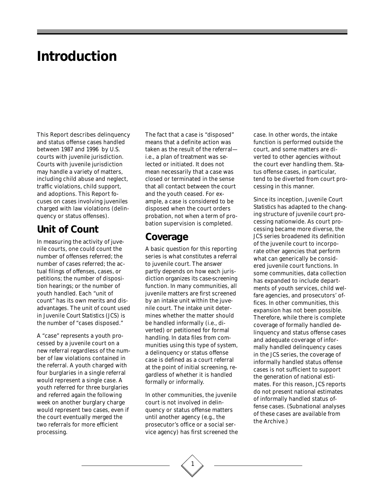### **Introduction**

This Report describes delinquency and status offense cases handled between 1987 and 1996 by U.S. courts with juvenile jurisdiction. Courts with juvenile jurisdiction may handle a variety of matters, including child abuse and neglect, traffic violations, child support, and adoptions. This Report focuses on cases involving juveniles charged with law violations (delinquency or status offenses).

### **Unit of Count**

In measuring the activity of juvenile courts, one could count the number of offenses referred; the number of cases referred; the actual filings of offenses, cases, or petitions; the number of disposition hearings; or the number of youth handled. Each "unit of count" has its own merits and disadvantages. The unit of count used in *Juvenile Court Statistics* (*JCS*) is the number of "cases disposed."

A "case" represents a youth processed by a juvenile court on a new referral regardless of the number of law violations contained in the referral. A youth charged with four burglaries in a single referral would represent a single case. A youth referred for three burglaries and referred again the following week on another burglary charge would represent two cases, even if the court eventually merged the two referrals for more efficient processing.

The fact that a case is "disposed" means that a definite action was taken as the result of the referral i.e., a plan of treatment was selected or initiated. It does not mean necessarily that a case was closed or terminated in the sense that all contact between the court and the youth ceased. For example, a case is considered to be disposed when the court orders probation, not when a term of probation supervision is completed.

### **Coverage**

A basic question for this reporting series is what constitutes a referral to juvenile court. The answer partly depends on how each jurisdiction organizes its case-screening function. In many communities, all juvenile matters are first screened by an intake unit within the juvenile court. The intake unit determines whether the matter should be handled informally (i.e., diverted) or petitioned for formal handling. In data files from communities using this type of system, a delinquency or status offense case is defined as a court referral at the point of initial screening, regardless of whether it is handled formally or informally.

In other communities, the juvenile court is not involved in delinquency or status offense matters until another agency (e.g., the prosecutor's office or a social service agency) has first screened the case. In other words, the intake function is performed outside the court, and some matters are diverted to other agencies without the court ever handling them. Status offense cases, in particular, tend to be diverted from court processing in this manner.

Since its inception, *Juvenile Court Statistics* has adapted to the changing structure of juvenile court processing nationwide. As court processing became more diverse, the *JCS* series broadened its definition of the juvenile court to incorporate other agencies that perform what can generically be considered juvenile court functions. In some communities, data collection has expanded to include departments of youth services, child welfare agencies, and prosecutors' offices. In other communities, this expansion has not been possible. Therefore, while there is complete coverage of formally handled delinquency and status offense cases and adequate coverage of informally handled delinquency cases in the *JCS* series, the coverage of informally handled status offense cases is not sufficient to support the generation of national estimates. For this reason, *JCS* reports do not present national estimates of informally handled status offense cases. (Subnational analyses of these cases are available from the Archive.)

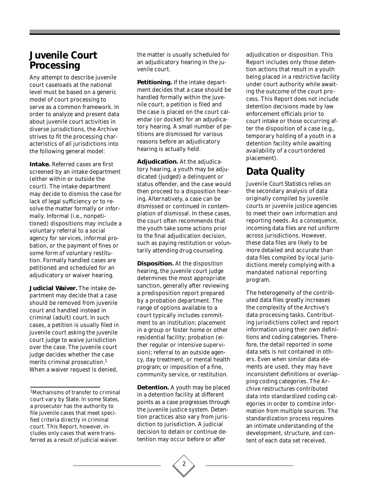### **Juvenile Court Processing**

Any attempt to describe juvenile court caseloads at the national level must be based on a generic model of court processing to serve as a common framework. In order to analyze and present data about juvenile court activities in diverse jurisdictions, the Archive strives to fit the processing characteristics of all jurisdictions into the following general model:

**Intake.** Referred cases are first screened by an intake department (either within or outside the court). The intake department may decide to dismiss the case for lack of legal sufficiency or to resolve the matter formally or informally. Informal (i.e., nonpetitioned) dispositions may include a voluntary referral to a social agency for services, informal probation, or the payment of fines or some form of voluntary restitution. Formally handled cases are petitioned and scheduled for an adjudicatory or waiver hearing.

**Judicial Waiver.** The intake department may decide that a case should be removed from juvenile court and handled instead in criminal (adult) court. In such cases, a petition is usually filed in juvenile court asking the juvenile court judge to waive jurisdiction over the case. The juvenile court judge decides whether the case merits criminal prosecution.<sup>1</sup> When a waiver request is denied,

1Mechanisms of transfer to criminal court vary by State. In some States, a prosecutor has the authority to file juvenile cases that meet specified criteria directly in criminal court. This Report, however, includes only cases that were transferred as a result of judicial waiver.

the matter is usually scheduled for an adjudicatory hearing in the juvenile court.

**Petitioning.** If the intake department decides that a case should be handled formally within the juvenile court, a petition is filed and the case is placed on the court calendar (or docket) for an adjudicatory hearing. A small number of petitions are dismissed for various reasons before an adjudicatory hearing is actually held.

**Adjudication.** At the adjudicatory hearing, a youth may be adjudicated (judged) a delinquent or status offender, and the case would then proceed to a disposition hearing. Alternatively, a case can be dismissed or continued in contemplation of dismissal. In these cases, the court often recommends that the youth take some actions prior to the final adjudication decision, such as paying restitution or voluntarily attending drug counseling.

**Disposition.** At the disposition hearing, the juvenile court judge determines the most appropriate sanction, generally after reviewing a predisposition report prepared by a probation department. The range of options available to a court typically includes commitment to an institution; placement in a group or foster home or other residential facility; probation (either regular or intensive supervision); referral to an outside agency, day treatment, or mental health program; or imposition of a fine, community service, or restitution.

**Detention.** A youth may be placed in a detention facility at different points as a case progresses through the juvenile justice system. Detention practices also vary from jurisdiction to jurisdiction. A judicial decision to detain or continue detention may occur before or after

adjudication or disposition. This Report includes only those detention actions that result in a youth being placed in a restrictive facility under court authority while awaiting the outcome of the court process. This Report does not include detention decisions made by law enforcement officials prior to court intake or those occurring after the disposition of a case (e.g., temporary holding of a youth in a detention facility while awaiting availability of a court-ordered placement).

### **Data Quality**

*Juvenile Court Statistics* relies on the secondary analysis of data originally compiled by juvenile courts or juvenile justice agencies to meet their own information and reporting needs. As a consequence, incoming data files are not uniform across jurisdictions. However, these data files are likely to be more detailed and accurate than data files compiled by local jurisdictions merely complying with a mandated national reporting program.

The heterogeneity of the contributed data files greatly increases the complexity of the Archive's data processing tasks. Contributing jurisdictions collect and report information using their own definitions and coding categories. Therefore, the detail reported in some data sets is not contained in others. Even when similar data elements are used, they may have inconsistent definitions or overlapping coding categories. The Archive restructures contributed data into standardized coding categories in order to combine information from multiple sources. The standardization process requires an intimate understanding of the development, structure, and content of each data set received.

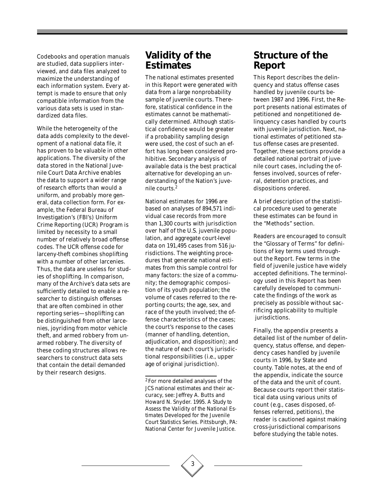Codebooks and operation manuals are studied, data suppliers interviewed, and data files analyzed to maximize the understanding of each information system. Every attempt is made to ensure that only compatible information from the various data sets is used in standardized data files.

While the heterogeneity of the data adds complexity to the development of a national data file, it has proven to be valuable in other applications. The diversity of the data stored in the National Juvenile Court Data Archive enables the data to support a wider range of research efforts than would a uniform, and probably more general, data collection form. For example, the Federal Bureau of Investigation's (FBI's) Uniform Crime Reporting (UCR) Program is limited by necessity to a small number of relatively broad offense codes. The UCR offense code for larceny-theft combines shoplifting with a number of other larcenies. Thus, the data are useless for studies of shoplifting. In comparison, many of the Archive's data sets are sufficiently detailed to enable a researcher to distinguish offenses that are often combined in other reporting series—shoplifting can be distinguished from other larcenies, joyriding from motor vehicle theft, and armed robbery from unarmed robbery. The diversity of these coding structures allows researchers to construct data sets that contain the detail demanded by their research designs.

### **Validity of the Estimates**

The national estimates presented in this Report were generated with data from a large nonprobability sample of juvenile courts. Therefore, statistical confidence in the estimates cannot be mathematically determined. Although statistical confidence would be greater if a probability sampling design were used, the cost of such an effort has long been considered prohibitive. Secondary analysis of available data is the best practical alternative for developing an understanding of the Nation's juvenile courts.2

National estimates for 1996 are based on analyses of 894,571 individual case records from more than 1,300 courts with jurisdiction over half of the U.S. juvenile population, and aggregate court-level data on 191,495 cases from 516 jurisdictions. The weighting procedures that generate national estimates from this sample control for many factors: the size of a community; the demographic composition of its youth population; the volume of cases referred to the reporting courts; the age, sex, and race of the youth involved; the offense characteristics of the cases; the court's response to the cases (manner of handling, detention, adjudication, and disposition); and the nature of each court's jurisdictional responsibilities (i.e., upper age of original jurisdiction).

### **Structure of the Report**

This Report describes the delinquency and status offense cases handled by juvenile courts between 1987 and 1996. First, the Report presents national estimates of petitioned and nonpetitioned delinquency cases handled by courts with juvenile jurisdiction. Next, national estimates of petitioned status offense cases are presented. Together, these sections provide a detailed national portrait of juvenile court cases, including the offenses involved, sources of referral, detention practices, and dispositions ordered.

A brief description of the statistical procedure used to generate these estimates can be found in the "Methods" section.

Readers are encouraged to consult the "Glossary of Terms" for definitions of key terms used throughout the Report. Few terms in the field of juvenile justice have widely accepted definitions. The terminology used in this Report has been carefully developed to communicate the findings of the work as precisely as possible without sacrificing applicability to multiple jurisdictions.

Finally, the appendix presents a detailed list of the number of delinquency, status offense, and dependency cases handled by juvenile courts in 1996, by State and county. Table notes, at the end of the appendix, indicate the source of the data and the unit of count. Because courts report their statistical data using various units of count (e.g., cases disposed, offenses referred, petitions), the reader is cautioned against making cross-jurisdictional comparisons before studying the table notes.

<sup>2</sup> For more detailed analyses of the *JCS* national estimates and their accuracy, see: Jeffrey A. Butts and Howard N. Snyder. 1995. *A Study to Assess the Validity of the National Estimates Developed for the Juvenile Court Statistics Series*. Pittsburgh, PA: National Center for Juvenile Justice.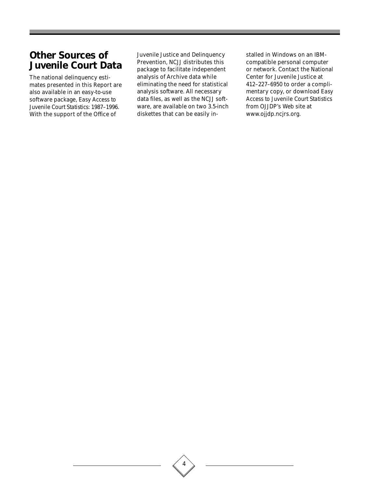### **Other Sources of Juvenile Court Data**

The national delinquency estimates presented in this Report are also available in an easy-to-use software package, *Easy Access to Juvenile Court Statistics: 1987–1996*. With the support of the Office of

Juvenile Justice and Delinquency Prevention, NCJJ distributes this package to facilitate independent analysis of Archive data while eliminating the need for statistical analysis software. All necessary data files, as well as the NCJJ software, are available on two 3.5-inch diskettes that can be easily installed in Windows on an IBMcompatible personal computer or network. Contact the National Center for Juvenile Justice at 412–227–6950 to order a complimentary copy, or download *Easy Access to Juvenile Court Statistics* from OJJDP's Web site at www.ojjdp.ncjrs.org.

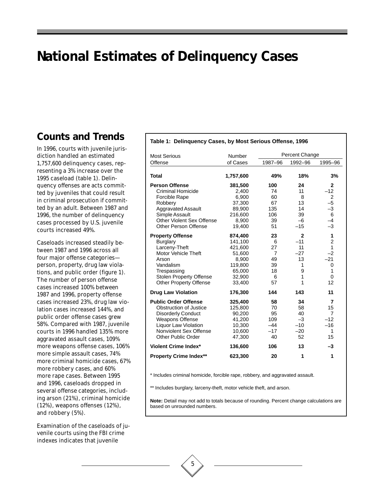## **National Estimates of Delinquency Cases**

### **Counts and Trends**

In 1996, courts with juvenile jurisdiction handled an estimated 1,757,600 delinquency cases, representing a 3% increase over the 1995 caseload (table 1). Delinquency offenses are acts committed by juveniles that could result in criminal prosecution if committed by an adult. Between 1987 and 1996, the number of delinquency cases processed by U.S. juvenile courts increased 49%.

Caseloads increased steadily between 1987 and 1996 across all four major offense categories person, property, drug law violations, and public order (figure 1). The number of person offense cases increased 100% between 1987 and 1996, property offense cases increased 23%, drug law violation cases increased 144%, and public order offense cases grew 58%. Compared with 1987, juvenile courts in 1996 handled 135% more aggravated assault cases, 109% more weapons offense cases, 106% more simple assault cases, 74% more criminal homicide cases, 67% more robbery cases, and 60% more rape cases. Between 1995 and 1996, caseloads dropped in several offense categories, including arson (21%), criminal homicide (12%), weapons offenses (12%), and robbery (5%).

Examination of the caseloads of juvenile courts using the FBI crime indexes indicates that juvenile

#### **Table 1: Delinquency Cases, by Most Serious Offense, 1996**

| <b>Most Serious</b>            | Number    |                | Percent Change |                 |
|--------------------------------|-----------|----------------|----------------|-----------------|
| Offense                        | of Cases  | 1987-96        | 1992-96        | 1995-96         |
|                                |           |                |                |                 |
| <b>Total</b>                   | 1,757,600 | 49%            | 18%            | 3%              |
| <b>Person Offense</b>          | 381,500   | 100            | 24             | $\mathbf{2}$    |
| Criminal Homicide              | 2,400     | 74             | 11             | $-12$           |
| <b>Forcible Rape</b>           | 6,900     | 60             | 8              | $\overline{2}$  |
| Robbery                        | 37,300    | 67             | 13             | $-5$            |
| <b>Aggravated Assault</b>      | 89.900    | 135            | 14             | $-3$            |
| Simple Assault                 | 216,600   | 106            | 39             | $6\phantom{1}6$ |
| Other Violent Sex Offense      | 8,900     | 39             | $-6$           | $-4$            |
| <b>Other Person Offense</b>    | 19,400    | 51             | $-15$          | $-3$            |
| <b>Property Offense</b>        | 874,400   | 23             | $\overline{2}$ | 1               |
| <b>Burglary</b>                | 141,100   | 6              | $-11$          | $\overline{c}$  |
| Larceny-Theft                  | 421,600   | 27             | 11             | 1               |
| Motor Vehicle Theft            | 51,600    | $\overline{7}$ | $-27$          | $-2$            |
| Arson                          | 8,900     | 49             | 13             | $-21$           |
| Vandalism                      | 119,800   | 39             | 1              | 0               |
| Trespassing                    | 65,000    | 18             | 9              | 1               |
| <b>Stolen Property Offense</b> | 32,900    | 6              | 1              | 0               |
| <b>Other Property Offense</b>  | 33,400    | 57             | 1              | 12              |
| <b>Drug Law Violation</b>      | 176,300   | 144            | 143            | 11              |
| <b>Public Order Offense</b>    | 325,400   | 58             | 34             | 7               |
| <b>Obstruction of Justice</b>  | 125,800   | 70             | 58             | 15              |
| <b>Disorderly Conduct</b>      | 90,200    | 95             | 40             | 7               |
| <b>Weapons Offense</b>         | 41,200    | 109            | $-3$           | $-12$           |
| Liquor Law Violation           | 10,300    | $-44$          | $-10$          | $-16$           |
| Nonviolent Sex Offense         | 10,600    | $-17$          | $-20$          | 1               |
| <b>Other Public Order</b>      | 47,300    | 40             | 52             | 15              |
| <b>Violent Crime Index*</b>    | 136,600   | 106            | 13             | $-3$            |
| <b>Property Crime Index**</b>  | 623,300   | 20             | 1              | 1               |

\* Includes criminal homicide, forcible rape, robbery, and aggravated assault.

\*\* Includes burglary, larceny-theft, motor vehicle theft, and arson.

**Note:** Detail may not add to totals because of rounding. Percent change calculations are based on unrounded numbers.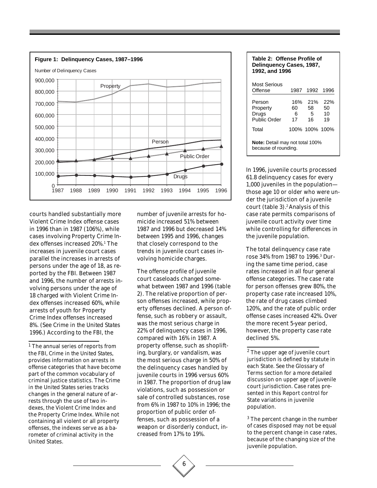

courts handled substantially more Violent Crime Index offense cases in 1996 than in 1987 (106%), while cases involving Property Crime Index offenses increased 20%.1 The increases in juvenile court cases parallel the increases in arrests of persons under the age of 18, as reported by the FBI. Between 1987 and 1996, the number of arrests involving persons under the age of 18 charged with Violent Crime Index offenses increased 60%, while arrests of youth for Property Crime Index offenses increased 8%. (See *Crime in the United States 1996*.) According to the FBI, the

number of juvenile arrests for homicide increased 51% between 1987 and 1996 but decreased 14% between 1995 and 1996, changes that closely correspond to the trends in juvenile court cases involving homicide charges.

The offense profile of juvenile court caseloads changed somewhat between 1987 and 1996 (table 2). The relative proportion of person offenses increased, while property offenses declined. A person offense, such as robbery or assault, was the most serious charge in 22% of delinquency cases in 1996, compared with 16% in 1987. A property offense, such as shoplifting, burglary, or vandalism, was the most serious charge in 50% of the delinquency cases handled by juvenile courts in 1996 versus 60% in 1987. The proportion of drug law violations, such as possession or sale of controlled substances, rose from 6% in 1987 to 10% in 1996; the proportion of public order offenses, such as possession of a weapon or disorderly conduct, increased from 17% to 19%.

| Table 2: Offense Profile of<br>Delinguency Cases, 1987,<br>1992, and 1996 |                |                           |                       |  |  |
|---------------------------------------------------------------------------|----------------|---------------------------|-----------------------|--|--|
| Most Serious<br>Offense                                                   |                | 1987 1992 1996            |                       |  |  |
| Person<br>Property<br>Drugs<br>Public Order                               | 60<br>6.<br>17 | 16% 21%<br>58<br>.5<br>16 | 22%<br>50<br>10<br>19 |  |  |
| Total                                                                     |                | 100% 100% 100%            |                       |  |  |
| <b>Note:</b> Detail may not total 100%<br>because of rounding.            |                |                           |                       |  |  |

In 1996, juvenile courts processed 61.8 delinquency cases for every 1,000 juveniles in the population those age 10 or older who were under the jurisdiction of a juvenile court (table 3).<sup>2</sup> Analysis of this case rate permits comparisons of juvenile court activity over time while controlling for differences in the juvenile population.

The total delinquency case rate rose 34% from 1987 to 1996.3 During the same time period, case rates increased in all four general offense categories. The case rate for person offenses grew 80%, the property case rate increased 10%, the rate of drug cases climbed 120%, and the rate of public order offense cases increased 42%. Over the more recent 5-year period, however, the property case rate declined 5%.

2 The upper age of juvenile court jurisdiction is defined by statute in each State. See the Glossary of Terms section for a more detailed discussion on upper age of juvenile court jurisdiction. Case rates presented in this Report control for State variations in juvenile population.

<sup>3</sup> The percent change in the number of cases disposed may not be equal to the percent change in case rates, because of the changing size of the juvenile population.



<sup>&</sup>lt;sup>1</sup> The annual series of reports from the FBI, *Crime in the United States*, provides information on arrests in offense categories that have become part of the common vocabulary of criminal justice statistics. The *Crime in the United States* series tracks changes in the general nature of arrests through the use of two indexes, the Violent Crime Index and the Property Crime Index. While not containing all violent or all property offenses, the indexes serve as a barometer of criminal activity in the United States.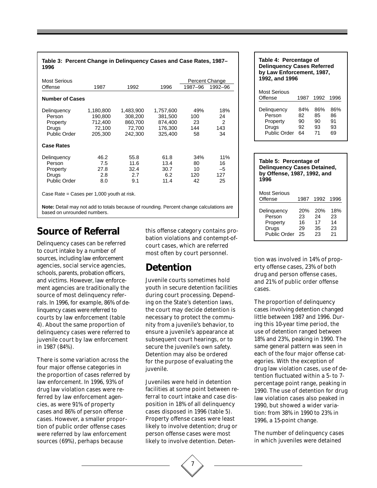| Most Serious           |                      |                      |                      |            | Percent Change        |
|------------------------|----------------------|----------------------|----------------------|------------|-----------------------|
| Offense                | 1987                 | 1992                 | 1996                 | 1987-96    | 1992-96               |
| <b>Number of Cases</b> |                      |                      |                      |            |                       |
| Delinquency<br>Person  | 1,180,800<br>190,800 | 1,483,900<br>308,200 | 1,757,600<br>381,500 | 49%<br>100 | 18%<br>24             |
| Property<br>Drugs      | 712,400<br>72,100    | 860,700<br>72,700    | 874,400<br>176,300   | 23<br>144  | $\overline{2}$<br>143 |
| <b>Public Order</b>    | 205,300              | 242,300              | 325,400              | 58         | 34                    |
| <b>Case Rates</b>      |                      |                      |                      |            |                       |
| Delinguency            | 46.2                 | 55.8                 | 61.8                 | 34%        | 11%                   |
| Person                 | 7.5                  | 11.6                 | 13.4                 | 80         | 16                    |
| Property               | 27.8                 | 32.4                 | 30.7                 | 10         | $-5$                  |
| Drugs                  | 2.8                  | 2.7                  | 6.2                  | 120        | 127                   |
| <b>Public Order</b>    | 8.0                  | 9.1                  | 11.4                 | 42         | 25                    |

**Table 3: Percent Change in Delinquency Cases and Case Rates, 1987–**

**Note:** Detail may not add to totals because of rounding. Percent change calculations are based on unrounded numbers.

### **Source of Referral**

Delinquency cases can be referred to court intake by a number of sources, including law enforcement agencies, social service agencies, schools, parents, probation officers, and victims. However, law enforcement agencies are traditionally the source of most delinquency referrals. In 1996, for example, 86% of delinquency cases were referred to courts by law enforcement (table 4). About the same proportion of delinquency cases were referred to juvenile court by law enforcement in 1987 (84%).

There is some variation across the four major offense categories in the proportion of cases referred by law enforcement. In 1996, 93% of drug law violation cases were referred by law enforcement agencies, as were 91% of property cases and 86% of person offense cases. However, a smaller proportion of public order offense cases were referred by law enforcement sources (69%), perhaps because

this offense category contains probation violations and contempt-ofcourt cases, which are referred most often by court personnel.

### **Detention**

Juvenile courts sometimes hold youth in secure detention facilities during court processing. Depending on the State's detention laws, the court may decide detention is necessary to protect the community from a juvenile's behavior, to ensure a juvenile's appearance at subsequent court hearings, or to secure the juvenile's own safety. Detention may also be ordered for the purpose of evaluating the juvenile.

Juveniles were held in detention facilities at some point between referral to court intake and case disposition in 18% of all delinquency cases disposed in 1996 (table 5). Property offense cases were least likely to involve detention; drug or person offense cases were most likely to involve detention. Deten-



| Table 5: Percentage of<br><b>Delinquency Cases Detained,</b><br>by Offense, 1987, 1992, and<br>1996 |                                    |                             |                             |  |  |  |
|-----------------------------------------------------------------------------------------------------|------------------------------------|-----------------------------|-----------------------------|--|--|--|
| Most Serious<br>Offense                                                                             | 1987                               | 1992                        | 1996                        |  |  |  |
| Delinquency<br>Person<br>Property<br>Drugs<br>Public Order                                          | <b>20%</b><br>23<br>16<br>29<br>25 | 20%<br>24<br>17<br>35<br>23 | 18%<br>23<br>14<br>23<br>21 |  |  |  |

tion was involved in 14% of property offense cases, 23% of both drug and person offense cases, and 21% of public order offense cases.

The proportion of delinquency cases involving detention changed little between 1987 and 1996. During this 10-year time period, the use of detention ranged between 18% and 23%, peaking in 1990. The same general pattern was seen in each of the four major offense categories. With the exception of drug law violation cases, use of detention fluctuated within a 5- to 7 percentage point range, peaking in 1990. The use of detention for drug law violation cases also peaked in 1990, but showed a wider variation: from 38% in 1990 to 23% in 1996, a 15-point change.

The number of delinquency cases in which juveniles were detained

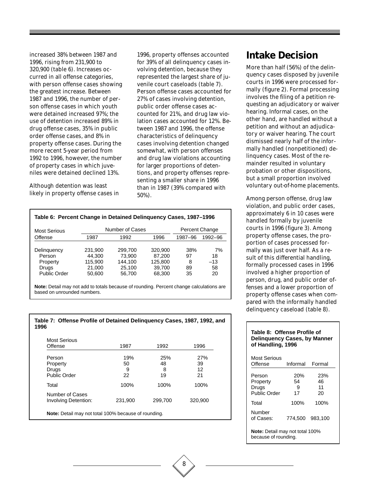increased 38% between 1987 and 1996, rising from 231,900 to 320,900 (table 6). Increases occurred in all offense categories, with person offense cases showing the greatest increase. Between 1987 and 1996, the number of person offense cases in which youth were detained increased 97%; the use of detention increased 89% in drug offense cases, 35% in public order offense cases, and 8% in property offense cases. During the more recent 5-year period from 1992 to 1996, however, the number of property cases in which juveniles were detained declined 13%.

Although detention was least likely in property offense cases in 1996, property offenses accounted for 39% of all delinquency cases involving detention, because they represented the largest share of juvenile court caseloads (table 7). Person offense cases accounted for 27% of cases involving detention, public order offense cases accounted for 21%, and drug law violation cases accounted for 12%. Between 1987 and 1996, the offense characteristics of delinquency cases involving detention changed somewhat, with person offenses and drug law violations accounting for larger proportions of detentions, and property offenses representing a smaller share in 1996 than in 1987 (39% compared with 50%).

#### **Table 6: Percent Change in Detained Delinquency Cases, 1987–1996**

| Most Serious                                                      |                                                  | Number of Cases                                  |                                                  | <b>Percent Change</b>      |                               |
|-------------------------------------------------------------------|--------------------------------------------------|--------------------------------------------------|--------------------------------------------------|----------------------------|-------------------------------|
| Offense                                                           | 1987                                             | 1992                                             | 1996                                             | 1987-96                    | 1992-96                       |
| Delinguency<br>Person<br>Property<br>Drugs<br><b>Public Order</b> | 231.900<br>44.300<br>115.900<br>21,000<br>50,600 | 299.700<br>73.900<br>144.100<br>25.100<br>56,700 | 320,900<br>87.200<br>125.800<br>39.700<br>68,300 | 38%<br>97<br>8<br>89<br>35 | 7%<br>18<br>$-13$<br>58<br>20 |

**Note:** Detail may not add to totals because of rounding. Percent change calculations are based on unrounded numbers.

#### **Table 7: Offense Profile of Detained Delinquency Cases, 1987, 1992, and 1996**

| Most Serious<br>Offense                                     | 1987                 | 1992                 | 1996                  |
|-------------------------------------------------------------|----------------------|----------------------|-----------------------|
| Person<br>Property<br>Drugs<br>Public Order                 | 19%<br>50<br>9<br>22 | 25%<br>48<br>8<br>19 | 27%<br>39<br>12<br>21 |
| Total                                                       | 100%                 | 100%                 | 100%                  |
| Number of Cases<br>Involving Detention:                     | 231,900              | 299.700              | 320,900               |
| <b>Note:</b> Detail may not total 100% because of rounding. |                      |                      |                       |

### **Intake Decision**

More than half (56%) of the delinquency cases disposed by juvenile courts in 1996 were processed formally (figure 2). Formal processing involves the filing of a petition requesting an adjudicatory or waiver hearing. Informal cases, on the other hand, are handled without a petition and without an adjudicatory or waiver hearing. The court dismissed nearly half of the informally handled (nonpetitioned) delinquency cases. Most of the remainder resulted in voluntary probation or other dispositions, but a small proportion involved voluntary out-of-home placements.

Among person offense, drug law violation, and public order cases, approximately 6 in 10 cases were handled formally by juvenile courts in 1996 (figure 3). Among property offense cases, the proportion of cases processed formally was just over half. As a result of this differential handling, formally processed cases in 1996 involved a higher proportion of person, drug, and public order offenses and a lower proportion of property offense cases when compared with the informally handled delinquency caseload (table 8).

#### **Table 8: Offense Profile of Delinquency Cases, by Manner of Handling, 1996**

| Most Serious<br>Offense                                 | Informal             | Formal                |  |  |  |
|---------------------------------------------------------|----------------------|-----------------------|--|--|--|
| Person<br>Property<br>Drugs<br>Public Order             | 20%<br>54<br>9<br>17 | 23%<br>46<br>11<br>20 |  |  |  |
| Total                                                   | 100%                 | 100%                  |  |  |  |
| Number<br>of Cases:                                     | 774,500              | 983.100               |  |  |  |
| Note: Detail may not total 100%<br>because of rounding. |                      |                       |  |  |  |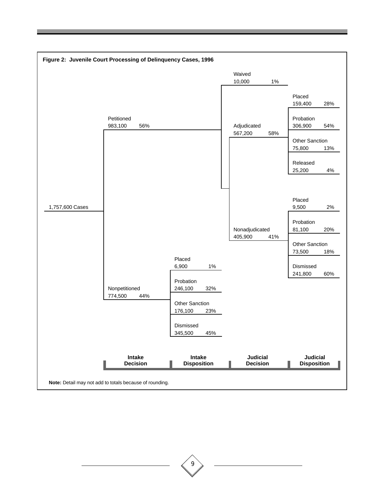

9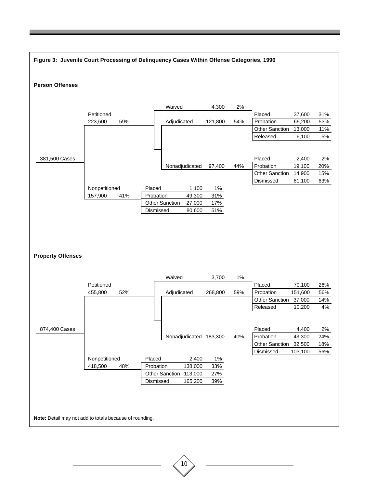

10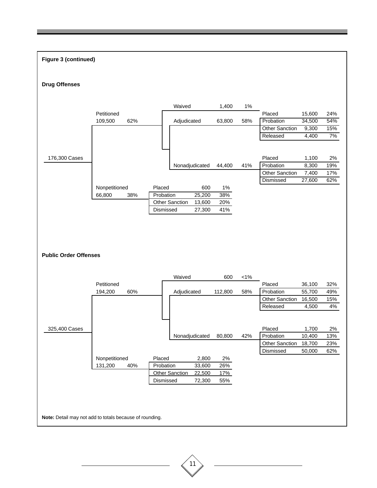### **Figure 3 (continued) Drug Offenses** Waived **1,400** 1% Petitioned Placed 15,600 24% 109,500 62% Adjudicated 63,800 58% Probation 34,500 54% Other Sanction 9,300 15% Released 4,400 7% 176,300 Cases Placed 1,100 2% Nonadjudicated 44,400 41% Probation 8,300 19% Other Sanction 7,400 17% Dismissed 27,600 62% Nonpetitioned Placed 600 1% 66,800 38% Probation 25,200 38% Other Sanction 13,600 20% Dismissed 27,300 41% **Public Order Offenses** Waived 600 <1% Petitioned Placed 36,100 32% 194,200 60% Adjudicated 112,800 58% Probation 55,700 49% Other Sanction 16,500 15% Released 4,500 4% 325,400 Cases Placed 1,700 2% Nonadjudicated 80,800 42% Probation 10,400 13% Other Sanction 18,700 23% Dismissed 50,000 62% Nonpetitioned Placed 2,800 2% 131,200 40% Probation 33,600 26% Other Sanction 22,500 17% Dismissed 72,300 55% **Note:** Detail may not add to totals because of rounding.

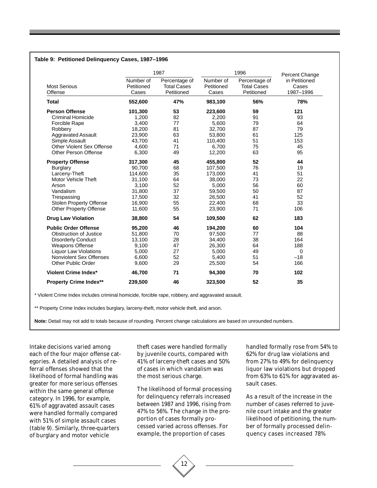|                                |                                  | 1987                                              |                                  | 1996                                              |                                                       |  |
|--------------------------------|----------------------------------|---------------------------------------------------|----------------------------------|---------------------------------------------------|-------------------------------------------------------|--|
| <b>Most Serious</b><br>Offense | Number of<br>Petitioned<br>Cases | Percentage of<br><b>Total Cases</b><br>Petitioned | Number of<br>Petitioned<br>Cases | Percentage of<br><b>Total Cases</b><br>Petitioned | Percent Change<br>in Petitioned<br>Cases<br>1987-1996 |  |
| <b>Total</b>                   | 552,600                          | 47%                                               | 983,100                          | 56%                                               | 78%                                                   |  |
| <b>Person Offense</b>          | 101,300                          | 53                                                | 223,600                          | 59                                                | 121                                                   |  |
| <b>Criminal Homicide</b>       | 1,200                            | 82                                                | 2,200                            | 91                                                | 93                                                    |  |
| <b>Forcible Rape</b>           | 3,400                            | 77                                                | 5,600                            | 79                                                | 64                                                    |  |
| Robbery                        | 18,200                           | 81                                                | 32,700                           | 87                                                | 79                                                    |  |
| <b>Aggravated Assault</b>      | 23,900                           | 63                                                | 53,800                           | 61                                                | 125                                                   |  |
| Simple Assault                 | 43,700                           | 41                                                | 110,400                          | 51                                                | 153                                                   |  |
| Other Violent Sex Offense      | 4,600                            | 71                                                | 6,700                            | 75                                                | 45                                                    |  |
| <b>Other Person Offense</b>    | 6,300                            | 49                                                | 12,200                           | 63                                                | 95                                                    |  |
| <b>Property Offense</b>        | 317,300                          | 45                                                | 455,800                          | 52                                                | 44                                                    |  |
| <b>Burglary</b>                | 90,700                           | 68                                                | 107,500                          | 76                                                | 19                                                    |  |
| Larceny-Theft                  | 114,600                          | 35                                                | 173,000                          | 41                                                | 51                                                    |  |
| <b>Motor Vehicle Theft</b>     | 31,100                           | 64                                                | 38,000                           | 73                                                | 22                                                    |  |
| Arson                          | 3,100                            | 52                                                | 5,000                            | 56                                                | 60                                                    |  |
| Vandalism                      | 31,800                           | 37                                                | 59,500                           | 50                                                | 87                                                    |  |
| Trespassing                    | 17,500                           | 32                                                | 26,500                           | 41                                                | 52                                                    |  |
| Stolen Property Offense        | 16,900                           | 55                                                | 22,400                           | 68                                                | 33                                                    |  |
| <b>Other Property Offense</b>  | 11,600                           | 55                                                | 23,900                           | 71                                                | 106                                                   |  |
| <b>Drug Law Violation</b>      | 38,800                           | 54                                                | 109,500                          | 62                                                | 183                                                   |  |
| <b>Public Order Offense</b>    | 95,200                           | 46                                                | 194,200                          | 60                                                | 104                                                   |  |
| Obstruction of Justice         | 51,800                           | 70                                                | 97,500                           | 77                                                | 88                                                    |  |
| <b>Disorderly Conduct</b>      | 13,100                           | 28                                                | 34,400                           | 38                                                | 164                                                   |  |
| <b>Weapons Offense</b>         | 9,100                            | 47                                                | 26,300                           | 64                                                | 188                                                   |  |
| <b>Liquor Law Violations</b>   | 5,000                            | 27                                                | 5,000                            | 49                                                | 0                                                     |  |
| Nonviolent Sex Offenses        | 6,600                            | 52                                                | 5,400                            | 51                                                | $-18$                                                 |  |
| Other Public Order             | 9,600                            | 29                                                | 25,500                           | 54                                                | 166                                                   |  |
| <b>Violent Crime Index*</b>    | 46,700                           | 71                                                | 94,300                           | 70                                                | 102                                                   |  |
| <b>Property Crime Index**</b>  | 239,500                          | 46                                                | 323,500                          | 52                                                | 35                                                    |  |

\* Violent Crime Index includes criminal homicide, forcible rape, robbery, and aggravated assault.

\*\* Property Crime Index includes burglary, larceny-theft, motor vehicle theft, and arson.

**Note:** Detail may not add to totals because of rounding. Percent change calculations are based on unrounded numbers.

Intake decisions varied among each of the four major offense categories. A detailed analysis of referral offenses showed that the likelihood of formal handling was greater for more serious offenses within the same general offense category. In 1996, for example, 61% of aggravated assault cases were handled formally compared with 51% of simple assault cases (table 9). Similarly, three-quarters of burglary and motor vehicle

theft cases were handled formally by juvenile courts, compared with 41% of larceny-theft cases and 50% of cases in which vandalism was the most serious charge.

The likelihood of formal processing for delinquency referrals increased between 1987 and 1996, rising from 47% to 56%. The change in the proportion of cases formally processed varied across offenses. For example, the proportion of cases

12

handled formally rose from 54% to 62% for drug law violations and from 27% to 49% for delinquency liquor law violations but dropped from 63% to 61% for aggravated assault cases.

As a result of the increase in the number of cases referred to juvenile court intake and the greater likelihood of petitioning, the number of formally processed delinquency cases increased 78%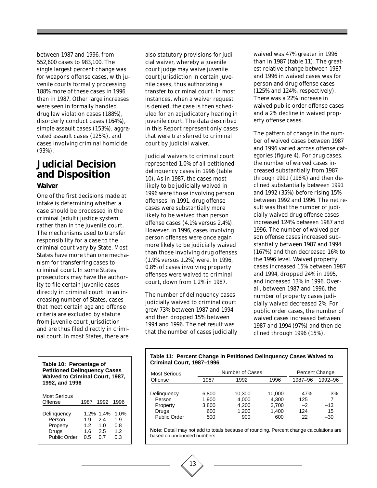between 1987 and 1996, from 552,600 cases to 983,100. The single largest percent change was for weapons offense cases, with juvenile courts formally processing 188% more of these cases in 1996 than in 1987. Other large increases were seen in formally handled drug law violation cases (188%), disorderly conduct cases (164%), simple assault cases (153%), aggravated assault cases (125%), and cases involving criminal homicide (93%).

### **Judicial Decision and Disposition**

#### **Waiver**

One of the first decisions made at intake is determining whether a case should be processed in the criminal (adult) justice system rather than in the juvenile court. The mechanisms used to transfer responsibility for a case to the criminal court vary by State. Most States have more than one mechanism for transferring cases to criminal court. In some States, prosecutors may have the authority to file certain juvenile cases directly in criminal court. In an increasing number of States, cases that meet certain age and offense criteria are excluded by statute from juvenile court jurisdiction and are thus filed directly in criminal court. In most States, there are

| Table 10: Percentage of<br><b>Petitioned Delinquency Cases</b><br>Waived to Criminal Court, 1987,<br>1992, and 1996 |                                       |                                         |                                 |
|---------------------------------------------------------------------------------------------------------------------|---------------------------------------|-----------------------------------------|---------------------------------|
| Most Serious<br>Offense                                                                                             |                                       | 1987 1992 1996                          |                                 |
| Delinguency<br>Person<br>Property<br>Drugs<br>Public Order                                                          | 1.9<br>1.2 <sub>2</sub><br>1.6<br>0.5 | $1.2\%$ 1.4%<br>24<br>1.0<br>2.5<br>0.7 | 1.0%<br>1.9<br>0.8<br>12<br>0.3 |

also statutory provisions for judicial waiver, whereby a juvenile court judge may waive juvenile court jurisdiction in certain juvenile cases, thus authorizing a transfer to criminal court. In most instances, when a waiver request is denied, the case is then scheduled for an adjudicatory hearing in juvenile court. The data described in this Report represent only cases that were transferred to criminal court by judicial waiver.

Judicial waivers to criminal court represented 1.0% of all petitioned delinquency cases in 1996 (table 10). As in 1987, the cases most likely to be judicially waived in 1996 were those involving person offenses. In 1991, drug offense cases were substantially more likely to be waived than person offense cases (4.1% versus 2.4%). However, in 1996, cases involving person offenses were once again more likely to be judicially waived than those involving drug offenses (1.9% versus 1.2%) were. In 1996, 0.8% of cases involving property offenses were waived to criminal court, down from 1.2% in 1987.

The number of delinquency cases judicially waived to criminal court grew 73% between 1987 and 1994 and then dropped 15% between 1994 and 1996. The net result was that the number of cases judicially

13

waived was 47% greater in 1996 than in 1987 (table 11). The greatest relative change between 1987 and 1996 in waived cases was for person and drug offense cases (125% and 124%, respectively). There was a 22% increase in waived public order offense cases and a 2% decline in waived property offense cases.

The pattern of change in the number of waived cases between 1987 and 1996 varied across offense categories (figure 4). For drug cases, the number of waived cases increased substantially from 1987 through 1991 (198%) and then declined substantially between 1991 and 1992 (35%) before rising 15% between 1992 and 1996. The net result was that the number of judicially waived drug offense cases increased 124% between 1987 and 1996. The number of waived person offense cases increased substantially between 1987 and 1994 (167%) and then decreased 16% to the 1996 level. Waived property cases increased 15% between 1987 and 1994, dropped 24% in 1995, and increased 13% in 1996. Overall, between 1987 and 1996, the number of property cases judicially waived decreased 2%. For public order cases, the number of waived cases increased between 1987 and 1994 (97%) and then declined through 1996 (15%).

#### **Table 11: Percent Change in Petitioned Delinquency Cases Waived to Criminal Court, 1987–1996**

| Most Serious        |       | Number of Cases |        |         | Percent Change |
|---------------------|-------|-----------------|--------|---------|----------------|
| Offense             | 1987  | 1992            | 1996   | 1987-96 | 1992-96        |
| Delinguency         | 6.800 | 10.300          | 10.000 | 47%     | $-3%$          |
| Person              | 1.900 | 4,000           | 4.300  | 125     | 7              |
| Property            | 3,800 | 4.200           | 3.700  | $-2$    | $-13$          |
| Drugs               | 600   | 1.200           | 1.400  | 124     | 15             |
| <b>Public Order</b> | 500   | 900             | 600    | 22      | $-30$          |

**Note:** Detail may not add to totals because of rounding. Percent change calculations are based on unrounded numbers.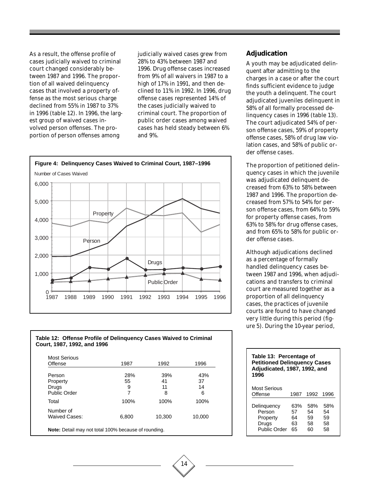As a result, the offense profile of cases judicially waived to criminal court changed considerably between 1987 and 1996. The proportion of all waived delinquency cases that involved a property offense as the most serious charge declined from 55% in 1987 to 37% in 1996 (table 12). In 1996, the largest group of waived cases involved person offenses. The proportion of person offenses among

judicially waived cases grew from 28% to 43% between 1987 and 1996. Drug offense cases increased from 9% of all waivers in 1987 to a high of 17% in 1991, and then declined to 11% in 1992. In 1996, drug offense cases represented 14% of the cases judicially waived to criminal court. The proportion of public order cases among waived cases has held steady between 6% and 9%.



#### **Table 12: Offense Profile of Delinquency Cases Waived to Criminal Court, 1987, 1992, and 1996**

| <b>Most Serious</b> |       |        |        |
|---------------------|-------|--------|--------|
| Offense             | 1987  | 1992   | 1996   |
| Person              | 28%   | 39%    | 43%    |
| Property            | 55    | 41     | 37     |
| Drugs               | 9     | 11     | 14     |
| Public Order        | 7     | 8      | 6      |
| Total               | 100%  | 100%   | 100%   |
| Number of           |       |        |        |
| Waived Cases:       | 6,800 | 10,300 | 10,000 |

14

#### **Adjudication**

A youth may be adjudicated delinquent after admitting to the charges in a case or after the court finds sufficient evidence to judge the youth a delinquent. The court adjudicated juveniles delinquent in 58% of all formally processed delinquency cases in 1996 (table 13). The court adjudicated 54% of person offense cases, 59% of property offense cases, 58% of drug law violation cases, and 58% of public order offense cases.

The proportion of petitioned delinquency cases in which the juvenile was adjudicated delinquent decreased from 63% to 58% between 1987 and 1996. The proportion decreased from 57% to 54% for person offense cases, from 64% to 59% for property offense cases, from 63% to 58% for drug offense cases, and from 65% to 58% for public order offense cases.

Although adjudications declined as a percentage of formally handled delinquency cases between 1987 and 1996, when adjudications and transfers to criminal court are measured together as a proportion of all delinquency cases, the practices of juvenile courts are found to have changed very little during this period (figure 5). During the 10-year period,

| Table 13: Percentage of<br><b>Petitioned Delinguency Cases</b><br>Adjudicated, 1987, 1992, and<br>1996 |                             |                             |                             |  |  |
|--------------------------------------------------------------------------------------------------------|-----------------------------|-----------------------------|-----------------------------|--|--|
| Most Serious<br>Offense                                                                                | 1987                        | 1992                        | 1996                        |  |  |
| Delinquency<br>Person<br>Property<br>Drugs<br>Public Order                                             | 63%<br>57<br>64<br>63<br>65 | 58%<br>54<br>59<br>58<br>60 | 58%<br>54<br>59<br>58<br>58 |  |  |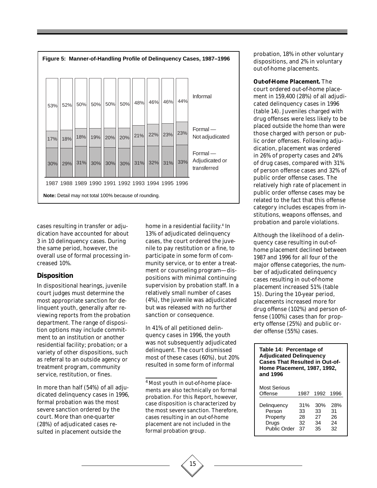

cases resulting in transfer or adjudication have accounted for about 3 in 10 delinquency cases. During the same period, however, the overall use of formal processing increased 10%.

#### **Disposition**

In dispositional hearings, juvenile court judges must determine the most appropriate sanction for delinquent youth, generally after reviewing reports from the probation department. The range of disposition options may include commitment to an institution or another residential facility; probation; or a variety of other dispositions, such as referral to an outside agency or treatment program, community service, restitution, or fines.

In more than half (54%) of all adjudicated delinquency cases in 1996, formal probation was the most severe sanction ordered by the court. More than one-quarter (28%) of adjudicated cases resulted in placement outside the

home in a residential facility.<sup>4</sup> In 13% of adjudicated delinquency cases, the court ordered the juvenile to pay restitution or a fine, to participate in some form of community service, or to enter a treatment or counseling program—dispositions with minimal continuing supervision by probation staff. In a relatively small number of cases (4%), the juvenile was adjudicated but was released with no further sanction or consequence.

In 41% of all petitioned delinquency cases in 1996, the youth was not subsequently adjudicated delinquent. The court dismissed most of these cases (60%), but 20% resulted in some form of informal

<sup>4</sup> Most youth in out-of-home placements are also technically on formal probation. For this Report, however, case disposition is characterized by the most severe sanction. Therefore, cases resulting in an out-of-home placement are not included in the formal probation group.

probation, 18% in other voluntary dispositions, and 2% in voluntary out-of-home placements.

**Out-of-Home Placement.** The court ordered out-of-home placement in 159,400 (28%) of all adjudicated delinquency cases in 1996 (table 14). Juveniles charged with drug offenses were less likely to be placed outside the home than were those charged with person or public order offenses. Following adjudication, placement was ordered in 26% of property cases and 24% of drug cases, compared with 31% of person offense cases and 32% of public order offense cases. The relatively high rate of placement in public order offense cases may be related to the fact that this offense category includes escapes from institutions, weapons offenses, and probation and parole violations.

Although the likelihood of a delinquency case resulting in out-ofhome placement declined between 1987 and 1996 for all four of the major offense categories, the number of adjudicated delinquency cases resulting in out-of-home placement increased 51% (table 15). During the 10-year period, placements increased more for drug offense (102%) and person offense (100%) cases than for property offense (25%) and public order offense (55%) cases.

| Table 14: Percentage of<br><b>Adjudicated Delinquency</b><br><b>Cases That Resulted in Out-of-</b><br><b>Home Placement, 1987, 1992,</b><br>and 1996 |                             |                             |                             |  |  |  |
|------------------------------------------------------------------------------------------------------------------------------------------------------|-----------------------------|-----------------------------|-----------------------------|--|--|--|
| Most Serious<br>Offense                                                                                                                              | 1987                        | 1992                        | 1996                        |  |  |  |
| Delinguency<br>Person<br>Property<br>Drugs<br>Public Order                                                                                           | 31%<br>33<br>28<br>32<br>37 | 30%<br>33<br>27<br>34<br>35 | 28%<br>31<br>26<br>24<br>32 |  |  |  |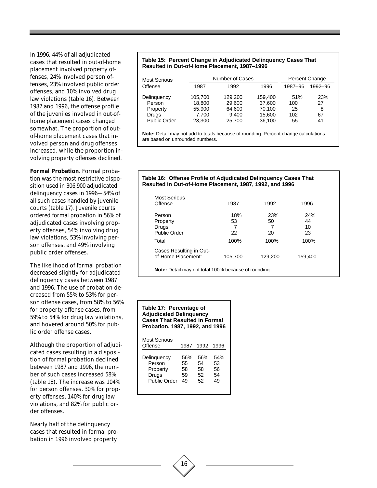In 1996, 44% of all adjudicated cases that resulted in out-of-home placement involved property offenses, 24% involved person offenses, 23% involved public order offenses, and 10% involved drug law violations (table 16). Between 1987 and 1996, the offense profile of the juveniles involved in out-ofhome placement cases changed somewhat. The proportion of outof-home placement cases that involved person and drug offenses increased, while the proportion involving property offenses declined.

**Formal Probation.** Formal probation was the most restrictive disposition used in 306,900 adjudicated delinquency cases in 1996—54% of all such cases handled by juvenile courts (table 17). Juvenile courts ordered formal probation in 56% of adjudicated cases involving property offenses, 54% involving drug law violations, 53% involving person offenses, and 49% involving public order offenses.

The likelihood of formal probation decreased slightly for adjudicated delinquency cases between 1987 and 1996. The use of probation decreased from 55% to 53% for person offense cases, from 58% to 56% for property offense cases, from 59% to 54% for drug law violations, and hovered around 50% for public order offense cases.

Although the proportion of adjudicated cases resulting in a disposition of formal probation declined between 1987 and 1996, the number of such cases increased 58% (table 18). The increase was 104% for person offenses, 30% for property offenses, 140% for drug law violations, and 82% for public order offenses.

Nearly half of the delinquency cases that resulted in formal probation in 1996 involved property

#### **Table 15: Percent Change in Adjudicated Delinquency Cases That Resulted in Out-of-Home Placement, 1987–1996**

| Most Serious        | Number of Cases |         |         | Percent Change |         |
|---------------------|-----------------|---------|---------|----------------|---------|
| Offense             | 1987            | 1992    | 1996    | 1987-96        | 1992-96 |
| Delinguency         | 105.700         | 129,200 | 159.400 | 51%            | 23%     |
| Person              | 18.800          | 29.600  | 37.600  | 100            | 27      |
| Property            | 55.900          | 64.600  | 70.100  | 25             | 8       |
| Drugs               | 7.700           | 9.400   | 15.600  | 102            | 67      |
| <b>Public Order</b> | 23.300          | 25.700  | 36,100  | 55             | 41      |

**Note:** Detail may not add to totals because of rounding. Percent change calculations are based on unrounded numbers.

#### **Table 16: Offense Profile of Adjudicated Delinquency Cases That Resulted in Out-of-Home Placement, 1987, 1992, and 1996**

| Offense                                       | 1987    | 1992    | 1996    |
|-----------------------------------------------|---------|---------|---------|
| Person                                        | 18%     | 23%     | 24%     |
| Property                                      | 53      | 50      | 44      |
| Drugs                                         |         |         | 10      |
| <b>Public Order</b>                           | 22      | 20      | 23      |
| Total                                         | 100%    | 100%    | 100%    |
| Cases Resulting in Out-<br>of-Home Placement: | 105,700 | 129,200 | 159,400 |

| Table 17: Percentage of<br><b>Adjudicated Delinquency</b><br><b>Cases That Resulted in Formal</b><br>Probation, 1987, 1992, and 1996 |                             |                             |                             |  |  |  |
|--------------------------------------------------------------------------------------------------------------------------------------|-----------------------------|-----------------------------|-----------------------------|--|--|--|
| <b>Most Serious</b><br>Offense                                                                                                       | 1987                        | 1992                        | 1996                        |  |  |  |
| Delinguency<br>Person<br>Property<br>Drugs<br>Public Order                                                                           | 56%<br>55<br>58<br>59<br>49 | 56%<br>54<br>58<br>52<br>52 | 54%<br>53<br>56<br>54<br>49 |  |  |  |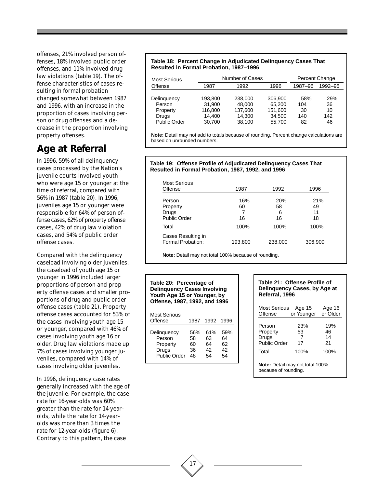offenses, 21% involved person offenses, 18% involved public order offenses, and 11% involved drug law violations (table 19). The offense characteristics of cases resulting in formal probation changed somewhat between 1987 and 1996, with an increase in the proportion of cases involving person or drug offenses and a decrease in the proportion involving property offenses.

### **Age at Referral**

In 1996, 59% of all delinquency cases processed by the Nation's juvenile courts involved youth who were age 15 or younger at the time of referral, compared with 56% in 1987 (table 20). In 1996, juveniles age 15 or younger were responsible for 64% of person offense cases, 62% of property offense cases, 42% of drug law violation cases, and 54% of public order offense cases.

Compared with the delinquency caseload involving older juveniles, the caseload of youth age 15 or younger in 1996 included larger proportions of person and property offense cases and smaller proportions of drug and public order offense cases (table 21). Property offense cases accounted for 53% of the cases involving youth age 15 or younger, compared with 46% of cases involving youth age 16 or older. Drug law violations made up 7% of cases involving younger juveniles, compared with 14% of cases involving older juveniles.

In 1996, delinquency case rates generally increased with the age of the juvenile. For example, the case rate for 16-year-olds was 60% greater than the rate for 14-yearolds, while the rate for 14-yearolds was more than 3 times the rate for 12-year-olds (figure 6). Contrary to this pattern, the case

#### **Table 18: Percent Change in Adjudicated Delinquency Cases That Resulted in Formal Probation, 1987–1996**

| Most Serious                                                      |                                                  | Number of Cases                                  |                                                  |                               | Percent Change                      |
|-------------------------------------------------------------------|--------------------------------------------------|--------------------------------------------------|--------------------------------------------------|-------------------------------|-------------------------------------|
| Offense                                                           | 1987                                             | 1992                                             | 1996                                             | 1987-96                       | 1992-96                             |
| Delinguency<br>Person<br>Property<br>Drugs<br><b>Public Order</b> | 193.800<br>31.900<br>116.800<br>14.400<br>30.700 | 238,000<br>48,000<br>137.600<br>14.300<br>38,100 | 306,900<br>65.200<br>151.600<br>34.500<br>55.700 | 58%<br>104<br>30<br>140<br>82 | <b>29%</b><br>36<br>10<br>142<br>46 |

**Note:** Detail may not add to totals because of rounding. Percent change calculations are based on unrounded numbers.

#### **Table 19: Offense Profile of Adjudicated Delinquency Cases That Resulted in Formal Probation, 1987, 1992, and 1996**

| Most Serious                            |         |            |         |
|-----------------------------------------|---------|------------|---------|
| Offense                                 | 1987    | 1992       | 1996    |
| Person                                  | 16%     | <b>20%</b> | 21%     |
| Property                                | 60      | 58         | 49      |
| Drugs                                   | 7       | 6          | 11      |
| <b>Public Order</b>                     | 16      | 16         | 18      |
| Total                                   | 100%    | 100%       | 100%    |
| Cases Resulting in<br>Formal Probation: | 193,800 | 238,000    | 306,900 |
|                                         |         |            |         |

**Note:** Detail may not total 100% because of rounding.

#### **Table 20: Percentage of Delinquency Cases Involving Youth Age 15 or Younger, by Offense, 1987, 1992, and 1996**

| <b>Most Serious</b><br>Offense | 1987 |     | 1992 1996 |
|--------------------------------|------|-----|-----------|
| Delinguency                    | .56% | 61% | 59%       |
| Person                         | 58   | 63  | 64        |
| Property                       | 60   | 64  | 62        |
| Drugs                          | 36   | 42  | 42        |
| Public Order                   | 48   | 54  | 54        |

#### **Table 21: Offense Profile of Delinquency Cases, by Age at Referral, 1996**

| Most Serious | Age 15     | Age 16   |
|--------------|------------|----------|
| Offense      | or Younger | or Older |
| Person       | 23%        | 19%      |
| Property     | 53         | 46       |
| Drugs        | 7          | 14       |
| Public Order | 17         | 21       |
| Total        | 100%       | 100%     |

**Note:** Detail may not total 100% because of rounding.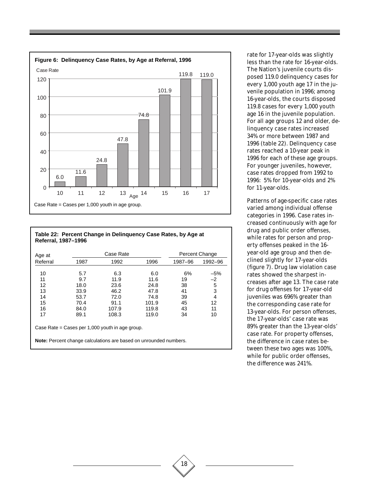

#### **Table 22: Percent Change in Delinquency Case Rates, by Age at Referral, 1987–1996**

| Age at   |      | Case Rate                                                                |       | Percent Change |             |
|----------|------|--------------------------------------------------------------------------|-------|----------------|-------------|
| Referral | 1987 | 1992                                                                     | 1996  | 1987-96        | 1992-96     |
|          |      |                                                                          |       |                |             |
| 10       | 5.7  | 6.3                                                                      | 6.0   | 6%             | $-5%$       |
| 11       | 9.7  | 11.9                                                                     | 11.6  | 19             | $-2$        |
| 12       | 18.0 | 23.6                                                                     | 24.8  | 38             | $\mathbf 5$ |
| 13       | 33.9 | 46.2                                                                     | 47.8  | 41             | 3           |
| 14       | 53.7 | 72.0                                                                     | 74.8  | 39             | 4           |
| 15       | 70.4 | 91.1                                                                     | 101.9 | 45             | 12          |
| 16       | 84.0 | 107.9                                                                    | 119.8 | 43             | 11          |
| 17       | 89.1 | 108.3                                                                    | 119.0 | 34             | 10          |
|          |      | Case Rate = Cases per $1,000$ youth in age group.                        |       |                |             |
|          |      | <b>Note:</b> Percent change calculations are based on unrounded numbers. |       |                |             |

18

rate for 17-year-olds was slightly less than the rate for 16-year-olds. The Nation's juvenile courts disposed 119.0 delinquency cases for every 1,000 youth age 17 in the juvenile population in 1996; among 16-year-olds, the courts disposed 119.8 cases for every 1,000 youth age 16 in the juvenile population. For all age groups 12 and older, delinquency case rates increased 34% or more between 1987 and 1996 (table 22). Delinquency case rates reached a 10-year peak in 1996 for each of these age groups. For younger juveniles, however, case rates dropped from 1992 to 1996: 5% for 10-year-olds and 2% for 11-year-olds.

Patterns of age-specific case rates varied among individual offense categories in 1996. Case rates increased continuously with age for drug and public order offenses, while rates for person and property offenses peaked in the 16 year-old age group and then declined slightly for 17-year-olds (figure 7). Drug law violation case rates showed the sharpest increases after age 13. The case rate for drug offenses for 17-year-old juveniles was 696% greater than the corresponding case rate for 13-year-olds. For person offenses, the 17-year-olds' case rate was 89% greater than the 13-year-olds' case rate. For property offenses, the difference in case rates between these two ages was 100%, while for public order offenses, the difference was 241%.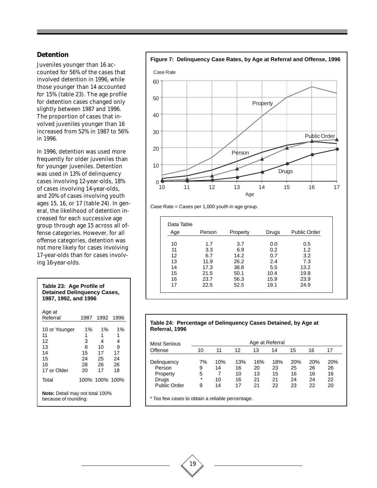#### **Detention**

Juveniles younger than 16 accounted for 56% of the cases that involved detention in 1996, while those younger than 14 accounted for 15% (table 23). The age profile for detention cases changed only slightly between 1987 and 1996. The proportion of cases that involved juveniles younger than 16 increased from 52% in 1987 to 56% in 1996.

In 1996, detention was used more frequently for older juveniles than for younger juveniles. Detention was used in 13% of delinquency cases involving 12-year-olds, 18% of cases involving 14-year-olds, and 20% of cases involving youth ages 15, 16, or 17 (table 24). In general, the likelihood of detention increased for each successive age group through age 15 across all offense categories. However, for all offense categories, detention was not more likely for cases involving 17-year-olds than for cases involving 16-year-olds.

| <b>Detained Delinguency Cases,</b><br>1987, 1992, and 1996       |                                              |                                               |                                           |  |  |  |
|------------------------------------------------------------------|----------------------------------------------|-----------------------------------------------|-------------------------------------------|--|--|--|
| Age at<br>Referral                                               | 1987                                         | 1992                                          | 1996                                      |  |  |  |
| 10 or Younger<br>11<br>12<br>13<br>14<br>15<br>16<br>17 or Older | $1\%$<br>1<br>3<br>8<br>15<br>24<br>28<br>20 | $1\%$<br>1<br>4<br>10<br>17<br>25<br>26<br>17 | 1%<br>1<br>4<br>9<br>17<br>24<br>26<br>18 |  |  |  |
| 100% 100% 100%<br>Total<br>Note: Detail may not total 100%       |                                              |                                               |                                           |  |  |  |
| because of rounding.                                             |                                              |                                               |                                           |  |  |  |

**Table 23: Age Profile of**





Case Rate = Cases per 1,000 youth in age group.

| Age | Person | Property | Drugs | <b>Public Order</b> |
|-----|--------|----------|-------|---------------------|
| 10  | 1.7    | 3.7      | 0.0   | 0.5                 |
| 11  | 3.3    | 6.9      | 0.2   | 1.2                 |
| 12  | 6.7    | 14.2     | 0.7   | 3.2                 |
| 13  | 11.9   | 26.2     | 2.4   | 7.3                 |
| 14  | 17.3   | 38.8     | 5.5   | 13.2                |
| 15  | 21.5   | 50.1     | 10.4  | 19.8                |
| 16  | 23.7   | 56.3     | 15.9  | 23.9                |
| 17  | 22.5   | 52.5     | 19.1  | 24.9                |

#### **Table 24: Percentage of Delinquency Cases Detained, by Age at Referral, 1996**

| Most Serious        |         |     |     | Age at Referral |     |     |     |     |
|---------------------|---------|-----|-----|-----------------|-----|-----|-----|-----|
| Offense             | 10      | 11  | 12  | 13              | 14  | 15  | 16  | 17  |
| Delinguency         | 7%      | 10% | 13% | 16%             | 18% | 20% | 20% | 20% |
| Person              | 9       | 14  | 16  | 20              | 23  | 25  | 26  | 26  |
| Property            | 5       |     | 10  | 13              | 15  | 16  | 16  | 16  |
| Drugs               | $\star$ | 10  | 16  | 21              | 21  | 24  | 24  | 22  |
| <b>Public Order</b> | 9       | 14  | 17  | 21              | 22  | 23  | 22  | 20  |

\* Too few cases to obtain a reliable percentage.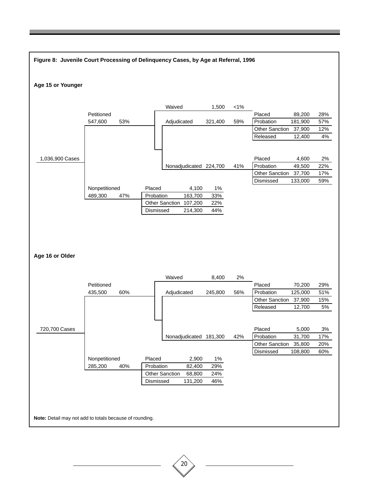

20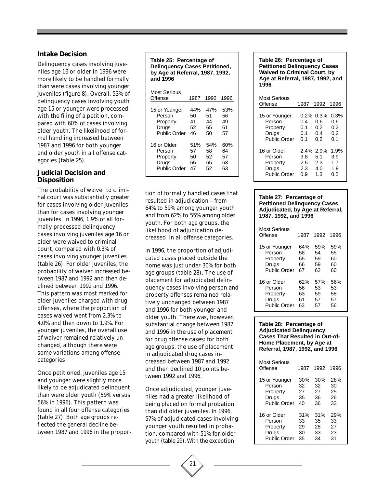#### **Intake Decision**

Delinquency cases involving juveniles age 16 or older in 1996 were more likely to be handled formally than were cases involving younger juveniles (figure 8). Overall, 53% of delinquency cases involving youth age 15 or younger were processed with the filing of a petition, compared with 60% of cases involving older youth. The likelihood of formal handling increased between 1987 and 1996 for both younger and older youth in all offense categories (table 25).

#### **Judicial Decision and Disposition**

The probability of waiver to criminal court was substantially greater for cases involving older juveniles than for cases involving younger juveniles. In 1996, 1.9% of all formally processed delinquency cases involving juveniles age 16 or older were waived to criminal court, compared with 0.3% of cases involving younger juveniles (table 26). For older juveniles, the probability of waiver increased between 1987 and 1992 and then declined between 1992 and 1996. This pattern was most marked for older juveniles charged with drug offenses, where the proportion of cases waived went from 2.3% to 4.0% and then down to 1.9%. For younger juveniles, the overall use of waiver remained relatively unchanged, although there were some variations among offense categories.

Once petitioned, juveniles age 15 and younger were slightly more likely to be adjudicated delinquent than were older youth (59% versus 56% in 1996). This pattern was found in all four offense categories (table 27). Both age groups reflected the general decline between 1987 and 1996 in the propor-

**Table 25: Percentage of Delinquency Cases Petitioned, by Age at Referral, 1987, 1992, and 1996**

| Most Serious<br>Offense | 1987 | 1992 | 1996 |
|-------------------------|------|------|------|
| 15 or Younger           | 44%  | 47%  | 53%  |
| Person                  | 50   | 51   | 56   |
| Property                | 41   | 44   | 49   |
| Drugs                   | 52   | 65   | 61   |
| Public Order            | 46   | 50   | 57   |
| 16 or Older             | 51%  | 54%  | 60%  |
| Person                  | 57   | 58   | 64   |
| Property                | 50   | 52   | 57   |
| Drugs                   | 55   | 65   | 63   |
| Public Order            | 47   | 52   | 63   |

tion of formally handled cases that resulted in adjudication—from 64% to 59% among younger youth and from 62% to 55% among older youth. For both age groups, the likelihood of adjudication decreased in all offense categories.

In 1996, the proportion of adjudicated cases placed outside the home was just under 30% for both age groups (table 28). The use of placement for adjudicated delinquency cases involving person and property offenses remained relatively unchanged between 1987 and 1996 for both younger and older youth. There was, however, substantial change between 1987 and 1996 in the use of placement for drug offense cases: for both age groups, the use of placement in adjudicated drug cases increased between 1987 and 1992 and then declined 10 points between 1992 and 1996.

Once adjudicated, younger juveniles had a greater likelihood of being placed on formal probation than did older juveniles. In 1996, 57% of adjudicated cases involving younger youth resulted in probation, compared with 51% for older youth (table 29). With the exception



| Most Serious<br>Offense | 1987 | 1992      | 1996 |
|-------------------------|------|-----------|------|
|                         |      |           |      |
| 15 or Younger           | 0.2% | 0.3%      | 0.3% |
| Person                  | 0.4  | 0.6       | 0.6  |
| Property                | 0.1  | 0.2       | 0.2  |
| Drugs                   | 0.1  | 0.4       | 0.2  |
| Public Order            | 0.1  | 0.2       | 0.1  |
| 16 or Older             |      | 2.4% 2.9% | 1.9% |
| Person                  | 3.8  | 5.1       | 3.9  |
| Property                | 2.5  | 2.3       | 1.7  |
| Drugs                   | 2.3  | 4.0       | 1.9  |
| Public Order            | 0.9  | 1.3       | 0.5  |

#### **Table 27: Percentage of Petitioned Delinquency Cases Adjudicated, by Age at Referral, 1987, 1992, and 1996**

| Most Serious<br>Offense | 1987 | 1992 | 1996 |
|-------------------------|------|------|------|
| 15 or Younger           | 64%  | 59%  | 59%  |
| Person                  | 58   | 54   | 55   |
| Property                | 65   | 59   | 60   |
| Drugs                   | 66   | 59   | 60   |
| Public Order            | 67   | 62   | 60   |
| 16 or Older             | 62%  | 57%  | 56%  |
| Person                  | 56   | 53   | 53   |
| Property                | 63   | 59   | 58   |
| Drugs                   | 61   | 57   | 57   |
| Public Order            | 63   | 57   | 56   |

#### **Table 28: Percentage of Adjudicated Delinquency Cases That Resulted in Out-of-Home Placement, by Age at Referral, 1987, 1992, and 1996**

| Most Serious<br>Offense | 1987 | 1992 | 1996 |
|-------------------------|------|------|------|
| 15 or Younger           | 30%  | 30%  | 28%  |
| Person                  | 32   | 32   | 30   |
| Property                | 27   | 27   | 25   |
| Drugs                   | 35   | 36   | 26   |
| Public Order            | 40   | 36   | 33   |
| 16 or Older             | 31%  | 31%  | 29%  |
| Person                  | 33   | 35   | 33   |
| Property                | 29   | 28   | 27   |
| Drugs                   | 30   | 33   | 23   |
| Public Order            | 35   | 34   | 31   |

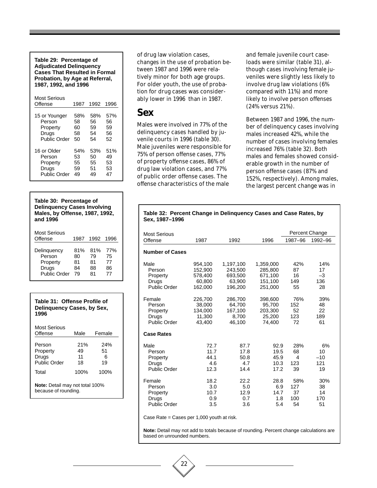**Table 29: Percentage of Adjudicated Delinquency Cases That Resulted in Formal Probation, by Age at Referral, 1987, 1992, and 1996**

| Most Serious<br>Offense | 1987 | 1992 | 1996 |
|-------------------------|------|------|------|
| 15 or Younger           | 58%  | 58%  | 57%  |
| Person                  | 58   | 56   | 56   |
| Property                | 60   | 59   | 59   |
| Drugs                   | 58   | 54   | 56   |
| Public Order            | 50   | 54   | 52   |
| 16 or Older             | 54%  | 53%  | 51%  |
| Person                  | 53   | 50   | 49   |
| Property                | 55   | 55   | 53   |
| Drugs                   | 59   | 51   | 53   |
| Public Order            | 49   | 49   | 47   |

#### **Table 30: Percentage of Delinquency Cases Involving Males, by Offense, 1987, 1992, and 1996**

| Most Serious<br>Offense | 1987 | 1992 | 1996 |
|-------------------------|------|------|------|
| Delinquency             | 81%  | 81%  | 77%  |
| Person                  | 80   | 79   | 75   |
| Property                | 81   | 81   | 77   |
| Drugs                   | 84   | 88   | 86   |
| Public Order            | 79   | 81   | 77   |

| Table 31: Offense Profile of<br>Delinguency Cases, by Sex,<br>1996 |                       |                      |  |  |  |
|--------------------------------------------------------------------|-----------------------|----------------------|--|--|--|
| Most Serious<br>Offense                                            | Male                  | Female               |  |  |  |
| Person<br>Property<br>Drugs<br>Public Order                        | 21%<br>49<br>11<br>18 | 24%<br>51<br>6<br>19 |  |  |  |
| Total                                                              | 100%                  | 100%                 |  |  |  |
| <b>Note:</b> Detail may not total 100%<br>because of rounding.     |                       |                      |  |  |  |

of drug law violation cases, changes in the use of probation between 1987 and 1996 were relatively minor for both age groups. For older youth, the use of probation for drug cases was considerably lower in 1996 than in 1987.

### **Sex**

Males were involved in 77% of the delinquency cases handled by juvenile courts in 1996 (table 30). Male juveniles were responsible for 75% of person offense cases, 77% of property offense cases, 86% of drug law violation cases, and 77% of public order offense cases. The offense characteristics of the male

**Sex, 1987–1996**

and female juvenile court caseloads were similar (table 31), although cases involving female juveniles were slightly less likely to involve drug law violations (6% compared with 11%) and more likely to involve person offenses (24% versus 21%).

Between 1987 and 1996, the number of delinquency cases involving males increased 42%, while the number of cases involving females increased 76% (table 32). Both males and females showed considerable growth in the number of person offense cases (87% and 152%, respectively). Among males, the largest percent change was in

| <b>Most Serious</b>                                          |                                                    |                                                      |                                                       |                               | Percent Change                 |
|--------------------------------------------------------------|----------------------------------------------------|------------------------------------------------------|-------------------------------------------------------|-------------------------------|--------------------------------|
| Offense                                                      | 1987                                               | 1992                                                 | 1996                                                  | 1987-96                       | 1992-96                        |
| <b>Number of Cases</b>                                       |                                                    |                                                      |                                                       |                               |                                |
| Male<br>Person<br>Property<br>Drugs<br><b>Public Order</b>   | 954,100<br>152.900<br>578,400<br>60,800<br>162.000 | 1,197,100<br>243.500<br>693,500<br>63,900<br>196.200 | 1,359,000<br>285.800<br>671,100<br>151,100<br>251.000 | 42%<br>87<br>16<br>149<br>55  | 14%<br>17<br>$-3$<br>136<br>28 |
| Female<br>Person<br>Property<br>Drugs<br><b>Public Order</b> | 226,700<br>38.000<br>134,000<br>11,300<br>43.400   | 286,700<br>64.700<br>167,100<br>8,700<br>46.100      | 398,600<br>95.700<br>203,300<br>25,200<br>74.400      | 76%<br>152<br>52<br>123<br>72 | 39%<br>48<br>22<br>189<br>61   |
| <b>Case Rates</b>                                            |                                                    |                                                      |                                                       |                               |                                |
| Male<br>Person<br>Property<br>Drugs<br><b>Public Order</b>   | 72.7<br>11.7<br>44.1<br>4.6<br>12.3                | 87.7<br>17.8<br>50.8<br>4.7<br>14.4                  | 92.9<br>19.5<br>45.9<br>10.3<br>17.2                  | 28%<br>68<br>4<br>123<br>39   | 6%<br>10<br>$-10$<br>121<br>19 |
| Female<br>Person<br>Property<br>Drugs<br><b>Public Order</b> | 18.2<br>3.0<br>10.7<br>0.9<br>3.5                  | 22.2<br>5.0<br>12.9<br>0.7<br>3.6                    | 28.8<br>6.9<br>14.7<br>1.8<br>5.4                     | 58%<br>127<br>37<br>100<br>54 | 30%<br>38<br>14<br>170<br>51   |

**Table 32: Percent Change in Delinquency Cases and Case Rates, by**

Case Rate = Cases per 1,000 youth at risk.

22

**Note:** Detail may not add to totals because of rounding. Percent change calculations are based on unrounded numbers.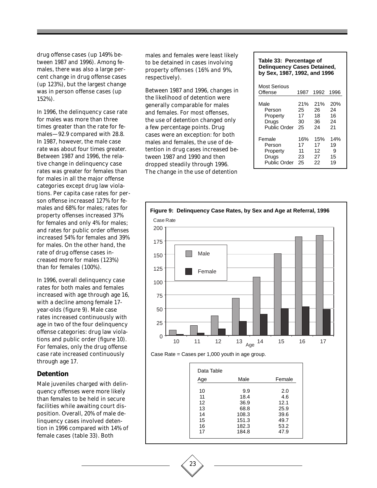drug offense cases (up 149% between 1987 and 1996). Among females, there was also a large percent change in drug offense cases (up 123%), but the largest change was in person offense cases (up 152%).

In 1996, the delinquency case rate for males was more than three times greater than the rate for females—92.9 compared with 28.8. In 1987, however, the male case rate was about four times greater. Between 1987 and 1996, the relative change in delinquency case rates was greater for females than for males in all the major offense categories except drug law violations. Per capita case rates for person offense increased 127% for females and 68% for males; rates for property offenses increased 37% for females and only 4% for males; and rates for public order offenses increased 54% for females and 39% for males. On the other hand, the rate of drug offense cases increased more for males (123%) than for females (100%).

In 1996, overall delinquency case rates for both males and females increased with age through age 16, with a decline among female 17 year-olds (figure 9). Male case rates increased continuously with age in two of the four delinquency offense categories: drug law violations and public order (figure 10). For females, only the drug offense case rate increased continuously through age 17.

#### **Detention**

Male juveniles charged with delinquency offenses were more likely than females to be held in secure facilities while awaiting court disposition. Overall, 20% of male delinquency cases involved detention in 1996 compared with 14% of female cases (table 33). Both

males and females were least likely to be detained in cases involving property offenses (16% and 9%, respectively).

Between 1987 and 1996, changes in the likelihood of detention were generally comparable for males and females. For most offenses, the use of detention changed only a few percentage points. Drug cases were an exception: for both males and females, the use of detention in drug cases increased between 1987 and 1990 and then dropped steadily through 1996. The change in the use of detention

| Table 33: Percentage of<br><b>Delinquency Cases Detained,</b><br>by Sex, 1987, 1992, and 1996 |                             |                             |                             |  |
|-----------------------------------------------------------------------------------------------|-----------------------------|-----------------------------|-----------------------------|--|
| <b>Most Serious</b>                                                                           |                             |                             |                             |  |
| Offense                                                                                       | 1987                        | 1992                        | 1996                        |  |
| Male<br>Person<br>Property<br>Drugs<br>Public Order                                           | 21%<br>25<br>17<br>30<br>25 | 21%<br>26<br>18<br>36<br>24 | 20%<br>24<br>16<br>24<br>21 |  |
| Female<br>Person<br>Property<br>Druas                                                         | 16%<br>17<br>11<br>23       | 15%<br>17<br>12<br>27       | 14%<br>19<br>9<br>15        |  |

Drugs 23 27 15<br>Public Order 25 22 19 Public Order 25 22 19





23

| Data Table                       |                                      |                                            |
|----------------------------------|--------------------------------------|--------------------------------------------|
| Age                              | Male                                 | Female                                     |
| 10<br>11<br>12<br>13<br>14<br>15 | 9.9<br>18.4<br>36.9<br>68.8<br>108.3 | 2.0<br>4.6<br>12.1<br>25.9<br>39.6<br>49.7 |
| 16<br>17                         | 151.3<br>182.3<br>184.8              | 53.2<br>47.9                               |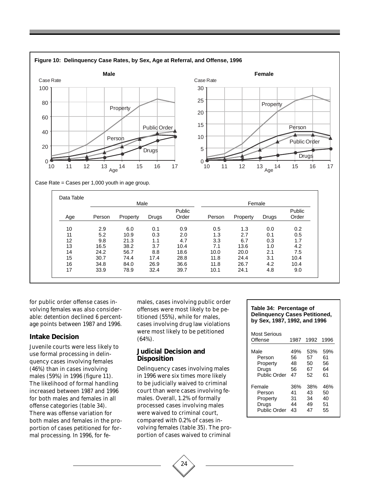

for public order offense cases involving females was also considerable: detention declined 6 percentage points between 1987 and 1996.

#### **Intake Decision**

Juvenile courts were less likely to use formal processing in delinquency cases involving females (46%) than in cases involving males (59%) in 1996 (figure 11). The likelihood of formal handling increased between 1987 and 1996 for both males and females in all offense categories (table 34). There was offense variation for both males and females in the proportion of cases petitioned for formal processing. In 1996, for females, cases involving public order offenses were most likely to be petitioned (55%), while for males, cases involving drug law violations were most likely to be petitioned (64%).

10 2.9 6.0 0.1 0.9 0.5 1.3 0.0 0.2 11 5.2 10.9 0.3 2.0 1.3 2.7 0.1 0.5 12 9.8 21.3 1.1 4.7 3.3 6.7 0.3 1.7 13 16.5 38.2 3.7 10.4 7.1 13.6 1.0 4.2 14 24.2 56.7 8.8 18.6 10.0 20.0 2.1 7.5 15 30.7 74.4 17.4 28.8 11.8 24.4 3.1 10.4 16 34.8 84.0 26.9 36.6 11.8 26.7 4.2 10.4 17 33.9 78.9 32.4 39.7 10.1 24.1 4.8 9.0

#### **Judicial Decision and Disposition**

Delinquency cases involving males in 1996 were six times more likely to be judicially waived to criminal court than were cases involving females. Overall, 1.2% of formally processed cases involving males were waived to criminal court, compared with 0.2% of cases involving females (table 35). The proportion of cases waived to criminal

#### **Table 34: Percentage of Delinquency Cases Petitioned, by Sex, 1987, 1992, and 1996**

| Most Serious |      |      |      |
|--------------|------|------|------|
| Offense      | 1987 | 1992 | 1996 |
| Male         | 49%  | 53%  | 59%  |
| Person       | 56   | 57   | 61   |
| Property     | 48   | 50   | 56   |
| Drugs        | 56   | 67   | 64   |
| Public Order | 47   | 52   | 61   |
| Female       | 36%  | 38%  | 46%  |
| Person       | 41   | 43   | 50   |
| Property     | 31   | 34   | 40   |
| Drugs        | 44   | 49   | 51   |
| Public Order | 43   | 47   | 55   |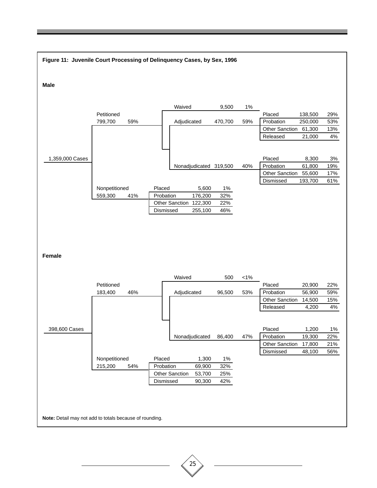

# 25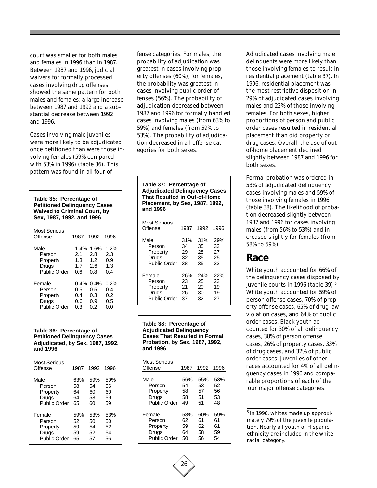court was smaller for both males and females in 1996 than in 1987. Between 1987 and 1996, judicial waivers for formally processed cases involving drug offenses showed the same pattern for both males and females: a large increase between 1987 and 1992 and a substantial decrease between 1992 and 1996.

Cases involving male juveniles were more likely to be adjudicated once petitioned than were those involving females (59% compared with 53% in 1996) (table 36). This pattern was found in all four of-

| Table 35: Percentage of<br><b>Petitioned Delinquency Cases</b><br><b>Waived to Criminal Court, by</b><br>Sex, 1987, 1992, and 1996 |                                     |                                                              |                                     |  |  |
|------------------------------------------------------------------------------------------------------------------------------------|-------------------------------------|--------------------------------------------------------------|-------------------------------------|--|--|
| Most Serious                                                                                                                       |                                     |                                                              |                                     |  |  |
| Offense                                                                                                                            | 1987                                | 1992                                                         | 1996                                |  |  |
| Male<br>Person<br>Property<br>Drugs<br>Public Order                                                                                | 2.1<br>1.3<br>1.7<br>0.6            | 1.4% 1.6%<br>2.8<br>1.2 <sub>1</sub><br>$2.6^{\circ}$<br>0.8 | 1.2%<br>2.3<br>0.9<br>1.3<br>0.4    |  |  |
| Female<br>Person<br>Property<br>Drugs<br>Public Order                                                                              | $0.4\%$<br>0.5<br>0.4<br>0.6<br>0.3 | $0.4\%$<br>0.5<br>0.3<br>0.9<br>0.2                          | $0.2\%$<br>0.4<br>0.2<br>0.5<br>0.0 |  |  |

**Table 36: Percentage of Petitioned Delinquency Cases Adjudicated, by Sex, 1987, 1992, and 1996**

| Most Serious<br>Offense | 1987 | 1992 | 1996 |
|-------------------------|------|------|------|
| Male                    | 63%  | 59%  | 59%  |
| Person                  | 58   | 54   | 56   |
| Property                | 64   | 60   | 60   |
| Drugs                   | 64   | 58   | 59   |
| Public Order            | 65   | 60   | 59   |
| Female                  | 59%  | 53%  | 53%  |
| Person                  | 52   | 50   | 50   |
| Property                | 59   | 54   | 52   |
| Drugs                   | 59   | 52   | 54   |
| Public Order            | 65   | 57   | 56   |

fense categories. For males, the probability of adjudication was greatest in cases involving property offenses (60%); for females, the probability was greatest in cases involving public order offenses (56%). The probability of adjudication decreased between 1987 and 1996 for formally handled cases involving males (from 63% to 59%) and females (from 59% to 53%). The probability of adjudication decreased in all offense categories for both sexes.

| Table 37: Percentage of<br><b>Adjudicated Delinguency Cases</b><br><b>That Resulted in Out-of-Home</b><br><b>Placement, by Sex, 1987, 1992,</b><br>and 1996 |      |      |      |  |  |
|-------------------------------------------------------------------------------------------------------------------------------------------------------------|------|------|------|--|--|
| Most Serious<br>Offense                                                                                                                                     | 1987 | 1992 | 1996 |  |  |
| Male                                                                                                                                                        | 31%  | 31%  | 29%  |  |  |
| Person                                                                                                                                                      | 34   | 35   | 33   |  |  |
| Property                                                                                                                                                    | 29   | 28   | 27   |  |  |
| Drugs                                                                                                                                                       | 32   | 35   | 25   |  |  |
| Public Order                                                                                                                                                | 38   | 35   | 33   |  |  |
| Female                                                                                                                                                      | 26%  | 24%  | 22%  |  |  |
| Person                                                                                                                                                      | 23   | 25   | 23   |  |  |
| Property                                                                                                                                                    | 21   | 20   | 19   |  |  |
| Drugs                                                                                                                                                       | 26   | 30   | 19   |  |  |
| Public Order                                                                                                                                                | 37   | 32   | 27   |  |  |

**Table 38: Percentage of Adjudicated Delinquency Cases That Resulted in Formal Probation, by Sex, 1987, 1992, and 1996**

| Most Serious<br>Offense | 1987 | 1992 | 1996 |
|-------------------------|------|------|------|
| Male                    | 56%  | 55%  | 53%  |
| Person                  | 54   | 53   | 52   |
| Property                | 58   | 57   | 56   |
| Drugs                   | 58   | 51   | 53   |
| Public Order            | 49   | 51   | 48   |
| Female                  | 58%  | 60%  | 59%  |
| Person                  | 62   | 61   | 61   |
| Property                | 59   | 62   | 61   |
| Drugs                   | 64   | 58   | 59   |
| Public Order            | 50   | 56   | 54   |

Adjudicated cases involving male delinquents were more likely than those involving females to result in residential placement (table 37). In 1996, residential placement was the most restrictive disposition in 29% of adjudicated cases involving males and 22% of those involving females. For both sexes, higher proportions of person and public order cases resulted in residential placement than did property or drug cases. Overall, the use of outof-home placement declined slightly between 1987 and 1996 for both sexes.

Formal probation was ordered in 53% of adjudicated delinquency cases involving males and 59% of those involving females in 1996 (table 38). The likelihood of probation decreased slightly between 1987 and 1996 for cases involving males (from 56% to 53%) and increased slightly for females (from 58% to 59%).

### **Race**

White youth accounted for 66% of the delinquency cases disposed by juvenile courts in 1996 (table 39).<sup>5</sup> White youth accounted for 59% of person offense cases, 70% of property offense cases, 65% of drug law violation cases, and 64% of public order cases. Black youth accounted for 30% of all delinquency cases, 38% of person offense cases, 26% of property cases, 33% of drug cases, and 32% of public order cases. Juveniles of other races accounted for 4% of all delinquency cases in 1996 and comparable proportions of each of the four major offense categories.

5 In 1996, whites made up approximately 79% of the juvenile population. Nearly all youth of Hispanic ethnicity are included in the white racial category.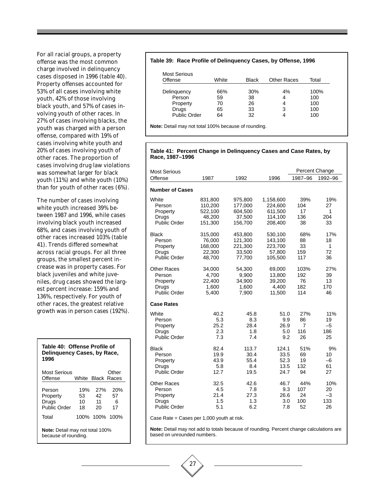For all racial groups, a property offense was the most common charge involved in delinquency cases disposed in 1996 (table 40). Property offenses accounted for 53% of all cases involving white youth, 42% of those involving black youth, and 57% of cases involving youth of other races. In 27% of cases involving blacks, the youth was charged with a person offense, compared with 19% of cases involving white youth and 20% of cases involving youth of other races. The proportion of cases involving drug law violations was somewhat larger for black youth (11%) and white youth (10%) than for youth of other races (6%).

The number of cases involving white youth increased 39% between 1987 and 1996, while cases involving black youth increased 68%, and cases involving youth of other races increased 103% (table 41). Trends differed somewhat across racial groups. For all three groups, the smallest percent increase was in property cases. For black juveniles and white juveniles, drug cases showed the largest percent increase: 159% and 136%, respectively. For youth of other races, the greatest relative growth was in person cases (192%).

| Table 40: Offense Profile of<br>Delinguency Cases, by Race,<br>1996 |                       |                       |                      |  |  |
|---------------------------------------------------------------------|-----------------------|-----------------------|----------------------|--|--|
| Most Serious<br>Offense                                             |                       | White Black Races     | Other                |  |  |
| Person<br>Property<br>Drugs<br>Public Order                         | 19%<br>53<br>10<br>18 | 27%<br>42<br>11<br>20 | 20%<br>57<br>6<br>17 |  |  |
| Total                                                               |                       | 100% 100% 100%        |                      |  |  |
| <b>Note:</b> Detail may not total 100%<br>because of rounding.      |                       |                       |                      |  |  |

#### **Table 39: Race Profile of Delinquency Cases, by Offense, 1996**

| <b>Most Serious</b><br>Offense | White | <b>Black</b> | <b>Other Races</b> | Total |
|--------------------------------|-------|--------------|--------------------|-------|
| Delinguency                    | 66%   | 30%          | 4%                 | 100%  |
| Person                         | 59    | 38           | 4                  | 100   |
| Property                       | 70    | 26           | 4                  | 100   |
| Drugs                          | 65    | 33           | 3                  | 100   |
| <b>Public Order</b>            | 64    | 32           |                    | 100   |

**Note:** Detail may not total 100% because of rounding.

#### **Table 41: Percent Change in Delinquency Cases and Case Rates, by Race, 1987–1996**

| <b>Most Serious</b>                                                              |                                   |                                   |                                   |                                          | Percent Change                 |
|----------------------------------------------------------------------------------|-----------------------------------|-----------------------------------|-----------------------------------|------------------------------------------|--------------------------------|
| Offense                                                                          | 1987                              | 1992                              | 1996                              | 1987-96                                  | 1992-96                        |
| <b>Number of Cases</b>                                                           |                                   |                                   |                                   |                                          |                                |
| White                                                                            | 831,800                           | 975,800                           | 1,158,600                         | 39%                                      | 19%                            |
| Person                                                                           | 110,200                           | 177,000                           | 224,600                           | 104                                      | 27                             |
| Property                                                                         | 522,100                           | 604,500                           | 611,500                           | 17                                       | $\mathbf{1}$                   |
| Drugs                                                                            | 48,200                            | 37,500                            | 114,100                           | 136                                      | 204                            |
| <b>Public Order</b>                                                              | 151,300                           | 156,700                           | 208,400                           | 38                                       | 33                             |
| <b>Black</b>                                                                     | 315,000                           | 453,800                           | 530,100                           | 68%                                      | 17%                            |
| Person                                                                           | 76,000                            | 121,300                           | 143.100                           | 88                                       | 18                             |
| Property                                                                         | 168,000                           | 221,300                           | 223,700                           | 33                                       | 1                              |
| Drugs                                                                            | 22,300                            | 33,500                            | 57,800                            | 159                                      | 72                             |
| <b>Public Order</b>                                                              | 48,700                            | 77,700                            | 105,500                           | 117                                      | 36                             |
| <b>Other Races</b>                                                               | 34,000                            | 54,300                            | 69,000                            | 103%                                     | 27%                            |
| Person                                                                           | 4,700                             | 9,900                             | 13,800                            | 192                                      | 39                             |
| Property                                                                         | 22,400                            | 34,900                            | 39,200                            | 76                                       | 13                             |
| Drugs                                                                            | 1,600                             | 1,600                             | 4.400                             | 182                                      | 170                            |
| <b>Public Order</b>                                                              | 5,400                             | 7,900                             | 11,500                            | 114                                      | 46                             |
| <b>Case Rates</b><br>White<br>Person<br>Property<br>Drugs<br><b>Public Order</b> | 40.2<br>5.3<br>25.2<br>2.3<br>7.3 | 45.8<br>8.3<br>28.4<br>1.8<br>7.4 | 51.0<br>9.9<br>26.9<br>5.0<br>9.2 | 27%<br>86<br>$\overline{7}$<br>116<br>26 | 11%<br>19<br>$-5$<br>186<br>25 |
| <b>Black</b>                                                                     | 82.4                              | 113.7                             | 124.1                             | 51%                                      | 9%                             |
| Person                                                                           | 19.9                              | 30.4                              | 33.5                              | 69                                       | 10                             |
| Property                                                                         | 43.9                              | 55.4                              | 52.3                              | 19                                       | $-6$                           |
| Drugs                                                                            | 5.8                               | 8.4                               | 13.5                              | 132                                      | 61                             |
| <b>Public Order</b>                                                              | 12.7                              | 19.5                              | 24.7                              | 94                                       | 27                             |
| <b>Other Races</b>                                                               | 32.5                              | 42.6                              | 46.7                              | 44%                                      | 10%                            |
| Person                                                                           | 4.5                               | 7.8                               | 9.3                               | 107                                      | 20                             |
| Property                                                                         | 21.4                              | 27.3                              | 26.6                              | 24                                       | $-3$                           |
| Drugs                                                                            | 1.5                               | 1.3                               | 3.0                               | 100                                      | 133                            |
| <b>Public Order</b>                                                              | 5.1                               | 6.2                               | 7.8                               | 52                                       | 26                             |

Case Rate = Cases per 1,000 youth at risk.

27

**Note:** Detail may not add to totals because of rounding. Percent change calculations are based on unrounded numbers.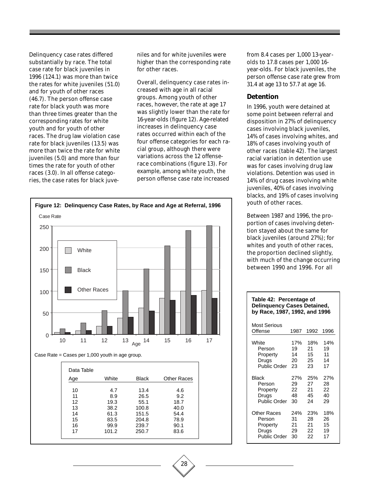Delinquency case rates differed substantially by race. The total case rate for black juveniles in 1996 (124.1) was more than twice the rates for white juveniles (51.0) and for youth of other races (46.7). The person offense case rate for black youth was more than three times greater than the corresponding rates for white youth and for youth of other races. The drug law violation case rate for black juveniles (13.5) was more than twice the rate for white juveniles (5.0) and more than four times the rate for youth of other races (3.0). In all offense categories, the case rates for black juveniles and for white juveniles were higher than the corresponding rate for other races.

Overall, delinquency case rates increased with age in all racial groups. Among youth of other races, however, the rate at age 17 was slightly lower than the rate for 16-year-olds (figure 12). Age-related increases in delinquency case rates occurred within each of the four offense categories for each racial group, although there were variations across the 12 offenserace combinations (figure 13). For example, among white youth, the person offense case rate increased



Case Rate = Cases per 1,000 youth in age group.

| Age | White | Black | <b>Other Races</b> |
|-----|-------|-------|--------------------|
|     |       |       |                    |
| 10  | 4.7   | 13.4  | 4.6                |
| 11  | 8.9   | 26.5  | 9.2                |
| 12  | 19.3  | 55.1  | 18.7               |
| 13  | 38.2  | 100.8 | 40.0               |
| 14  | 61.3  | 151.5 | 54.4               |
| 15  | 83.5  | 204.8 | 78.9               |
| 16  | 99.9  | 239.7 | 90.1               |
| 17  | 101.2 | 250.7 | 83.6               |

from 8.4 cases per 1,000 13-yearolds to 17.8 cases per 1,000 16 year-olds. For black juveniles, the person offense case rate grew from 31.4 at age 13 to 57.7 at age 16.

#### **Detention**

In 1996, youth were detained at some point between referral and disposition in 27% of delinquency cases involving black juveniles, 14% of cases involving whites, and 18% of cases involving youth of other races (table 42). The largest racial variation in detention use was for cases involving drug law violations. Detention was used in 14% of drug cases involving white juveniles, 40% of cases involving blacks, and 19% of cases involving youth of other races.

Between 1987 and 1996, the proportion of cases involving detention stayed about the same for black juveniles (around 27%); for whites and youth of other races, the proportion declined slightly, with much of the change occurring between 1990 and 1996. For all

#### **Table 42: Percentage of Delinquency Cases Detained, by Race, 1987, 1992, and 1996**

| Most Serious<br>Offense | 1987 | 1992 | 1996 |
|-------------------------|------|------|------|
| White                   | 17%  | 18%  | 14%  |
| Person                  | 19   | 21   | 19   |
| Property                | 14   | 15   | 11   |
| Drugs                   | 20   | 25   | 14   |
| Public Order            | 23   | 23   | 17   |
| Black                   | 27%  | 25%  | 27%  |
| Person                  | 29   | 27   | 28   |
| Property                | 22   | 21   | 22   |
| Drugs                   | 48   | 45   | 40   |
| <b>Public Order</b>     | 30   | 24   | 29   |
| Other Races             | 24%  | 23%  | 18%  |
| Person                  | 31   | 28   | 26   |
| Property                | 21   | 21   | 15   |
| Drugs                   | 29   | 22   | 19   |
| <b>Public Order</b>     | 30   | 22   | 17   |

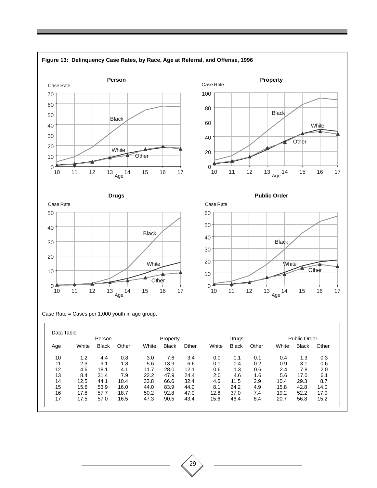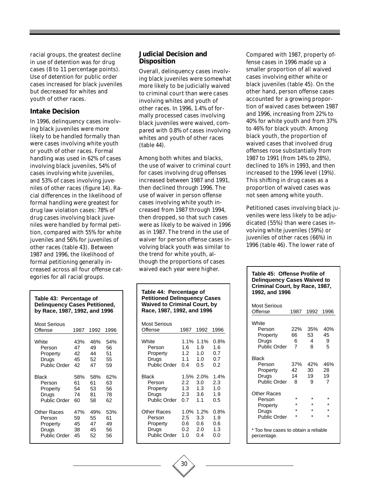racial groups, the greatest decline in use of detention was for drug cases (8 to 11 percentage points). Use of detention for public order cases increased for black juveniles but decreased for whites and youth of other races.

#### **Intake Decision**

In 1996, delinquency cases involving black juveniles were more likely to be handled formally than were cases involving white youth or youth of other races. Formal handling was used in 62% of cases involving black juveniles, 54% of cases involving white juveniles, and 53% of cases involving juveniles of other races (figure 14). Racial differences in the likelihood of formal handling were greatest for drug law violation cases: 78% of drug cases involving black juveniles were handled by formal petition, compared with 55% for white juveniles and 56% for juveniles of other races (table 43). Between 1987 and 1996, the likelihood of formal petitioning generally increased across all four offense categories for all racial groups.

#### **Judicial Decision and Disposition**

Overall, delinquency cases involving black juveniles were somewhat more likely to be judicially waived to criminal court than were cases involving whites and youth of other races. In 1996, 1.4% of formally processed cases involving black juveniles were waived, compared with 0.8% of cases involving whites and youth of other races (table 44).

Among both whites and blacks, the use of waiver to criminal court for cases involving drug offenses increased between 1987 and 1991, then declined through 1996. The use of waiver in person offense cases involving white youth increased from 1987 through 1994, then dropped, so that such cases were as likely to be waived in 1996 as in 1987. The trend in the use of waiver for person offense cases involving black youth was similar to the trend for white youth, although the proportions of cases waived each year were higher.

| Table 43: Percentage of<br><b>Delinquency Cases Petitioned,</b><br>by Race, 1987, 1992, and 1996 |      |      |      |  |  |
|--------------------------------------------------------------------------------------------------|------|------|------|--|--|
| <b>Most Serious</b><br>Offense                                                                   | 1987 | 1992 | 1996 |  |  |
| White                                                                                            | 43%  | 46%  | 54%  |  |  |
| Person                                                                                           | 47   | 49   | 56   |  |  |
| Property                                                                                         | 42   | 44   | 51   |  |  |
| Drugs                                                                                            | 45   | 52   | 55   |  |  |
| Public Order                                                                                     | 42   | 47   | 59   |  |  |
| <b>Black</b>                                                                                     | 58%  | 58%  | 62%  |  |  |
| Person                                                                                           | 61   | 61   | 63   |  |  |
| Property                                                                                         | 54   | 53   | 56   |  |  |
| Drugs                                                                                            | 74   | 81   | 78   |  |  |
| Public Order                                                                                     | 60   | 58   | 62   |  |  |
| <b>Other Races</b>                                                                               | 47%  | 49%  | 53%  |  |  |
| Person                                                                                           | 59   | 55   | 61   |  |  |
| Property                                                                                         | 45   | 47   | 49   |  |  |
| Drugs                                                                                            | 38   | 45   | 56   |  |  |
| <b>Public Order</b>                                                                              | 45   | 52   | 56   |  |  |

#### **Table 44: Percentage of Petitioned Delinquency Cases Waived to Criminal Court, by Race, 1987, 1992, and 1996** Most Serious Offense 1987 1992 1996 White 1.1% 1.1% 0.8% Person 1.6 1.9 1.6<br>Property 1.2 1.0 0.7 **Property** Drugs 1.1 1.0 0.7<br>Public Order 0.4 0.5 0.2 Public Order 0.4 Black 1.5% 2.0% 1.4%

| Person              | 2.2  | 3.0  | 2.3  |
|---------------------|------|------|------|
| Property            | 1.3  | 1.3  | 1.0  |
| Drugs               | 2.3  | 3.6  | 1.9  |
| <b>Public Order</b> | 0.7  | 1.1  | 0.5  |
|                     |      |      |      |
| <b>Other Races</b>  | 1.0% | 1.2% | 0.8% |
| Person              | 2.5  | 3.3  | 1.9  |
| Property            | 0.6  | 0.6  | 0.6  |
| Drugs               | 0.2  | 2.0  | 1.3  |
| <b>Public Order</b> | 1.0  | 0.4  | 0.0  |

Compared with 1987, property offense cases in 1996 made up a smaller proportion of all waived cases involving either white or black juveniles (table 45). On the other hand, person offense cases accounted for a growing proportion of waived cases between 1987 and 1996, increasing from 22% to 40% for white youth and from 37% to 46% for black youth. Among black youth, the proportion of waived cases that involved drug offenses rose substantially from 1987 to 1991 (from 14% to 28%), declined to 16% in 1993, and then increased to the 1996 level (19%). This shifting in drug cases as a proportion of waived cases was not seen among white youth.

Petitioned cases involving black juveniles were less likely to be adjudicated (55%) than were cases involving white juveniles (59%) or juveniles of other races (66%) in 1996 (table 46). The lower rate of

#### **Table 45: Offense Profile of Delinquency Cases Waived to Criminal Court, by Race, 1987, 1992, and 1996**

| Most Serious<br>Offense                                           | 1987                   | 1992                   | 1996                   |
|-------------------------------------------------------------------|------------------------|------------------------|------------------------|
| White<br>Person<br>Property<br>Drugs<br><b>Public Order</b>       | 22%<br>66<br>6<br>7    | 35%<br>53<br>4<br>8    | 40%<br>45<br>9<br>5    |
| Black<br>Person<br>Property<br>Drugs<br>Public Order              | 37%<br>42<br>14<br>8   | 42%<br>30<br>19<br>я   | 46%<br>28<br>19<br>7   |
| Other Races<br>Person<br>Property<br>Drugs<br><b>Public Order</b> | ÷<br>÷<br>$\star$<br>÷ | ÷<br>÷<br>$\star$<br>÷ | ÷<br>÷<br>$\star$<br>÷ |
| * Too few cases to obtain a reliable<br>percentage.               |                        |                        |                        |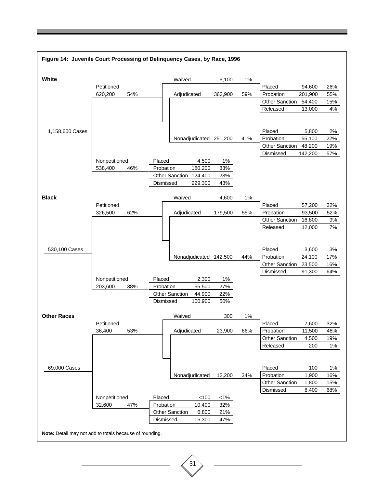

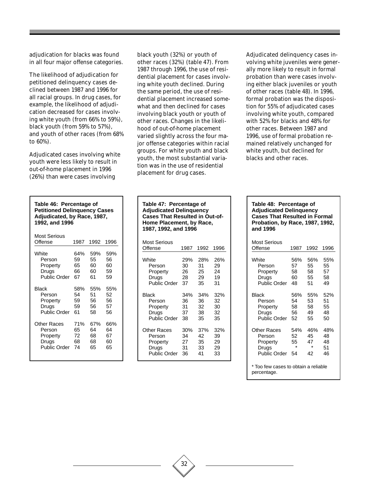adjudication for blacks was found in all four major offense categories.

The likelihood of adjudication for petitioned delinquency cases declined between 1987 and 1996 for all racial groups. In drug cases, for example, the likelihood of adjudication decreased for cases involving white youth (from 66% to 59%), black youth (from 59% to 57%), and youth of other races (from 68% to 60%).

Adjudicated cases involving white youth were less likely to result in out-of-home placement in 1996 (26%) than were cases involving

| Table 46: Percentage of<br><b>Petitioned Delinquency Cases</b><br>Adjudicated, by Race, 1987,<br>1992, and 1996 |            |      |      |  |  |
|-----------------------------------------------------------------------------------------------------------------|------------|------|------|--|--|
| Most Serious<br>Offense                                                                                         | 1987       | 1992 | 1996 |  |  |
| White                                                                                                           | 64%        | 59%  | 59%  |  |  |
| Person                                                                                                          | 59         | 55   | 56   |  |  |
| Property                                                                                                        | 65         | 60   | 60   |  |  |
| Drugs                                                                                                           | 66         | 60   | 59   |  |  |
| <b>Public Order</b>                                                                                             | 67         | 61   | 59   |  |  |
| Black                                                                                                           | 58%        | 55%  | 55%  |  |  |
| Person                                                                                                          | 54         | 51   | 52   |  |  |
| Property                                                                                                        | 59         | 56   | 56   |  |  |
| Drugs                                                                                                           | 59         | 56   | 57   |  |  |
| <b>Public Order</b>                                                                                             | 61         | 58   | 56   |  |  |
| Other Races                                                                                                     | <b>71%</b> | 67%  | 66%  |  |  |
| Person                                                                                                          | 65         | 64   | 64   |  |  |
| Property                                                                                                        | 72         | 68   | 67   |  |  |
| Drugs                                                                                                           | 68         | 68   | 60   |  |  |
| Public Order                                                                                                    | 74         | 65   | 65   |  |  |

black youth (32%) or youth of other races (32%) (table 47). From 1987 through 1996, the use of residential placement for cases involving white youth declined. During the same period, the use of residential placement increased somewhat and then declined for cases involving black youth or youth of other races. Changes in the likelihood of out-of-home placement varied slightly across the four major offense categories within racial groups. For white youth and black youth, the most substantial variation was in the use of residential placement for drug cases.

Adjudicated delinquency cases involving white juveniles were generally more likely to result in formal probation than were cases involving either black juveniles or youth of other races (table 48). In 1996, formal probation was the disposition for 55% of adjudicated cases involving white youth, compared with 52% for blacks and 48% for other races. Between 1987 and 1996, use of formal probation remained relatively unchanged for white youth, but declined for blacks and other races.

| Table 47: Percentage of<br><b>Adjudicated Delinquency</b><br><b>Cases That Resulted in Out-of-</b><br>Home Placement, by Race,<br>1987, 1992, and 1996 |      |      |      |
|--------------------------------------------------------------------------------------------------------------------------------------------------------|------|------|------|
| <b>Most Serious</b><br>Offense                                                                                                                         | 1987 | 1992 | 1996 |
| White                                                                                                                                                  | 29%  | 28%  | 26%  |
| Person                                                                                                                                                 | 30   | 31   | 29   |
| Property                                                                                                                                               | 26   | 25   | 24   |
| Drugs                                                                                                                                                  | 28.  | 29.  | 19   |
| Public Order                                                                                                                                           | 37   | 35   | 31   |
| <b>Black</b>                                                                                                                                           | 34%  | 34%  | 32%  |
| Person                                                                                                                                                 | 36   | 36   | 32   |
| Property                                                                                                                                               | 31   | 32   | 30   |
| Drugs                                                                                                                                                  | 37   | 38   | 32   |
| <b>Public Order</b>                                                                                                                                    | 38   | 35   | 35   |
| Other Races                                                                                                                                            | 30%  | 37%  | 32%  |
| Person                                                                                                                                                 | 34   | 42   | 39   |
| Property                                                                                                                                               | 27   | 35   | 29   |
| Drugs                                                                                                                                                  | 31   | 33   | 29   |
| <b>Public Order</b>                                                                                                                                    | 36   | 41   | 33   |

#### **Table 48: Percentage of Adjudicated Delinquency Cases That Resulted in Formal Probation, by Race, 1987, 1992, and 1996**

| Most Serious<br>Offense                             | 1987    | 1992    | 1996 |
|-----------------------------------------------------|---------|---------|------|
| White                                               | 56%     | 56%     | 55%  |
| Person                                              | 57      | 55      | 55   |
| Property                                            | 58      | 58      | 57   |
| Drugs                                               | 60      | 55      | 58   |
| <b>Public Order</b>                                 | 48      | 51      | 49   |
| Black                                               | 56%     | 55%     | 52%  |
| Person                                              | 54      | 53      | 51   |
| Property                                            | 58      | 58      | 55   |
| Drugs                                               | 56      | 49      | 48   |
| <b>Public Order</b>                                 | 52      | 55      | 50   |
| Other Races                                         | 54%     | 46%     | 48%  |
| Person                                              | 52      | 45      | 48   |
| Property                                            | 55      | 47      | 48   |
| Drugs                                               | $\star$ | $\star$ | 51   |
| Public Order                                        | 54      | 42      | 46   |
| * Too few cases to obtain a reliable<br>percentage. |         |         |      |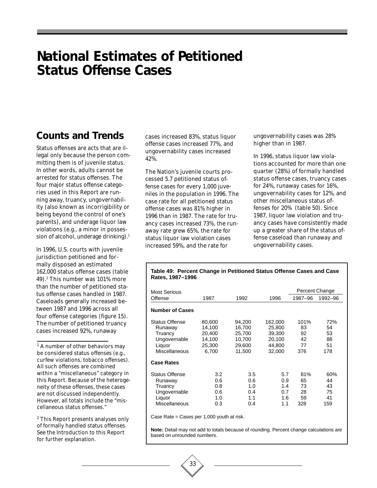# **National Estimates of Petitioned Status Offense Cases**

# **Counts and Trends**

Status offenses are acts that are illegal only because the person committing them is of juvenile status. In other words, adults cannot be arrested for status offenses. The four major status offense categories used in this Report are running away, truancy, ungovernability (also known as incorrigibility or being beyond the control of one's parents), and underage liquor law violations (e.g., a minor in possession of alcohol, underage drinking).<sup>1</sup>

In 1996, U.S. courts with juvenile jurisdiction petitioned and formally disposed an estimated 162,000 status offense cases (table 49).2 This number was 101% more than the number of petitioned status offense cases handled in 1987. Caseloads generally increased between 1987 and 1996 across all four offense categories (figure 15). The number of petitioned truancy cases increased 92%, runaway

<sup>1</sup> A number of other behaviors may be considered status offenses (e.g., curfew violations, tobacco offenses). All such offenses are combined within a "miscellaneous" category in this Report. Because of the heterogeneity of these offenses, these cases are not discussed independently. However, all totals include the "miscellaneous status offenses."

2 This Report presents analyses only of formally handled status offenses. See the Introduction to this Report for further explanation.

cases increased 83%, status liquor offense cases increased 77%, and ungovernability cases increased 42%.

The Nation's juvenile courts processed 5.7 petitioned status offense cases for every 1,000 juveniles in the population in 1996. The case rate for all petitioned status offense cases was 81% higher in 1996 than in 1987. The rate for truancy cases increased 73%, the runaway rate grew 65%, the rate for status liquor law violation cases increased 59%, and the rate for

**Rates, 1987–1996**

ungovernability cases was 28% higher than in 1987.

In 1996, status liquor law violations accounted for more than one quarter (28%) of formally handled status offense cases, truancy cases for 24%, runaway cases for 16%, ungovernability cases for 12%, and other miscellaneous status offenses for 20% (table 50). Since 1987, liquor law violation and truancy cases have consistently made up a greater share of the status offense caseload than runaway and ungovernability cases.

| Most Serious           |        |        |         |         | Percent Change |
|------------------------|--------|--------|---------|---------|----------------|
| Offense                | 1987   | 1992   | 1996    | 1987-96 | 1992-96        |
| <b>Number of Cases</b> |        |        |         |         |                |
| <b>Status Offense</b>  | 80,600 | 94,200 | 162,000 | 101%    | 72%            |
| Runaway                | 14,100 | 16,700 | 25,800  | 83      | 54             |
| Truancy                | 20.400 | 25.700 | 39,300  | 92      | 53             |
| Ungovernable           | 14,100 | 10.700 | 20,100  | 42      | 88             |
| Liquor                 | 25,300 | 29,600 | 44,800  | 77      | 51             |
| Miscellaneous          | 6.700  | 11,500 | 32,000  | 376     | 178            |
| <b>Case Rates</b>      |        |        |         |         |                |
| Status Offense         | 3.2    | 3.5    | 5.7     | 81%     | 60%            |
| Runaway                | 0.6    | 0.6    | 0.9     | 65      | 44             |
| Truancy                | 0.8    | 1.0    | 1.4     | 73      | 43             |
| Ungovernable           | 0.6    | 0.4    | 0.7     | 28      | 75             |
| Liquor                 | 1.0    | 1.1    | 1.6     | 59      | 41             |
| Miscellaneous          | 0.3    | 0.4    | 1.1     | 328     | 159            |

**Table 49: Percent Change in Petitioned Status Offense Cases and Case**

Case Rate = Cases per 1,000 youth at risk.

33

**Note:** Detail may not add to totals because of rounding. Percent change calculations are based on unrounded numbers.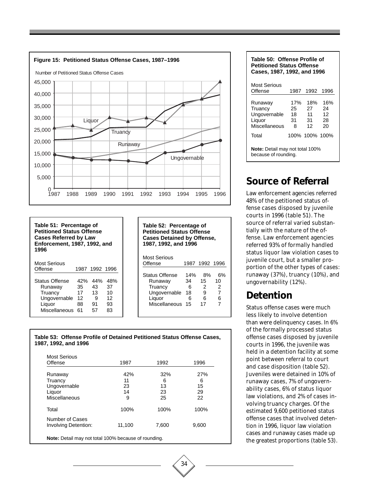

#### **Table 51: Percentage of Petitioned Status Offense Cases Referred by Law Enforcement, 1987, 1992, and 1996** Most Serious Offense 1987 1992 1996

| Offense               |     | 1987 1992 1996 |     |
|-----------------------|-----|----------------|-----|
|                       |     |                |     |
| <b>Status Offense</b> | 42% | 44%            | 48% |
| Runaway               | 35  | 43             | 37  |
| Truancy               | 17  | 13             | 10  |
| Ungovernable          | 12  | 9              | 12  |
| Liquor                | 88  | 91             | 93  |
| Miscellaneous         | 61  | 57             | 83  |
|                       |     |                |     |

**Table 52: Percentage of Petitioned Status Offense Cases Detained by Offense, 1987, 1992, and 1996**

| Most Serious<br>Offense |     | 1987 1992 1996 |    |
|-------------------------|-----|----------------|----|
| <b>Status Offense</b>   | 14% | 8%             | 6% |
| Runaway                 | 34  | 15             | 10 |
| Truancy                 | 6   | 2              | 2  |
| Ungovernable            | 18  | 9              | 7  |
| Liquor                  | 6   | 6              | 6  |
| Miscellaneous           | 15  | 17             | 7  |

#### **Table 53: Offense Profile of Detained Petitioned Status Offense Cases, 1987, 1992, and 1996**

| <b>Most Serious</b><br>Offense | 1987   | 1992  | 1996  |
|--------------------------------|--------|-------|-------|
|                                |        |       |       |
| Runaway                        | 42%    | 32%   | 27%   |
| Truancy                        | 11     | 6     | 6     |
| Ungovernable                   | 23     | 13    | 15    |
| Liquor                         | 14     | 23    | 29    |
| Miscellaneous                  | 9      | 25    | 22    |
| Total                          | 100%   | 100%  | 100%  |
| Number of Cases                |        |       |       |
| Involving Detention:           | 11,100 | 7,600 | 9,600 |



# **Source of Referral**

Law enforcement agencies referred 48% of the petitioned status offense cases disposed by juvenile courts in 1996 (table 51). The source of referral varied substantially with the nature of the offense. Law enforcement agencies referred 93% of formally handled status liquor law violation cases to juvenile court, but a smaller proportion of the other types of cases: runaway (37%), truancy (10%), and ungovernability (12%).

# **Detention**

Status offense cases were much less likely to involve detention than were delinquency cases. In 6% of the formally processed status offense cases disposed by juvenile courts in 1996, the juvenile was held in a detention facility at some point between referral to court and case disposition (table 52). Juveniles were detained in 10% of runaway cases, 7% of ungovernability cases, 6% of status liquor law violations, and 2% of cases involving truancy charges. Of the estimated 9,600 petitioned status offense cases that involved detention in 1996, liquor law violation cases and runaway cases made up the greatest proportions (table 53).

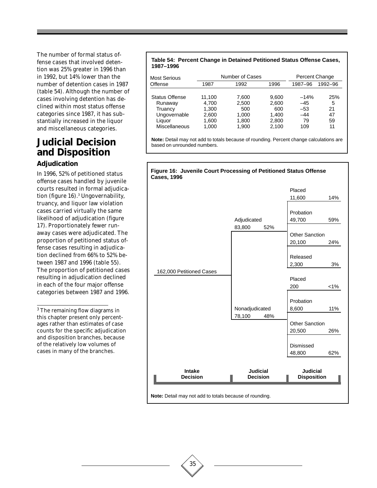The number of formal status offense cases that involved detention was 25% greater in 1996 than in 1992, but 14% lower than the number of detention cases in 1987 (table 54). Although the number of cases involving detention has declined within most status offense categories since 1987, it has substantially increased in the liquor and miscellaneous categories.

# **Judicial Decision and Disposition**

#### **Adjudication**

In 1996, 52% of petitioned status offense cases handled by juvenile courts resulted in formal adjudication (figure 16).3 Ungovernability, truancy, and liquor law violation cases carried virtually the same likelihood of adjudication (figure 17). Proportionately fewer runaway cases were adjudicated. The proportion of petitioned status offense cases resulting in adjudication declined from 66% to 52% between 1987 and 1996 (table 55). The proportion of petitioned cases resulting in adjudication declined in each of the four major offense categories between 1987 and 1996.

3 The remaining flow diagrams in this chapter present only percentages rather than estimates of case counts for the specific adjudication and disposition branches, because of the relatively low volumes of cases in many of the branches.

#### **Table 54: Percent Change in Detained Petitioned Status Offense Cases, 1987–1996**

| Number of Cases<br><b>Most Serious</b> |        |       | Percent Change |         |         |
|----------------------------------------|--------|-------|----------------|---------|---------|
| Offense                                | 1987   | 1992  | 1996           | 1987-96 | 1992-96 |
| Status Offense                         | 11,100 | 7,600 | 9.600          | $-14%$  | 25%     |
| Runaway                                | 4.700  | 2,500 | 2.600          | $-45$   | 5       |
| Truancy                                | 1.300  | 500   | 600            | $-53$   | 21      |
| Ungovernable                           | 2,600  | 1,000 | 1.400          | $-44$   | 47      |
| Liquor                                 | 1.600  | 1,800 | 2,800          | 79      | 59      |
| <b>Miscellaneous</b>                   | 1.000  | 1.900 | 2.100          | 109     | 11      |

**Note:** Detail may not add to totals because of rounding. Percent change calculations are based on unrounded numbers.



35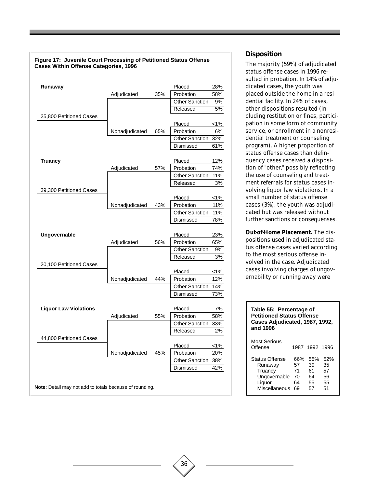| Figure 17: Juvenile Court Processing of Petitioned Status Offense<br><b>Cases Within Offense Categories, 1996</b> |                |     |                       |              |
|-------------------------------------------------------------------------------------------------------------------|----------------|-----|-----------------------|--------------|
|                                                                                                                   |                |     |                       |              |
| Runaway                                                                                                           |                |     | Placed                | 28%          |
|                                                                                                                   | Adjudicated    | 35% | Probation             | 58%          |
|                                                                                                                   |                |     | <b>Other Sanction</b> | 9%           |
|                                                                                                                   |                |     | Released              | 5%           |
| 25,800 Petitioned Cases                                                                                           |                |     |                       |              |
|                                                                                                                   |                |     | Placed                | $1\%$        |
|                                                                                                                   | Nonadjudicated | 65% | Probation             | 6%           |
|                                                                                                                   |                |     | <b>Other Sanction</b> | 32%          |
|                                                                                                                   |                |     | Dismissed             | 61%          |
| <b>Truancy</b>                                                                                                    |                |     | Placed                | 12%          |
|                                                                                                                   | Adjudicated    | 57% | Probation             | 74%          |
|                                                                                                                   |                |     | <b>Other Sanction</b> | 11%          |
|                                                                                                                   |                |     | Released              | 3%           |
| 39,300 Petitioned Cases                                                                                           |                |     |                       |              |
|                                                                                                                   | Nonadjudicated | 43% | Placed<br>Probation   | 1%<br>11%    |
|                                                                                                                   |                |     | <b>Other Sanction</b> | 11%          |
|                                                                                                                   |                |     | Dismissed             | 78%          |
|                                                                                                                   |                |     |                       |              |
| Ungovernable                                                                                                      |                |     | Placed                | 23%          |
|                                                                                                                   | Adjudicated    | 56% | Probation             | 65%          |
|                                                                                                                   |                |     | <b>Other Sanction</b> | 9%           |
|                                                                                                                   |                |     | Released              | 3%           |
| 20,100 Petitioned Cases                                                                                           |                |     |                       |              |
|                                                                                                                   |                |     | Placed                | $1\%$        |
|                                                                                                                   | Nonadjudicated | 44% | Probation             | 12%          |
|                                                                                                                   |                |     | <b>Other Sanction</b> | 14%          |
|                                                                                                                   |                |     | Dismissed             | 73%          |
| <b>Liquor Law Violations</b>                                                                                      |                |     | Placed                | 7%           |
|                                                                                                                   | Adjudicated    | 55% | Probation             | 58%          |
|                                                                                                                   |                |     | <b>Other Sanction</b> | 33%          |
|                                                                                                                   |                |     | Released              | 2%           |
| 44,800 Petitioned Cases                                                                                           |                |     |                       |              |
|                                                                                                                   | Nonadjudicated | 45% | Placed<br>Probation   | $1\%$<br>20% |
|                                                                                                                   |                |     | <b>Other Sanction</b> | 38%          |
|                                                                                                                   |                |     | Dismissed             | 42%          |
|                                                                                                                   |                |     |                       |              |
| Note: Detail may not add to totals because of rounding.                                                           |                |     |                       |              |

#### **Disposition**

The majority (59%) of adjudicated status offense cases in 1996 resulted in probation. In 14% of adjudicated cases, the youth was placed outside the home in a residential facility. In 24% of cases, other dispositions resulted (including restitution or fines, participation in some form of community service, or enrollment in a nonresidential treatment or counseling program). A higher proportion of status offense cases than delinquency cases received a disposition of "other," possibly reflecting the use of counseling and treatment referrals for status cases involving liquor law violations. In a small number of status offense cases (3%), the youth was adjudicated but was released without further sanctions or consequenses.

**Out-of-Home Placement.** The dispositions used in adjudicated status offense cases varied according to the most serious offense involved in the case. Adjudicated cases involving charges of ungovernability or running away were

#### **Table 55: Percentage of Petitioned Status Offense Cases Adjudicated, 1987, 1992, and 1996**

| <b>Most Serious</b><br>Offense |     | 1987 1992 1996 |     |
|--------------------------------|-----|----------------|-----|
| <b>Status Offense</b>          | 66% | 55%            | 52% |
| Runaway                        | 57  | 39             | 35  |
| Truancy                        | 71  | 61             | 57  |
| Ungovernable                   | 70  | 64             | 56  |
| Liquor                         | 64  | 55             | 55  |
| Miscellaneous                  | 69  | 57             | 51  |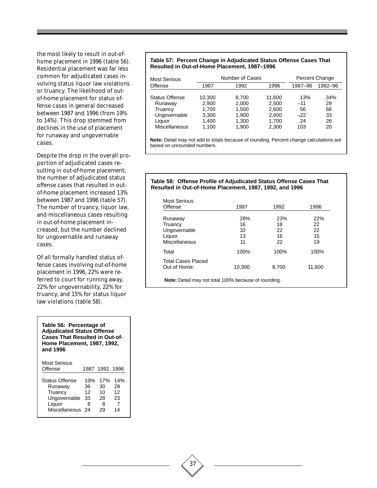the most likely to result in out-ofhome placement in 1996 (table 56). Residential placement was far less common for adjudicated cases involving status liquor law violations or truancy. The likelihood of outof-home placement for status offense cases in general decreased between 1987 and 1996 (from 19% to 14%). This drop stemmed from declines in the use of placement for runaway and ungovernable cases.

Despite the drop in the overall proportion of adjudicated cases resulting in out-of-home placement, the number of adjudicated status offense cases that resulted in outof-home placement increased 13% between 1987 and 1996 (table 57). The number of truancy, liquor law, and miscellaneous cases resulting in out-of-home placement increased, but the number declined for ungovernable and runaway cases.

Of all formally handled status offense cases involving out-of-home placement in 1996, 22% were referred to court for running away, 22% for ungovernability, 22% for truancy, and 15% for status liquor law violations (table 58).

**Table 56: Percentage of Adjudicated Status Offense Cases That Resulted in Out-of-Home Placement, 1987, 1992, and 1996**

| <b>Most Serious</b><br>Offense                                                            |                            | 1987 1992 1996                   |                                  |
|-------------------------------------------------------------------------------------------|----------------------------|----------------------------------|----------------------------------|
| <b>Status Offense</b><br>Runaway<br>Truancy<br>Ungovernable<br>Liquor<br>Miscellaneous 24 | 19%<br>36<br>12<br>33<br>8 | 17%<br>30<br>10<br>28<br>8<br>29 | 14%<br>28<br>12<br>23<br>7<br>14 |

#### **Table 57: Percent Change in Adjudicated Status Offense Cases That Resulted in Out-of-Home Placement, 1987–1996**

| Most Serious          |        | Number of Cases |        |         | Percent Change |
|-----------------------|--------|-----------------|--------|---------|----------------|
| Offense               | 1987   | 1992            | 1996   | 1987-96 | 1992-96        |
| <b>Status Offense</b> | 10.300 | 8.700           | 11.600 | 13%     | 34%            |
| Runaway               | 2.900  | 2,000           | 2,500  | $-11$   | 29             |
| Truancy               | 1.700  | 1.500           | 2.600  | 56      | 68             |
| Ungovernable          | 3,300  | 1.900           | 2,600  | $-22$   | 33             |
| Liquor                | 1.400  | 1.300           | 1.700  | 24      | 26             |
| Miscellaneous         | 1.100  | 1,900           | 2,300  | 103     | 20             |

**Note:** Detail may not add to totals because of rounding. Percent change calculations are based on unrounded numbers.

#### **Table 58: Offense Profile of Adjudicated Status Offense Cases That Resulted in Out-of-Home Placement, 1987, 1992, and 1996**

| Offense                   | 1987   | 1992  | 1996   |
|---------------------------|--------|-------|--------|
| Runaway                   | 28%    | 23%   | 22%    |
| Truancy                   | 16     | 18    | 22     |
| Ungovernable              | 32     | 22    | 22     |
| Liquor                    | 13     | 16    | 15     |
| Miscellaneous             | 11     | 22    | 19     |
| Total                     | 100%   | 100%  | 100%   |
| <b>Total Cases Placed</b> |        |       |        |
| Out of Home:              | 10,300 | 8,700 | 11,600 |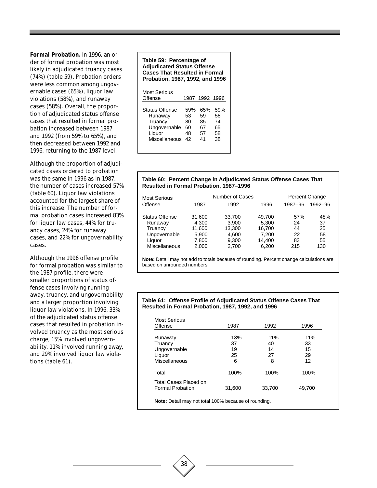**Formal Probation.** In 1996, an order of formal probation was most likely in adjudicated truancy cases (74%) (table 59). Probation orders were less common among ungovernable cases (65%), liquor law violations (58%), and runaway cases (58%). Overall, the proportion of adjudicated status offense cases that resulted in formal probation increased between 1987 and 1992 (from 59% to 65%), and then decreased between 1992 and 1996, returning to the 1987 level.

Although the proportion of adjudicated cases ordered to probation was the same in 1996 as in 1987, the number of cases increased 57% (table 60). Liquor law violations accounted for the largest share of this increase. The number of formal probation cases increased 83% for liquor law cases, 44% for truancy cases, 24% for runaway cases, and 22% for ungovernability cases.

Although the 1996 offense profile for formal probation was similar to the 1987 profile, there were smaller proportions of status offense cases involving running away, truancy, and ungovernability and a larger proportion involving liquor law violations. In 1996, 33% of the adjudicated status offense cases that resulted in probation involved truancy as the most serious charge, 15% involved ungovernability, 11% involved running away, and 29% involved liquor law violations (table 61).

#### **Table 59: Percentage of Adjudicated Status Offense Cases That Resulted in Formal Probation, 1987, 1992, and 1996** Most Serious<br>Offense Offense 1987 1992 1996 Status Offense 59% 65% 59%

| 53 | 59 | 58 |  |
|----|----|----|--|
| 80 | 85 | 74 |  |
| 60 | 67 | 65 |  |
| 48 | 57 | 58 |  |
| 42 | 41 | 38 |  |
|    |    |    |  |
|    |    |    |  |

#### **Table 60: Percent Change in Adjudicated Status Offense Cases That Resulted in Formal Probation, 1987–1996**

| Number of Cases |                  |                  |           | Percent Change |
|-----------------|------------------|------------------|-----------|----------------|
| 1987            | 1992             | 1996             | 1987-96   | 1992-96        |
|                 |                  | 49.700           | 57%       | 48%            |
| 4.300           | 3.900            | 5.300            | 24        | 37             |
| 5.900           | 4.600            | 7.200            | 22        | 25<br>58       |
| 7.800<br>2.000  | 9.300<br>2.700   | 14,400<br>6,200  | 83<br>215 | 55<br>130      |
|                 | 31,600<br>11.600 | 33,700<br>13.300 | 16.700    | 44             |

**Note:** Detail may not add to totals because of rounding. Percent change calculations are based on unrounded numbers.

#### **Table 61: Offense Profile of Adjudicated Status Offense Cases That Resulted in Formal Probation, 1987, 1992, and 1996**

| Offense                                    | 1987   | 1992   | 1996   |
|--------------------------------------------|--------|--------|--------|
| Runaway                                    | 13%    | 11%    | 11%    |
| Truancy                                    | 37     | 40     | 33     |
| Ungovernable                               | 19     | 14     | 15     |
| Liquor                                     | 25     | 27     | 29     |
| Miscellaneous                              | 6      | 8      | 12     |
| Total                                      | 100%   | 100%   | 100%   |
| Total Cases Placed on<br>Formal Probation: | 31,600 | 33,700 | 49,700 |

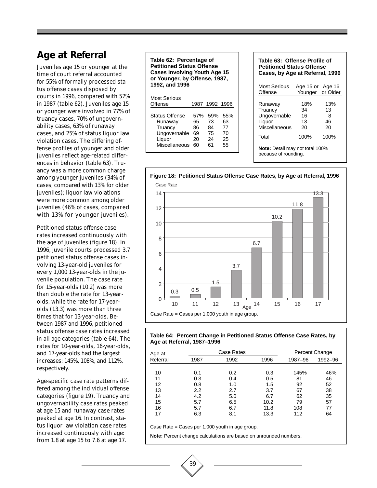# **Age at Referral**

Juveniles age 15 or younger at the time of court referral accounted for 55% of formally processed status offense cases disposed by courts in 1996, compared with 57% in 1987 (table 62). Juveniles age 15 or younger were involved in 77% of truancy cases, 70% of ungovernability cases, 63% of runaway cases, and 25% of status liquor law violation cases. The differing offense profiles of younger and older juveniles reflect age-related differences in behavior (table 63). Truancy was a more common charge among younger juveniles (34% of cases, compared with 13% for older juveniles); liquor law violations were more common among older juveniles (46% of cases, compared with 13% for younger juveniles).

Petitioned status offense case rates increased continuously with the age of juveniles (figure 18). In 1996, juvenile courts processed 3.7 petitioned status offense cases involving 13-year-old juveniles for every 1,000 13-year-olds in the juvenile population. The case rate for 15-year-olds (10.2) was more than double the rate for 13-yearolds, while the rate for 17-yearolds (13.3) was more than three times that for 13-year-olds. Between 1987 and 1996, petitioned status offense case rates increased in all age categories (table 64). The rates for 10-year-olds, 16-year-olds, and 17-year-olds had the largest increases: 145%, 108%, and 112%, respectively.

Age-specific case rate patterns differed among the individual offense categories (figure 19). Truancy and ungovernability case rates peaked at age 15 and runaway case rates peaked at age 16. In contrast, status liquor law violation case rates increased continuously with age: from 1.8 at age 15 to 7.6 at age 17.

**Table 62: Percentage of Petitioned Status Offense Cases Involving Youth Age 15 or Younger, by Offense, 1987, 1992, and 1996**

| Most Serious<br>Offense                                                                                  | 1987 1992 1996                                        |                                   |
|----------------------------------------------------------------------------------------------------------|-------------------------------------------------------|-----------------------------------|
| <b>Status Offense</b><br>Runaway<br>Truancy<br>Ungovernable<br>69<br>Liquor<br>20<br>Miscellaneous<br>60 | .59%<br>57%<br>73<br>65<br>86<br>84<br>75<br>24<br>61 | 55%<br>63<br>77<br>70<br>25<br>55 |

| Table 63: Offense Profile of<br><b>Petitioned Status Offense</b><br>Cases, by Age at Referral, 1996 |                                      |                            |  |  |  |  |
|-----------------------------------------------------------------------------------------------------|--------------------------------------|----------------------------|--|--|--|--|
| <b>Most Serious</b><br>Offense                                                                      | Age 15 or Age 16<br>Younger or Older |                            |  |  |  |  |
| Runaway<br>Truancy<br>Ungovernable<br>Liquor<br>Miscellaneous                                       | 18%<br>34<br>16<br>13<br>20          | 13%<br>13<br>8<br>46<br>20 |  |  |  |  |
| Total                                                                                               | 100%                                 | 100%                       |  |  |  |  |
| <b>Note:</b> Detail may not total 100%<br>because of rounding.                                      |                                      |                            |  |  |  |  |



#### **Table 64: Percent Change in Petitioned Status Offense Case Rates, by Age at Referral, 1987–1996**

| Age at   | Case Rates |      |      |         | Percent Change |
|----------|------------|------|------|---------|----------------|
| Referral | 1987       | 1992 | 1996 | 1987-96 | 1992-96        |
| 10       | 0.1        | 0.2  | 0.3  | 145%    | 46%            |
| 11       | 0.3        | 0.4  | 0.5  | 81      | 46             |
| 12       | 0.8        | 1.0  | 1.5  | 92      | 52             |
| 13       | 2.2        | 2.7  | 3.7  | 67      | 38             |
| 14       | 4.2        | 5.0  | 6.7  | 62      | 35             |
| 15       | 5.7        | 6.5  | 10.2 | 79      | 57             |
| 16       | 5.7        | 6.7  | 11.8 | 108     | 77             |
| 17       | 6.3        | 8.1  | 13.3 | 112     | 64             |

Case Rate = Cases per 1,000 youth in age group.

39

**Note:** Percent change calculations are based on unrounded numbers.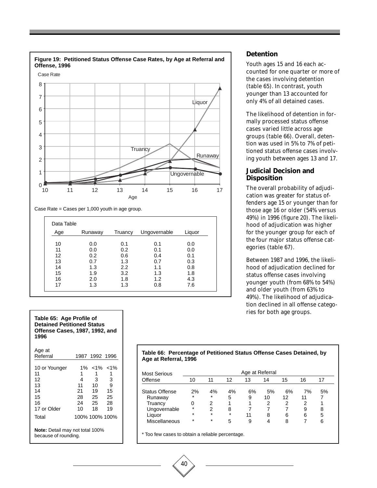

#### **Detention**

Youth ages 15 and 16 each accounted for one quarter or more of the cases involving detention (table 65). In contrast, youth younger than 13 accounted for only 4% of all detained cases.

The likelihood of detention in formally processed status offense cases varied little across age groups (table 66). Overall, detention was used in 5% to 7% of petitioned status offense cases involving youth between ages 13 and 17.

#### **Judicial Decision and Disposition**

The overall probability of adjudication was greater for status offenders age 15 or younger than for those age 16 or older (54% versus 49%) in 1996 (figure 20). The likelihood of adjudication was higher for the younger group for each of the four major status offense categories (table 67).

Between 1987 and 1996, the likelihood of adjudication declined for status offense cases involving younger youth (from 68% to 54%) and older youth (from 63% to 49%). The likelihood of adjudication declined in all offense categories for both age groups.

| <b>Detained Petitioned Status</b><br>Offense Cases, 1987, 1992, and<br>1996 |                |                |               |  |
|-----------------------------------------------------------------------------|----------------|----------------|---------------|--|
| Age at                                                                      |                |                |               |  |
| Referral                                                                    |                | 1987 1992 1996 |               |  |
| 10 or Younger                                                               | $1\%$          |                | $< 1\% < 1\%$ |  |
| 11                                                                          | 1              | 1              | 1             |  |
| 12                                                                          | 4              | 3              | 3             |  |
| 13                                                                          | 11             | 10             | 9             |  |
| 14                                                                          | 21             | 19             | 15            |  |
| 15                                                                          | 28             | - 25           | -25           |  |
| 16                                                                          | 24             | - 25           | 28            |  |
| 17 or Older                                                                 | 10             | 18             | 19            |  |
| Total                                                                       | 100% 100% 100% |                |               |  |
| <b>Note:</b> Detail may not total 100%<br>because of rounding.              |                |                |               |  |

**Table 65: Age Profile of**

#### **Table 66: Percentage of Petitioned Status Offense Cases Detained, by Age at Referral, 1996**

| <b>Most Serious</b>   |         |         |         | Age at Referral |    |    |    |    |
|-----------------------|---------|---------|---------|-----------------|----|----|----|----|
| Offense               | 10      | 11      | 12      | 13              | 14 | 15 | 16 | 17 |
| <b>Status Offense</b> | 2%      | 4%      | 4%      | 6%              | 5% | 6% | 7% | 5% |
| Runaway               | $\star$ | $\star$ | 5       | 9               | 10 | 12 | 11 |    |
| Truancy               | 0       | 2       | 1       |                 | 2  | 2  | 2  |    |
| Ungovernable          | $\star$ | 2       | 8       |                 |    |    | 9  | 8  |
| Liquor                | $\star$ | $\star$ | $\star$ | 11              | 8  | 6  | 6  | 5  |
| Miscellaneous         | $\star$ | $\star$ | 5       | 9               | 4  | 8  |    | 6  |

\* Too few cases to obtain a reliable percentage.

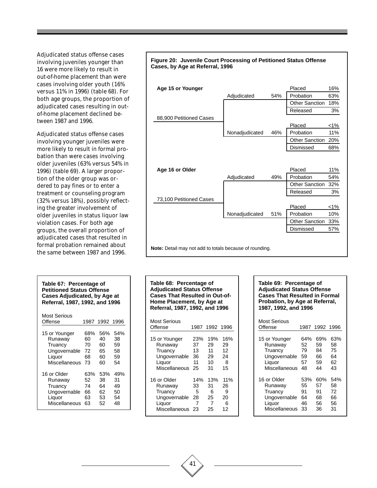Adjudicated status offense cases involving juveniles younger than 16 were more likely to result in out-of-home placement than were cases involving older youth (16% versus 11% in 1996) (table 68). For both age groups, the proportion of adjudicated cases resulting in outof-home placement declined between 1987 and 1996.

Adjudicated status offense cases involving younger juveniles were more likely to result in formal probation than were cases involving older juveniles (63% versus 54% in 1996) (table 69). A larger proportion of the older group was ordered to pay fines or to enter a treatment or counseling program (32% versus 18%), possibly reflecting the greater involvement of older juveniles in status liquor law violation cases. For both age groups, the overall proportion of adjudicated cases that resulted in formal probation remained about the same between 1987 and 1996.

| Table 67: Percentage of<br><b>Petitioned Status Offense</b><br><b>Cases Adjudicated, by Age at</b><br>Referral, 1987, 1992, and 1996 |      |           |     |  |  |
|--------------------------------------------------------------------------------------------------------------------------------------|------|-----------|-----|--|--|
| Most Serious<br>Offense                                                                                                              | 1987 | 1992 1996 |     |  |  |
| 15 or Younger                                                                                                                        | 68%  | 56%       | 54% |  |  |
| Runaway                                                                                                                              | 60   | 40        | 38  |  |  |
| Truancy                                                                                                                              | 70   | 60        | 59  |  |  |
| Ungovernable                                                                                                                         | 72   | 65        | 58  |  |  |
| Liquor                                                                                                                               | 68   | 60        | 59  |  |  |
| Miscellaneous                                                                                                                        | 73   | 60        | 54  |  |  |
| 16 or Older                                                                                                                          | 63%  | 53%       | 49% |  |  |
| Runaway                                                                                                                              | 52   | 38        | 31  |  |  |
| Truancy                                                                                                                              | 74   | 64        | 49  |  |  |
| Ungovernable                                                                                                                         | 66   | 62        | 50  |  |  |
| Liquor                                                                                                                               | 63   | 53        | 54  |  |  |
| Miscellaneous                                                                                                                        | 63   | 52        | 48  |  |  |



**Table 68: Percentage of Adjudicated Status Offense Cases That Resulted in Out-of-Home Placement, by Age at Referral, 1987, 1992, and 1996**

| Most Serious<br>Offense | 1987 | 1992 1996 |     |
|-------------------------|------|-----------|-----|
| 15 or Younger           | 23%  | 19%       | 16% |
| Runaway                 | 37   | 29        | 29  |
| Truancy                 | 13   | 11        | 12  |
| Ungovernable            | 36   | 29        | 24  |
| Liquor                  | 11   | 10        | 8   |
| Miscellaneous           | 25   | 31        | 15  |
| 16 or Older             | 14%  | 13%       | 11% |
| Runaway                 | 33   | 31        | 26  |
| Truancy                 | 5    | 6         | 9   |
| Ungovernable            | 28   | 25        | 20  |
| Liquor                  | 7    | 7         | 6   |
| Miscellaneous           | 23   | 25        | 12  |

#### **Table 69: Percentage of Adjudicated Status Offense Cases That Resulted in Formal Probation, by Age at Referral, 1987, 1992, and 1996**

| Most Serious<br>Offense | 1987 | 1992 1996 |     |
|-------------------------|------|-----------|-----|
| 15 or Younger           | 64%  | 69%       | 63% |
| Runaway                 | 52   | 59        | 58  |
| Truancy                 | 79   | 84        | 75  |
| Ungovernable            | 59   | 66        | 64  |
| Liquor                  | 57   | 59        | 62  |
| Miscellaneous           | 48   | 44        | 43  |
| 16 or Older             | 53%  | 60%       | 54% |
| Runaway                 | 55   | 57        | 58  |
| Truancy                 | 91   | 91        | 72  |
| Ungovernable            | 64   | 68        | 66  |
| Liquor                  | 46   | 56        | 56  |
| Miscellaneous           | 33   | 36        | 31  |

41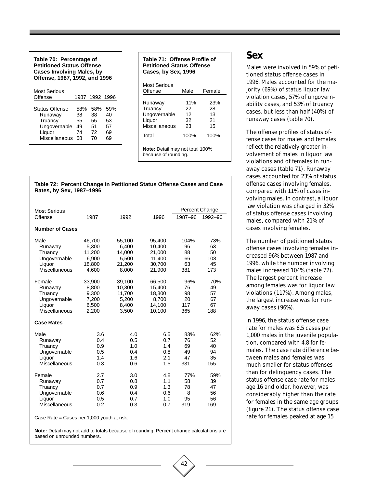| Table 70: Percentage of<br><b>Petitioned Status Offense</b><br><b>Cases Involving Males, by</b><br>Offense, 1987, 1992, and 1996 |                                   |                                   |                                   |  |  |  |
|----------------------------------------------------------------------------------------------------------------------------------|-----------------------------------|-----------------------------------|-----------------------------------|--|--|--|
| Most Serious<br>Offense                                                                                                          |                                   | 1987 1992 1996                    |                                   |  |  |  |
| Status Offense<br>Runaway<br>Truancy<br>Ungovernable<br>Liquor<br>Miscellaneous                                                  | 58%<br>38<br>55<br>49<br>74<br>68 | 58%<br>38<br>55<br>51<br>72<br>70 | 59%<br>40<br>53<br>57<br>69<br>69 |  |  |  |

| Table 71: Offense Profile of<br><b>Petitioned Status Offense</b><br>Cases, by Sex, 1996 |                             |                             |  |  |  |
|-----------------------------------------------------------------------------------------|-----------------------------|-----------------------------|--|--|--|
| Most Serious<br>Offense                                                                 | Male                        | Female                      |  |  |  |
| Runaway<br>Truancy<br>Ungovernable<br>Liquor<br>Miscellaneous                           | 11%<br>22<br>12<br>32<br>23 | 23%<br>28<br>13<br>21<br>15 |  |  |  |
| Total                                                                                   | 100%                        | 100%                        |  |  |  |
| <b>Note:</b> Detail may not total 100%<br>because of rounding.                          |                             |                             |  |  |  |

#### **Table 72: Percent Change in Petitioned Status Offense Cases and Case Rates, by Sex, 1987–1996**

| <b>Most Serious</b>    |        |        |        |         | Percent Change |
|------------------------|--------|--------|--------|---------|----------------|
| Offense                | 1987   | 1992   | 1996   | 1987-96 | 1992-96        |
| <b>Number of Cases</b> |        |        |        |         |                |
| Male                   | 46,700 | 55,100 | 95,400 | 104%    | 73%            |
| Runaway                | 5,300  | 6,400  | 10,400 | 96      | 63             |
| Truancy                | 11,200 | 14,000 | 21,000 | 88      | 50             |
| Ungovernable           | 6,900  | 5,500  | 11,400 | 66      | 108            |
| Liquor                 | 18,800 | 21,200 | 30,700 | 63      | 45             |
| Miscellaneous          | 4,600  | 8,000  | 21,900 | 381     | 173            |
| Female                 | 33,900 | 39,100 | 66,500 | 96%     | 70%            |
| Runaway                | 8,800  | 10,300 | 15,400 | 76      | 49             |
| Truancy                | 9,300  | 11,700 | 18,300 | 98      | 57             |
| Ungovernable           | 7,200  | 5,200  | 8,700  | 20      | 67             |
| Liquor                 | 6,500  | 8,400  | 14,100 | 117     | 67             |
| Miscellaneous          | 2,200  | 3,500  | 10.100 | 365     | 188            |
| <b>Case Rates</b>      |        |        |        |         |                |
| Male                   | 3.6    | 4.0    | 6.5    | 83%     | 62%            |
| Runaway                | 0.4    | 0.5    | 0.7    | 76      | 52             |
| Truancy                | 0.9    | 1.0    | 1.4    | 69      | 40             |
| Ungovernable           | 0.5    | 0.4    | 0.8    | 49      | 94             |
| Liquor                 | 1.4    | 1.6    | 2.1    | 47      | 35             |
| Miscellaneous          | 0.3    | 0.6    | 1.5    | 331     | 155            |
| Female                 | 2.7    | 3.0    | 4.8    | 77%     | 59%            |
| Runaway                | 0.7    | 0.8    | 1.1    | 58      | 39             |
| Truancy                | 0.7    | 0.9    | 1.3    | 78      | 47             |
| Ungovernable           | 0.6    | 0.4    | 0.6    | 8       | 56             |
| Liquor                 | 0.5    | 0.7    | 1.0    | 95      | 56             |
| Miscellaneous          | 0.2    | 0.3    | 0.7    | 319     | 169            |

Case Rate = Cases per 1,000 youth at risk.

**Note:** Detail may not add to totals because of rounding. Percent change calculations are based on unrounded numbers.

### **Sex**

Males were involved in 59% of petitioned status offense cases in 1996. Males accounted for the majority (69%) of status liquor law violation cases, 57% of ungovernability cases, and 53% of truancy cases, but less than half (40%) of runaway cases (table 70).

The offense profiles of status offense cases for males and females reflect the relatively greater involvement of males in liquor law violations and of females in runaway cases (table 71). Runaway cases accounted for 23% of status offense cases involving females, compared with 11% of cases involving males. In contrast, a liquor law violation was charged in 32% of status offense cases involving males, compared with 21% of cases involving females.

The number of petitioned status offense cases involving females increased 96% between 1987 and 1996, while the number involving males increased 104% (table 72). The largest percent increase among females was for liquor law violations (117%). Among males, the largest increase was for runaway cases (96%).

In 1996, the status offense case rate for males was 6.5 cases per 1,000 males in the juvenile population, compared with 4.8 for females. The case rate difference between males and females was much smaller for status offenses than for delinquency cases. The status offense case rate for males age 16 and older, however, was considerably higher than the rate for females in the same age groups (figure 21). The status offense case rate for females peaked at age 15

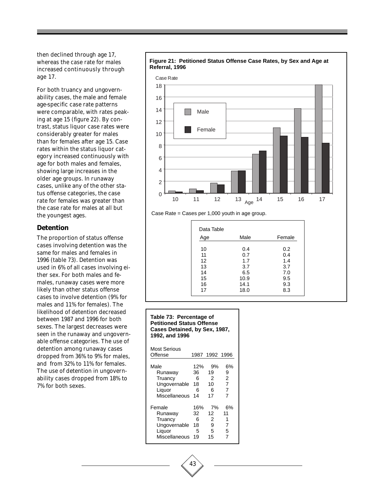then declined through age 17, whereas the case rate for males increased continuously through age 17.

For both truancy and ungovernability cases, the male and female age-specific case rate patterns were comparable, with rates peaking at age 15 (figure 22). By contrast, status liquor case rates were considerably greater for males than for females after age 15. Case rates within the status liquor category increased continuously with age for both males and females, showing large increases in the older age groups. In runaway cases, unlike any of the other status offense categories, the case rate for females was greater than the case rate for males at all but the youngest ages.

#### **Detention**

The proportion of status offense cases involving detention was the same for males and females in 1996 (table 73). Detention was used in 6% of all cases involving either sex. For both males and females, runaway cases were more likely than other status offense cases to involve detention (9% for males and 11% for females). The likelihood of detention decreased between 1987 and 1996 for both sexes. The largest decreases were seen in the runaway and ungovernable offense categories. The use of detention among runaway cases dropped from 36% to 9% for males, and from 32% to 11% for females. The use of detention in ungovernability cases dropped from 18% to 7% for both sexes.



# **Figure 21: Petitioned Status Offense Case Rates, by Sex and Age at**

Case Rate = Cases per 1,000 youth in age group.

| Age | Male | Female |
|-----|------|--------|
|     |      |        |
| 10  | 0.4  | 0.2    |
| 11  | 0.7  | 0.4    |
| 12  | 1.7  | 1.4    |
| 13  | 3.7  | 3.7    |
| 14  | 6.5  | 7.0    |
| 15  | 10.9 | 9.5    |
| 16  | 14.1 | 9.3    |
| 17  | 18.0 | 8.3    |

#### **Table 73: Percentage of Petitioned Status Offense Cases Detained, by Sex, 1987, 1992, and 1996**

| Most Serious  |     |                |    |
|---------------|-----|----------------|----|
| Offense       |     | 1987 1992 1996 |    |
|               |     |                |    |
| Male          | 12% | 9%             | 6% |
| Runaway       | 36  | 19             | 9  |
| Truancy       | 6   | 2              | 2  |
| Ungovernable  | 18  | 10             | 7  |
| Liquor        | 6   | 6              | 7  |
| Miscellaneous | 14  | 17             | 7  |
| Female        | 16% | 7%             | 6% |
| Runaway       | 32  | 12             | 11 |
| Truancy       | 6   | 2              | 1  |
| Ungovernable  | 18  | 9              | 7  |
| Liquor        | 5   | 5              | 5  |
| Miscellaneous | 19  | 15             |    |

43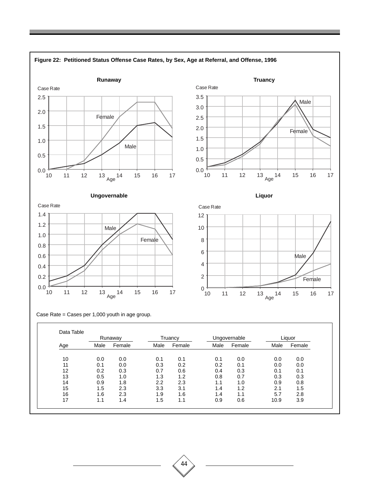

44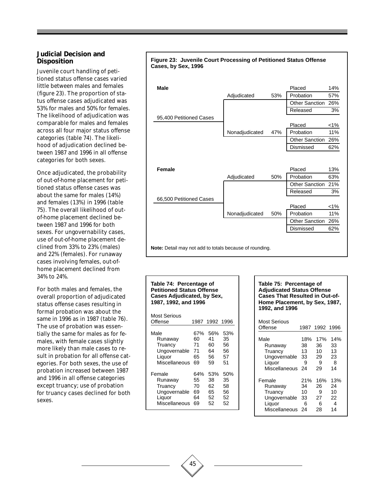#### **Judicial Decision and Disposition**

Juvenile court handling of petitioned status offense cases varied little between males and females (figure 23). The proportion of status offense cases adjudicated was 53% for males and 50% for females. The likelihood of adjudication was comparable for males and females across all four major status offense categories (table 74). The likelihood of adjudication declined between 1987 and 1996 in all offense categories for both sexes.

Once adjudicated, the probability of out-of-home placement for petitioned status offense cases was about the same for males (14%) and females (13%) in 1996 (table 75). The overall likelihood of outof-home placement declined between 1987 and 1996 for both sexes. For ungovernability cases, use of out-of-home placement declined from 33% to 23% (males) and 22% (females). For runaway cases involving females, out-ofhome placement declined from 34% to 24%.

For both males and females, the overall proportion of adjudicated status offense cases resulting in formal probation was about the same in 1996 as in 1987 (table 76). The use of probation was essentially the same for males as for females, with female cases slightly more likely than male cases to result in probation for all offense categories. For both sexes, the use of probation increased between 1987 and 1996 in all offense categories except truancy; use of probation for truancy cases declined for both sexes.



#### **Table 74: Percentage of Petitioned Status Offense Cases Adjudicated, by Sex, 1987, 1992, and 1996**

| Most Serious  |     |                |     |
|---------------|-----|----------------|-----|
| Offense       |     | 1987 1992 1996 |     |
|               |     |                |     |
| Male          | 67% | 56%            | 53% |
| Runaway       | 60  | 41             | 35  |
| Truancy       | 71  | 60             | 56  |
| Ungovernable  | 71  | 64             | 56  |
| Liquor        | 65  | 56             | 57  |
| Miscellaneous | 69  | 59             | 51  |
| Female        | 64% | 53%            | 50% |
| Runaway       | 55  | 38             | 35  |
| Truancy       | 70  | 62             | 58  |
| Ungovernable  | 69  | 65             | 56  |
| Liquor        | 64  | 52             | 52  |
| Miscellaneous | 69  | 52             | 52  |

#### **Table 75: Percentage of Adjudicated Status Offense Cases That Resulted in Out-of-Home Placement, by Sex, 1987, 1992, and 1996**

| Most Serious<br>Offense |     | 1987 1992 1996 |     |
|-------------------------|-----|----------------|-----|
| Male                    | 18% | 17%            | 14% |
| Runaway                 | 38  | 36             | 33  |
| Truancy                 | 13  | 10             | 13  |
| Ungovernable            | 33  | 29             | 23  |
| Liquor                  | 9   | 9              | 8   |
| Miscellaneous           | 24  | 29             | 14  |
| Female                  | 21% | 16%            | 13% |
| Runaway                 | 34  | 26             | 24  |
| Truancy                 | 10  | 9              | 10  |
| Ungovernable            | 33  | 27             | 22  |
| Liquor                  | 6   | 6              | 4   |
| Miscellaneous           | 24  | 28             | 14  |

**Figure 23: Juvenile Court Processing of Petitioned Status Offense**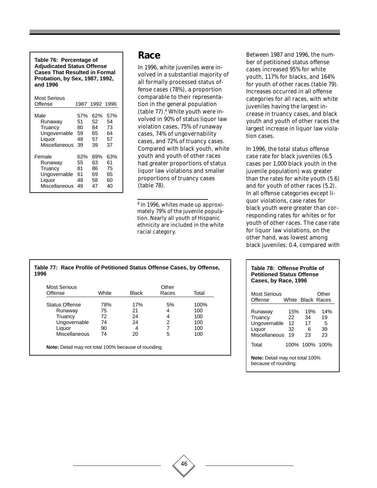**Table 76: Percentage of Adjudicated Status Offense Cases That Resulted in Formal Probation, by Sex, 1987, 1992, and 1996**

| Most Serious<br>Offense |     | 1987 1992 1996 |     |
|-------------------------|-----|----------------|-----|
| Male                    | 57% | 62%            | 57% |
| Runaway                 | 51  | 52             | 54  |
| Truancy                 | 80  | 84             | 73  |
| Ungovernable            | 59  | 65             | 64  |
| Liquor                  | 48  | 57             | 57  |
| Miscellaneous           | 39  | 39             | 37  |
| Female                  | 62% | 69%            | 63% |
| Runaway                 | 55  | 63             | 61  |
| Truancy                 | 81  | 86             | 75  |
| Ungovernable            | 61  | 69             | 65  |
| Liquor                  | 48  | 58             | 60  |
| Miscellaneous           | 49  | 47             | 40  |

#### **Race**

In 1996, white juveniles were involved in a substantial majority of all formally processed status offense cases (78%), a proportion comparable to their representation in the general population (table 77).4 White youth were involved in 90% of status liquor law violation cases, 75% of runaway cases, 74% of ungovernability cases, and 72% of truancy cases. Compared with black youth, white youth and youth of other races had greater proportions of status liquor law violations and smaller proportions of truancy cases (table 78).

4 In 1996, whites made up approximately 79% of the juvenile population. Nearly all youth of Hispanic ethnicity are included in the white racial category.

46

**Table 77: Race Profile of Petitioned Status Offense Cases, by Offense, 1996**

| Offense               | White | Black | Races | Total |
|-----------------------|-------|-------|-------|-------|
| <b>Status Offense</b> | 78%   | 17%   | 5%    | 100%  |
| Runaway               | 75    | 21    | 4     | 100   |
| Truancy               | 72    | 24    | 4     | 100   |
| Ungovernable          | 74    | 24    | 2     | 100   |
| Liquor                | 90    | 4     |       | 100   |
| Miscellaneous         | 74    | 20    | 5     | 100   |

Between 1987 and 1996, the number of petitioned status offense cases increased 95% for white youth, 117% for blacks, and 164% for youth of other races (table 79). Increases occurred in all offense categories for all races, with white juveniles having the largest increase in truancy cases, and black youth and youth of other races the largest increase in liquor law violation cases.

In 1996, the total status offense case rate for black juveniles (6.5 cases per 1,000 black youth in the juvenile population) was greater than the rates for white youth (5.6) and for youth of other races (5.2). In all offense categories except liquor violations, case rates for black youth were greater than corresponding rates for whites or for youth of other races. The case rate for liquor law violations, on the other hand, was lowest among black juveniles: 0.4, compared with

#### **Table 78: Offense Profile of Petitioned Status Offense Cases, by Race, 1996**

| Most Serious<br>Offense                                        |                             | White Black Races          | Other                      |  |
|----------------------------------------------------------------|-----------------------------|----------------------------|----------------------------|--|
| Runaway<br>Truancy<br>Ungovernable<br>Liquor<br>Miscellaneous  | 15%<br>22<br>12<br>32<br>19 | 19%<br>34<br>17<br>6<br>23 | 14%<br>19<br>5<br>39<br>23 |  |
| Total                                                          |                             | 100% 100% 100%             |                            |  |
| <b>Note:</b> Detail may not total 100%<br>because of rounding. |                             |                            |                            |  |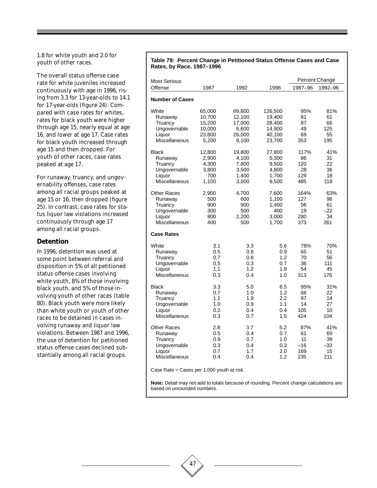1.8 for white youth and 2.0 for youth of other races.

The overall status offense case rate for white juveniles increased continuously with age in 1996, rising from 3.3 for 13-year-olds to 14.1 for 17-year-olds (figure 24). Compared with case rates for whites, rates for black youth were higher through age 15, nearly equal at age 16, and lower at age 17. Case rates for black youth increased through age 15 and then dropped. For youth of other races, case rates peaked at age 17.

For runaway, truancy, and ungovernability offenses, case rates among all racial groups peaked at age 15 or 16, then dropped (figure 25). In contrast, case rates for status liquor law violations increased continuously through age 17 among all racial groups.

#### **Detention**

In 1996, detention was used at some point between referral and disposition in 5% of all petitioned status offense cases involving white youth, 8% of those involving black youth, and 5% of those involving youth of other races (table 80). Black youth were more likely than white youth or youth of other races to be detained in cases involving runaway and liquor law violations. Between 1987 and 1996, the use of detention for petitioned status offense cases declined substantially among all racial groups.

#### **Table 79: Percent Change in Petitioned Status Offense Cases and Case Rates, by Race, 1987–1996**

| <b>Most Serious</b>    |        |        |         |         | Percent Change |
|------------------------|--------|--------|---------|---------|----------------|
| Offense                | 1987   | 1992   | 1996    | 1987–96 | 1992-96        |
| <b>Number of Cases</b> |        |        |         |         |                |
| White                  | 65,000 | 69,800 | 126,500 | 95%     | 81%            |
| Runaway                | 10,700 | 12,100 | 19,400  | 81      | 61             |
| Truancy                | 15,200 | 17,000 | 28,400  | 87      | 66             |
| Ungovernable           | 10,000 | 6,600  | 14,900  | 49      | 125            |
| Liquor                 | 23,800 | 26,000 | 40,100  | 69      | 55             |
| Miscellaneous          | 5,200  | 8,100  | 23,700  | 353     | 195            |
| <b>Black</b>           | 12,800 | 19,800 | 27,800  | 117%    | 41%            |
| Runaway                | 2,900  | 4,100  | 5,300   | 86      | 31             |
| Truancy                | 4,300  | 7,800  | 9,500   | 120     | 22             |
| Ungovernable           | 3,800  | 3,500  | 4,800   | 28      | 36             |
| Liquor                 | 700    | 1,400  | 1,700   | 129     | 18             |
| Miscellaneous          | 1,100  | 3,000  | 6,500   | 485     | 118            |
| <b>Other Races</b>     | 2,900  | 4,700  | 7,600   | 164%    | 63%            |
| Runaway                | 500    | 600    | 1,100   | 127     | 96             |
| Truancy                | 900    | 900    | 1,400   | 56      | 61             |
| Ungovernable           | 300    | 500    | 400     | 19      | $-22$          |
| Liquor                 | 800    | 2,200  | 3,000   | 280     | 34             |
| Miscellaneous          | 400    | 500    | 1,700   | 373     | 261            |
| <b>Case Rates</b>      |        |        |         |         |                |
| White                  | 3.1    | 3.3    | 5.6     | 78%     | 70%            |
| Runaway                | 0.5    | 0.6    | 0.9     | 65      | 51             |
| Truancy                | 0.7    | 0.8    | 1.2     | 70      | 56             |
| Ungovernable           | 0.5    | 0.3    | 0.7     | 36      | 111            |
| Liquor                 | 1.1    | 1.2    | 1.8     | 54      | 45             |
| Miscellaneous          | 0.3    | 0.4    | 1.0     | 313     | 176            |
| <b>Black</b>           | 3.3    | 5.0    | 6.5     | 95%     | 31%            |
| Runaway                | 0.7    | 1.0    | 1.2     | 66      | 22             |
| Truancy                | 1.1    | 1.9    | 2.2     | 97      | 14             |
| Ungovernable           | 1.0    | 0.9    | 1.1     | 14      | 27             |
| Liquor                 | 0.2    | 0.4    | 0.4     | 105     | 10             |
| Miscellaneous          | 0.3    | 0.7    | 1.5     | 424     | 104            |
| <b>Other Races</b>     | 2.8    | 3.7    | 5.2     | 87%     | 41%            |
| Runaway                | 0.5    | 0.4    | 0.7     | 61      | 69             |
| Truancy                | 0.9    | 0.7    | 1.0     | 11      | 39             |
| Ungovernable           | 0.3    | 0.4    | 0.3     | $-16$   | -33            |
| Liquor                 | 0.7    | 1.7    | 2.0     | 169     | 15             |
| Miscellaneous          | 0.4    | 0.4    | 1.2     | 235     | 211            |

Case Rate = Cases per 1,000 youth at risk.

**Note:** Detail may not add to totals because of rounding. Percent change calculations are based on unrounded numbers.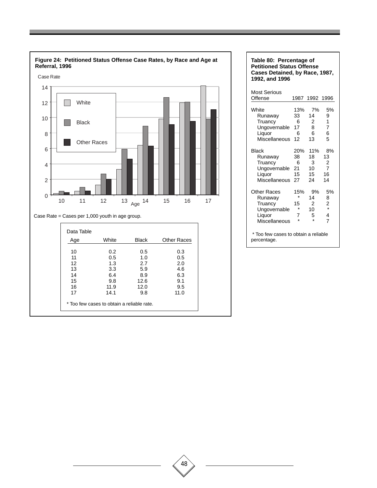

| Table 80: Percentage of<br><b>Petitioned Status Offense</b><br>Cases Detained, by Race, 1987,<br>1992, and 1996 |                                                 |                                                  |                                                                   |  |  |  |
|-----------------------------------------------------------------------------------------------------------------|-------------------------------------------------|--------------------------------------------------|-------------------------------------------------------------------|--|--|--|
| Most Serious<br>Offense                                                                                         | 1987                                            | 1992                                             | 1996                                                              |  |  |  |
| White<br>Runaway<br>Truancy<br>Ungovernable<br>Liquor<br>Miscellaneous                                          | 13%<br>33<br>6<br>17<br>6<br>12                 | 7%<br>14<br>2<br>8<br>6<br>13                    | 5%<br>9<br>1<br>7<br>6<br>5                                       |  |  |  |
| <b>Black</b><br>Runaway<br>Truancy<br>Ungovernable<br>Liquor<br>Miscellaneous                                   | 20%<br>38<br>6<br>21<br>15<br>27                | 11%<br>18<br>3<br>10<br>15<br>24                 | 8%<br>13<br>$\overline{\mathbf{c}}$<br>$\overline{7}$<br>16<br>14 |  |  |  |
| <b>Other Races</b><br>Runaway<br>Truancy<br>Ungovernable<br>Liquor<br>Miscellaneous                             | 15%<br>$\star$<br>15<br>$\star$<br>7<br>$\star$ | 9%<br>14<br>2<br>10 <sup>1</sup><br>5<br>$\star$ | 5%<br>8<br>$\frac{2}{x}$<br>4<br>7                                |  |  |  |
| * Too few cases to obtain a reliable<br>percentage.                                                             |                                                 |                                                  |                                                                   |  |  |  |

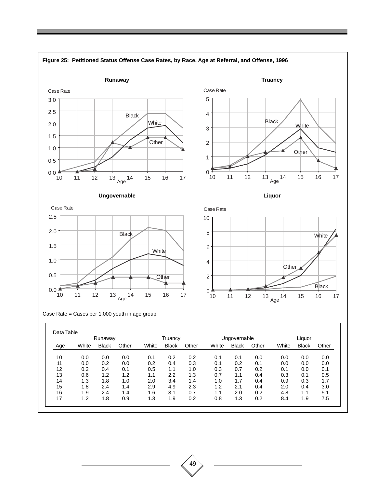

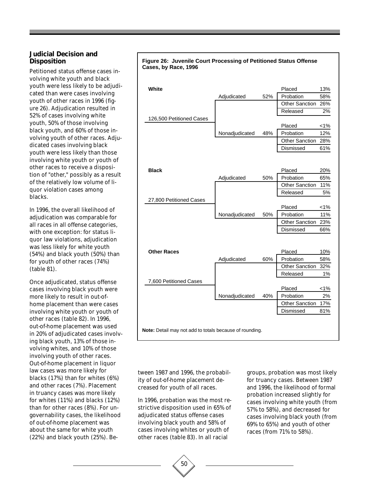#### **Judicial Decision and Disposition**

Petitioned status offense cases involving white youth and black youth were less likely to be adjudicated than were cases involving youth of other races in 1996 (figure 26). Adjudication resulted in 52% of cases involving white youth, 50% of those involving black youth, and 60% of those involving youth of other races. Adjudicated cases involving black youth were less likely than those involving white youth or youth of other races to receive a disposition of "other," possibly as a result of the relatively low volume of liquor violation cases among blacks.

In 1996, the overall likelihood of adjudication was comparable for all races in all offense categories, with one exception: for status liquor law violations, adjudication was less likely for white youth (54%) and black youth (50%) than for youth of other races (74%) (table 81).

Once adjudicated, status offense cases involving black youth were more likely to result in out-ofhome placement than were cases involving white youth or youth of other races (table 82). In 1996, out-of-home placement was used in 20% of adjudicated cases involving black youth, 13% of those involving whites, and 10% of those involving youth of other races. Out-of-home placement in liquor law cases was more likely for blacks (17%) than for whites (6%) and other races (7%). Placement in truancy cases was more likely for whites (11%) and blacks (12%) than for other races (8%). For ungovernability cases, the likelihood of out-of-home placement was about the same for white youth (22%) and black youth (25%). Be-

**White** 2008 **Manufacture 2018** 2019 **Placed** 213% Adjudicated 52% Probation 58% Other Sanction 26% Released 2% 126,500 Petitioned Cases Placed <1% Nonadjudicated 48% Probation 12% Other Sanction 28% Dismissed 61% **Black** 20% Adjudicated 50% Probation 65% Other Sanction 11% Released 5% 27,800 Petitioned Cases Placed <1% Nonadjudicated 50% Probation 11% Other Sanction 23% Dismissed 66%

| <b>Other Races</b>                                             |                |     | Placed                | 10%   |
|----------------------------------------------------------------|----------------|-----|-----------------------|-------|
|                                                                | Adjudicated    | 60% | Probation             | 58%   |
|                                                                |                |     | <b>Other Sanction</b> | 32%   |
|                                                                |                |     | Released              | $1\%$ |
| 7,600 Petitioned Cases                                         |                |     |                       |       |
|                                                                |                |     | Placed                | $1\%$ |
|                                                                | Nonadjudicated | 40% | Probation             | 2%    |
|                                                                |                |     | <b>Other Sanction</b> | 17%   |
|                                                                |                |     | Dismissed             | 81%   |
|                                                                |                |     |                       |       |
| <b>Note:</b> Detail may not add to totals because of rounding. |                |     |                       |       |

tween 1987 and 1996, the probability of out-of-home placement decreased for youth of all races.

In 1996, probation was the most restrictive disposition used in 65% of adjudicated status offense cases involving black youth and 58% of cases involving whites or youth of other races (table 83). In all racial

50

groups, probation was most likely for truancy cases. Between 1987 and 1996, the likelihood of formal probation increased slightly for cases involving white youth (from 57% to 58%), and decreased for cases involving black youth (from 69% to 65%) and youth of other races (from 71% to 58%).

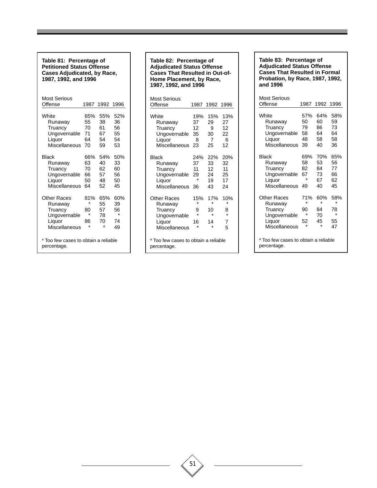**Table 81: Percentage of Petitioned Status Offense Cases Adjudicated, by Race, 1987, 1992, and 1996**

| Most Serious<br>Offense                           |         | 1987 1992 1996 |     |
|---------------------------------------------------|---------|----------------|-----|
| White                                             | 65%     | 55%            | 52% |
| Runaway                                           | 55      | 38             | 36  |
| Truancy                                           | 70      | 61             | 56  |
| Ungovernable                                      | 71      | 67             | 55  |
| Liquor                                            | 64      | 54             | 54  |
| Miscellaneous                                     | 70      | 59             | 53  |
| <b>Black</b>                                      | 66%     | 54%            | 50% |
| Runaway                                           | 63      | 40             | 33  |
| Truancy                                           | 70      | 62             | 60  |
| Ungovernable                                      | 66      | 57             | 56  |
| Liquor                                            | 50      | 48             | 50  |
| Miscellaneous                                     | 64      | 52             | 45  |
| Other Races                                       | 81%     | 65%            | 60% |
| Runaway                                           | $\star$ | 55             | 39  |
| Truancy                                           | 80      | 57             | 56  |
| Ungovernable                                      | ÷       | 78             | ÷   |
| Liquor                                            | 86      | 70             | 74  |
| Miscellaneous                                     | ÷       | ÷              | 49  |
| Too few cases to obtain a reliable<br>percentage. |         |                |     |

#### **Table 82: Percentage of Adjudicated Status Offense Cases That Resulted in Out-of-Home Placement, by Race, 1987, 1992, and 1996**

| Most Serious                                        |         |         |         |
|-----------------------------------------------------|---------|---------|---------|
| Offense                                             | 1987    | 1992    | 1996    |
| White                                               | 19%     | 15%     | 13%     |
| Runaway                                             | 37      | 29      | 27      |
| Truancy                                             | 12      | 9       | 12      |
| Ungovernable                                        | 35      | 30      | 22      |
| Liquor                                              | 8       | 7       | 6       |
| Miscellaneous                                       | 23      | 25      | 12      |
| Black                                               | 24%     | 22%     | 20%     |
| Runaway                                             | 37      | 33      | 32      |
| Truancy                                             | 11      | 12      | 11      |
| Ungovernable                                        | 29      | 24      | 25      |
| Liquor                                              | $\star$ | 19      | 17      |
| Miscellaneous                                       | 36      | 43      | 24      |
| Other Races                                         | 15%     | 17%     | 10%     |
| Runaway                                             | $\star$ | $\star$ | $\star$ |
| Truancy                                             | 9       | 10      | 8       |
| Ungovernable                                        | ÷       | ÷       | ÷       |
| Liquor                                              | 16      | 14      | 7       |
| Miscellaneous                                       | $\star$ | $\star$ | 5       |
| * Too few cases to obtain a reliable<br>percentage. |         |         |         |

**Table 83: Percentage of Adjudicated Status Offense Cases That Resulted in Formal Probation, by Race, 1987, 1992, and 1996**

| Most Serious<br>Offense                             | 1987    | 1992    | 1996    |
|-----------------------------------------------------|---------|---------|---------|
| White                                               | 57%     | 64%     | 58%     |
| Runaway                                             | 50      | 60      | 59      |
| Truancy                                             | 79      | 86      | 73      |
| Ungovernable                                        | 58      | 64      | 64      |
| Liquor                                              | 48      | 58      | 58      |
| Miscellaneous                                       | 39      | 40      | 36      |
| Black                                               | 69%     | 70%     | 65%     |
| Runaway                                             | 58      | 53      | 56      |
| Truancy                                             | 82      | 84      | 77      |
| Ungovernable                                        | 67      | 73      | 66      |
| Liquor                                              | $\star$ | 67      | 62      |
| Miscellaneous                                       | 49      | 40      | 45      |
| Other Races                                         | 71%     | 60%     | 58%     |
| Runaway                                             | $\star$ | $\star$ | $\star$ |
| Truancy                                             | 90      | 84      | 78      |
| Ungovernable                                        | $\star$ | 70      | $\star$ |
| Liquor                                              | 52      | 45      | 55      |
| Miscellaneous                                       | ÷       | $\star$ | 47      |
| * Too few cases to obtain a reliable<br>percentage. |         |         |         |

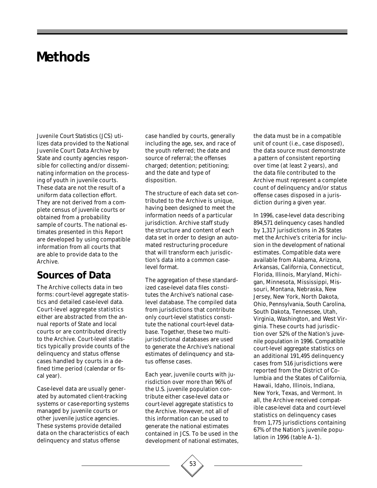# **Methods**

*Juvenile Court Statistics* (*JCS*) utilizes data provided to the National Juvenile Court Data Archive by State and county agencies responsible for collecting and/or disseminating information on the processing of youth in juvenile courts. These data are not the result of a uniform data collection effort. They are not derived from a complete census of juvenile courts or obtained from a probability sample of courts. The national estimates presented in this Report are developed by using compatible information from all courts that are able to provide data to the Archive.

# **Sources of Data**

The Archive collects data in two forms: court-level aggregate statistics and detailed case-level data. Court-level aggregate statistics either are abstracted from the annual reports of State and local courts or are contributed directly to the Archive. Court-level statistics typically provide counts of the delinquency and status offense cases handled by courts in a defined time period (calendar or fiscal year).

Case-level data are usually generated by automated client-tracking systems or case-reporting systems managed by juvenile courts or other juvenile justice agencies. These systems provide detailed data on the characteristics of each delinquency and status offense

case handled by courts, generally including the age, sex, and race of the youth referred; the date and source of referral; the offenses charged; detention; petitioning; and the date and type of disposition.

The structure of each data set contributed to the Archive is unique, having been designed to meet the information needs of a particular jurisdiction. Archive staff study the structure and content of each data set in order to design an automated restructuring procedure that will transform each jurisdiction's data into a common caselevel format.

The aggregation of these standardized case-level data files constitutes the Archive's national caselevel database. The compiled data from jurisdictions that contribute only court-level statistics constitute the national court-level database. Together, these two multijurisdictional databases are used to generate the Archive's national estimates of delinquency and status offense cases.

Each year, juvenile courts with jurisdiction over more than 96% of the U.S. juvenile population contribute either case-level data or court-level aggregate statistics to the Archive. However, not all of this information can be used to generate the national estimates contained in *JCS*. To be used in the development of national estimates, the data must be in a compatible unit of count (i.e., case disposed), the data source must demonstrate a pattern of consistent reporting over time (at least 2 years), and the data file contributed to the Archive must represent a complete count of delinquency and/or status offense cases disposed in a jurisdiction during a given year.

In 1996, case-level data describing 894,571 delinquency cases handled by 1,317 jurisdictions in 26 States met the Archive's criteria for inclusion in the development of national estimates. Compatible data were available from Alabama, Arizona, Arkansas, California, Connecticut, Florida, Illinois, Maryland, Michigan, Minnesota, Mississippi, Missouri, Montana, Nebraska, New Jersey, New York, North Dakota, Ohio, Pennsylvania, South Carolina, South Dakota, Tennessee, Utah, Virginia, Washington, and West Virginia. These courts had jurisdiction over 52% of the Nation's juvenile population in 1996. Compatible court-level aggregate statistics on an additional 191,495 delinquency cases from 516 jurisdictions were reported from the District of Columbia and the States of California, Hawaii, Idaho, Illinois, Indiana, New York, Texas, and Vermont. In all, the Archive received compatible case-level data and court-level statistics on delinquency cases from 1,775 jurisdictions containing 67% of the Nation's juvenile population in 1996 (table A–1).

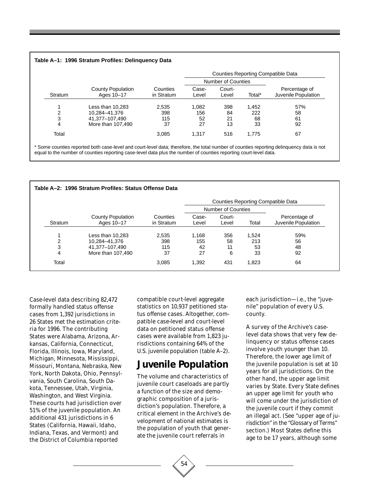#### **Table A–1: 1996 Stratum Profiles: Delinquency Data**

| Stratum | <b>County Population</b><br>Ages 10-17 | Counties<br>in Stratum | <b>Counties Reporting Compatible Data</b> |                 |        |                                      |  |
|---------|----------------------------------------|------------------------|-------------------------------------------|-----------------|--------|--------------------------------------|--|
|         |                                        |                        | <b>Number of Counties</b>                 |                 |        |                                      |  |
|         |                                        |                        | Case-<br>Level                            | Court-<br>Level | Total* | Percentage of<br>Juvenile Population |  |
|         | Less than $10,283$                     | 2,535                  | 1.082                                     | 398             | 1,452  | 57%                                  |  |
| 2       | 10,284-41,376                          | 398                    | 156                                       | 84              | 222    | 58                                   |  |
| 3       | 41,377-107,490                         | 115                    | 52                                        | 21              | 68     | 61                                   |  |
| 4       | More than 107,490                      | 37                     | 27                                        | 13              | 33     | 92                                   |  |
| Total   |                                        | 3,085                  | 1.317                                     | 516             | 1.775  | 67                                   |  |

\* Some counties reported both case-level and court-level data; therefore, the total number of counties reporting delinquency data is not equal to the number of counties reporting case-level data plus the number of counties reporting court-level data.

| Table A-2: 1996 Stratum Profiles: Status Offense Data |                                        |                                           |                |                    |       |                                      |
|-------------------------------------------------------|----------------------------------------|-------------------------------------------|----------------|--------------------|-------|--------------------------------------|
|                                                       |                                        | <b>Counties Reporting Compatible Data</b> |                |                    |       |                                      |
|                                                       |                                        |                                           |                | Number of Counties |       |                                      |
| <b>Stratum</b>                                        | <b>County Population</b><br>Ages 10-17 | Counties<br>in Stratum                    | Case-<br>Level | Court-<br>Level    | Total | Percentage of<br>Juvenile Population |
| 4                                                     | Less than 10,283                       | 2,535                                     | 1,168          | 356                | 1.524 | 59%                                  |
| 2                                                     | 10,284-41,376                          | 398                                       | 155            | 58                 | 213   | 56                                   |
| 3                                                     | 41.377-107.490                         | 115                                       | 42             | 11                 | 53    | 48                                   |
| 4                                                     | More than 107,490                      | 37                                        | 27             | 6                  | 33    | 92                                   |
| Total                                                 |                                        | 3.085                                     | 1,392          | 431                | 1.823 | 64                                   |

Case-level data describing 82,472 formally handled status offense cases from 1,392 jurisdictions in 26 States met the estimation criteria for 1996. The contributing States were Alabama, Arizona, Arkansas, California, Connecticut, Florida, Illinois, Iowa, Maryland, Michigan, Minnesota, Mississippi, Missouri, Montana, Nebraska, New York, North Dakota, Ohio, Pennsylvania, South Carolina, South Dakota, Tennessee, Utah, Virginia, Washington, and West Virginia. These courts had jurisdiction over 51% of the juvenile population. An additional 431 jurisdictions in 6 States (California, Hawaii, Idaho, Indiana, Texas, and Vermont) and the District of Columbia reported

compatible court-level aggregate statistics on 10,937 petitioned status offense cases. Altogether, compatible case-level and court-level data on petitioned status offense cases were available from 1,823 jurisdictions containing 64% of the U.S. juvenile population (table A–2).

### **Juvenile Population**

The volume and characteristics of juvenile court caseloads are partly a function of the size and demographic composition of a jurisdiction's population. Therefore, a critical element in the Archive's development of national estimates is the population of youth that generate the juvenile court referrals in

each jurisdiction—i.e., the "juvenile" population of every U.S. county.

A survey of the Archive's caselevel data shows that very few delinquency or status offense cases involve youth younger than 10. Therefore, the lower age limit of the juvenile population is set at 10 years for all jurisdictions. On the other hand, the upper age limit varies by State. Every State defines an upper age limit for youth who will come under the jurisdiction of the juvenile court if they commit an illegal act. (See "upper age of jurisdiction" in the "Glossary of Terms" section.) Most States define this age to be 17 years, although some

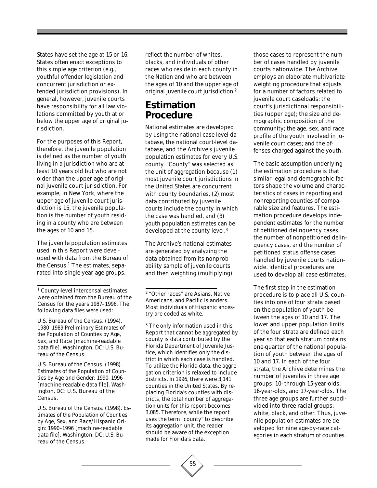States have set the age at 15 or 16. States often enact exceptions to this simple age criterion (e.g., youthful offender legislation and concurrent jurisdiction or extended jurisdiction provisions). In general, however, juvenile courts have responsibility for all law violations committed by youth at or below the upper age of original jurisdiction.

For the purposes of this Report, therefore, the juvenile population is defined as the number of youth living in a jurisdiction who are at least 10 years old but who are not older than the upper age of original juvenile court jurisdiction. For example, in New York, where the upper age of juvenile court jurisdiction is 15, the juvenile population is the number of youth residing in a county who are between the ages of 10 and 15.

The juvenile population estimates used in this Report were developed with data from the Bureau of the Census.<sup>1</sup> The estimates, separated into single-year age groups,

1 County-level intercensal estimates were obtained from the Bureau of the Census for the years 1987–1996. The following data files were used:

U.S. Bureau of the Census. (1994). *1980–1989 Preliminary Estimates of the Population of Counties by Age, Sex, and Race* [machine-readable data file]. Washington, DC: U.S. Bureau of the Census.

U.S. Bureau of the Census. (1998). *Estimates of the Population of Counties by Age and Gender: 1990–1996* [machine-readable data file]. Washington, DC: U.S. Bureau of the Census.

U.S. Bureau of the Census. (1998). *Estimates of the Population of Counties by Age, Sex, and Race/Hispanic Origin: 1990–1996* [machine-readable data file]. Washington, DC: U.S. Bureau of the Census.

reflect the number of whites, blacks, and individuals of other races who reside in each county in the Nation and who are between the ages of 10 and the upper age of original juvenile court jurisdiction.<sup>2</sup>

# **Estimation Procedure**

National estimates are developed by using the national case-level database, the national court-level database, and the Archive's juvenile population estimates for every U.S. county. "County" was selected as the unit of aggregation because (1) most juvenile court jurisdictions in the United States are concurrent with county boundaries, (2) most data contributed by juvenile courts include the county in which the case was handled, and (3) youth population estimates can be developed at the county level.<sup>3</sup>

The Archive's national estimates are generated by analyzing the data obtained from its nonprobability sample of juvenile courts and then weighting (multiplying)

2 "Other races" are Asians, Native Americans, and Pacific Islanders. Most individuals of Hispanic ancestry are coded as white.

3 The only information used in this Report that cannot be aggregated by county is data contributed by the Florida Department of Juvenile Justice, which identifies only the district in which each case is handled. To utilize the Florida data, the aggregation criterion is relaxed to include districts. In 1996, there were 3,141 counties in the United States. By replacing Florida's counties with districts, the total number of aggregation units for this report becomes 3,085. Therefore, while the report uses the term "county" to describe its aggregation unit, the reader should be aware of the exception made for Florida's data.

those cases to represent the number of cases handled by juvenile courts nationwide. The Archive employs an elaborate multivariate weighting procedure that adjusts for a number of factors related to juvenile court caseloads: the court's jurisdictional responsibilities (upper age); the size and demographic composition of the community; the age, sex, and race profile of the youth involved in juvenile court cases; and the offenses charged against the youth.

The basic assumption underlying the estimation procedure is that similar legal and demographic factors shape the volume and characteristics of cases in reporting and nonreporting counties of comparable size and features. The estimation procedure develops independent estimates for the number of petitioned delinquency cases, the number of nonpetitioned delinquency cases, and the number of petitioned status offense cases handled by juvenile courts nationwide. Identical procedures are used to develop all case estimates.

The first step in the estimation procedure is to place all U.S. counties into one of four strata based on the population of youth between the ages of 10 and 17. The lower and upper population limits of the four strata are defined each year so that each stratum contains one-quarter of the national population of youth between the ages of 10 and 17. In each of the four strata, the Archive determines the number of juveniles in three age groups: 10- through 15-year-olds, 16-year-olds, and 17-year-olds. The three age groups are further subdivided into three racial groups: white, black, and other. Thus, juvenile population estimates are developed for nine age-by-race categories in each stratum of counties.

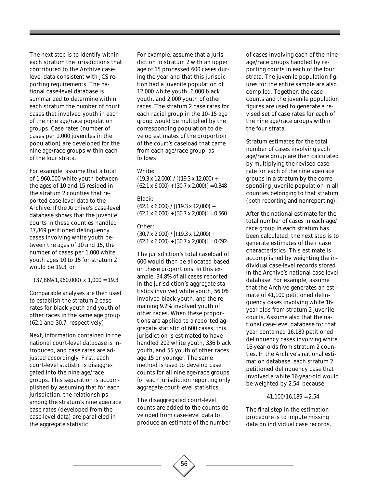The next step is to identify within each stratum the jurisdictions that contributed to the Archive caselevel data consistent with *JCS* reporting requirements. The national case-level database is summarized to determine within each stratum the number of court cases that involved youth in each of the nine age/race population groups. Case rates (number of cases per 1,000 juveniles in the population) are developed for the nine age/race groups within each of the four strata.

For example, assume that a total of 1,960,000 white youth between the ages of 10 and 15 resided in the stratum 2 counties that reported case-level data to the Archive. If the Archive's case-level database shows that the juvenile courts in these counties handled 37,869 petitioned delinquency cases involving white youth between the ages of 10 and 15, the number of cases per 1,000 white youth ages 10 to 15 for stratum 2 would be 19.3, or:

 $(37,869/1,960,000) \times 1,000 = 19.3$ 

Comparable analyses are then used to establish the stratum 2 case rates for black youth and youth of other races in the same age group (62.1 and 30.7, respectively).

Next, information contained in the national court-level database is introduced, and case rates are adjusted accordingly. First, each court-level statistic is disaggregated into the nine age/race groups. This separation is accomplished by assuming that for each jurisdiction, the relationships among the stratum's nine age/race case rates (developed from the case-level data) are paralleled in the aggregate statistic.

For example, assume that a jurisdiction in stratum 2 with an upper age of 15 processed 600 cases during the year and that this jurisdiction had a juvenile population of 12,000 white youth, 6,000 black youth, and 2,000 youth of other races. The stratum 2 case rates for each racial group in the 10–15 age group would be multiplied by the corresponding population to develop estimates of the proportion of the court's caseload that came from each age/race group, as follows:

White:

 $(19.3 \times 12,000) / [(19.3 \times 12,000) +$  $(62.1 \times 6{,}000) + (30.7 \times 2{,}000) = 0.348$ 

Black:

 $(62.1 \times 6,000) / [(19.3 \times 12,000) +$  $(62.1 \times 6{,}000) + (30.7 \times 2{,}000) = 0.560$ 

#### Other:

 $(30.7 \times 2,000) / [(19.3 \times 12,000) +$  $(62.1 \times 6,000) + (30.7 \times 2,000) = 0.092$ 

The jurisdiction's total caseload of 600 would then be allocated based on these proportions. In this example, 34.8% of all cases reported in the jurisdiction's aggregate statistics involved white youth, 56.0% involved black youth, and the remaining 9.2% involved youth of other races. When these proportions are applied to a reported aggregate statistic of 600 cases, this jurisdiction is estimated to have handled 209 white youth, 336 black youth, and 55 youth of other races age 15 or younger. The same method is used to develop case counts for all nine age/race groups for each jurisdiction reporting only aggregate court-level statistics.

The disaggregated court-level counts are added to the counts developed from case-level data to produce an estimate of the number

56

of cases involving each of the nine age/race groups handled by reporting courts in each of the four strata. The juvenile population figures for the entire sample are also compiled. Together, the case counts and the juvenile population figures are used to generate a revised set of case rates for each of the nine age/race groups within the four strata.

Stratum estimates for the total number of cases involving each age/race group are then calculated by multiplying the revised case rate for each of the nine age/race groups in a stratum by the corresponding juvenile population in all counties belonging to that stratum (both reporting and nonreporting).

After the national estimate for the total number of cases in each age/ race group in each stratum has been calculated, the next step is to generate estimates of their case characteristics. This estimate is accomplished by weighting the individual case-level records stored in the Archive's national case-level database. For example, assume that the Archive generates an estimate of 41,100 petitioned delinquency cases involving white 16 year-olds from stratum 2 juvenile courts. Assume also that the national case-level database for that year contained 16,189 petitioned delinquency cases involving white 16-year-olds from stratum 2 counties. In the Archive's national estimation database, each stratum 2 petitioned delinquency case that involved a white 16-year-old would be weighted by 2.54, because:

#### $41,100/16,189 = 2.54$

The final step in the estimation procedure is to impute missing data on individual case records.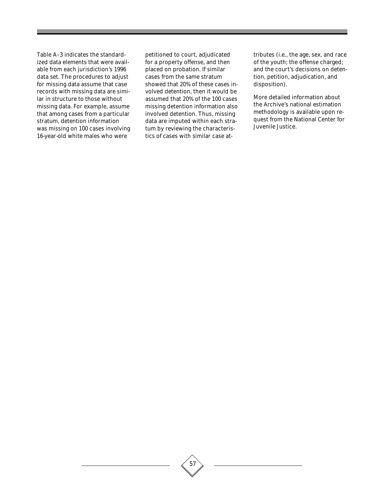Table A–3 indicates the standardized data elements that were available from each jurisdiction's 1996 data set. The procedures to adjust for missing data assume that case records with missing data are similar in structure to those without missing data. For example, assume that among cases from a particular stratum, detention information was missing on 100 cases involving 16-year-old white males who were

petitioned to court, adjudicated for a property offense, and then placed on probation. If similar cases from the same stratum showed that 20% of these cases involved detention, then it would be assumed that 20% of the 100 cases missing detention information also involved detention. Thus, missing data are imputed within each stratum by reviewing the characteristics of cases with similar case attributes (i.e., the age, sex, and race of the youth; the offense charged; and the court's decisions on detention, petition, adjudication, and disposition).

More detailed information about the Archive's national estimation methodology is available upon request from the National Center for Juvenile Justice.

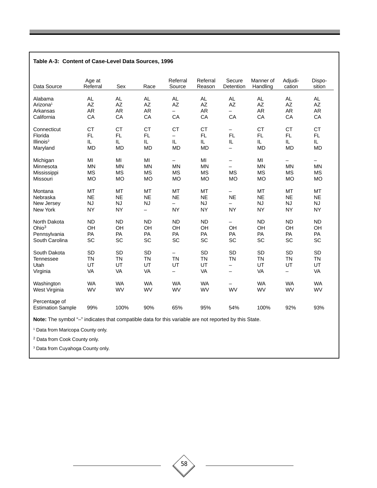| Table A-3: Content of Case-Level Data Sources, 1996 |                    |           |                          |                          |                    |                          |                       |                          |                  |
|-----------------------------------------------------|--------------------|-----------|--------------------------|--------------------------|--------------------|--------------------------|-----------------------|--------------------------|------------------|
| Data Source                                         | Age at<br>Referral | Sex       | Race                     | Referral<br>Source       | Referral<br>Reason | Secure<br>Detention      | Manner of<br>Handling | Adjudi-<br>cation        | Dispo-<br>sition |
| Alabama                                             | AL.                | AL.       | AL                       | $\mathsf{AL}$            | <b>AL</b>          | <b>AL</b>                | <b>AL</b>             | AL.                      | AL.              |
| Arizona <sup>1</sup>                                | AZ                 | <b>AZ</b> | AZ                       | $\mathsf{A}\mathsf{Z}$   | AZ                 | <b>AZ</b>                | <b>AZ</b>             | <b>AZ</b>                | AZ               |
| Arkansas                                            | <b>AR</b>          | <b>AR</b> | <b>AR</b>                | $\overline{\phantom{0}}$ | <b>AR</b>          | $\overline{\phantom{0}}$ | <b>AR</b>             | <b>AR</b>                | <b>AR</b>        |
| California                                          | CA                 | CA        | CA                       | CA                       | CA                 | CA                       | CA                    | CA                       | CA               |
| Connecticut                                         | <b>CT</b>          | <b>CT</b> | <b>CT</b>                | <b>CT</b>                | <b>CT</b>          | $\qquad \qquad -$        | <b>CT</b>             | CT                       | <b>CT</b>        |
| Florida                                             | <b>FL</b>          | <b>FL</b> | FL.                      | $\overline{\phantom{0}}$ | FL.                | <b>FL</b>                | <b>FL</b>             | <b>FL</b>                | <b>FL</b>        |
| Illinois <sup>2</sup>                               | IL.                | IL.       | IL.                      | IL.                      | IL.                | IL                       | IL.                   | IL.                      | IL.              |
| Maryland                                            | <b>MD</b>          | <b>MD</b> | <b>MD</b>                | <b>MD</b>                | <b>MD</b>          | $\overline{\phantom{0}}$ | <b>MD</b>             | <b>MD</b>                | <b>MD</b>        |
| Michigan                                            | MI                 | MI        | MI                       |                          | MI                 | $\qquad \qquad -$        | MI                    | $\overline{\phantom{0}}$ |                  |
| Minnesota                                           | <b>MN</b>          | <b>MN</b> | <b>MN</b>                | <b>MN</b>                | <b>MN</b>          | $\overline{\phantom{0}}$ | <b>MN</b>             | <b>MN</b>                | <b>MN</b>        |
| Mississippi                                         | <b>MS</b>          | <b>MS</b> | <b>MS</b>                | <b>MS</b>                | <b>MS</b>          | <b>MS</b>                | <b>MS</b>             | <b>MS</b>                | <b>MS</b>        |
| Missouri                                            | <b>MO</b>          | <b>MO</b> | <b>MO</b>                | <b>MO</b>                | <b>MO</b>          | <b>MO</b>                | <b>MO</b>             | <b>MO</b>                | <b>MO</b>        |
| Montana                                             | MT                 | <b>MT</b> | MT                       | <b>MT</b>                | <b>MT</b>          | $\overline{\phantom{0}}$ | MT                    | MT                       | MT               |
| Nebraska                                            | <b>NE</b>          | <b>NE</b> | <b>NE</b>                | <b>NE</b>                | <b>NE</b>          | <b>NE</b>                | <b>NE</b>             | <b>NE</b>                | <b>NE</b>        |
| New Jersey                                          | <b>NJ</b>          | <b>NJ</b> | <b>NJ</b>                | $\overline{\phantom{0}}$ | <b>NJ</b>          | $\qquad \qquad -$        | <b>NJ</b>             | <b>NJ</b>                | <b>NJ</b>        |
| New York                                            | <b>NY</b>          | <b>NY</b> | $\overline{\phantom{0}}$ | <b>NY</b>                | <b>NY</b>          | <b>NY</b>                | <b>NY</b>             | <b>NY</b>                | <b>NY</b>        |
| North Dakota                                        | <b>ND</b>          | <b>ND</b> | <b>ND</b>                | <b>ND</b>                | <b>ND</b>          | —                        | <b>ND</b>             | <b>ND</b>                | <b>ND</b>        |
| Ohio <sup>3</sup>                                   | OH                 | OH        | OH                       | OH                       | OH                 | OH                       | OH                    | OH                       | OH               |
| Pennsylvania                                        | PA                 | PA        | PA                       | PA                       | PA                 | PA                       | PA                    | PA                       | PA               |
| South Carolina                                      | SC                 | SC        | SC                       | SC                       | SC                 | SC                       | SC                    | SC                       | SC               |
| South Dakota                                        | <b>SD</b>          | <b>SD</b> | SD                       | $\overline{\phantom{0}}$ | SD                 | SD                       | <b>SD</b>             | <b>SD</b>                | <b>SD</b>        |
| Tennessee                                           | <b>TN</b>          | <b>TN</b> | <b>TN</b>                | <b>TN</b>                | <b>TN</b>          | <b>TN</b>                | <b>TN</b>             | <b>TN</b>                | <b>TN</b>        |
| Utah                                                | UT                 | UT        | UT                       | UT                       | UT                 | $\overline{\phantom{0}}$ | UT                    | UT                       | UT               |
| Virginia                                            | VA                 | VA        | VA                       | $\qquad \qquad -$        | VA                 | $\qquad \qquad -$        | VA                    | $\qquad \qquad -$        | VA               |
| Washington                                          | <b>WA</b>          | <b>WA</b> | <b>WA</b>                | <b>WA</b>                | <b>WA</b>          | -                        | <b>WA</b>             | <b>WA</b>                | <b>WA</b>        |
| West Virginia                                       | WV                 | WV        | WV                       | WV                       | WV                 | <b>WV</b>                | WV                    | <b>WV</b>                | WV               |
| Percentage of<br><b>Estimation Sample</b>           | 99%                | 100%      | 90%                      | 65%                      | 95%                | 54%                      | 100%                  | 92%                      | 93%              |
|                                                     |                    |           |                          |                          |                    |                          |                       |                          |                  |

**Note:** The symbol "–" indicates that compatible data for this variable are not reported by this State.

1 Data from Maricopa County only.

2 Data from Cook County only.

3 Data from Cuyahoga County only.

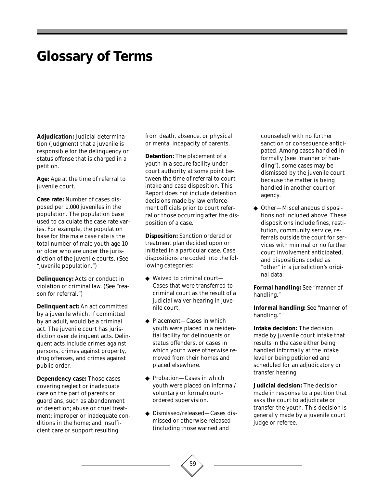# **Glossary of Terms**

**Adjudication:** Judicial determination (judgment) that a juvenile is responsible for the delinquency or status offense that is charged in a petition.

**Age:** Age at the time of referral to juvenile court.

**Case rate:** Number of cases disposed per 1,000 juveniles in the population. The population base used to calculate the case rate varies. For example, the population base for the male case rate is the total number of male youth age 10 or older who are under the jurisdiction of the juvenile courts. (See "juvenile population.")

**Delinquency:** Acts or conduct in violation of criminal law. (See "reason for referral.")

**Delinquent act:** An act committed by a juvenile which, if committed by an adult, would be a criminal act. The juvenile court has jurisdiction over delinquent acts. Delinquent acts include crimes against persons, crimes against property, drug offenses, and crimes against public order.

**Dependency case:** Those cases covering neglect or inadequate care on the part of parents or guardians, such as abandonment or desertion; abuse or cruel treatment; improper or inadequate conditions in the home; and insufficient care or support resulting

from death, absence, or physical or mental incapacity of parents.

**Detention:** The placement of a youth in a secure facility under court authority at some point between the time of referral to court intake and case disposition. This Report does not include detention decisions made by law enforcement officials prior to court referral or those occurring after the disposition of a case.

**Disposition:** Sanction ordered or treatment plan decided upon or initiated in a particular case. Case dispositions are coded into the following categories:

- ◆ Waived to criminal court— Cases that were transferred to criminal court as the result of a judicial waiver hearing in juvenile court.
- ◆ Placement—Cases in which youth were placed in a residential facility for delinquents or status offenders, or cases in which youth were otherwise removed from their homes and placed elsewhere.
- ◆ Probation—Cases in which youth were placed on informal/ voluntary or formal/courtordered supervision.
- ◆ Dismissed/released—Cases dismissed or otherwise released (including those warned and

counseled) with no further sanction or consequence anticipated. Among cases handled informally (see "manner of handling"), some cases may be dismissed by the juvenile court because the matter is being handled in another court or agency.

◆ Other—Miscellaneous dispositions not included above. These dispositions include fines, restitution, community service, referrals outside the court for services with minimal or no further court involvement anticipated, and dispositions coded as "other" in a jurisdiction's original data.

**Formal handling:** See "manner of handling."

**Informal handling:** See "manner of handling."

**Intake decision:** The decision made by juvenile court intake that results in the case either being handled informally at the intake level or being petitioned and scheduled for an adjudicatory or transfer hearing.

**Judicial decision:** The decision made in response to a petition that asks the court to adjudicate or transfer the youth. This decision is generally made by a juvenile court judge or referee.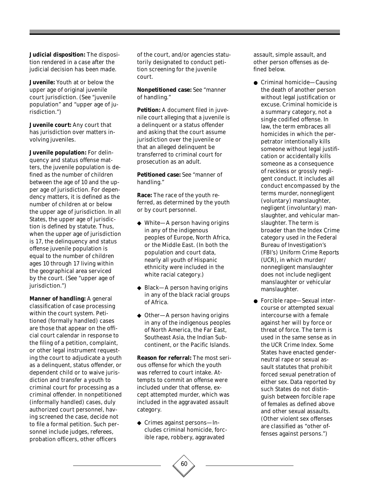**Judicial disposition:** The disposition rendered in a case after the judicial decision has been made.

**Juvenile:** Youth at or below the upper age of original juvenile court jurisdiction. (See "juvenile population" and "upper age of jurisdiction.")

**Juvenile court:** Any court that has jurisdiction over matters involving juveniles.

**Juvenile population:** For delinquency and status offense matters, the juvenile population is defined as the number of children between the age of 10 and the upper age of jurisdiction. For dependency matters, it is defined as the number of children at or below the upper age of jurisdiction. In all States, the upper age of jurisdiction is defined by statute. Thus, when the upper age of jurisdiction is 17, the delinquency and status offense juvenile population is equal to the number of children ages 10 through 17 living within the geographical area serviced by the court. (See "upper age of jurisdiction.")

**Manner of handling:** A general classification of case processing within the court system. Petitioned (formally handled) cases are those that appear on the official court calendar in response to the filing of a petition, complaint, or other legal instrument requesting the court to adjudicate a youth as a delinquent, status offender, or dependent child or to waive jurisdiction and transfer a youth to criminal court for processing as a criminal offender. In nonpetitioned (informally handled) cases, duly authorized court personnel, having screened the case, decide not to file a formal petition. Such personnel include judges, referees, probation officers, other officers

of the court, and/or agencies statutorily designated to conduct petition screening for the juvenile court.

**Nonpetitioned case:** See "manner of handling."

**Petition:** A document filed in juvenile court alleging that a juvenile is a delinquent or a status offender and asking that the court assume jurisdiction over the juvenile or that an alleged delinquent be transferred to criminal court for prosecution as an adult.

**Petitioned case:** See "manner of handling."

**Race:** The race of the youth referred, as determined by the youth or by court personnel.

- ◆ White—A person having origins in any of the indigenous peoples of Europe, North Africa, or the Middle East. (In both the population and court data, nearly all youth of Hispanic ethnicity were included in the white racial category.)
- ◆ Black—A person having origins in any of the black racial groups of Africa.
- ◆ Other—A person having origins in any of the indigenous peoples of North America, the Far East, Southeast Asia, the Indian Subcontinent, or the Pacific Islands.

**Reason for referral:** The most serious offense for which the youth was referred to court intake. Attempts to commit an offense were included under that offense, except attempted murder, which was included in the aggravated assault category.

◆ Crimes against persons—Includes criminal homicide, forcible rape, robbery, aggravated

assault, simple assault, and other person offenses as defined below.

- Criminal homicide—Causing the death of another person without legal justification or excuse. Criminal homicide is a summary category, not a single codified offense. In law, the term embraces all homicides in which the perpetrator intentionally kills someone without legal justification or accidentally kills someone as a consequence of reckless or grossly negligent conduct. It includes all conduct encompassed by the terms murder, nonnegligent (voluntary) manslaughter, negligent (involuntary) manslaughter, and vehicular manslaughter. The term is broader than the Index Crime category used in the Federal Bureau of Investigation's (FBI's) *Uniform Crime Reports* (*UCR*), in which murder/ nonnegligent manslaughter does not include negligent manslaughter or vehicular manslaughter.
- Forcible rape—Sexual intercourse or attempted sexual intercourse with a female against her will by force or threat of force. The term is used in the same sense as in the *UCR* Crime Index. Some States have enacted genderneutral rape or sexual assault statutes that prohibit forced sexual penetration of either sex. Data reported by such States do not distinguish between forcible rape of females as defined above and other sexual assaults. (Other violent sex offenses are classified as "other offenses against persons.")

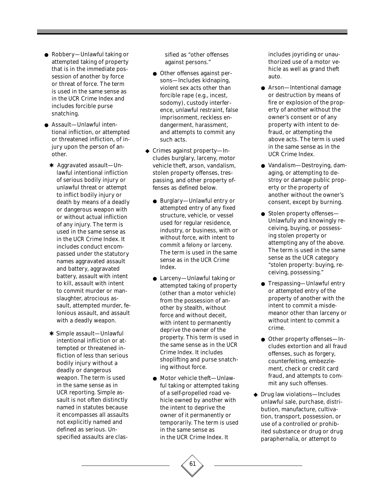- Robbery—Unlawful taking or attempted taking of property that is in the immediate possession of another by force or threat of force. The term is used in the same sense as in the *UCR* Crime Index and includes forcible purse snatching.
- Assault—Unlawful intentional infliction, or attempted or threatened infliction, of injury upon the person of another.
	- ✱ Aggravated assault—Unlawful intentional infliction of serious bodily injury or unlawful threat or attempt to inflict bodily injury or death by means of a deadly or dangerous weapon with or without actual infliction of any injury. The term is used in the same sense as in the *UCR* Crime Index. It includes conduct encompassed under the statutory names aggravated assault and battery, aggravated battery, assault with intent to kill, assault with intent to commit murder or manslaughter, atrocious assault, attempted murder, felonious assault, and assault with a deadly weapon.
	- ✱ Simple assault—Unlawful intentional infliction or attempted or threatened infliction of less than serious bodily injury without a deadly or dangerous weapon. The term is used in the same sense as in *UCR* reporting. Simple assault is not often distinctly named in statutes because it encompasses all assaults not explicitly named and defined as serious. Unspecified assaults are clas-

sified as "other offenses against persons."

- Other offenses against persons—Includes kidnaping, violent sex acts other than forcible rape (e.g., incest, sodomy), custody interference, unlawful restraint, false imprisonment, reckless endangerment, harassment, and attempts to commit any such acts.
- ◆ Crimes against property—Includes burglary, larceny, motor vehicle theft, arson, vandalism, stolen property offenses, trespassing, and other property offenses as defined below.
	- Burglary—Unlawful entry or attempted entry of any fixed structure, vehicle, or vessel used for regular residence, industry, or business, with or without force, with intent to commit a felony or larceny. The term is used in the same sense as in the *UCR* Crime Index.
	- Larceny—Unlawful taking or attempted taking of property (other than a motor vehicle) from the possession of another by stealth, without force and without deceit, with intent to permanently deprive the owner of the property. This term is used in the same sense as in the *UCR* Crime Index. It includes shoplifting and purse snatching without force.
	- Motor vehicle theft—Unlawful taking or attempted taking of a self-propelled road vehicle owned by another with the intent to deprive the owner of it permanently or temporarily. The term is used in the same sense as in the *UCR* Crime Index. It

includes joyriding or unauthorized use of a motor vehicle as well as grand theft auto.

- Arson—Intentional damage or destruction by means of fire or explosion of the property of another without the owner's consent or of any property with intent to defraud, or attempting the above acts. The term is used in the same sense as in the *UCR* Crime Index.
- Vandalism—Destroying, damaging, or attempting to destroy or damage public property or the property of another without the owner's consent, except by burning.
- Stolen property offenses— Unlawfully and knowingly receiving, buying, or possessing stolen property or attempting any of the above. The term is used in the same sense as the *UCR* category "stolen property: buying, receiving, possessing."
- Trespassing—Unlawful entry or attempted entry of the property of another with the intent to commit a misdemeanor other than larceny or without intent to commit a crime.
- Other property offenses—Includes extortion and all fraud offenses, such as forgery, counterfeiting, embezzlement, check or credit card fraud, and attempts to commit any such offenses.
- ◆ Drug law violations—Includes unlawful sale, purchase, distribution, manufacture, cultivation, transport, possession, or use of a controlled or prohibited substance or drug or drug paraphernalia, or attempt to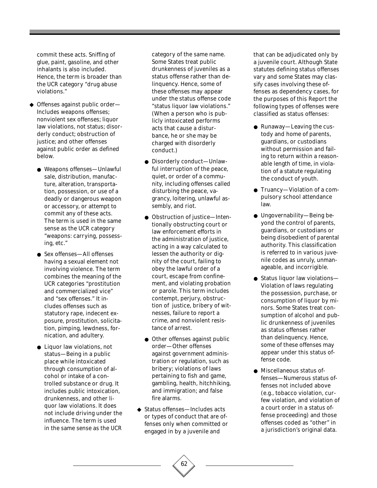commit these acts. Sniffing of glue, paint, gasoline, and other inhalants is also included. Hence, the term is broader than the *UCR* category "drug abuse violations."

- ◆ Offenses against public order— Includes weapons offenses; nonviolent sex offenses; liquor law violations, not status; disorderly conduct; obstruction of justice; and other offenses against public order as defined below.
	- Weapons offenses—Unlawful sale, distribution, manufacture, alteration, transportation, possession, or use of a deadly or dangerous weapon or accessory, or attempt to commit any of these acts. The term is used in the same sense as the *UCR* category "weapons: carrying, possessing, etc."
	- Sex offenses—All offenses having a sexual element not involving violence. The term combines the meaning of the *UCR* categories "prostitution and commercialized vice" and "sex offenses." It includes offenses such as statutory rape, indecent exposure, prostitution, solicitation, pimping, lewdness, fornication, and adultery.
	- Liquor law violations, not status—Being in a public place while intoxicated through consumption of alcohol or intake of a controlled substance or drug. It includes public intoxication, drunkenness, and other liquor law violations. It does not include driving under the influence. The term is used in the same sense as the *UCR*

category of the same name. Some States treat public drunkenness of juveniles as a status offense rather than delinquency. Hence, some of these offenses may appear under the status offense code "status liquor law violations." (When a person who is publicly intoxicated performs acts that cause a disturbance, he or she may be charged with disorderly conduct.)

- Disorderly conduct—Unlawful interruption of the peace, quiet, or order of a community, including offenses called disturbing the peace, vagrancy, loitering, unlawful assembly, and riot.
- Obstruction of justice—Intentionally obstructing court or law enforcement efforts in the administration of justice, acting in a way calculated to lessen the authority or dignity of the court, failing to obey the lawful order of a court, escape from confinement, and violating probation or parole. This term includes contempt, perjury, obstruction of justice, bribery of witnesses, failure to report a crime, and nonviolent resistance of arrest.
- Other offenses against public order—Other offenses against government administration or regulation, such as bribery; violations of laws pertaining to fish and game, gambling, health, hitchhiking, and immigration; and false fire alarms.
- ◆ Status offenses—Includes acts or types of conduct that are offenses only when committed or engaged in by a juvenile and

62

that can be adjudicated only by a juvenile court. Although State statutes defining status offenses vary and some States may classify cases involving these offenses as dependency cases, for the purposes of this Report the following types of offenses were classified as status offenses:

- Runaway—Leaving the custody and home of parents, guardians, or custodians without permission and failing to return within a reasonable length of time, in violation of a statute regulating the conduct of youth.
- Truancy-Violation of a compulsory school attendance law.
- Ungovernability—Being beyond the control of parents, guardians, or custodians or being disobedient of parental authority. This classification is referred to in various juvenile codes as unruly, unmanageable, and incorrigible.
- Status liquor law violations— Violation of laws regulating the possession, purchase, or consumption of liquor by minors. Some States treat consumption of alcohol and public drunkenness of juveniles as status offenses rather than delinquency. Hence, some of these offenses may appear under this status offense code.
- Miscellaneous status offenses—Numerous status offenses not included above (e.g., tobacco violation, curfew violation, and violation of a court order in a status offense proceeding) and those offenses coded as "other" in a jurisdiction's original data.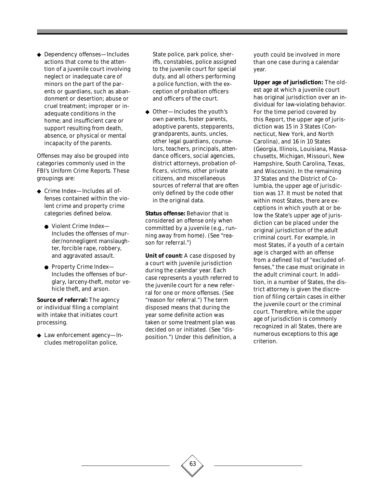◆ Dependency offenses—Includes actions that come to the attention of a juvenile court involving neglect or inadequate care of minors on the part of the parents or guardians, such as abandonment or desertion; abuse or cruel treatment; improper or inadequate conditions in the home; and insufficient care or support resulting from death, absence, or physical or mental incapacity of the parents.

Offenses may also be grouped into categories commonly used in the FBI's *Uniform Crime Reports*. These groupings are:

- ◆ Crime Index—Includes all offenses contained within the violent crime and property crime categories defined below.
	- Violent Crime Index— Includes the offenses of murder/nonnegligent manslaughter, forcible rape, robbery, and aggravated assault.
	- Property Crime Index— Includes the offenses of burglary, larceny-theft, motor vehicle theft, and arson.

**Source of referral:** The agency or individual filing a complaint with intake that initiates court processing.

◆ Law enforcement agency—Includes metropolitan police,

State police, park police, sheriffs, constables, police assigned to the juvenile court for special duty, and all others performing a police function, with the exception of probation officers and officers of the court.

◆ Other—Includes the youth's own parents, foster parents, adoptive parents, stepparents, grandparents, aunts, uncles, other legal guardians, counselors, teachers, principals, attendance officers, social agencies, district attorneys, probation officers, victims, other private citizens, and miscellaneous sources of referral that are often only defined by the code *other* in the original data.

**Status offense:** Behavior that is considered an offense only when committed by a juvenile (e.g., running away from home). (See "reason for referral.")

**Unit of count:** A case disposed by a court with juvenile jurisdiction during the calendar year. Each case represents a youth referred to the juvenile court for a new referral for one or more offenses. (See "reason for referral.") The term disposed means that during the year some definite action was taken or some treatment plan was decided on or initiated. (See "disposition.") Under this definition, a

youth could be involved in more than one case during a calendar year.

**Upper age of jurisdiction:** The oldest age at which a juvenile court has original jurisdiction over an individual for law-violating behavior. For the time period covered by this Report, the upper age of jurisdiction was 15 in 3 States (Connecticut, New York, and North Carolina), and 16 in 10 States (Georgia, Illinois, Louisiana, Massachusetts, Michigan, Missouri, New Hampshire, South Carolina, Texas, and Wisconsin). In the remaining 37 States and the District of Columbia, the upper age of jurisdiction was 17. It must be noted that within most States, there are exceptions in which youth at or below the State's upper age of jurisdiction can be placed under the original jurisdiction of the adult criminal court. For example, in most States, if a youth of a certain age is charged with an offense from a defined list of "excluded offenses," the case must originate in the adult criminal court. In addition, in a number of States, the district attorney is given the discretion of filing certain cases in either the juvenile court or the criminal court. Therefore, while the upper age of jurisdiction is commonly recognized in all States, there are numerous exceptions to this age criterion.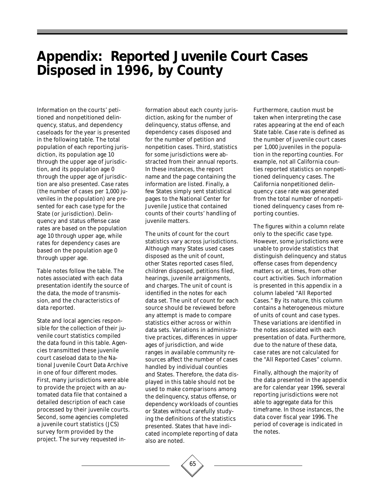# **Appendix: Reported Juvenile Court Cases Disposed in 1996, by County**

Information on the courts' petitioned and nonpetitioned delinquency, status, and dependency caseloads for the year is presented in the following table. The total population of each reporting jurisdiction, its population age 10 through the upper age of jurisdiction, and its population age 0 through the upper age of jurisdiction are also presented. Case rates (the number of cases per 1,000 juveniles in the population) are presented for each case type for the State (or jurisdiction). Delinquency and status offense case rates are based on the population age 10 through upper age, while rates for dependency cases are based on the population age 0 through upper age.

Table notes follow the table. The notes associated with each data presentation identify the source of the data, the mode of transmission, and the characteristics of data reported.

State and local agencies responsible for the collection of their juvenile court statistics compiled the data found in this table. Agencies transmitted these juvenile court caseload data to the National Juvenile Court Data Archive in one of four different modes. First, many jurisdictions were able to provide the project with an automated data file that contained a detailed description of each case processed by their juvenile courts. Second, some agencies completed a juvenile court statistics (JCS) survey form provided by the project. The survey requested in-

formation about each county jurisdiction, asking for the number of delinquency, status offense, and dependency cases disposed and for the number of petition and nonpetition cases. Third, statistics for some jurisdictions were abstracted from their annual reports. In these instances, the report name and the page containing the information are listed. Finally, a few States simply sent statistical pages to the National Center for Juvenile Justice that contained counts of their courts' handling of juvenile matters.

The units of count for the court statistics vary across jurisdictions. Although many States used cases disposed as the unit of count, other States reported cases filed, children disposed, petitions filed, hearings, juvenile arraignments, and charges. The unit of count is identified in the notes for each data set. The unit of count for each source should be reviewed before any attempt is made to compare statistics either across or within data sets. Variations in administrative practices, differences in upper ages of jurisdiction, and wide ranges in available community resources affect the number of cases handled by individual counties and States. Therefore, the data displayed in this table should not be used to make comparisons among the delinquency, status offense, or dependency workloads of counties or States without carefully studying the definitions of the statistics presented. States that have indicated incomplete reporting of data also are noted.

Furthermore, caution must be taken when interpreting the case rates appearing at the end of each State table. Case rate is defined as the number of juvenile court cases per 1,000 juveniles in the population in the reporting counties. For example, not all California counties reported statistics on nonpetitioned delinquency cases. The California nonpetitioned delinquency case rate was generated from the total number of nonpetitioned delinquency cases from reporting counties.

The figures within a column relate only to the specific case type. However, some jurisdictions were unable to provide statistics that distinguish delinquency and status offense cases from dependency matters or, at times, from other court activities. Such information is presented in this appendix in a column labeled "All Reported Cases." By its nature, this column contains a heterogeneous mixture of units of count and case types. These variations are identified in the notes associated with each presentation of data. Furthermore, due to the nature of these data, case rates are not calculated for the "All Reported Cases" column.

Finally, although the majority of the data presented in the appendix are for calendar year 1996, several reporting jurisdictions were not able to aggregate data for this timeframe. In those instances, the data cover fiscal year 1996. The period of coverage is indicated in the notes.

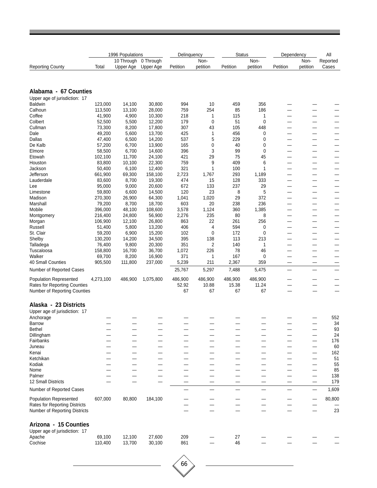|                                     |                   | 1996 Populations<br>10 Through | 0 Through        | Delinquency  | Non-      | <b>Status</b>  | Non-     | Dependency | Non-     | All<br>Reported               |
|-------------------------------------|-------------------|--------------------------------|------------------|--------------|-----------|----------------|----------|------------|----------|-------------------------------|
| <b>Reporting County</b>             | Total             | Upper Age                      | Upper Age        | Petition     | petition  | Petition       | petition | Petition   | petition | Cases                         |
|                                     |                   |                                |                  |              |           |                |          |            |          |                               |
| Alabama - 67 Counties               |                   |                                |                  |              |           |                |          |            |          |                               |
| Upper age of jurisdiction: 17       |                   |                                |                  |              |           |                |          |            |          |                               |
| <b>Baldwin</b>                      | 123,000           | 14,100                         | 30,800           | 994          | 10        | 459            | 356      |            |          |                               |
| Calhoun                             | 113,500           | 13,100                         | 28,000           | 759          | 254       | 85             | 186      |            |          |                               |
| Coffee<br>Colbert                   | 41,900<br>52,500  | 4,900<br>5,500                 | 10,300<br>12,200 | 218<br>179   | 1<br>0    | 115<br>51      | 1<br>0   |            |          | —                             |
| Cullman                             | 73,300            | 8,200                          | 17,800           | 307          | 43        | 105            | 448      |            |          |                               |
| Dale                                | 49,200            | 5,600                          | 13,700           | 425          | 1         | 456            | 0        |            |          |                               |
| Dallas                              | 47,400            | 6,500                          | 14,200           | 537          | 5         | 229            | 0        |            |          |                               |
| De Kalb                             | 57,200            | 6,700                          | 13,900           | 165          | 0         | 40             | 0        |            |          | —                             |
| Elmore<br>Etowah                    | 58,500<br>102,100 | 6,700<br>11,700                | 14,600<br>24,100 | 396<br>421   | 3<br>29   | 99<br>75       | 0<br>45  | --         |          | $\overline{\phantom{0}}$      |
| Houston                             | 83,800            | 10,100                         | 22,300           | 759          | 9         | 409            | 6        |            |          |                               |
| Jackson                             | 50,400            | 6,100                          | 12,400           | 321          | 1         | 100            | 1        |            |          |                               |
| Jefferson                           | 661,900           | 69,300                         | 158,100          | 2,723        | 1,767     | 293            | 1,189    |            |          |                               |
| Lauderdale                          | 83,600            | 8,700                          | 19,300           | 474          | 15        | 128            | 333      |            |          |                               |
| Lee<br>Limestone                    | 95,000<br>59,800  | 9,000<br>6,600                 | 20,600<br>14,500 | 672<br>120   | 133<br>23 | 237<br>8       | 29<br>5  |            |          | $\overline{\phantom{0}}$<br>— |
| Madison                             | 270,300           | 26,900                         | 64,300           | 1,041        | 1,020     | 29             | 372      |            |          |                               |
| Marshall                            | 79,200            | 8,700                          | 18,700           | 603          | 20        | 238            | 236      |            |          |                               |
| Mobile                              | 396,000           | 48,100                         | 108,600          | 3,578        | 1,124     | 360            | 1,385    |            |          |                               |
| Montgomery                          | 216,400           | 24,800                         | 56,900           | 2,276        | 235       | 80             | 8        |            |          |                               |
| Morgan<br>Russell                   | 106,900<br>51,400 | 12,100<br>5,800                | 26,800<br>13,200 | 863<br>406   | 22<br>4   | 261<br>594     | 256<br>0 | —          |          | $\overline{\phantom{0}}$      |
| St. Clair                           | 59,200            | 6,900                          | 15,200           | 102          | 0         | 172            | 0        |            |          |                               |
| Shelby                              | 130,200           | 14,200                         | 34,500           | 395          | 138       | 113            | 213      |            |          |                               |
| Talladega                           | 76,400            | 9,800                          | 20,300           | 351          | 2         | 140            | 1        |            |          |                               |
| Tuscaloosa                          | 158,800           | 16,700                         | 36,700           | 1,072        | 226       | 78             | 46       |            |          |                               |
| Walker<br>40 Small Counties         | 69,700<br>905,500 | 8,200<br>111,800               | 16,900           | 371<br>5,239 | 1<br>211  | 167            | 0<br>359 |            |          |                               |
| Number of Reported Cases            |                   |                                | 237,000          | 25,767       | 5,297     | 2,367<br>7,488 | 5,475    |            |          | —<br>$\overline{\phantom{0}}$ |
| <b>Population Represented</b>       | 4,273,100         | 486,900                        | 1,075,800        | 486,900      | 486,900   | 486,900        | 486,900  |            |          |                               |
| <b>Rates for Reporting Counties</b> |                   |                                |                  | 52.92        | 10.88     | 15.38          | 11.24    |            |          |                               |
| Number of Reporting Counties        |                   |                                |                  | 67           | 67        | 67             | 67       |            |          |                               |
| Alaska - 23 Districts               |                   |                                |                  |              |           |                |          |            |          |                               |
| Upper age of jurisdiction: 17       |                   |                                |                  |              |           |                |          |            |          |                               |
| Anchorage                           |                   |                                |                  |              |           |                |          |            |          | 552                           |
| Barrow<br><b>Bethel</b>             |                   |                                |                  |              |           |                |          |            |          | 34<br>93                      |
| Dillingham                          |                   |                                |                  |              |           |                |          |            |          | 24                            |
| Fairbanks                           |                   |                                |                  |              |           |                |          |            |          | 176                           |
| Juneau                              |                   |                                |                  |              |           |                |          |            |          | 60                            |
| Kenai                               |                   |                                |                  |              |           |                |          |            |          | 162                           |
| Ketchikan<br>Kodiak                 |                   |                                |                  |              |           |                |          |            |          | 51<br>55                      |
| Nome                                |                   |                                |                  |              |           |                |          |            |          | 85                            |
| Palmer                              |                   |                                |                  |              |           |                |          |            |          | 138                           |
| 12 Small Districts                  |                   |                                |                  | -            | -         | —              |          |            | —        | 179                           |
| Number of Reported Cases            |                   |                                |                  |              | -         |                | —        |            |          | 1,609                         |
| Population Represented              | 607,000           | 80,800                         | 184,100          |              |           |                |          |            |          | 80,800                        |
| Rates for Reporting Districts       |                   |                                |                  |              |           |                |          |            |          |                               |
| Number of Reporting Districts       |                   |                                |                  |              |           |                |          |            |          | 23                            |
| Arizona - 15 Counties               |                   |                                |                  |              |           |                |          |            |          |                               |
| Upper age of jurisdiction: 17       |                   |                                |                  |              |           |                |          |            |          |                               |
| Apache                              | 69,100            | 12,100                         | 27,600           | 209          |           | 27             |          |            |          |                               |
| Cochise                             | 110,400           | 13,700                         | 30,100           | 861          |           | 46             |          |            |          |                               |
|                                     |                   |                                |                  |              |           |                |          |            |          |                               |
|                                     |                   |                                |                  | 66           |           |                |          |            |          |                               |
|                                     |                   |                                |                  |              |           |                |          |            |          |                               |
|                                     |                   |                                |                  |              |           |                |          |            |          |                               |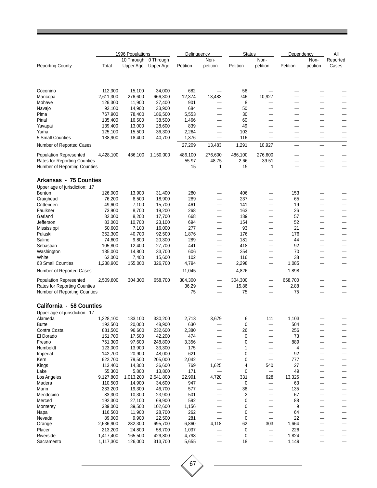|                                     |                    | 1996 Populations        |                        | Delinguency  |                          | <b>Status</b>                 |                               | Dependency   |                   | All               |
|-------------------------------------|--------------------|-------------------------|------------------------|--------------|--------------------------|-------------------------------|-------------------------------|--------------|-------------------|-------------------|
| <b>Reporting County</b>             | Total              | 10 Through<br>Upper Age | 0 Through<br>Upper Age | Petition     | Non-<br>petition         | Petition                      | Non-<br>petition              | Petition     | Non-<br>petition  | Reported<br>Cases |
|                                     |                    |                         |                        |              |                          |                               |                               |              |                   |                   |
| Coconino                            | 112,300            | 15,100                  | 34,000                 | 682          |                          | 56                            |                               |              |                   |                   |
| Maricopa                            | 2,611,300          | 276,600                 | 666,300                | 12,374       | 13,483                   | 746                           | 10,927                        |              |                   |                   |
| Mohave                              | 126,300            | 11,900                  | 27,400                 | 901          |                          | 8                             |                               |              |                   |                   |
| Navajo                              | 92,100             | 14,900                  | 33,900                 | 684          |                          | 50                            | —                             |              |                   |                   |
| Pima                                | 767,900            | 78,400                  | 186,500                | 5,553        |                          | 30                            |                               |              |                   |                   |
| Pinal                               | 135,400            | 16,500                  | 38,500                 | 1,466        |                          | 60                            |                               |              |                   |                   |
| Yavapai<br>Yuma                     | 139,400<br>125,100 | 13,000<br>15,500        | 28,600<br>36,300       | 839<br>2,264 |                          | 49<br>103                     | -                             |              |                   |                   |
| 5 Small Counties                    | 138,900            | 18,400                  | 40,700                 | 1,376        |                          | 116                           |                               |              |                   |                   |
| Number of Reported Cases            |                    |                         |                        | 27,209       | 13,483                   | 1,291                         | 10,927                        |              |                   |                   |
| <b>Population Represented</b>       | 4,428,100          | 486,100                 | 1,150,000              | 486,100      | 276,600                  | 486,100                       | 276,600                       |              |                   |                   |
| <b>Rates for Reporting Counties</b> |                    |                         |                        | 55.97        | 48.75                    | 2.66                          | 39.51                         |              |                   |                   |
| Number of Reporting Counties        |                    |                         |                        | 15           | 1                        | 15                            | 1                             |              |                   |                   |
|                                     |                    |                         |                        |              |                          |                               |                               |              |                   |                   |
| Arkansas - 75 Counties              |                    |                         |                        |              |                          |                               |                               |              |                   |                   |
| Upper age of jurisdiction: 17       |                    |                         |                        |              |                          |                               |                               |              |                   |                   |
| Benton                              | 126,000            | 13,900                  | 31,400                 | 280          |                          | 406                           |                               | 153          |                   |                   |
| Craighead<br>Crittenden             | 76,200<br>49,600   | 8,500<br>7,100          | 18,900<br>15,700       | 289<br>461   |                          | 237<br>141                    | $\overline{\phantom{0}}$      | 65<br>19     |                   |                   |
| Faulkner                            | 73,900             | 8,700                   | 19,200                 | 268          |                          | 163                           |                               | 26           |                   |                   |
| Garland                             | 82,000             | 8,200                   | 17,700                 | 668          | —                        | 189                           | —                             | 57           |                   | —                 |
| Jefferson                           | 83,000             | 10,700                  | 23,100                 | 694          | —                        | 154                           | —                             | 52           |                   |                   |
| Mississippi                         | 50,600             | 7,100                   | 16,000                 | 277          |                          | 93                            |                               | 21           |                   |                   |
| Pulaski                             | 352,300            | 40,700                  | 92,500                 | 1,876        |                          | 176                           | —                             | 176          |                   |                   |
| Saline                              | 74,600             | 9,800                   | 20,300                 | 289          |                          | 181                           |                               | 44           |                   |                   |
| Sebastian                           | 105,800            | 12,400                  | 27,700                 | 441          | $\overline{\phantom{0}}$ | 418                           |                               | 92           |                   |                   |
| Washington                          | 135,000            | 14,800                  | 33,700                 | 606          | —                        | 254                           | —                             | 70           | —                 | —                 |
| White                               | 62,000             | 7,400                   | 15,600                 | 102          | —                        | 116                           | —                             | 38           | —                 | —                 |
| 63 Small Counties                   | 1,238,900          | 155,000                 | 326,700                | 4,794        |                          | 2,298                         |                               | 1,085        |                   |                   |
| Number of Reported Cases            |                    |                         |                        | 11,045       |                          | 4,826                         |                               | 1,898        |                   |                   |
| <b>Population Represented</b>       | 2,509,800          | 304,300                 | 658,700                | 304,300      |                          | 304,300                       | —                             | 658,700      |                   |                   |
| <b>Rates for Reporting Counties</b> |                    |                         |                        | 36.29        |                          | 15.86                         | —                             | 2.88         |                   |                   |
| Number of Reporting Counties        |                    |                         |                        | 75           |                          | 75                            |                               | 75           |                   |                   |
| California - 58 Counties            |                    |                         |                        |              |                          |                               |                               |              |                   |                   |
| Upper age of jurisdiction: 17       |                    |                         |                        |              |                          |                               |                               |              |                   |                   |
| Alameda<br><b>Butte</b>             | 1,328,100          | 133,100<br>20,000       | 330,200<br>48,900      | 2,713<br>630 | 3,679                    | 6<br>$\pmb{0}$                | 111                           | 1,103<br>504 |                   |                   |
| Contra Costa                        | 192,500<br>881,500 | 96,600                  | 232,600                | 2,380        |                          | 26                            |                               | 256          |                   |                   |
| El Dorado                           | 151,700            | 17,500                  | 42,200                 | 474          |                          | $\pmb{0}$                     |                               | 73           |                   |                   |
| Fresno                              | 751,300            | 97,600                  | 248,800                | 3,356        |                          | $\pmb{0}$                     | $\overline{\phantom{0}}$      | 889          |                   | —                 |
| Humboldt                            | 123,000            | 13,900                  | 33,300                 | 175          |                          | 1                             |                               | 4            |                   |                   |
| Imperial                            | 142,700            | 20,900                  | 48,000                 | 621          | —                        | 0                             | $\overline{\phantom{0}}$      | 92           |                   |                   |
| Kern                                | 622,700            | 79,500                  | 205,000                | 2,042        | —                        | $\pmb{0}$                     | $\equiv$                      | 777          |                   |                   |
| Kings                               | 113,400            | 14,300                  | 36,600                 | 769          | 1,625                    | 4                             | 540                           | 27           |                   |                   |
| Lake                                | 55,300             | 5,800                   | 13,800                 | 171          |                          | 0                             | —                             | 49           |                   |                   |
| Los Angeles                         | 9,127,800          | 1,013,200               | 2,541,800              | 22,991       | 4,720                    | 331                           | 628                           | 13,326       |                   |                   |
| Madera                              | 110,500            | 14,900                  | 34,600                 | 947          |                          | 0                             | —                             | 63           |                   |                   |
| Marin<br>Mendocino                  | 233,200<br>83,300  | 19,300<br>10,300        | 46,700<br>23,900       | 577<br>501   |                          | 36<br>$\overline{\mathbf{c}}$ | —<br>$\overline{\phantom{0}}$ | 135<br>67    |                   |                   |
| Merced                              | 192,300            | 27,100                  | 69,900                 | 592          | —                        | 0                             | —                             | 88           |                   |                   |
| Monterey                            | 339,000            | 39,500                  | 102,600                | 1,156        |                          | 0                             | —                             | 9            |                   |                   |
| Napa                                | 116,500            | 11,900                  | 28,700                 | 262          | —                        | $\mathbf 0$                   |                               | 64           |                   | —                 |
| Nevada                              | 89,000             | 9,900                   | 22,500                 | 281          | $\overline{\phantom{0}}$ | $\pmb{0}$                     | $\overline{\phantom{0}}$      | 22           |                   |                   |
| Orange                              | 2,636,900          | 282,300                 | 695,700                | 6,860        | 4,118                    | 62                            | 303                           | 1,664        |                   |                   |
| Placer                              | 213,200            | 24,800                  | 58,700                 | 1,037        |                          | 0                             |                               | 226          |                   |                   |
| Riverside                           | 1,417,400          | 165,500                 | 429,800                | 4,798        |                          | 0                             |                               | 1,824        |                   |                   |
| Sacramento                          | 1,117,300          | 126,000                 | 313,700                | 5,655        | $\overline{\phantom{0}}$ | 18                            | $\overline{\phantom{0}}$      | 1,149        | $\qquad \qquad -$ | —                 |

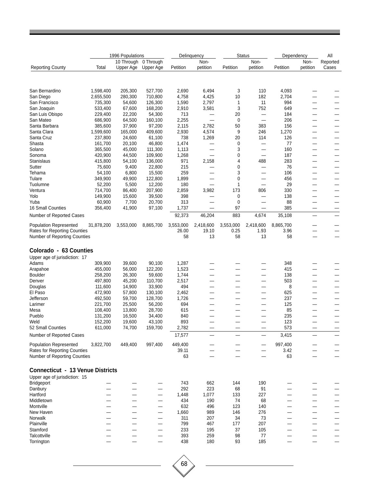|                                                      |            | 1996 Populations |           |                 | Delinguency              |                          | <b>Status</b>                     | Dependency    |                                                      | All                      |
|------------------------------------------------------|------------|------------------|-----------|-----------------|--------------------------|--------------------------|-----------------------------------|---------------|------------------------------------------------------|--------------------------|
|                                                      |            | 10 Through       | 0 Through |                 | Non-                     |                          | Non-                              |               | Non-                                                 | Reported                 |
| <b>Reporting County</b>                              | Total      | Upper Age        | Upper Age | Petition        | petition                 | Petition                 | petition                          | Petition      | petition                                             | Cases                    |
|                                                      |            |                  |           |                 |                          |                          |                                   |               |                                                      |                          |
| San Bernardino                                       | 1,598,400  | 205,300          | 527,700   | 2,690           | 6,494                    | 3                        | 110                               | 4,093         |                                                      |                          |
| San Diego                                            | 2,655,500  | 280,300          | 710,800   | 4,758           | 4,425                    | 10                       | 182                               | 2,704         |                                                      |                          |
| San Francisco                                        | 735,300    | 54,600           | 126,300   | 1,590           | 2,797                    | 1                        | 11                                | 994           | _                                                    | $\overline{\phantom{a}}$ |
| San Joaquin                                          | 533,400    | 67,600           | 168,200   | 2,910           | 3,581                    | 3                        | 752                               | 649           |                                                      |                          |
| San Luis Obispo                                      | 229,400    | 22,200           | 54,300    | 713             |                          | 20                       |                                   | 184           |                                                      |                          |
| San Mateo                                            | 686,900    | 64,500           | 160,100   | 2,255           | $\equiv$                 | 0                        | $\overline{\phantom{0}}$          | 206           |                                                      |                          |
| Santa Barbara                                        | 385,600    | 37,900           | 97,200    | 2,115           | 2,782                    | 50                       | 383                               | 156           | —                                                    |                          |
| Santa Clara                                          | 1,599,600  | 165,000          | 409,600   | 2,930           | 4,574                    | 9                        | 246                               | 1,270         |                                                      |                          |
| Santa Cruz                                           | 237,800    | 24,600           | 61,100    | 738             | 1,269                    | 20                       | 114                               | 126           | —                                                    | —                        |
| Shasta                                               | 161,700    | 20,100           | 46,800    | 1,474           | —                        | 0                        |                                   | 77            | —                                                    |                          |
| Solano                                               | 365,500    | 45,000           | 111,300   | 1,113           | $\overline{\phantom{0}}$ | 3                        | $\overline{\phantom{0}}$          | 160           |                                                      |                          |
| Sonoma                                               | 420,900    | 44,500           | 109,900   | 1,268           | —                        | 0                        | $\overline{\phantom{0}}$          | 187           | —                                                    | —                        |
| Stanislaus                                           | 415,800    | 54,100           | 136,000   | 971             | 2,158                    | 4                        | 488                               | 283           |                                                      |                          |
| Sutter                                               | 75,600     | 9,400            | 22,800    | 215             | $\overline{\phantom{0}}$ | 0                        |                                   | 76            | —                                                    |                          |
| Tehama                                               | 54,100     | 6,800            | 15,500    | 259             | $\overline{\phantom{0}}$ | 3                        | —                                 | 106           | -                                                    |                          |
| Tulare                                               | 349,900    | 49,900           | 122,800   | 1,899           | $\overline{\phantom{0}}$ | 0                        | —                                 | 456           | -                                                    |                          |
| Tuolumne                                             | 52,200     | 5,500            | 12,200    | 180             | —                        | 1                        | $\overline{\phantom{0}}$          | 29            |                                                      |                          |
| Ventura                                              | 714,700    | 86,400           | 207,900   | 2,859           | 3,982                    | 173                      | 806                               | 330           |                                                      |                          |
| Yolo                                                 | 149,900    | 15,600           | 39,500    | 398             |                          | 0                        | —                                 | 138           | —                                                    |                          |
| Yuba                                                 | 60,900     | 7,700            | 20,700    | 313             |                          | 0                        |                                   | 88            |                                                      |                          |
| <b>16 Small Counties</b><br>Number of Reported Cases | 356,400    | 41,900           | 97,100    | 1,737<br>92,373 | —<br>46,204              | 97<br>883                | $\overline{\phantom{0}}$<br>4,674 | 385<br>35,108 | $\overline{\phantom{0}}$<br>$\overline{\phantom{0}}$ | —<br>—                   |
| <b>Population Represented</b>                        | 31,878,200 | 3,553,000        | 8,865,700 | 3,553,000       | 2,418,600                | 3,553,000                | 2,418,600                         | 8,865,700     |                                                      |                          |
| <b>Rates for Reporting Counties</b>                  |            |                  |           | 26.00           | 19.10                    | 0.25                     | 1.93                              | 3.96          |                                                      |                          |
| Number of Reporting Counties                         |            |                  |           | 58              | 13                       | 58                       | 13                                | 58            | -                                                    |                          |
| Colorado - 63 Counties                               |            |                  |           |                 |                          |                          |                                   |               |                                                      |                          |
| Upper age of jurisdiction: 17                        |            |                  |           |                 |                          |                          |                                   |               |                                                      |                          |
| Adams                                                | 309,900    | 39,600           | 90,100    | 1,287           |                          |                          |                                   | 348           |                                                      |                          |
| Arapahoe                                             | 455,000    | 56,000           | 122,200   | 1,523           | —                        | $\overline{\phantom{0}}$ | $\overline{\phantom{0}}$          | 415           |                                                      |                          |
| Boulder                                              | 258,200    | 26,300           | 59,600    | 1,744           | —                        | —                        | —                                 | 138           | —                                                    |                          |
| Denver                                               | 497,800    | 45,200           | 110,700   | 2,517           | —                        | —                        | —                                 | 503           |                                                      |                          |
| Douglas                                              | 111,600    | 14,900           | 33,900    | 494             | —                        |                          |                                   | 8             |                                                      |                          |
| El Paso                                              | 472,900    | 57,800           | 130,100   | 2,462           | —                        | -                        | —                                 | 625           | —                                                    |                          |
| Jefferson                                            | 492,500    | 59,700           | 128,700   | 1,726           | —                        | —                        | —                                 | 237           | —                                                    |                          |
| Larimer                                              | 221,700    | 25,500           | 56,200    | 694             | —                        | —                        |                                   | 125           | —                                                    |                          |
| Mesa                                                 | 108,400    | 13,800           | 28,700    | 615             | —                        |                          |                                   | 85            |                                                      |                          |
| Pueblo                                               | 131,200    | 16,500           | 34,400    | 840             |                          |                          | -                                 | 235           |                                                      |                          |
| Weld                                                 | 152,200    | 19,600           | 43,100    | 893             |                          |                          |                                   | 123           |                                                      |                          |
| 52 Small Counties                                    | 611,000    | 74,700           | 159,700   | 2,782           |                          |                          |                                   | 573           |                                                      |                          |
| Number of Reported Cases                             |            |                  |           | 17,577          |                          |                          |                                   | 3,415         |                                                      |                          |
| <b>Population Represented</b>                        | 3,822,700  | 449,400          | 997,400   | 449,400         |                          |                          |                                   | 997,400       |                                                      |                          |
| Rates for Reporting Counties                         |            |                  |           | 39.11           |                          |                          |                                   | 3.42          |                                                      |                          |
| Number of Reporting Counties                         |            |                  |           | 63              |                          |                          |                                   | 63            |                                                      |                          |
| <b>Connecticut - 13 Venue Districts</b>              |            |                  |           |                 |                          |                          |                                   |               |                                                      |                          |
| Upper age of jurisdiction: 15                        |            |                  |           |                 |                          |                          |                                   |               |                                                      |                          |
| Bridgeport                                           |            |                  |           | 743             | 662                      | 144                      | 190                               |               |                                                      |                          |
| Danbury                                              |            |                  |           | 292             | 223                      | 68                       | 91                                |               |                                                      |                          |
| Hartford                                             |            |                  |           | 1,448           | 1,077                    | 133                      | 227                               |               |                                                      |                          |
| Middletown                                           |            |                  | —         | 434             | 190                      | 74                       | 68                                |               |                                                      |                          |
| Montville                                            |            |                  |           | 632             | 496                      | 123                      | 140                               |               |                                                      |                          |
| New Haven                                            |            |                  |           | 1,660           | 989                      | 146                      | 276                               |               |                                                      |                          |
| Norwalk                                              |            |                  |           | 311             | 207                      | 34                       | 73                                |               |                                                      |                          |
| Plainville                                           |            |                  |           | 799             | 467                      | 177                      | 207                               |               |                                                      |                          |
| Stamford                                             |            |                  |           | 233             | 195                      | 37                       | 105                               |               |                                                      |                          |
| Talcottville                                         |            |                  |           | 393             | 259                      | 98                       | 77                                |               |                                                      |                          |
| Torrington                                           |            |                  |           | 438             | 180                      | 93                       | 185                               |               |                                                      |                          |

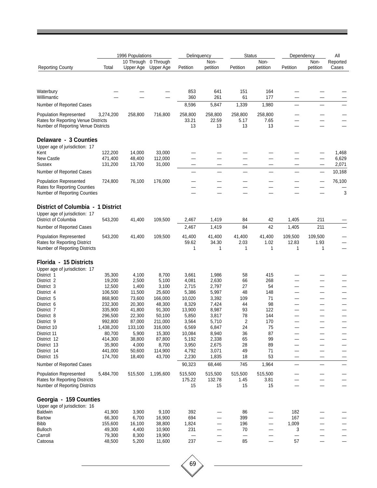|                                                                    |                     | 1996 Populations |                   | Delinguency              |                          | <b>Status</b>  |                | Dependency               |                          | All      |
|--------------------------------------------------------------------|---------------------|------------------|-------------------|--------------------------|--------------------------|----------------|----------------|--------------------------|--------------------------|----------|
|                                                                    |                     | 10 Through       | 0 Through         |                          | Non-                     |                | Non-           |                          | Non-                     | Reported |
| <b>Reporting County</b>                                            | Total               | Upper Age        | Upper Age         | Petition                 | petition                 | Petition       | petition       | Petition                 | petition                 | Cases    |
|                                                                    |                     |                  |                   |                          |                          |                |                |                          |                          |          |
|                                                                    |                     |                  |                   |                          |                          |                |                |                          |                          |          |
| Waterbury                                                          |                     |                  |                   | 853                      | 641                      | 151            | 164            |                          |                          |          |
| Willimantic                                                        |                     |                  |                   | 360                      | 261                      | 61             | 177            |                          |                          |          |
| Number of Reported Cases                                           |                     |                  |                   | 8,596                    | 5,847                    | 1,339          | 1,980          |                          |                          |          |
| <b>Population Represented</b>                                      | 3,274,200           | 258,800          | 716,800           | 258,800                  | 258,800                  | 258,800        | 258,800        |                          |                          |          |
| Rates for Reporting Venue Districts                                |                     |                  |                   | 33.21                    | 22.59                    | 5.17           | 7.65           |                          |                          |          |
| Number of Reporting Venue Districts                                |                     |                  |                   | 13                       | 13                       | 13             | 13             |                          |                          |          |
| Delaware - 3 Counties                                              |                     |                  |                   |                          |                          |                |                |                          |                          |          |
| Upper age of jurisdiction: 17                                      |                     |                  |                   |                          |                          |                |                |                          |                          |          |
| Kent                                                               | 122,200             | 14,000           | 33,000            |                          |                          |                |                |                          |                          | 1,468    |
| <b>New Castle</b>                                                  | 471,400             | 48,400           | 112,000           |                          |                          |                |                |                          |                          | 6,629    |
| Sussex                                                             | 131,200             | 13,700           | 31,000            |                          | —                        | —              | -              |                          | —                        | 2,071    |
| Number of Reported Cases                                           |                     |                  |                   |                          |                          |                |                |                          | $\overline{\phantom{0}}$ | 10,168   |
| <b>Population Represented</b>                                      | 724,800             | 76,100           | 176,000           |                          |                          |                |                |                          | $\overline{\phantom{0}}$ | 76,100   |
| Rates for Reporting Counties                                       |                     |                  |                   | $\overline{\phantom{a}}$ | —                        | -              |                |                          | —                        |          |
| Number of Reporting Counties                                       |                     |                  |                   |                          |                          |                |                |                          |                          | 3        |
|                                                                    |                     |                  |                   |                          |                          |                |                |                          |                          |          |
| District of Columbia - 1 District<br>Upper age of jurisdiction: 17 |                     |                  |                   |                          |                          |                |                |                          |                          |          |
| District of Columbia                                               | 543,200             | 41,400           | 109,500           | 2,467                    | 1,419                    | 84             | 42             | 1,405                    | 211                      |          |
| Number of Reported Cases                                           |                     |                  |                   | 2,467                    | 1,419                    | 84             | 42             | 1,405                    | 211                      |          |
|                                                                    |                     |                  |                   |                          |                          |                |                |                          |                          |          |
| <b>Population Represented</b><br>Rates for Reporting District      | 543,200             | 41,400           | 109,500           | 41,400<br>59.62          | 41,400<br>34.30          | 41,400<br>2.03 | 41,400<br>1.02 | 109,500<br>12.83         | 109,500<br>1.93          |          |
| Number of Reporting Districts                                      |                     |                  |                   | 1                        | 1                        | 1              | 1              | 1                        | 1                        |          |
|                                                                    |                     |                  |                   |                          |                          |                |                |                          |                          |          |
| Florida - 15 Districts                                             |                     |                  |                   |                          |                          |                |                |                          |                          |          |
| Upper age of jurisdiction: 17                                      |                     |                  |                   |                          |                          |                |                |                          |                          |          |
| District 1                                                         | 35,300              | 4,100            | 8,700             | 3,661                    | 1,986                    | 58             | 415            |                          |                          |          |
| District 2                                                         | 19,200              | 2,500            | 5,100             | 4,081                    | 2,630                    | 66             | 268            |                          |                          |          |
| District 3<br>District 4                                           | 12,500<br>106,500   | 1,400<br>11,500  | 3,100<br>25,600   | 2,715<br>5,386           | 2,797<br>5,997           | 27<br>48       | 54<br>148      |                          |                          |          |
| District 5                                                         | 868,900             | 73,600           | 166,000           | 10,020                   | 3,392                    | 109            | 71             |                          | —                        | —        |
| District 6                                                         | 232,300             | 20,300           | 48,300            | 8,329                    | 7,424                    | 44             | 98             |                          |                          |          |
| District 7                                                         | 335,900             | 41,800           | 91,300            | 13,900                   | 8,987                    | 93             | 122            |                          |                          |          |
| District 8                                                         | 296,500             | 22,300           | 50,100            | 5,850                    | 3,817                    | 78             | 144            |                          |                          |          |
| District 9                                                         | 992,800             | 87,000           | 211,000           | 3,564                    | 5,710                    | 2              | 170            |                          |                          |          |
| District 10<br>District 11                                         | 1,438,200<br>80,700 | 133,100<br>5,900 | 316,000<br>15,300 | 6,569<br>10,084          | 6,847<br>8,940           | 24<br>36       | 75<br>87       |                          |                          |          |
| District 12                                                        | 414,300             | 38,800           | 87,800            | 5,192                    | 2,338                    | 65             | 99             |                          |                          |          |
| District 13                                                        | 35,900              | 4,000            | 8,700             | 3,950                    | 2,675                    | 28             | 89             |                          |                          |          |
| District 14                                                        | 441,000             | 50,600           | 114,900           | 4,792                    | 3,071                    | 49             | 71             |                          |                          |          |
| District 15                                                        | 174,700             | 18,400           | 43,700            | 2,230                    | 1,835                    | 18             | 53             | $\qquad \qquad -$        | —                        |          |
| Number of Reported Cases                                           |                     |                  |                   | 90,323                   | 68,446                   | 745            | 1,964          | $\overline{\phantom{0}}$ | —                        |          |
| <b>Population Represented</b>                                      | 5,484,700           | 515,500          | 1,195,600         | 515,500                  | 515,500                  | 515,500        | 515,500        |                          |                          |          |
| Rates for Reporting Districts                                      |                     |                  |                   | 175.22                   | 132.78                   | 1.45           | 3.81           |                          |                          |          |
| Number of Reporting Districts                                      |                     |                  |                   | 15                       | 15                       | 15             | 15             |                          |                          |          |
| Georgia - 159 Counties                                             |                     |                  |                   |                          |                          |                |                |                          |                          |          |
| Upper age of jurisdiction: 16                                      |                     |                  |                   |                          |                          |                |                |                          |                          |          |
| <b>Baldwin</b>                                                     | 41,900              | 3,900            | 9,100             | 392                      |                          | 86             |                | 182                      |                          |          |
| Bartow                                                             | 66,300              | 6,700            | 16,900            | 694                      |                          | 399            |                | 167                      |                          |          |
| <b>Bibb</b>                                                        | 155,600             | 16,100           | 38,800            | 1,824                    | —                        | 196            | —              | 1,009                    |                          |          |
| <b>Bulloch</b>                                                     | 49,300              | 4,400            | 10,900            | 231                      | $\overline{\phantom{0}}$ | 70             | —              | 3                        |                          |          |
| Carroll<br>Catoosa                                                 | 79,300<br>48,500    | 8,300<br>5,200   | 19,900<br>11,600  | $\equiv$<br>237          | $\overline{\phantom{0}}$ | 85             |                | 57                       | $\overline{\phantom{0}}$ |          |
|                                                                    |                     |                  |                   |                          |                          |                |                |                          |                          |          |

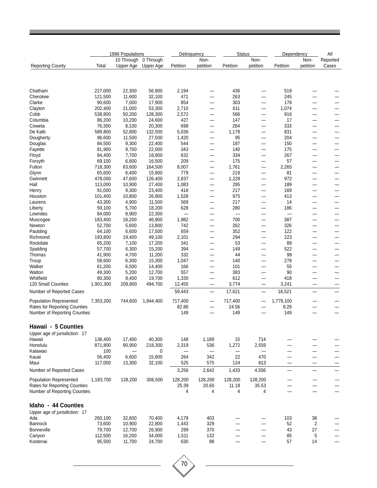|                                     |                   | 1996 Populations |                   | Delinquency              |                          | <b>Status</b>            |                                                      | Dependency               |                          | All      |
|-------------------------------------|-------------------|------------------|-------------------|--------------------------|--------------------------|--------------------------|------------------------------------------------------|--------------------------|--------------------------|----------|
|                                     |                   | 10 Through       | 0 Through         |                          | Non-                     |                          | Non-                                                 |                          | Non-                     | Reported |
| <b>Reporting County</b>             | Total             | Upper Age        | Upper Age         | Petition                 | petition                 | Petition                 | petition                                             | Petition                 | petition                 | Cases    |
|                                     |                   |                  |                   |                          |                          |                          |                                                      |                          |                          |          |
| Chatham                             | 227,000           | 22,300           | 56,900            | 2,194                    | —                        | 436                      | -                                                    | 519                      |                          |          |
| Cherokee                            | 121,500           | 11,600           | 32,100            | 471                      | —                        | 263                      | —                                                    | 245                      | $\sim$                   |          |
| Clarke                              | 90,600            | 7,000            | 17,900            | 854                      | $\overline{\phantom{0}}$ | 303                      | $\overline{\phantom{0}}$                             | 176                      |                          |          |
| Clayton                             | 202,400           | 21,000           | 53,300            | 2,710                    | —                        | 611                      | $\overline{\phantom{0}}$                             | 1,074                    | -                        |          |
| Cobb                                | 538,800           | 50,200           | 128,300           | 2,572                    | $\overline{\phantom{0}}$ | 566                      | $\overline{\phantom{0}}$                             | 916                      |                          |          |
| Columbia                            | 86,200            | 10,200           | 24,600            | 427                      |                          | 147                      | $\overline{\phantom{0}}$                             | 17                       |                          |          |
| Coweta<br>De Kalb                   | 76,300<br>589,800 | 8,100<br>52,800  | 20,300<br>132,500 | 698                      | —                        | 284<br>1,178             | —                                                    | 333<br>831               | -                        |          |
| Dougherty                           | 96,600            | 11,500           | 27,500            | 5,036<br>1,420           | —                        | 95                       | $\qquad \qquad$<br>$\overline{\phantom{0}}$          | 204                      | $\overline{\phantom{0}}$ | -        |
| Douglas                             | 84,500            | 9,300            | 22,400            | 544                      | —                        | 197                      |                                                      | 150                      |                          |          |
| Fayette                             | 81,900            | 9,700            | 22,000            | 343                      | —                        | 140                      |                                                      | 175                      |                          |          |
| Floyd                               | 84,400            | 7,700            | 18,800            | 632                      | -                        | 334                      | -                                                    | 267                      |                          |          |
| Forsyth                             | 69,100            | 6,600            | 16,500            | 209                      | $\overline{\phantom{0}}$ | 175                      | —                                                    | 57                       | -                        |          |
| Fulton                              | 718,300           | 63,600           | 164,500           | 8,007                    | —                        | 1,761                    | —                                                    | 2,265                    |                          |          |
| Glynn                               | 65,600            | 6,400            | 15,900            | 779                      |                          | 219                      | -                                                    | 81                       | —                        |          |
| Gwinnett                            | 478,000           | 47,600           | 126,400           | 2,837                    | —                        | 1,228                    | —                                                    | 972                      |                          |          |
| Hall<br>Henry                       | 113,000<br>91,000 | 10,900<br>9,300  | 27,400<br>23,400  | 1,083<br>418             | —                        | 295<br>217               | —<br>$\qquad \qquad$                                 | 189<br>169               | -                        |          |
| Houston                             | 101,400           | 10,800           | 26,900            | 1,528                    | —<br>—                   | 975                      | —                                                    | 413                      | -                        | -        |
| Laurens                             | 43,300            | 4,900            | 11,500            | 569                      |                          | 217                      | $\qquad \qquad$                                      | 14                       | $\overline{\phantom{0}}$ | —        |
| Liberty                             | 59,100            | 5,700            | 18,200            | 628                      | —                        | 280                      | -                                                    | 186                      | -                        |          |
| Lowndes                             | 84,000            | 8,900            | 22,300            | $\overline{\phantom{0}}$ | —                        | $\overline{\phantom{0}}$ | —                                                    | $\overline{\phantom{0}}$ | -                        |          |
| Muscogee                            | 183,400           | 18,200           | 46,900            | 1,982                    |                          | 700                      | $\overline{\phantom{0}}$                             | 387                      |                          |          |
| Newton                              | 52,700            | 5,600            | 13,800            | 742                      | —                        | 262                      | —                                                    | 326                      | -                        |          |
| Paulding                            | 64,100            | 6,600            | 17,500            | 659                      |                          | 352                      | $\qquad \qquad -$                                    | 122                      | -<br>-                   |          |
| Richmond<br>Rockdale                | 193,800<br>65,200 | 19,400<br>7,100  | 49,100<br>17,200  | 2,101<br>341             | —<br>—                   | 294<br>53                | $\overline{\phantom{0}}$<br>$\overline{\phantom{0}}$ | 223<br>89                |                          |          |
| Spalding                            | 57,700            | 6,300            | 15,200            | 394                      | —                        | 149                      | —                                                    | 522                      | -                        |          |
| Thomas                              | 41,900            | 4,700            | 11,200            | 332                      | —                        | 44                       | —                                                    | 99                       |                          |          |
| Troup                               | 58,600            | 6,300            | 15,300            | 1,047                    |                          | 140                      | $\overline{\phantom{0}}$                             | 278                      |                          |          |
| Walker                              | 61,200            | 6,500            | 14,400            | 166                      | —                        | 101                      | $\overline{\phantom{0}}$                             | 55                       | -                        |          |
| Walton                              | 49,300            | 5,200            | 12,700            | 557                      |                          | 383                      | $\qquad \qquad$                                      | 90                       |                          |          |
| Whitfield                           | 80,300            | 8,400            | 19,700            | 1,330                    | $\overline{\phantom{0}}$ | 612                      | —                                                    | 418                      |                          |          |
| 120 Small Counties                  | 1,901,300         | 209,800          | 494,700           | 12,455                   | $\overline{\phantom{0}}$ | 3,774                    | $\overline{\phantom{0}}$                             | 3,241                    |                          |          |
| Number of Reported Cases            |                   |                  |                   | 59,443                   |                          | 17,621                   | $\equiv$                                             | 16,521                   | $\overline{\phantom{0}}$ |          |
| <b>Population Represented</b>       | 7,353,200         | 744,600          | 1,844,400         | 717,400                  | $\qquad \qquad -$        | 717,400                  | —                                                    | 1,779,100                |                          |          |
| <b>Rates for Reporting Counties</b> |                   |                  |                   | 82.86                    |                          | 24.56                    |                                                      | 9.29                     |                          |          |
| Number of Reporting Counties        |                   |                  |                   | 149                      |                          | 149                      |                                                      | 149                      |                          |          |
| Hawaii - 5 Counties                 |                   |                  |                   |                          |                          |                          |                                                      |                          |                          |          |
| Upper age of jurisdiction: 17       |                   |                  |                   |                          |                          |                          |                                                      |                          |                          |          |
| Hawaii                              | 138,400           | 17,400           | 40,300            | 148                      | 1,189                    | 15                       | 714                                                  |                          |                          |          |
| Honolulu                            | 871,800           | 90,900           | 218,300           | 2,319                    | 536                      | 1,272                    | 2,559                                                |                          |                          |          |
| Kalawao                             | 100               |                  | $\mathbf 0$       |                          | —                        |                          |                                                      |                          |                          |          |
| Kauai                               | 56,400            | 6,600            | 15,800            | 264                      | 342                      | 22                       | 470                                                  |                          |                          |          |
| Maui                                | 117,000           | 13,300           | 32,100            | 525                      | 575                      | 124                      | 813                                                  |                          | -                        |          |
| Number of Reported Cases            |                   |                  |                   | 3,256                    | 2,642                    | 1,433                    | 4,556                                                |                          | $\overline{\phantom{0}}$ |          |
| <b>Population Represented</b>       | 1,183,700         | 128,200          | 306,500           | 128,200                  | 128,200                  | 128,200                  | 128,200                                              |                          |                          |          |
| <b>Rates for Reporting Counties</b> |                   |                  |                   | 25.39                    | 20.60                    | 11.18                    | 35.53                                                |                          |                          |          |
| Number of Reporting Counties        |                   |                  |                   | 4                        | 4                        | 4                        | 4                                                    |                          |                          |          |
|                                     |                   |                  |                   |                          |                          |                          |                                                      |                          |                          |          |
| Idaho - 44 Counties                 |                   |                  |                   |                          |                          |                          |                                                      |                          |                          |          |
| Upper age of jurisdiction: 17       |                   |                  |                   |                          |                          |                          |                                                      |                          |                          |          |
| Ada                                 | 260,100           | 32,600           | 70,400            | 4,179                    | 403                      |                          |                                                      | 103                      | 38                       |          |
| <b>Bannock</b>                      | 73,600            | 10,900           | 22,800            | 1,443                    | 329                      |                          | —                                                    | 52                       | 2                        |          |
| Bonneville                          | 79,700<br>112,500 | 12,700<br>16,200 | 26,900            | 299                      | 370<br>132               |                          | —<br>—<br>—                                          | 43<br>85                 | 27<br>5                  |          |
| Canyon<br>Kootenai                  | 95,500            | 11,700           | 34,000<br>24,700  | 1,511<br>630             | 88                       |                          |                                                      | 57                       | 14                       |          |
|                                     |                   |                  |                   |                          |                          |                          |                                                      |                          |                          |          |
|                                     |                   |                  |                   |                          |                          |                          |                                                      |                          |                          |          |
|                                     |                   |                  |                   |                          |                          |                          |                                                      |                          |                          |          |
|                                     |                   |                  |                   | 70                       |                          |                          |                                                      |                          |                          |          |
|                                     |                   |                  |                   |                          |                          |                          |                                                      |                          |                          |          |
|                                     |                   |                  |                   |                          |                          |                          |                                                      |                          |                          |          |

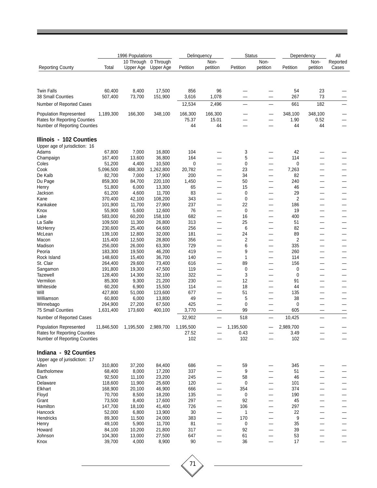|                                                               |                     | 1996 Populations |                     | Delinquency      |                          | <b>Status</b>     |                          |                 | Dependency               | All      |
|---------------------------------------------------------------|---------------------|------------------|---------------------|------------------|--------------------------|-------------------|--------------------------|-----------------|--------------------------|----------|
|                                                               |                     | 10 Through       | 0 Through           |                  | Non-                     |                   | Non-                     |                 | Non-                     | Reported |
| <b>Reporting County</b>                                       | Total               | Upper Age        | Upper Age           | Petition         | petition                 | Petition          | petition                 | Petition        | petition                 | Cases    |
|                                                               |                     |                  |                     |                  |                          |                   |                          |                 |                          |          |
| <b>Twin Falls</b>                                             | 60,400              | 8,400            | 17,500              | 856              | 96                       |                   |                          | 54              | 23<br>73                 |          |
| 38 Small Counties<br>Number of Reported Cases                 | 507,400             | 73,700           | 151,900             | 3,616<br>12,534  | 1,078<br>2,496           |                   |                          | 267<br>661      | 182                      |          |
|                                                               |                     |                  |                     |                  |                          |                   |                          |                 |                          |          |
| <b>Population Represented</b><br>Rates for Reporting Counties | 1,189,300           | 166,300          | 348,100             | 166,300<br>75.37 | 166,300<br>15.01         |                   |                          | 348,100<br>1.90 | 348,100<br>0.52          |          |
| Number of Reporting Counties                                  |                     |                  |                     | 44               | 44                       |                   |                          | 44              | 44                       |          |
| Illinois - 102 Counties                                       |                     |                  |                     |                  |                          |                   |                          |                 |                          |          |
| Upper age of jurisdiction: 16                                 |                     |                  |                     |                  |                          |                   |                          |                 |                          |          |
| Adams                                                         | 67,800              | 7,000            | 16,800              | 104              |                          | 3                 |                          | 42              |                          |          |
| Champaign                                                     | 167,400             | 13,600           | 36,800              | 164              |                          | 5                 |                          | 114             |                          |          |
| Coles<br>Cook                                                 | 51,200<br>5,096,500 | 4,400<br>488,300 | 10,500<br>1,262,800 | 0<br>20,782      |                          | 0<br>23           |                          | 0<br>7,263      |                          |          |
| De Kalb                                                       | 82,700              | 7,000            | 17,900              | 200              | —                        | 34                | —                        | 82              |                          |          |
| Du Page                                                       | 859,300             | 84,700           | 220,100             | 1,450            | $\overline{\phantom{a}}$ | 50                | —                        | 240             | -                        | —        |
| Henry                                                         | 51,800              | 6,000            | 13,300              | 65               |                          | 15                |                          | 46              |                          |          |
| Jackson                                                       | 61,200              | 4,600            | 11,700              | 83               |                          | 0                 | —                        | 29              |                          |          |
| Kane                                                          | 370,400             | 42,100           | 108,200             | 343              |                          | 0                 |                          | 2               |                          |          |
| Kankakee                                                      | 101,900             | 11,700           | 27,900              | 237              |                          | 22                | -                        | 186             |                          |          |
| Knox<br>Lake                                                  | 55,900<br>583,000   | 5,600<br>60,200  | 12,600<br>158,100   | 76<br>682        |                          | $\mathbf 0$<br>16 | —                        | 19<br>400       | —                        | —        |
| La Salle                                                      | 109,500             | 11,300           | 26,800              | 313              |                          | 25                | <u>.</u>                 | 51              |                          |          |
| McHenry                                                       | 230,600             | 25,400           | 64,600              | 256              |                          | 6                 | $\overline{\phantom{0}}$ | 82              |                          |          |
| McLean                                                        | 139,100             | 12,800           | 32,000              | 181              |                          | 24                | —                        | 89              |                          |          |
| Macon                                                         | 115,400             | 12,500           | 28,800              | 356              |                          | 2                 |                          | 2               |                          |          |
| Madison                                                       | 256,000             | 26,000           | 63,300              | 729              |                          | 6                 | -                        | 335             |                          |          |
| Peoria                                                        | 183,300             | 19,500           | 46,200              | 419              |                          | 9                 | —                        | 260             |                          |          |
| Rock Island                                                   | 148,600             | 15,400           | 36,700              | 140              |                          | 1                 | —                        | 114             |                          |          |
| St. Clair                                                     | 264,400             | 29,600           | 73,400              | 616              | —                        | 89                | —                        | 156             |                          |          |
| Sangamon                                                      | 191,800             | 19,300           | 47,500              | 119              |                          | 0                 | -                        | 0               |                          |          |
| <b>Tazewell</b><br>Vermilion                                  | 128,400<br>85,300   | 14,300<br>9,300  | 32,100<br>21,200    | 322<br>230       | -                        | 3<br>12           | —                        | 0<br>91         |                          |          |
| Whiteside                                                     | 60,200              | 6,900            | 15,500              | 114              | $\overline{\phantom{0}}$ | 18                | $\overline{\phantom{0}}$ | 44              |                          |          |
| Will                                                          | 427,800             | 51,000           | 123,600             | 677              | -                        | 51                | —                        | 135             |                          |          |
| Williamson                                                    | 60,800              | 6,000            | 13,800              | 49               |                          | 5                 |                          | 38              |                          |          |
| Winnebago                                                     | 264,900             | 27,200           | 67,500              | 425              |                          | 0                 | —                        | 0               |                          |          |
| <b>75 Small Counties</b>                                      | 1,631,400           | 173,600          | 400,100             | 3,770            |                          | 99                |                          | 605             |                          |          |
| Number of Reported Cases                                      |                     |                  |                     | 32,902           |                          | 518               |                          | 10,425          |                          |          |
| <b>Population Represented</b>                                 | 11,846,500          | 1,195,500        | 2,989,700           | 1,195,500        |                          | 1,195,500         |                          | 2,989,700       |                          |          |
| <b>Rates for Reporting Counties</b>                           |                     |                  |                     | 27.52            |                          | 0.43              |                          | 3.49            |                          |          |
| Number of Reporting Counties                                  |                     |                  |                     | 102              |                          | 102               |                          | 102             |                          |          |
| Indiana - 92 Counties                                         |                     |                  |                     |                  |                          |                   |                          |                 |                          |          |
| Upper age of jurisdiction: 17                                 |                     |                  |                     |                  |                          |                   |                          |                 |                          |          |
| Allen<br>Bartholomew                                          | 310,800<br>68,400   | 37,200<br>8,000  | 84,400<br>17,200    | 686<br>337       |                          | 59<br>9           |                          | 345<br>51       |                          |          |
| Clark                                                         | 92,500              | 11,100           | 23,200              | 245              |                          | 58                |                          | 46              |                          |          |
| Delaware                                                      | 118,600             | 11,900           | 25,600              | 120              | $\overline{\phantom{0}}$ | 0                 | —                        | 101             |                          |          |
| Elkhart                                                       | 168,900             | 20,100           | 46,900              | 666              |                          | 354               |                          | 374             |                          |          |
| Floyd                                                         | 70,700              | 8,500            | 18,200              | 135              |                          | 0                 |                          | 190             |                          |          |
| Grant                                                         | 73,500              | 8,400            | 17,600              | 297              |                          | 92                |                          | 45              |                          |          |
| Hamilton                                                      | 147,700             | 18,100           | 41,400              | 726              | —                        | 106               |                          | 297             |                          |          |
| Hancock                                                       | 52,000              | 6,800            | 13,900              | 30               | $\overline{\phantom{0}}$ | 1                 | $\overline{\phantom{0}}$ | 22              |                          | —        |
| Hendricks                                                     | 89,300              | 11,500           | 24,000              | 383              | —                        | 170               | —                        | 9               | $\overline{\phantom{0}}$ | —        |
| Henry<br>Howard                                               | 49,100<br>84,100    | 5,900            | 11,700              | 81               |                          | 0<br>92           |                          | 35<br>39        |                          |          |
| Johnson                                                       | 104,300             | 10,200<br>13,000 | 21,800<br>27,500    | 317<br>647       | —                        | 61                | —                        | 53              |                          |          |
| Knox                                                          | 39,700              | 4,000            | 8,900               | 90               | —                        | 36                | $\overline{\phantom{0}}$ | 17              |                          |          |
|                                                               |                     |                  |                     |                  |                          |                   |                          |                 |                          |          |

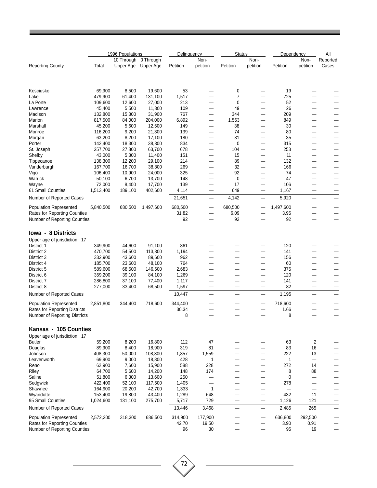|                                        |                   | 1996 Populations |                  | Delinquency     |                               | <b>Status</b> |                          | Dependency               |                          | All                      |
|----------------------------------------|-------------------|------------------|------------------|-----------------|-------------------------------|---------------|--------------------------|--------------------------|--------------------------|--------------------------|
|                                        |                   | 10 Through       | 0 Through        |                 | Non-                          |               | Non-                     |                          | Non-                     | Reported                 |
| <b>Reporting County</b>                | Total             | Upper Age        | Upper Age        | Petition        | petition                      | Petition      | petition                 | Petition                 | petition                 | Cases                    |
|                                        |                   |                  |                  |                 |                               |               |                          |                          |                          |                          |
| Kosciusko                              | 69,900            | 8,500            | 19,600           | 53              |                               | 0             |                          | 19                       |                          |                          |
| Lake                                   | 479,900           | 61,400           | 131,100          | 1,517           |                               | 7             | -                        | 725                      |                          |                          |
| La Porte                               | 109,600           | 12,600           | 27,000           | 213             |                               | 0             |                          | 52                       |                          |                          |
| Lawrence                               | 45,400            | 5,500            | 11,300           | 109             |                               | 49            |                          | 26                       |                          |                          |
| Madison                                | 132,800           | 15,300           | 31,900           | 767             | —                             | 344           | —                        | 209                      |                          |                          |
| Marion                                 | 817,500           | 84,000           | 204,000          | 6,892           | $\overline{\phantom{0}}$      | 1,563         | —                        | 849                      |                          |                          |
| Marshall                               | 45,200            | 5,600            | 12,500           | 149             | $\overline{\phantom{0}}$      | 38            |                          | 30                       |                          |                          |
| Monroe                                 | 116,200           | 9,200            | 21,300           | 139             |                               | 74            | -                        | 80                       |                          |                          |
| Morgan                                 | 63,200            | 8,200            | 17,100           | 180             |                               | 31            | -                        | 35                       |                          |                          |
| Porter                                 | 142,400           | 18,300           | 38,300           | 834             |                               | 0             |                          | 315                      |                          |                          |
| St. Joseph                             | 257,700           | 27,800           | 63,700           | 678             | —                             | 104           | —                        | 253                      |                          |                          |
| Shelby<br>Tippecanoe                   | 43,000<br>138,300 | 5,300<br>12,200  | 11,400<br>29,100 | 151<br>214      | —                             | 15<br>89      | —                        | 11<br>132                |                          |                          |
| Vanderburgh                            | 167,700           | 16,700           | 38,800           | 269             |                               | 32            | -                        | 166                      |                          |                          |
| Vigo                                   | 106,400           | 10,900           | 24,000           | 325             |                               | 92            | -                        | 74                       |                          |                          |
| Warrick                                | 50,100            | 6,700            | 13,700           | 148             | —                             | $\mathbf 0$   |                          | 47                       |                          | $\overline{\phantom{0}}$ |
| Wayne                                  | 72,000            | 8,400            | 17,700           | 139             | —                             | 17            | —                        | 106                      |                          | $\overline{\phantom{0}}$ |
| 61 Small Counties                      | 1,513,400         | 189,100          | 402,600          | 4,114           |                               | 649           | —                        | 1,167                    |                          |                          |
| Number of Reported Cases               |                   |                  |                  | 21,651          | $\qquad \qquad \qquad$        | 4,142         | —                        | 5,920                    |                          | —                        |
| <b>Population Represented</b>          | 5,840,500         | 680,500          | 1,497,600        | 680,500         |                               | 680,500       |                          | 1,497,600                |                          |                          |
| <b>Rates for Reporting Counties</b>    |                   |                  |                  | 31.82           |                               | 6.09          |                          | 3.95                     |                          |                          |
| Number of Reporting Counties           |                   |                  |                  | 92              | –                             | 92            |                          | 92                       |                          |                          |
| lowa - 8 Districts                     |                   |                  |                  |                 |                               |               |                          |                          |                          |                          |
| Upper age of jurisdiction: 17          |                   |                  |                  |                 |                               |               |                          |                          |                          |                          |
| District 1                             | 349,900           | 44,600           | 91,100           | 861             |                               |               |                          | 120                      |                          |                          |
| District 2                             | 470,700           | 54,500           | 113,300          | 1,194           |                               |               | <u>.</u>                 | 141                      |                          |                          |
| District 3                             | 332,900           | 43,600           | 89,600           | 962             |                               |               |                          | 156                      |                          |                          |
| District 4                             | 185,700           | 23,600           | 48,100           | 764             |                               |               | —                        | 60                       |                          |                          |
| District 5                             | 589,600           | 68,500           | 146,600          | 2,683           |                               |               |                          | 375                      |                          |                          |
| District 6                             | 359,200           | 39,100           | 84,100           | 1,269           |                               |               |                          | 120                      |                          |                          |
| District 7                             | 286,800           | 37,100           | 77,400           | 1,117           | —                             | —             | —                        | 141                      |                          | -                        |
| District 8<br>Number of Reported Cases | 277,000           | 33,400           | 68,500           | 1,597<br>10,447 | $\overline{\phantom{0}}$<br>- |               | —<br>—                   | 82<br>1,195              | —                        | —                        |
| <b>Population Represented</b>          | 2,851,800         | 344,400          | 718,600          | 344,400         |                               |               | —                        | 718,600                  |                          |                          |
| Rates for Reporting Districts          |                   |                  |                  | 30.34           |                               |               |                          | 1.66                     |                          |                          |
| Number of Reporting Districts          |                   |                  |                  | 8               |                               |               |                          | 8                        |                          |                          |
| Kansas - 105 Counties                  |                   |                  |                  |                 |                               |               |                          |                          |                          |                          |
| Upper age of jurisdiction: 17          |                   |                  |                  |                 |                               |               |                          |                          |                          |                          |
| Butler                                 | 59,200            | 8,200            | 16,800           | 112             | 47                            |               |                          | 63                       | 2                        |                          |
| Douglas                                | 89,900            | 8,400            | 18,900           | 319             | 81                            |               |                          | 83                       | 16                       |                          |
| Johnson                                | 408,300           | 50,000           | 108,800          | 1,857           | 1,559                         |               | $\overline{\phantom{0}}$ | 222                      | 13                       |                          |
| Leavenworth                            | 69,900            | 9,000            | 18,800           | 428             | 1                             |               | $\overline{\phantom{a}}$ | 1                        | $\overline{\phantom{0}}$ |                          |
| Reno                                   | 62,900            | 7,600            | 15,900           | 588             | 228                           |               |                          | 272                      | 14                       |                          |
| Riley                                  | 64,700            | 5,600            | 14,200           | 148             | 174                           |               |                          | 8                        | 88                       |                          |
| Saline                                 | 51,800            | 6,300            | 13,600           | 250             | $\overline{\phantom{0}}$      |               | $\overline{\phantom{0}}$ | 0                        | $\qquad \qquad$          |                          |
| Sedgwick                               | 422,400           | 52,100           | 117,500          | 1,405           | $\overline{\phantom{0}}$      |               | —                        | 278                      | $\overline{\phantom{0}}$ |                          |
| Shawnee                                | 164,900           | 20,200           | 42,700           | 1,333           | 1                             |               | —                        | $\overline{\phantom{0}}$ | —                        |                          |
| Wyandotte                              | 153,400           | 19,800           | 43,400           | 1,289           | 648                           |               | —                        | 432                      | 11                       |                          |
| 95 Small Counties                      | 1,024,600         | 131,100          | 275,700          | 5,717           | 729                           | —             | —                        | 1,126                    | 121                      |                          |
| Number of Reported Cases               |                   |                  |                  | 13,446          | 3,468                         |               | $\overline{\phantom{0}}$ | 2,485                    | 265                      |                          |
| Population Represented                 | 2,572,200         | 318,300          | 686,500          | 314,900         | 177,900                       |               | —                        | 636,800                  | 292,500                  |                          |
| <b>Rates for Reporting Counties</b>    |                   |                  |                  | 42.70           | 19.50                         |               |                          | 3.90                     | 0.91                     |                          |
| Number of Reporting Counties           |                   |                  |                  | 96              | 30                            |               |                          | 95                       | 19                       |                          |

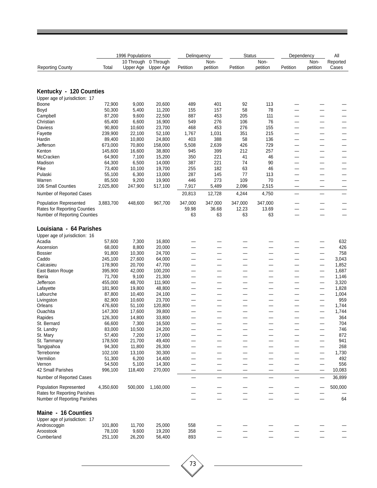|                                                              |                   | 1996 Populations        |                        | Delinguency  |                  | <b>Status</b> |                  | Dependency |                               | All               |
|--------------------------------------------------------------|-------------------|-------------------------|------------------------|--------------|------------------|---------------|------------------|------------|-------------------------------|-------------------|
| <b>Reporting County</b>                                      | Total             | 10 Through<br>Upper Age | 0 Through<br>Upper Age | Petition     | Non-<br>petition | Petition      | Non-<br>petition | Petition   | Non-<br>petition              | Reported<br>Cases |
|                                                              |                   |                         |                        |              |                  |               |                  |            |                               |                   |
| Kentucky - 120 Counties                                      |                   |                         |                        |              |                  |               |                  |            |                               |                   |
| Upper age of jurisdiction: 17                                |                   |                         |                        |              |                  |               |                  |            |                               |                   |
| Boone                                                        | 72,900            | 9,000                   | 20,600                 | 489          | 401              | 92            | 113              |            |                               |                   |
| Boyd                                                         | 50,300            | 5,400                   | 11,200                 | 155          | 157              | 58            | 78               |            | —                             |                   |
| Campbell                                                     | 87,200            | 9,600                   | 22,500                 | 887          | 453              | 205           | 111              |            | -                             |                   |
| Christian                                                    | 65,400            | 6,600                   | 16,900                 | 549          | 276              | 106           | 76               |            |                               |                   |
| <b>Daviess</b>                                               | 90,800            | 10,600                  | 23,700                 | 468          | 453              | 276           | 155              |            |                               |                   |
| Fayette                                                      | 239,900           | 22,100                  | 52,100                 | 1,767        | 1,031            | 351           | 215              |            |                               |                   |
| Hardin<br>Jefferson                                          | 89,400<br>673,000 | 10,800<br>70,800        | 24,800<br>158,000      | 403<br>5,508 | 388<br>2,639     | 58<br>426     | 136<br>729       |            |                               |                   |
| Kenton                                                       | 145,600           | 16,600                  | 38,800                 | 945          | 399              | 212           | 257              | —          | -<br>$\overline{\phantom{0}}$ |                   |
| McCracken                                                    | 64,900            | 7,100                   | 15,200                 | 350          | 221              | 41            | 46               |            |                               |                   |
| Madison                                                      | 64,300            | 6,500                   | 14,000                 | 387          | 221              | 74            | 90               | —          |                               |                   |
| Pike                                                         | 73,400            | 10,100                  | 19,700                 | 255          | 182              | 63            | 46               |            | —                             |                   |
| Pulaski                                                      | 55,100            | 6,300                   | 13,000                 | 287          | 145              | 77            | 113              |            |                               |                   |
| Warren                                                       | 85,500            | 9,200                   | 19,900                 | 446          | 273              | 109           | 70               |            | -                             |                   |
| 106 Small Counties                                           | 2,025,800         | 247,900                 | 517,100                | 7,917        | 5,489            | 2,096         | 2,515            |            | —                             |                   |
| Number of Reported Cases                                     |                   |                         |                        | 20,813       | 12,728           | 4,244         | 4,750            |            |                               |                   |
| <b>Population Represented</b>                                | 3,883,700         | 448,600                 | 967,700                | 347,000      | 347,000          | 347,000       | 347,000          |            |                               |                   |
| <b>Rates for Reporting Counties</b>                          |                   |                         |                        | 59.98        | 36.68            | 12.23         | 13.69            |            | $\overline{\phantom{0}}$      |                   |
| Number of Reporting Counties                                 |                   |                         |                        | 63           | 63               | 63            | 63               |            |                               |                   |
| Louisiana - 64 Parishes                                      |                   |                         |                        |              |                  |               |                  |            |                               |                   |
| Upper age of jurisdiction: 16                                |                   |                         |                        |              |                  |               |                  |            |                               |                   |
| Acadia                                                       | 57,600            | 7,300                   | 16,800                 |              |                  |               |                  |            |                               | 632               |
| Ascension                                                    | 68,000            | 8,800                   | 20,000                 |              |                  |               |                  |            |                               | 426               |
| <b>Bossier</b>                                               | 91,800            | 10,300                  | 24,700                 | —            |                  |               |                  |            |                               | 758               |
| Caddo                                                        | 245,100           | 27,600                  | 64,000                 | –            |                  |               |                  |            | $\overline{\phantom{0}}$      | 3,043             |
| Calcasieu                                                    | 178,900           | 20,700                  | 47,700                 |              |                  |               |                  |            | —                             | 1,852             |
| East Baton Rouge<br>Iberia                                   | 395,900<br>71,700 | 42,000<br>9,100         | 100,200<br>21,300      | -<br>—       |                  | --            |                  |            | —                             | 1,687<br>1,146    |
| Jefferson                                                    | 455,000           | 48,700                  | 111,900                | —            |                  | -             |                  |            | $\overline{\phantom{0}}$      | 3,320             |
| Lafayette                                                    | 181,900           | 19,800                  | 48,800                 | -            |                  |               |                  |            |                               | 1,828             |
| Lafourche                                                    | 87,800            | 10,400                  | 24,100                 | —            | –                |               | -                | —          | —                             | 1,004             |
| Livingston                                                   | 82,900            | 10,600                  | 23,700                 |              |                  |               |                  |            |                               | 959               |
| Orleans                                                      | 476,600           | 51,100                  | 120,800                |              |                  |               |                  |            |                               | 1,744             |
| Ouachita                                                     | 147,300           | 17,600                  | 39,800                 |              |                  |               |                  |            |                               | 1,744             |
| Rapides                                                      | 126,300           | 14,800                  | 33,800                 | —            | —                | —             | —                | —          | —                             | 364               |
| St. Bernard                                                  | 66,600            | 7,300                   | 16,500                 |              |                  |               |                  |            |                               | 704               |
| St. Landry                                                   | 83,000            | 10,500                  | 24,200                 |              |                  |               |                  |            |                               | 746               |
| St. Mary                                                     | 57,400            | 7,200                   | 17,000                 |              |                  |               |                  |            |                               | 872               |
| St. Tammany<br>Tangipahoa                                    | 178,500<br>94,300 | 21,700<br>11,800        | 49,400<br>26,300       |              |                  |               |                  |            |                               | 941<br>268        |
| Terrebonne                                                   | 102,100           | 13,100                  | 30,300                 |              |                  |               |                  |            |                               | 1,730             |
| Vermilion                                                    | 51,300            | 6,200                   | 14,400                 |              |                  |               |                  |            |                               | 492               |
| Vernon                                                       | 54,500            | 5,100                   | 14,300                 |              |                  |               |                  |            |                               | 556               |
| 42 Small Parishes                                            | 996,100           | 118,400                 | 270,000                |              | —                | -             |                  |            |                               | 10,083            |
| Number of Reported Cases                                     |                   |                         |                        |              |                  |               |                  |            |                               | 36,899            |
| <b>Population Represented</b>                                | 4,350,600         | 500,000                 | 1,160,000              |              |                  |               |                  |            |                               | 500,000           |
| Rates for Reporting Parishes<br>Number of Reporting Parishes |                   |                         |                        |              |                  |               |                  |            |                               | 64                |
|                                                              |                   |                         |                        |              |                  |               |                  |            |                               |                   |
| Maine - 16 Counties                                          |                   |                         |                        |              |                  |               |                  |            |                               |                   |
| Upper age of jurisdiction: 17                                |                   |                         |                        |              |                  |               |                  |            |                               |                   |
| Androscoggin<br>Aroostook                                    | 101,800<br>78,100 | 11,700                  | 25,000<br>19,200       | 558<br>358   |                  |               |                  |            |                               |                   |
| Cumberland                                                   | 251,100           | 9,600<br>26,200         | 56,400                 | 893          |                  |               |                  |            |                               |                   |
|                                                              |                   |                         |                        |              |                  |               |                  |            |                               |                   |

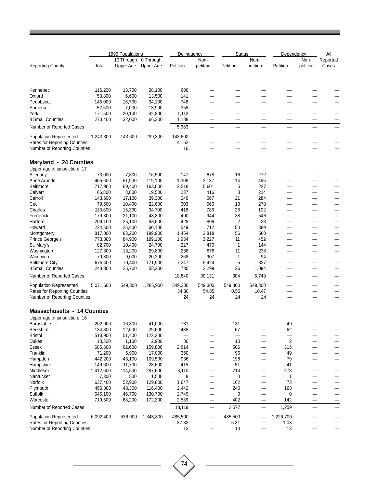|                                                              |                    | 1996 Populations |                   | Delinquency  |            | <b>Status</b> |            | Dependency               |          | All      |
|--------------------------------------------------------------|--------------------|------------------|-------------------|--------------|------------|---------------|------------|--------------------------|----------|----------|
|                                                              |                    | 10 Through       | 0 Through         |              | Non-       |               | Non-       |                          | Non-     | Reported |
| <b>Reporting County</b>                                      | Total              | Upper Age        | Upper Age         | Petition     | petition   | Petition      | petition   | Petition                 | petition | Cases    |
|                                                              |                    |                  |                   |              |            |               |            |                          |          |          |
| Kennebec                                                     | 116,200            | 13,700           | 28,100            | 606          |            |               |            |                          |          |          |
| Oxford                                                       | 53,800             | 6,600            | 13,500            | 141          |            |               |            |                          |          |          |
| Penobscot                                                    | 145,000            | 16,700           | 34,100            | 748          |            |               |            |                          |          |          |
| Somerset                                                     | 52,500             | 7,000            | 13,900            | 358          |            |               |            |                          |          |          |
| York                                                         | 171,500            | 20,100           | 42,800            | 1,113        |            |               |            |                          |          |          |
| 8 Small Counties                                             | 273,400            | 32,000           | 66,300            | 1,188        |            |               |            |                          |          |          |
| Number of Reported Cases                                     |                    |                  |                   | 5,963        |            |               | –          |                          |          |          |
| <b>Population Represented</b>                                | 1,243,300          | 143,600          | 299,300           | 143,600      |            |               |            |                          |          |          |
| Rates for Reporting Counties<br>Number of Reporting Counties |                    |                  |                   | 41.52<br>16  | —          |               |            |                          |          |          |
| <b>Maryland - 24 Counties</b>                                |                    |                  |                   |              |            |               |            |                          |          |          |
| Upper age of jurisdiction: 17                                |                    |                  |                   |              |            |               |            |                          |          |          |
| Allegany                                                     | 73,000             | 7,800            | 16,500            | 147          | 678        | 16            | 272        |                          |          |          |
| Anne Arundel                                                 | 465,600            | 51,900           | 119,100           | 1,308        | 3,137      | 14            | 495        |                          |          |          |
| <b>Baltimore</b>                                             | 717,900            | 69,400           | 163,000           | 2,518        | 5,601      | 5             | 227        |                          |          |          |
| Calvert                                                      | 66,800             | 8,800            | 19,500            | 237          | 416        | 3             | 214        |                          |          |          |
| Carroll                                                      | 143,600            | 17,100           | 39,300            | 246          | 667        | 21            | 284        |                          |          |          |
| Cecil                                                        | 79,500             | 10,400           | 22,600            | 303          | 560        | 18            | 278        | —                        | —        | —        |
| Charles<br>Frederick                                         | 113,600            | 15,300<br>21,100 | 34,700            | 416<br>490   | 786<br>944 | 26<br>38      | 102<br>546 |                          |          |          |
| Harford                                                      | 179,300<br>209,100 | 25,100           | 48,800<br>58,600  | 428          | 809        | 2             | 33         |                          |          |          |
| Howard                                                       | 224,500            | 25,400           | 60,100            | 549          | 712        | 50            | 389        |                          |          |          |
| Montgomery                                                   | 817,000            | 83,200           | 199,900           | 1,454        | 2,818      | 56            | 560        |                          |          |          |
| Prince George's                                              | 773,800            | 84,900           | 199,100           | 1,934        | 3,227      | 11            | 452        | —                        |          | —        |
| St. Mary's                                                   | 82,700             | 10,400           | 24,700            | 227          | 470        | 1             | 144        |                          |          |          |
| Washington                                                   | 127,300            | 13,200           | 29,800            | 238          | 676        | 11            | 238        |                          |          |          |
| Wicomico                                                     | 79,300             | 9,000            | 20,200            | 268          | 907        | 1             | 94         |                          |          |          |
| <b>Baltimore City</b>                                        | 675,400            | 70,400           | 171,900           | 7,347        | 5,424      | 5             | 327        |                          |          |          |
| 8 Small Counties                                             | 243,300            | 25,700           | 58,200            | 730          | 2,299      | 26            | 1,094      | —                        | -        |          |
| Number of Reported Cases                                     |                    |                  |                   | 18,840       | 30,131     | 304           | 5,749      |                          |          |          |
| <b>Population Represented</b>                                | 5,071,600          | 549,300          | 1,285,900         | 549,300      | 549,300    | 549,300       | 549,300    |                          |          |          |
| Rates for Reporting Counties                                 |                    |                  |                   | 34.30        | 54.85      | 0.55          | 10.47      |                          |          |          |
| Number of Reporting Counties                                 |                    |                  |                   | 24           | 24         | 24            | 24         |                          |          |          |
| <b>Massachusetts - 14 Counties</b>                           |                    |                  |                   |              |            |               |            |                          |          |          |
| Upper age of jurisdiction: 16                                |                    |                  |                   |              |            |               |            |                          |          |          |
| Barnstable                                                   | 202,000            | 16,300           | 41,000            | 731          |            | 131           |            | 49                       |          |          |
| Berkshire                                                    | 134,800            | 12,600           | 29,600            | 488          |            | 67            |            | 62                       |          |          |
| <b>Bristol</b>                                               | 513,900            | 51,400           | 122,200           |              |            |               |            | $\overline{\phantom{0}}$ |          | —        |
| <b>Dukes</b>                                                 | 13,300<br>686,800  | 1,100            | 2,900             | 80           |            | 10            |            | $\overline{2}$           |          |          |
| Essex<br>Franklin                                            | 71,200             | 62,600<br>6,900  | 159,800<br>17,000 | 2,614<br>360 |            | 506<br>96     |            | 315<br>49                |          |          |
| Hampden                                                      | 442,200            | 43,100           | 109,500           | 936          |            | 198           |            | 79                       |          |          |
| Hampshire                                                    | 149,600            | 11,700           | 28,600            | 415          |            | 51            |            | 41                       |          |          |
| Middlesex                                                    | 1,412,600          | 114,500          | 287,600           | 3,110        | —          | 714           | —          | 278                      |          |          |
| Nantucket                                                    | 7,300              | 500              | 1,500             | 8            |            | 0             |            | 1                        |          |          |
| Norfolk                                                      | 637,400            | 52,900           | 129,800           | 1,647        | —          | 162           |            | 73                       |          |          |
| Plymouth                                                     | 456,800            | 48,300           | 116,400           | 2,442        | —          | 240           | —          | 168                      |          |          |
| Suffolk                                                      | 645,100            | 46,700           | 130,700           | 2,749        |            | 0             |            | 0                        |          |          |
| Worcester                                                    | 719,500            | 68,200           | 172,200           | 2,539        | —          | 402           |            | 142                      |          |          |
| Number of Reported Cases                                     |                    |                  |                   | 18,119       | -          | 2,577         |            | 1,259                    |          |          |
| <b>Population Represented</b>                                | 6,092,400          | 536,900          | 1,348,800         | 485,500      |            | 485,500       |            | 1,226,700                |          |          |
| <b>Rates for Reporting Counties</b>                          |                    |                  |                   | 37.32        |            | 5.31          |            | 1.03                     |          |          |
| Number of Reporting Counties                                 |                    |                  |                   | 13           |            | 13            |            | 13                       |          |          |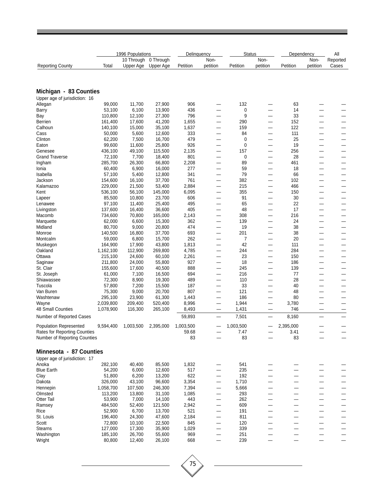|                                                          |                    | 1996 Populations        |                        | Delinguency  |                                                      | <b>Status</b> |                               | Dependency               |                          | All               |
|----------------------------------------------------------|--------------------|-------------------------|------------------------|--------------|------------------------------------------------------|---------------|-------------------------------|--------------------------|--------------------------|-------------------|
| <b>Reporting County</b>                                  | Total              | 10 Through<br>Upper Age | 0 Through<br>Upper Age | Petition     | Non-<br>petition                                     | Petition      | Non-<br>petition              | Petition                 | Non-<br>petition         | Reported<br>Cases |
|                                                          |                    |                         |                        |              |                                                      |               |                               |                          |                          |                   |
| Michigan - 83 Counties                                   |                    |                         |                        |              |                                                      |               |                               |                          |                          |                   |
| Upper age of jurisdiction: 16                            |                    |                         |                        |              |                                                      |               |                               |                          |                          |                   |
| Allegan                                                  | 99,000             | 11,700                  | 27,900                 | 906          | —                                                    | 132           |                               | 63                       |                          |                   |
| <b>Barry</b>                                             | 53,100             | 6,100                   | 13,900                 | 436          | -                                                    | 0             |                               | 14                       |                          |                   |
| Bay                                                      | 110,800            | 12,100                  | 27,300                 | 796          |                                                      | 9             |                               | 33                       |                          |                   |
| Berrien                                                  | 161,400            | 17,600                  | 41,200                 | 1,655        | $\overline{\phantom{0}}$                             | 290           | $\overline{\phantom{0}}$      | 152                      |                          |                   |
| Calhoun                                                  | 140,100            | 15,000                  | 35,100                 | 1,637        | -                                                    | 159           | —                             | 122                      |                          | --                |
| Cass<br>Clinton                                          | 50,000<br>62,200   | 5,600<br>7,500          | 12,600<br>16,700       | 333<br>479   | -<br>—                                               | 84<br>0       | —<br>$\overline{\phantom{0}}$ | 111<br>25                | -                        | -                 |
| Eaton                                                    | 99,600             | 11,600                  | 25,800                 | 926          |                                                      | $\mathbf 0$   | —                             | 19                       | -                        |                   |
| Genesee                                                  | 436,100            | 49,100                  | 115,500                | 2,135        |                                                      | 157           | —                             | 256                      |                          |                   |
| <b>Grand Traverse</b>                                    | 72,100             | 7,700                   | 18,400                 | 801          | -                                                    | 0             | —                             | 28                       |                          |                   |
| Ingham                                                   | 285,700            | 26,300                  | 66,800                 | 2,208        | -                                                    | 89            | —                             | 461                      | —                        |                   |
| Ionia                                                    | 60,400             | 6,900                   | 16,000                 | 277          | -                                                    | 59            |                               | 18                       |                          |                   |
| Isabella                                                 | 57,100             | 5,400                   | 12,800                 | 341          | —                                                    | 79            | $\overline{\phantom{0}}$      | 66                       | —                        | -                 |
| Jackson                                                  | 154,600            | 16,100                  | 37,700                 | 761          | $\overline{\phantom{0}}$                             | 382           | —                             | 102                      | —                        |                   |
| Kalamazoo                                                | 229,000            | 21,500                  | 53,400                 | 2,884        |                                                      | 215           |                               | 466                      |                          |                   |
| Kent                                                     | 536,100            | 56,100                  | 145,000                | 6,095        | —                                                    | 355           | —                             | 150                      | —                        | -                 |
| Lapeer                                                   | 85,500             | 10,800                  | 23,700                 | 606          | —                                                    | 91            | —                             | 30                       | -                        | —                 |
| Lenawee                                                  | 97,100             | 11,400                  | 25,400                 | 495          | —                                                    | 65            | $\overline{\phantom{0}}$      | 22                       | —                        | -                 |
| Livingston                                               | 137,600            | 16,400                  | 36,600                 | 405          | -                                                    | 48            | —                             | 17                       | -                        | -                 |
| Macomb                                                   | 734,600            | 70,800                  | 165,000                | 2,143        | —                                                    | 308           | —                             | 216                      | —                        |                   |
| Marquette                                                | 62,000             | 6,600                   | 15,300                 | 362          | —                                                    | 139           |                               | 24                       |                          |                   |
| Midland                                                  | 80,700             | 9,000                   | 20,800                 | 474          | -                                                    | 19            | —                             | 38                       |                          | -                 |
| Monroe<br>Montcalm                                       | 140,500<br>59,000  | 16,800<br>6,800         | 37,700<br>15,700       | 693<br>262   | $\overline{\phantom{0}}$<br>$\overline{\phantom{0}}$ | 201<br>7      | —<br>—                        | 38<br>20                 | -<br>—                   | $\sim$            |
| Muskegon                                                 | 164,900            | 17,900                  | 43,800                 | 1,813        | -                                                    | 42            | —                             | 111                      | -                        | -                 |
| Oakland                                                  | 1,162,100          | 112,900                 | 269,800                | 4,785        | —                                                    | 244           | —                             | 284                      | -                        | -                 |
| Ottawa                                                   | 215,100            | 24,600                  | 60,100                 | 2,261        | —                                                    | 23            |                               | 150                      |                          |                   |
| Saginaw                                                  | 211,800            | 24,000                  | 55,800                 | 927          | -                                                    | 18            | —                             | 186                      | -                        | –                 |
| St. Clair                                                | 155,600            | 17,600                  | 40,500                 | 888          | -                                                    | 245           | —                             | 139                      |                          | -                 |
| St. Joseph                                               | 61,000             | 7,100                   | 16,500                 | 694          | $\qquad \qquad -$                                    | 216           | —                             | 77                       | —                        |                   |
| Shiawassee                                               | 72,300             | 8,900                   | 19,300                 | 489          | -                                                    | 110           | —                             | 28                       |                          |                   |
| Tuscola                                                  | 57,800             | 7,200                   | 15,500                 | 187          |                                                      | 33            |                               | 40                       |                          |                   |
| Van Buren                                                | 75,300             | 9,000                   | 20,700                 | 807          | —                                                    | 121           | —                             | 48                       | -                        |                   |
| Washtenaw                                                | 295,100            | 23,900                  | 61,300                 | 1,443        |                                                      | 186           |                               | 80                       |                          |                   |
| Wayne                                                    | 2,039,800          | 209,400                 | 520,400                | 8,996        | $\overline{\phantom{0}}$                             | 1,944         | —                             | 3,780                    |                          |                   |
| 48 Small Counties                                        | 1,078,900          | 116,300                 | 265,100                | 8,493        |                                                      | 1,431         | —                             | 746                      | —                        | -                 |
| Number of Reported Cases                                 |                    |                         |                        | 59,893       |                                                      | 7,501         | –                             | 8,160                    | –                        |                   |
| <b>Population Represented</b>                            | 9,594,400          | 1,003,500               | 2,395,000              | 1,003,500    |                                                      | 1,003,500     |                               | 2,395,000                |                          |                   |
| <b>Rates for Reporting Counties</b>                      |                    |                         |                        | 59.68        |                                                      | 7.47          |                               | 3.41                     | $\overline{\phantom{0}}$ | –                 |
| <b>Number of Reporting Counties</b>                      |                    |                         |                        | 83           |                                                      | 83            |                               | 83                       |                          |                   |
| Minnesota - 87 Counties<br>Upper age of jurisdiction: 17 |                    |                         |                        |              |                                                      |               |                               |                          |                          |                   |
| Anoka                                                    | 282,100            | 40,400                  | 85,500                 | 1,832        |                                                      | 541           |                               |                          |                          |                   |
| <b>Blue Earth</b>                                        | 54,200             | 6,000                   | 12,600                 | 517          | —                                                    | 235           |                               |                          |                          |                   |
| Clay                                                     | 51,800             | 6,200                   | 13,200                 | 622          |                                                      | 192           |                               |                          |                          |                   |
| Dakota                                                   | 326,000            | 43,100                  | 96,600                 | 3,354        | —                                                    | 1,710         |                               |                          |                          |                   |
| Hennepin                                                 | 1,058,700          | 107,500                 | 246,300                | 7,394        | $\overline{\phantom{0}}$                             | 5,666         |                               |                          |                          |                   |
| Olmsted                                                  | 113,200            | 13,800                  | 31,100                 | 1,085        |                                                      | 293           |                               |                          |                          |                   |
| Otter Tail                                               | 53,900             | 7,000                   | 14,100                 | 443          | —                                                    | 262           |                               | -                        |                          | -                 |
| Ramsey                                                   | 484,500            | 52,400                  | 121,500                | 2,942        | $\overline{\phantom{0}}$                             | 609           | —                             | $\overline{\phantom{0}}$ | —                        | —                 |
| Rice                                                     | 52,900             | 6,700                   | 13,700                 | 521          | —                                                    | 191           |                               |                          |                          |                   |
| St. Louis                                                | 196,400            | 24,300                  | 47,600                 | 2,184        | —                                                    | 811           |                               |                          |                          |                   |
| Scott                                                    | 72,800             | 10,100                  | 22,500                 | 845          | —                                                    | 120           |                               | <u>.</u>                 | $\sim$                   | —                 |
| Stearns<br>Washington                                    | 127,000<br>185,100 | 17,300<br>26,700        | 35,900<br>55,600       | 1,029<br>969 | —                                                    | 339<br>251    |                               |                          |                          |                   |
| Wright                                                   | 80,800             | 12,400                  | 26,100                 | 668          | $\overline{\phantom{0}}$                             | 239           | $\overline{\phantom{0}}$      | —                        | $\sim$                   | $\qquad \qquad -$ |
|                                                          |                    |                         |                        |              |                                                      |               |                               |                          |                          |                   |

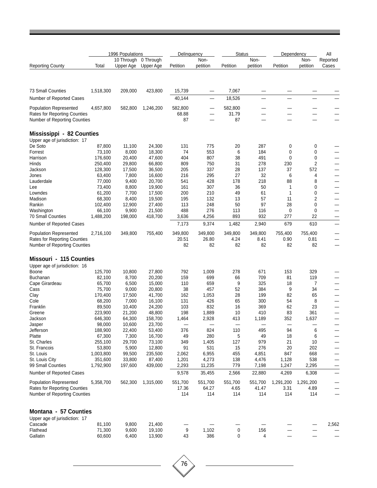|                                                               |                  | 1996 Populations        |                        | Delinquency      |                          | <b>Status</b>    |                  | Dependency  |                  | All                      |
|---------------------------------------------------------------|------------------|-------------------------|------------------------|------------------|--------------------------|------------------|------------------|-------------|------------------|--------------------------|
| <b>Reporting County</b>                                       | Total            | 10 Through<br>Upper Age | 0 Through<br>Upper Age | Petition         | Non-<br>petition         | Petition         | Non-<br>petition | Petition    | Non-<br>petition | Reported<br>Cases        |
|                                                               |                  |                         |                        |                  |                          |                  |                  |             |                  |                          |
| 73 Small Counties                                             | 1,518,300        | 209,000                 | 423,800                | 15,739           | —                        | 7,067            |                  |             |                  |                          |
| Number of Reported Cases                                      |                  |                         |                        | 40,144           | $\overline{\phantom{0}}$ | 18,526           |                  | <u>.</u>    |                  |                          |
| <b>Population Represented</b><br>Rates for Reporting Counties | 4,657,800        | 582,800                 | 1,246,200              | 582,800<br>68.88 |                          | 582,800<br>31.79 |                  |             |                  |                          |
| Number of Reporting Counties                                  |                  |                         |                        | 87               | —                        | 87               |                  |             |                  |                          |
| Mississippi - 82 Counties<br>Upper age of jurisdiction: 17    |                  |                         |                        |                  |                          |                  |                  |             |                  |                          |
| De Soto                                                       | 87,800           | 11,100                  | 24,300                 | 131              | 775                      | 20               | 287              | 0           | 0                |                          |
| Forrest                                                       | 73,100           | 8,000                   | 18,300                 | 74               | 553                      | 6                | 184              | 0           | 0                |                          |
| Harrison                                                      | 176,600          | 20,400                  | 47,600                 | 404              | 807                      | 38               | 491              | $\mathbf 0$ | $\mathbf 0$      |                          |
| Hinds                                                         | 250,400          | 29,800                  | 66,800                 | 809              | 750                      | 31               | 278              | 230         | 2                |                          |
| Jackson                                                       | 128,300          | 17,500                  | 36,500                 | 205              | 337<br>295               | 28<br>27         | 137              | 37          | 572              |                          |
| Jones                                                         | 63,400<br>77,000 | 7,800<br>9,400          | 16,600<br>20,700       | 216<br>541       | 428                      | 178              | 32<br>218        | 6<br>88     | 4<br>8           | -                        |
| Lauderdale                                                    | 73,400           | 8,800                   | 19,900                 | 161              | 307                      | 36               | 50               | 1           |                  |                          |
| Lee<br>Lowndes                                                | 61,200           | 7,700                   | 17,500                 | 200              | 210                      | 49               | 61               | 1           | 0<br>$\mathbf 0$ | —                        |
| Madison                                                       | 68,300           | 8,400                   | 19,500                 | 195              | 132                      | 13               | 57               | 11          | $\overline{c}$   |                          |
| Rankin                                                        | 102,400          | 12,900                  | 27,400                 | 113              | 248                      | 50               | 97               | 28          | 0                |                          |
| Washington                                                    | 66,100           | 9,900                   | 21,500                 | 488              | 276                      | 113              | 116              | $\pmb{0}$   | $\pmb{0}$        |                          |
| 70 Small Counties                                             | 1,488,200        | 198,000                 | 418,700                | 3,636            | 4,256                    | 893              | 932              | 277         | 22               |                          |
| Number of Reported Cases                                      |                  |                         |                        | 7,173            | 9,374                    | 1,482            | 2,940            | 679         | 610              | —                        |
| <b>Population Represented</b>                                 | 2,716,100        | 349,800                 | 755,400                | 349,800          | 349,800                  | 349,800          | 349,800          | 755,400     | 755,400          |                          |
| <b>Rates for Reporting Counties</b>                           |                  |                         |                        | 20.51            | 26.80                    | 4.24             | 8.41             | 0.90        | 0.81             |                          |
| Number of Reporting Counties                                  |                  |                         |                        | 82               | 82                       | 82               | 82               | 82          | 82               |                          |
| Missouri - 115 Counties                                       |                  |                         |                        |                  |                          |                  |                  |             |                  |                          |
| Upper age of jurisdiction: 16                                 |                  |                         |                        |                  |                          |                  |                  |             |                  |                          |
| Boone                                                         | 125,700          | 10,800                  | 27,800                 | 792              | 1,009                    | 278              | 671              | 153         | 329              |                          |
| Buchanan                                                      | 82,100           | 8,700                   | 20,200                 | 159              | 699                      | 66               | 709              | 81          | 119              | —                        |
| Cape Girardeau                                                | 65,700           | 6,500                   | 15,000                 | 110              | 659                      | 9                | 325              | 18          | 7                |                          |
| Cass                                                          | 75,700           | 9,000                   | 20,800                 | 38               | 457                      | 52               | 384              | 9           | 34               | —                        |
| Clay                                                          | 170,400          | 17,500                  | 41,700                 | 162              | 1,053                    | 28               | 199              | 82          | 65               |                          |
| Cole                                                          | 68,200           | 7,000                   | 16,100                 | 131              | 426                      | 65               | 300              | 54          | 8                |                          |
| Franklin                                                      | 89,500           | 10,400                  | 24,200                 | 103              | 832                      | 16               | 369              | 62          | 23               |                          |
| Greene                                                        | 223,900          | 21,200                  | 48,800                 | 198              | 1,889                    | 10               | 410              | 83          | 361              | —                        |
| Jackson                                                       | 646,300          | 64,300                  | 158,700                | 1,464            | 2,928                    | 413              | 1,189            | 352         | 1,637            |                          |
| Jasper                                                        | 98,000           | 10,600                  | 23,700                 |                  |                          |                  |                  |             |                  |                          |
| Jefferson                                                     | 188,900          | 22,400                  | 53,400                 | 376              | 824                      | 110              | 495              | 94          | 6                |                          |
| Platte                                                        | 67,300           | 7,300                   | 16,700                 | 49               | 280                      | 5                | 49               | 18          | 6                |                          |
| St. Charles                                                   | 255,100          | 29,700                  | 73,100                 | 349              | 1,405                    | 127              | 979              | 21          | 10               |                          |
| St. Francois                                                  | 53,800           | 5,900                   | 12,800                 | 91               | 531                      | 15               | 276              | 20          | 202              |                          |
| St. Louis                                                     | 1,003,800        | 99,500                  | 235,500                | 2,062            | 6,955                    | 455              | 4,851            | 847         | 668              |                          |
| St. Louis City<br>99 Small Counties                           | 351,600          | 33,800<br>197,600       | 87,400                 | 1,201            | 4,273                    | 138<br>779       | 4,476            | 1,128       | 538              |                          |
|                                                               | 1,792,900        |                         | 439,000                | 2,293            | 11,235                   |                  | 7,198            | 1,247       | 2,295            |                          |
| Number of Reported Cases                                      |                  |                         |                        | 9,578            | 35,455                   | 2,566            | 22,880           | 4,269       | 6,308            | $\overline{\phantom{0}}$ |
| <b>Population Represented</b>                                 | 5,358,700        | 562,300                 | 1,315,000              | 551,700          | 551,700                  | 551,700          | 551,700          | 1,291,200   | 1,291,200        |                          |
| <b>Rates for Reporting Counties</b>                           |                  |                         |                        | 17.36            | 64.27                    | 4.65             | 41.47            | 3.31        | 4.89             | —                        |
| Number of Reporting Counties                                  |                  |                         |                        | 114              | 114                      | 114              | 114              | 114         | 114              | $\overline{\phantom{0}}$ |
| Montana - 57 Counties                                         |                  |                         |                        |                  |                          |                  |                  |             |                  |                          |
| Upper age of jurisdiction: 17                                 |                  |                         |                        |                  |                          |                  |                  |             |                  |                          |
| Cascade                                                       | 81,100           | 9,800                   | 21,400                 |                  |                          |                  |                  |             |                  | 2,562                    |
| Flathead                                                      | 71,300           | 9,600                   | 19,100                 | 9                | 1,102                    | 0                | 156              |             |                  |                          |
| Gallatin                                                      | 60,600           | 6,400                   | 13,900                 | 43               | 386                      | 0                | 4                |             |                  |                          |
|                                                               |                  |                         |                        |                  |                          |                  |                  |             |                  |                          |

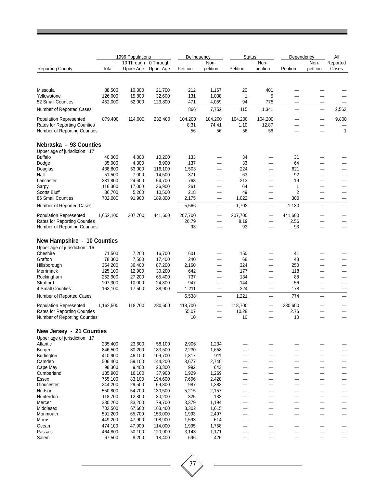|                                                                     |                   | 1996 Populations |           |                | Delinguency                    | <b>Status</b>            |                          | Dependency               |                               | All      |
|---------------------------------------------------------------------|-------------------|------------------|-----------|----------------|--------------------------------|--------------------------|--------------------------|--------------------------|-------------------------------|----------|
|                                                                     |                   | 10 Through       | 0 Through |                | Non-                           |                          | Non-                     |                          | Non-                          | Reported |
| <b>Reporting County</b>                                             | Total             | Upper Age        | Upper Age | Petition       | petition                       | Petition                 | petition                 | Petition                 | petition                      | Cases    |
|                                                                     |                   |                  |           |                |                                |                          |                          |                          |                               |          |
|                                                                     |                   |                  |           |                |                                |                          |                          |                          |                               |          |
| Missoula                                                            | 88,500            | 10,300           | 21,700    | 212            | 1,167                          | 20                       | 401                      |                          |                               |          |
| Yellowstone                                                         | 126,000           | 15,800           | 32,600    | 131            | 1,038                          | 1                        | 5                        |                          |                               |          |
| 52 Small Counties                                                   | 452,000           | 62,000           | 123,800   | 471            | 4,059                          | 94                       | 775                      |                          |                               |          |
| Number of Reported Cases                                            |                   |                  |           | 866            | 7,752                          | 115                      | 1,341                    |                          |                               | 2,562    |
| <b>Population Represented</b>                                       | 879,400           | 114,000          | 232,400   | 104,200        | 104,200                        | 104,200                  | 104,200                  |                          |                               | 9,800    |
| <b>Rates for Reporting Counties</b><br>Number of Reporting Counties |                   |                  |           | 8.31<br>56     | 74.41<br>56                    | 1.10<br>56               | 12.87<br>56              |                          |                               | 1        |
| Nebraska - 93 Counties                                              |                   |                  |           |                |                                |                          |                          |                          |                               |          |
| Upper age of jurisdiction: 17                                       |                   |                  |           |                |                                |                          |                          |                          |                               |          |
| <b>Buffalo</b>                                                      | 40,000            | 4,800            | 10,200    | 133            |                                | 34                       |                          | 31                       |                               |          |
| Dodge                                                               | 35,000            | 4,300            | 8,900     | 137            |                                | 33                       |                          | 64                       |                               |          |
| Douglas                                                             | 438,800           | 53,000           | 116,100   | 1,503          |                                | 224                      |                          | 621                      | -                             |          |
| Hall                                                                | 51,500            | 7,000            | 14,500    | 371            |                                | 63                       |                          | 92                       |                               |          |
|                                                                     | 231,800           |                  | 54,700    | 768            |                                | 213                      |                          | 19                       | —                             |          |
| Lancaster                                                           |                   | 24,600           |           |                |                                |                          |                          |                          |                               |          |
| Sarpy                                                               | 116,300<br>36,700 | 17,000           | 36,900    | 261            |                                | 64<br>49                 |                          | 1                        |                               |          |
| <b>Scotts Bluff</b>                                                 |                   | 5,200            | 10,500    | 218            |                                |                          |                          | 2                        |                               |          |
| 86 Small Counties<br>Number of Reported Cases                       | 702,000           | 91,900           | 189,800   | 2,175<br>5,566 | —<br>—                         | 1,022<br>1,702           | $\overline{\phantom{0}}$ | 300<br>1,130             | —<br>$\overline{\phantom{0}}$ |          |
| <b>Population Represented</b>                                       | 1,652,100         | 207,700          | 441,600   | 207,700        | $\qquad \qquad \longleftarrow$ | 207,700                  | —                        | 441,600                  |                               |          |
| <b>Rates for Reporting Counties</b>                                 |                   |                  |           | 26.79          |                                | 8.19                     |                          | 2.56                     |                               |          |
| Number of Reporting Counties                                        |                   |                  |           | 93             |                                | 93                       |                          | 93                       |                               |          |
|                                                                     |                   |                  |           |                |                                |                          |                          |                          |                               |          |
| <b>New Hampshire - 10 Counties</b><br>Upper age of jurisdiction: 16 |                   |                  |           |                |                                |                          |                          |                          |                               |          |
| Cheshire                                                            | 71,500            | 7,200            | 16,700    | 601            |                                | 150                      |                          | 41                       |                               |          |
| Grafton                                                             | 78,300            | 7,500            | 17,400    | 240            |                                | 68                       | $\overline{\phantom{0}}$ | 43                       | —                             |          |
| Hillsborough                                                        | 354,200           | 36,400           | 87,200    | 2,160          |                                | 324                      |                          | 250                      | —                             |          |
| Merrimack                                                           | 125,100           | 12,900           | 30,200    | 642            |                                | 177                      |                          | 118                      |                               |          |
| Rockingham                                                          | 262,900           | 27,200           | 65,400    | 737            |                                | 134                      |                          | 88                       | $\overline{\phantom{0}}$      |          |
| Strafford                                                           | 107,300           | 10,000           | 24,800    | 947            |                                | 144                      |                          | 56                       | $\overline{\phantom{0}}$      |          |
| 4 Small Counties                                                    | 163,100           | 17,500           | 38,900    | 1,211          | —                              | 224                      | —                        | 178                      |                               |          |
| Number of Reported Cases                                            |                   |                  |           | 6,538          | $\overline{\phantom{0}}$       | 1,221                    | —                        | 774                      | —                             |          |
| <b>Population Represented</b>                                       | 1,162,500         | 118,700          | 280,600   | 118,700        |                                | 118,700                  | —                        | 280,600                  | $\overline{\phantom{a}}$      |          |
| <b>Rates for Reporting Counties</b>                                 |                   |                  |           | 55.07          |                                | 10.28                    |                          | 2.76                     |                               |          |
| Number of Reporting Counties                                        |                   |                  |           | 10             |                                | 10                       |                          | 10                       |                               |          |
| New Jersey - 21 Counties                                            |                   |                  |           |                |                                |                          |                          |                          |                               |          |
| Upper age of jurisdiction: 17                                       |                   |                  |           |                |                                |                          |                          |                          |                               |          |
| Atlantic                                                            | 235,400           | 23,600           | 58,100    | 2,906          | 1,234                          |                          |                          |                          |                               |          |
| Bergen                                                              | 846,500           | 80,200           | 183,500   | 2,230          | 1,658                          |                          |                          |                          |                               |          |
| Burlington                                                          | 410,900           | 46,100           | 109,700   | 1,817          | 911                            | $\overline{\phantom{0}}$ |                          | —                        | —                             |          |
| Camden                                                              | 506,400           | 59,100           | 144,200   | 3,677          | 2,740                          |                          |                          |                          | —                             |          |
| Cape May                                                            | 98,300            | 9,400            | 23,300    | 992            | 643                            |                          |                          |                          | —                             |          |
| Cumberland                                                          | 135,900           | 16,100           | 37,900    | 1,929          | 1,269                          |                          |                          |                          |                               |          |
| Essex                                                               | 755,100           | 83,100           | 194,600   | 7,606          | 2,428                          |                          |                          |                          |                               |          |
| Gloucester                                                          | 244,200           | 29,500           | 69,800    | 987            | 1,383                          |                          |                          | $\overline{\phantom{0}}$ | $\overline{\phantom{0}}$      |          |
| Hudson                                                              | 550,800           | 54,700           | 130,500   | 5,215          | 2,157                          | $\overline{\phantom{0}}$ |                          | —                        | $\overline{\phantom{0}}$      |          |
| Hunterdon                                                           | 118,700           | 12,800           | 30,200    | 325            | 133                            |                          |                          |                          | —                             |          |
| Mercer                                                              | 330,200           | 33,200           | 79,700    | 3,379          | 1,194                          |                          |                          |                          |                               |          |
| Middlesex                                                           | 702,500           | 67,600           | 163,400   | 3,302          | 1,615                          |                          |                          |                          | —                             |          |
| Monmouth                                                            | 591,200           | 65,700           | 153,000   | 1,993          | 2,497                          |                          |                          |                          | —                             |          |
| Morris                                                              | 449,200           | 47,900           | 108,900   | 1,593          | 614                            |                          |                          |                          | -                             |          |
| Ocean                                                               | 474,100           | 47,900           | 114,000   | 1,995          | 1,758                          | —                        |                          |                          | —                             |          |
| Passaic                                                             | 464,800           | 50,100           | 120,900   | 3,143          | 1,171                          |                          |                          |                          |                               |          |
| Salem                                                               | 67,500            | 8,200            | 18,400    | 696            | 426                            |                          |                          |                          |                               |          |

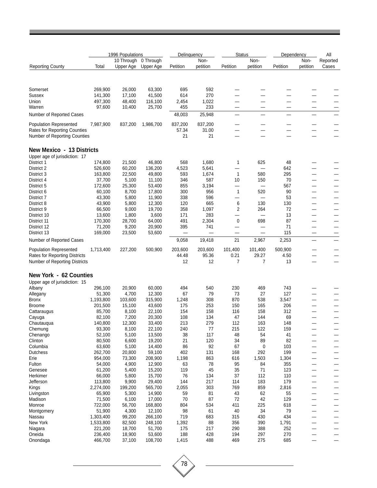| 0 Through<br>10 Through<br>Non-<br>Non-<br><b>Reporting County</b><br>Upper Age<br>Upper Age<br>petition<br>Total<br>Petition<br>petition<br>Petition<br>Petition | Dependency | All                      |  |
|-------------------------------------------------------------------------------------------------------------------------------------------------------------------|------------|--------------------------|--|
|                                                                                                                                                                   | Non-       | Reported                 |  |
|                                                                                                                                                                   | petition   | Cases                    |  |
|                                                                                                                                                                   |            |                          |  |
| Somerset<br>269,900<br>26,000<br>63,300<br>695<br>592                                                                                                             |            |                          |  |
| 270<br><b>Sussex</b><br>141,300<br>17,100<br>41,500<br>614<br>-                                                                                                   |            |                          |  |
| 48,400<br>116,100<br>2,454<br>1,022<br>Union<br>497,300<br>$\overline{\phantom{0}}$                                                                               |            |                          |  |
| 233<br>97,600<br>10,400<br>25,700<br>455<br>Warren                                                                                                                |            |                          |  |
| 48,003<br>25,948<br>Number of Reported Cases                                                                                                                      |            |                          |  |
| 837,200<br>837,200<br><b>Population Represented</b><br>7,987,900<br>837,200<br>1,986,700                                                                          |            |                          |  |
| Rates for Reporting Counties<br>57.34<br>31.00<br>—<br>Number of Reporting Counties<br>21<br>21                                                                   |            |                          |  |
| New Mexico - 13 Districts                                                                                                                                         |            |                          |  |
| Upper age of jurisdiction: 17                                                                                                                                     |            |                          |  |
| District 1<br>174,800<br>21,500<br>46,800<br>568<br>1,680<br>625<br>48<br>1<br>District 2                                                                         |            |                          |  |
| 4,523<br>5,641<br>642<br>526,600<br>60,200<br>136,200                                                                                                             |            |                          |  |
| 163,800<br>593<br>1,674<br>$\mathbf{1}$<br>580<br>295<br>District 3<br>22,500<br>49,800                                                                           |            |                          |  |
| District 4<br>37,700<br>5,100<br>11,100<br>346<br>587<br>10<br>150<br>70                                                                                          |            |                          |  |
| 172,600<br>25,300<br>53,400<br>855<br>3,194<br>567<br>District 5<br>—                                                                                             |            |                          |  |
| 60,100<br>8,700<br>17,800<br>300<br>956<br>$\mathbf{1}$<br>520<br>90<br>District 6                                                                                |            | —                        |  |
| 338<br>43,300<br>5,800<br>11,900<br>596<br>53<br>District 7                                                                                                       |            | —<br>—                   |  |
| 665<br>6<br>130<br>43,900<br>5,800<br>12,300<br>120<br>130<br>District 8                                                                                          |            |                          |  |
| 2<br>358<br>264<br>District 9<br>66,500<br>9,000<br>19,700<br>1,097<br>72                                                                                         |            | -                        |  |
| 283<br>District 10<br>13,600<br>1,800<br>3,600<br>171<br>13<br>—                                                                                                  |            | —                        |  |
| 2,304<br>$\pmb{0}$<br>170,300<br>28,700<br>64,000<br>491<br>698<br>87<br>District 11<br>71                                                                        |            | —                        |  |
| District 12<br>71,200<br>9,200<br>20,900<br>395<br>741<br>—<br>District 13<br>169,000<br>53,600<br>115                                                            |            | —                        |  |
| 23,500<br>$\qquad \qquad$<br>21<br>9,058<br>19,418<br>2,967                                                                                                       |            |                          |  |
| Number of Reported Cases<br>2,253                                                                                                                                 |            |                          |  |
| 1,713,400<br>227,200<br>500,900<br>203,600<br>203,600<br>101,400<br>101,400<br>500,900<br><b>Population Represented</b>                                           |            |                          |  |
| 95.36<br>Rates for Reporting Districts<br>44.48<br>0.21<br>29.27<br>4.50                                                                                          |            |                          |  |
| Number of Reporting Districts<br>12<br>12<br>7<br>13<br>7                                                                                                         |            |                          |  |
| New York - 62 Counties                                                                                                                                            |            |                          |  |
| Upper age of jurisdiction: 15                                                                                                                                     |            |                          |  |
| 296,100<br>60,000<br>494<br>540<br>230<br>469<br>743<br>Albany<br>20,900                                                                                          |            |                          |  |
| 51,300<br>4,700<br>12,300<br>67<br>79<br>73<br>27<br>127<br>Allegany                                                                                              |            |                          |  |
| 308<br>870<br>538<br>1,193,800<br>103,600<br>315,900<br>1,248<br>3,547<br>Bronx                                                                                   |            |                          |  |
| 43,600<br>253<br>150<br>165<br>206<br><b>Broome</b><br>201,500<br>15,100<br>175                                                                                   |            |                          |  |
| 85,700<br>8,100<br>22,100<br>154<br>158<br>116<br>158<br>312<br>Cattaraugus                                                                                       |            |                          |  |
| 7,200<br>20,300<br>108<br>134<br>47<br>144<br>69<br>82,100<br>Cayuga                                                                                              |            |                          |  |
| 33,400<br>279<br>163<br>213<br>112<br>148<br>140,800<br>12,300<br>Chautauqua                                                                                      |            | -                        |  |
| 240<br>$77$<br>215<br>93,300<br>8,100<br>22,100<br>122<br>159<br>Chemung                                                                                          |            | —                        |  |
| 52,100<br>5,100<br>13,500<br>38<br>117<br>48<br>41<br>Chenango<br>54                                                                                              |            | —                        |  |
| 21<br>34<br>Clinton<br>80,500<br>6,600<br>19,200<br>120<br>89<br>82                                                                                               |            | —                        |  |
|                                                                                                                                                                   |            | —                        |  |
|                                                                                                                                                                   |            | $\overline{\phantom{0}}$ |  |
| 63,600<br>5,100<br>14,400<br>86<br>92<br>67<br>0<br>103                                                                                                           |            | —                        |  |
| 59,100<br>402<br>131<br>292<br>199<br>262,700<br>20,800<br>168                                                                                                    |            |                          |  |
| 954,000<br>73,300<br>208,900<br>1,198<br>863<br>616<br>1,503<br>1,304                                                                                             |            | —                        |  |
| 78<br>95<br>54,000<br>4,900<br>12,900<br>63<br>84<br>355<br>Fulton                                                                                                |            | —                        |  |
| 119<br>45<br>35<br>123<br>61,200<br>5,400<br>15,200<br>71                                                                                                         |            |                          |  |
| 76<br>66,000<br>5,800<br>15,700<br>134<br>37<br>112<br>110                                                                                                        |            | —                        |  |
| 144<br>217<br>Jefferson<br>113,800<br>9,900<br>29,400<br>114<br>183<br>179                                                                                        |            | —<br>—                   |  |
| 2,055<br>303<br>769<br>859<br>2,816<br>2,274,000<br>199,200<br>565,700                                                                                            |            |                          |  |
| 43<br>65,900<br>5,300<br>14,900<br>59<br>81<br>62<br>55                                                                                                           |            | —                        |  |
| Columbia<br>Dutchess<br>Erie<br>Genesee<br>Herkimer<br>Kings<br>Livingston<br>70<br>$72\,$<br>42<br>129<br>Madison<br>71,500<br>6,100<br>17,000<br>87             |            | —<br>—                   |  |
| 804<br>534<br>225<br>722,000<br>56,700<br>168,800<br>411<br>618<br>Monroe                                                                                         |            |                          |  |
| 51,900<br>98<br>34<br>4,300<br>12,100<br>61<br>40<br>79<br>Montgomery                                                                                             |            | —<br>—                   |  |
| 1,303,400<br>99,200<br>266,100<br>719<br>683<br>315<br>430<br>434<br>Nassau                                                                                       |            | —                        |  |
| New York<br>1,392<br>88<br>356<br>390<br>1,533,800<br>82,500<br>248,100<br>1,791                                                                                  |            | —                        |  |
| 221,200<br>18,700<br>51,700<br>175<br>217<br>290<br>388<br>252<br>Niagara<br>188<br>428<br>270<br>Oneida<br>236,400<br>18,900<br>53,600<br>194<br>297             |            | —                        |  |

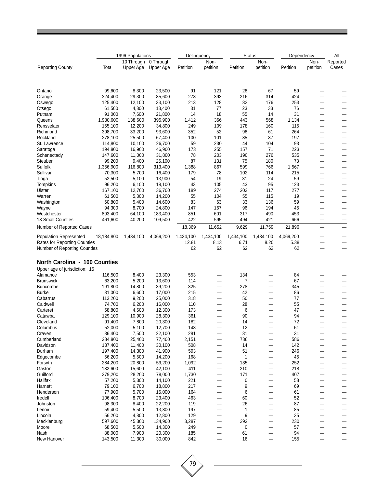|                               |            | 1996 Populations |           | Delinguency |           | <b>Status</b> |                          | Dependency | All                      |          |
|-------------------------------|------------|------------------|-----------|-------------|-----------|---------------|--------------------------|------------|--------------------------|----------|
|                               |            | 10 Through       | 0 Through |             | Non-      |               | Non-                     |            | Non-                     | Reported |
| <b>Reporting County</b>       | Total      | Upper Age        | Upper Age | Petition    | petition  | Petition      | petition                 | Petition   | petition                 | Cases    |
|                               |            |                  |           |             |           |               |                          |            |                          |          |
|                               |            |                  |           |             |           |               |                          |            |                          |          |
| Ontario                       | 99.600     | 8,300            | 23,500    | 91          | 121       | 26            | 67                       | 59         |                          |          |
| Orange                        | 324,400    | 29,300           | 85,600    | 278         | 393       | 216           | 314                      | 424        |                          |          |
| Oswego                        | 125,400    | 12,100           | 33,100    | 213         | 128       | 82            | 176                      | 253        |                          |          |
| Otsego                        | 61,500     | 4,800            | 13,400    | 31          | 77        | 23            | 33                       | 76         | $\overline{\phantom{0}}$ |          |
| Putnam                        | 91,000     | 7,600            | 21,800    | 14          | 18        | 55            | 14                       | 31         | —                        |          |
| Queens                        | 1,980,600  | 138,600          | 395,900   | 1,412       | 366       | 443           | 568                      | 1,134      | —                        |          |
| Rensselaer                    | 155,100    | 12,200           | 34,800    | 249         | 109       | 178           | 160                      | 115        | $\overline{\phantom{0}}$ |          |
| Richmond                      | 398,700    | 33,200           | 93,600    | 352         | 52        | 96            | 61                       | 264        | -                        |          |
| Rockland                      | 278,100    | 25,500           | 67,400    | 100         | 101       | 85            | 87                       | 197        | —                        | —        |
| St. Lawrence                  | 114,800    | 10,100           | 26,700    | 59          | 230       | 44            | 104                      | 93         | -                        |          |
| Saratoga                      | 194,800    | 16,900           | 46,900    | 173         | 255       | 157           | 71                       | 223        | —                        |          |
| Schenectady                   | 147,600    | 11,000           | 31,800    | 78          | 203       | 190           | 276                      | 535        | —                        |          |
| Steuben                       | 99,200     | 9,400            | 25,100    | 87          | 131       | 75            | 180                      | 73         | $\overline{\phantom{0}}$ |          |
| Suffolk                       | 1,356,900  | 116,800          | 313,400   | 1,388       | 867       | 599           | 766                      | 1,567      | —                        |          |
| Sullivan                      | 70,300     | 5,700            | 16,400    | 179         | 78        | 102           | 114                      | 215        | -                        |          |
| Tioga                         | 52,500     | 5,100            | 13,900    | 54          | 19        | 31            | 24                       | 59         | —                        |          |
| Tompkins                      | 96,200     | 6,100            | 18,100    | 43          | 105       | 43            | 95                       | 123        | -                        |          |
| Ulster                        | 167,100    | 12,700           | 36,700    | 189         | 274       | 203           | 117                      | 277        | —                        |          |
| Warren                        | 61,500     | 5,300            | 14,200    | 55          | 104       | 55            | 115                      | 19         | $\overline{\phantom{0}}$ |          |
| Washington                    | 60,800     | 5,400            | 14,600    | 83          | 63        | 33            | 136                      | 59         | -                        |          |
| Wayne                         | 94,300     | 8,700            | 24,800    | 147         | 167       | 96            | 194                      | 45         | —                        | —        |
| Westchester                   | 893,400    | 64,100           | 183,400   | 851         | 601       | 317           | 490                      | 453        | $\overline{\phantom{0}}$ |          |
| 13 Small Counties             | 461,600    | 40,200           | 109,500   | 422         | 595       | 494           | 421                      | 666        |                          |          |
|                               |            |                  |           |             |           |               |                          |            |                          |          |
| Number of Reported Cases      |            |                  |           | 18,369      | 11,652    | 9,629         | 11,759                   | 21,896     | $\overline{\phantom{0}}$ |          |
| <b>Population Represented</b> | 18,184,800 | 1,434,100        | 4,069,200 | 1,434,100   | 1,434,100 | 1,434,100     | 1,434,100                | 4,069,200  |                          |          |
| Rates for Reporting Counties  |            |                  |           | 12.81       | 8.13      | 6.71          | 8.20                     | 5.38       |                          |          |
| Number of Reporting Counties  |            |                  |           | 62          | 62        | 62            | 62                       | 62         |                          |          |
|                               |            |                  |           |             |           |               |                          |            |                          |          |
| North Carolina - 100 Counties |            |                  |           |             |           |               |                          |            |                          |          |
|                               |            |                  |           |             |           |               |                          |            |                          |          |
| Upper age of jurisdiction: 15 |            |                  |           |             |           |               |                          |            |                          |          |
| Alamance                      | 116,500    | 8,400            | 23,300    | 553         |           | 134           |                          | 84         |                          |          |
| <b>Brunswick</b>              | 63,200     | 5,200            | 13,600    | 114         |           | 7             |                          | 67         |                          |          |
| <b>Buncombe</b>               | 191,800    | 14,800           | 39,200    | 325         | —         | 278           | $\overline{\phantom{0}}$ | 345        | $\sim$                   |          |
| <b>Burke</b>                  | 81,000     | 6,600            | 17,000    | 215         | -         | 42            | $\overline{\phantom{0}}$ | 86         |                          |          |
| Cabarrus                      | 113,200    | 9,200            | 25,000    | 318         |           | 50            |                          | 77         |                          |          |
| Caldwell                      | 74,700     | 6,200            | 16,000    | 110         | -         | 28            | —                        | 55         |                          | —        |
| Carteret                      | 58,800     | 4,500            | 12,300    | 173         |           | 6             | $\overline{\phantom{0}}$ | 47         |                          |          |
| Catawba                       | 129,100    | 10,900           | 28,300    | 361         |           | 90            |                          | 94         |                          |          |
| Cleveland                     | 91,400     | 7,800            | 20,300    | 182         |           | 14            |                          | 72         |                          |          |
| Columbus                      | 52,000     | 5,100            | 12,700    | 148         |           | 12            |                          | 61         |                          |          |
| Craven                        | 86,400     | 7,500            | 22,100    | 281         |           | 31            |                          | 31         |                          |          |
| Cumberland                    | 284,800    | 25,400           | 77,400    | 2,151       | -         | 786           |                          | 586        |                          |          |
| Davidson                      | 137,400    | 11,400           | 30,100    | 508         | —         | 14            | —                        | 142        |                          |          |
| Durham                        | 197,400    | 14,300           | 41,900    | 593         |           | 51            |                          | 246        |                          |          |
| Edgecombe                     | 56,200     | 5,500            | 14,200    | 168         |           | 1             |                          | 45         |                          |          |
| Forsyth                       | 284,200    | 20,800           | 59,200    | 1,092       | —         | 135           | —                        | 252        |                          |          |
| Gaston                        | 182,600    | 15,600           | 42,100    | 411         | —         | 210           |                          | 218        | —                        |          |
| Guilford                      | 379,200    | 28,200           | 78,000    | 1,730       | —         | 171           | —                        | 407        | —                        |          |
| Halifax                       | 57,200     | 5,300            | 14,100    | 221         | —         | 0             | —                        | 58         | -                        |          |
| Harnett                       | 79,100     | 6,700            | 18,800    | 217         |           | 9             |                          | 69         |                          |          |
| Henderson                     | 77,900     | 5,700            | 15,000    | 164         |           | 6             |                          | 61         |                          |          |
| Iredell                       | 106,400    | 8,700            | 23,400    | 463         |           | 60            |                          | 52         |                          |          |
| Johnston                      | 98,300     | 8,400            | 22,200    | 119         |           | 26            |                          | 87         |                          |          |
| Lenoir                        | 59,400     | 5,500            | 13,800    | 197         | —         | 1             | —                        | 85         | —                        |          |
| Lincoln                       | 56,200     | 4,800            | 12,800    | 129         | —         | 9             | —                        | 35         | $\overline{\phantom{0}}$ |          |
| Mecklenburg                   | 597,600    | 45,300           | 134,900   | 3,287       |           | 392           |                          | 230        |                          |          |
| Moore                         | 68,500     | 5,500            | 14,300    | 249         |           | 0             |                          | 57         |                          |          |
| Nash                          | 88,000     | 7,900            | 20,300    | 185         |           | 61            |                          | 94         |                          |          |
| New Hanover                   | 143,500    | 11,300           | 30,000    | 842         |           | 16            |                          | 155        |                          |          |

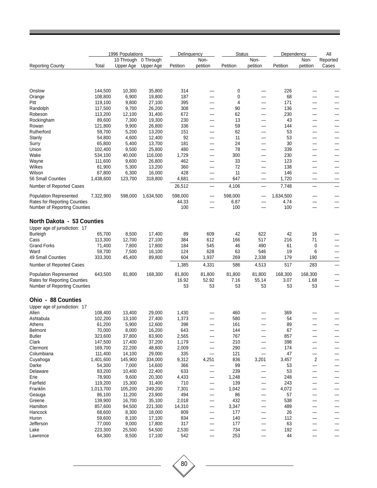|                                     |                   | 1996 Populations        |                        | Delinguency  |                          | <b>Status</b> |                          | Dependency |                                | All                      |  |
|-------------------------------------|-------------------|-------------------------|------------------------|--------------|--------------------------|---------------|--------------------------|------------|--------------------------------|--------------------------|--|
| <b>Reporting County</b>             | Total             | 10 Through<br>Upper Age | 0 Through<br>Upper Age | Petition     | Non-<br>petition         | Petition      | Non-<br>petition         | Petition   | Non-<br>petition               | Reported<br>Cases        |  |
|                                     |                   |                         |                        |              |                          |               |                          |            |                                |                          |  |
| Onslow                              | 144,500           | 10,300                  | 35,800                 | 314          | —                        | 0             | $\overline{\phantom{0}}$ | 226        |                                |                          |  |
| Orange                              | 108,800           | 6,900                   | 19,800                 | 187          | -                        | 0             | $\overline{\phantom{0}}$ | 68         |                                |                          |  |
| Pitt                                | 119,100           | 9,800                   | 27,100                 | 395          |                          | 4             |                          | 171        |                                |                          |  |
| Randolph                            | 117,500           | 9,700                   | 26,200                 | 308          |                          | 90            | —                        | 136        |                                |                          |  |
| Robeson                             | 113,200           | 12,100                  | 31,400                 | 672          |                          | 62            |                          | 230        |                                |                          |  |
| Rockingham                          | 89,600            | 7,300                   | 19,300                 | 230          | —                        | 13            | —                        | 43         |                                | —                        |  |
| Rowan                               | 121,800           | 9,900                   | 26,800                 | 336          | $\overline{\phantom{0}}$ | 59            | $\overline{\phantom{0}}$ | 144        |                                |                          |  |
| Rutherford                          | 59,700            | 5,200                   | 13,200                 | 151          | —                        | 62            | —                        | 53         | —                              |                          |  |
| Stanly                              | 54,800            | 4,600                   | 12,400                 | 92           |                          | 11            | —                        | 53         |                                |                          |  |
| Surry                               | 65,800            | 5,400                   | 13,700                 | 181          |                          | 24            | –                        | 30         |                                |                          |  |
| Union                               | 102,400           | 9,500                   | 25,800                 | 480          |                          | 78            | —                        | 339        |                                |                          |  |
| Wake                                | 534,100           | 40,000                  | 116,000                | 1,729        | —                        | 300           | —                        | 230        |                                |                          |  |
| Wayne                               | 111,600           | 9,600                   | 26,800                 | 462          | $\overline{\phantom{0}}$ | 33            | $\overline{\phantom{0}}$ | 123        | —                              | —                        |  |
| Wilkes                              | 61,900            | 5,300                   | 13,200                 | 360          | —                        | 72            | —                        | 138        |                                |                          |  |
| Wilson                              | 67,800            | 6,300                   | 16,000                 | 428          |                          | 11            | —                        | 146        |                                |                          |  |
| 56 Small Counties                   | 1,438,600         | 123,700                 | 318,800                | 4,681        | $\overline{\phantom{0}}$ | 647           | —                        | 1,720      | $\qquad \qquad -$              |                          |  |
| Number of Reported Cases            |                   |                         |                        | 26,512       | —                        | 4,106         | —                        | 7,748      | $\qquad \qquad \longleftarrow$ |                          |  |
| <b>Population Represented</b>       | 7,322,900         | 598,000                 | 1,634,500              | 598,000      |                          | 598,000       |                          | 1,634,500  |                                |                          |  |
| <b>Rates for Reporting Counties</b> |                   |                         |                        | 44.33        | $\overline{\phantom{0}}$ | 6.87          |                          | 4.74       | —                              |                          |  |
| Number of Reporting Counties        |                   |                         |                        | 100          | —                        | 100           |                          | 100        |                                |                          |  |
| North Dakota - 53 Counties          |                   |                         |                        |              |                          |               |                          |            |                                |                          |  |
| Upper age of jurisdiction: 17       |                   |                         |                        |              |                          |               |                          |            |                                |                          |  |
| <b>Burleigh</b>                     | 65,700            | 8,500                   | 17,400                 | 89           | 609                      | 42            | 622                      | 42         | 16                             |                          |  |
| Cass                                | 113,300           | 12,700                  | 27,100                 | 384          | 612                      | 166           | 517                      | 216        | 71                             |                          |  |
| <b>Grand Forks</b>                  | 71,400            | 7,800                   | 17,800                 | 184          | 545                      | 46            | 490                      | 61         | 0                              |                          |  |
| Ward                                | 59,700            | 7,500                   | 16,100                 | 124          | 628                      | 63            | 546                      | 19         | 6                              |                          |  |
| 49 Small Counties                   | 333,300           | 45,400                  | 89,800                 | 604          | 1,937                    | 269           | 2,338                    | 179        | 190                            |                          |  |
| Number of Reported Cases            |                   |                         |                        | 1,385        | 4,331                    | 586           | 4,513                    | 517        | 283                            | $\overline{\phantom{0}}$ |  |
| <b>Population Represented</b>       | 643,500           | 81,800                  | 168,300                | 81,800       | 81,800                   | 81,800        | 81,800                   | 168,300    | 168,300                        |                          |  |
| <b>Rates for Reporting Counties</b> |                   |                         |                        | 16.92        | 52.92                    | 7.16          | 55.14                    | 3.07       | 1.68                           |                          |  |
| Number of Reporting Counties        |                   |                         |                        | 53           | 53                       | 53            | 53                       | 53         | 53                             |                          |  |
| Ohio - 88 Counties                  |                   |                         |                        |              |                          |               |                          |            |                                |                          |  |
| Upper age of jurisdiction: 17       |                   |                         |                        |              |                          |               |                          |            |                                |                          |  |
| Allen                               | 108,400           | 13,400                  | 29,000                 | 1,430        |                          | 460           |                          | 369        |                                |                          |  |
| Ashtabula                           | 102,200           | 13,100                  | 27,400                 | 1,373        |                          | 580           |                          | 54         |                                |                          |  |
| Athens                              | 61,200            | 5,900                   | 12,600                 | 398          |                          | 161           |                          | 89         |                                |                          |  |
| Belmont                             | 70,000            | 8,000                   | 16,200                 | 643          |                          | 144           |                          | 67         |                                |                          |  |
| <b>Butler</b>                       | 323,600           | 37,800                  | 83,900                 | 2,565        |                          | 767           |                          | 857        |                                |                          |  |
| Clark                               | 147,500           | 17,400                  | 37,200                 | 1,179        | —                        | 210           |                          | 398        |                                | —                        |  |
| Clermont                            | 169,700           | 22,200                  | 48,800                 | 2,009        | —                        | 290           | $\overline{\phantom{0}}$ | 174        |                                |                          |  |
| Columbiana                          | 111,400           | 14,100                  | 29,000                 | 335          | $\overline{\phantom{0}}$ | 121           | —                        | 47         | —                              |                          |  |
| Cuyahoga                            | 1,401,600         | 145,900                 | 334,000                | 9,312        | 4,251                    | 836           | 3,201                    | 3,457      | 2                              |                          |  |
| Darke                               | 54,300            | 7,000                   | 14,600                 | 366          |                          | 99            |                          | 53         | —                              |                          |  |
| Delaware<br>Erie                    | 83,200            | 10,400<br>9,600         | 22,400<br>20,300       | 633          | —                        | 239           |                          | 53<br>248  |                                |                          |  |
| Fairfield                           | 78,900<br>119,200 | 15,300                  | 31,400                 | 4,433<br>710 | —                        | 1,248<br>139  | —                        | 243        |                                |                          |  |
| Franklin                            | 1,013,700         | 105,200                 | 249,200                | 7,301        | —<br>—                   | 1,042         | —<br>—                   | 4,072      |                                | —                        |  |
| Geauga                              | 86,100            | 11,200                  | 23,900                 | 494          | —                        | 86            | —                        | 57         |                                |                          |  |
| Greene                              | 139,900           | 16,700                  | 35,100                 | 2,018        | —                        | 432           | —                        | 538        |                                |                          |  |
| Hamilton                            | 857,600           | 94,500                  | 221,300                | 14,310       | —                        | 3,347         | —                        | 489        |                                |                          |  |
| Hancock                             | 68,600            | 8,300                   | 18,000                 | 809          | —                        | 177           | —                        | 26         |                                |                          |  |
| Huron                               | 59,600            | 8,100                   | 17,100                 | 834          | —                        | 140           | —                        | 112        |                                |                          |  |
| Jefferson                           | 77,000            | 9,000                   | 17,800                 | 317          | —                        | 177           | —                        | 63         |                                |                          |  |
| Lake                                | 223,300           | 25,500                  | 54,500                 | 2,530        | —                        | 734           | $\overline{\phantom{0}}$ | 192        |                                |                          |  |
| Lawrence                            | 64,300            | 8,500                   | 17,100                 | 542          | $\overline{\phantom{0}}$ | 253           |                          | 44         |                                |                          |  |

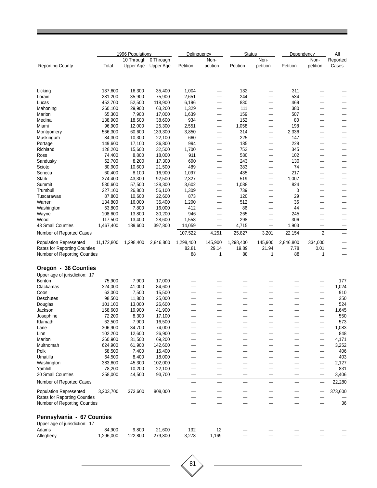|                                                              |                   | 1996 Populations |                  | Delinguency  |                          | <b>Status</b> |                          | Dependency |                | All                      |
|--------------------------------------------------------------|-------------------|------------------|------------------|--------------|--------------------------|---------------|--------------------------|------------|----------------|--------------------------|
|                                                              |                   | 10 Through       | 0 Through        |              | Non-                     |               | Non-                     |            | Non-           | Reported                 |
| <b>Reporting County</b>                                      | Total             | Upper Age        | Upper Age        | Petition     | petition                 | Petition      | petition                 | Petition   | petition       | Cases                    |
|                                                              |                   |                  |                  |              |                          |               |                          |            |                |                          |
| Licking                                                      | 137,600           | 16,300           | 35,400           | 1,004        |                          | 132           |                          | 311        |                |                          |
| Lorain                                                       | 281,200           | 35,900           | 75,900           | 2,651        | $\overline{\phantom{0}}$ | 244           | —                        | 534        |                |                          |
| Lucas                                                        | 452,700           | 52,500           | 118,900          | 6,196        | —                        | 830           | $\overline{\phantom{0}}$ | 469        |                |                          |
| Mahoning                                                     | 260,100           | 29,900           | 63,200           | 1,329        | $\overline{\phantom{0}}$ | 111           |                          | 380        |                |                          |
| Marion                                                       | 65,300            | 7,900            | 17,000           | 1,639        | —                        | 159           | —                        | 507        |                |                          |
| Medina                                                       | 138,900           | 18,500           | 38,600           | 934          | $\overline{\phantom{0}}$ | 152           | —                        | 80         |                |                          |
| Miami                                                        | 96,900            | 12,000           | 25,300           | 2,551        | -                        | 1,058         |                          | 198        |                |                          |
| Montgomery                                                   | 566,300           | 60,600           | 139,300          | 3,850        | $\overline{\phantom{0}}$ | 314           | —                        | 2,336      |                | —                        |
| Muskingum                                                    | 84,300            | 10,300           | 22,100           | 660          | —                        | 225           | -                        | 147        |                |                          |
| Portage                                                      | 149,600           | 17,100           | 36,800           | 994          | $\overline{\phantom{0}}$ | 185           | $\overline{\phantom{0}}$ | 228        |                |                          |
| Richland                                                     | 128,200           | 15,600           | 32,500           | 1,700        | $\qquad \qquad -$        | 752           | $\overline{\phantom{0}}$ | 345        |                |                          |
| Ross                                                         | 74,400            | 8,800            | 18,000           | 911          |                          | 580           | —                        | 102        |                |                          |
| Sandusky                                                     | 62,700            | 8,200            | 17,300           | 690          | $\overline{\phantom{0}}$ | 243           | —                        | 130        |                |                          |
| Scioto                                                       | 80,900            | 10,600           | 21,500           | 489          | —                        | 383           | —                        | 74         |                | —                        |
| Seneca                                                       | 60,400            | 8,100            | 16,900           | 1,097        | —                        | 435           | —                        | 217        |                |                          |
| <b>Stark</b>                                                 | 374,400           | 43,300           | 92,500           | 2,327        | —                        | 519           | $\overline{\phantom{0}}$ | 1,007      |                |                          |
| Summit                                                       | 530,600           | 57,500           | 128,300          | 3,602        | $\overline{\phantom{0}}$ | 1,088         | -                        | 824        |                |                          |
| Trumbull                                                     | 227,100           | 26,800           | 56,100           | 1,309        | -                        | 739<br>120    |                          | 0          |                | -                        |
| Tuscarawas<br>Warren                                         | 87,800<br>134,800 | 10,600<br>16,000 | 22,600<br>35,400 | 873<br>1,200 | —                        | 512           | —                        | 29<br>36   |                |                          |
| Washington                                                   | 63,800            | 7,800            | 16,000           | 412          | $\qquad \qquad$<br>—     | 86            |                          | 44         |                | —                        |
| Wayne                                                        | 108,600           | 13,800           | 30,200           | 946          | $\overline{\phantom{0}}$ | 265           | $\overline{\phantom{0}}$ | 245        |                |                          |
| Wood                                                         | 117,500           | 13,400           | 28,600           | 1,558        | $\overline{\phantom{0}}$ | 298           | $\overline{\phantom{0}}$ | 306        |                |                          |
| 43 Small Counties                                            | 1,467,400         | 189,600          | 397,800          | 14,059       | $\qquad \qquad$          | 4,715         | —                        | 1,903      |                |                          |
| Number of Reported Cases                                     |                   |                  |                  | 107,522      | 4,251                    | 25,827        | 3,201                    | 22,154     | $\overline{2}$ | —                        |
| <b>Population Represented</b>                                | 11,172,800        | 1,298,400        | 2,846,800        | 1,298,400    | 145,900                  | 1,298,400     | 145,900                  | 2,846,800  | 334,000        |                          |
| <b>Rates for Reporting Counties</b>                          |                   |                  |                  | 82.81        | 29.14                    | 19.89         | 21.94                    | 7.78       | 0.01           | $\overline{\phantom{0}}$ |
| Number of Reporting Counties                                 |                   |                  |                  | 88           | $\mathbf{1}$             | 88            | 1                        | 88         | 1              |                          |
|                                                              |                   |                  |                  |              |                          |               |                          |            |                |                          |
| Oregon - 36 Counties                                         |                   |                  |                  |              |                          |               |                          |            |                |                          |
| Upper age of jurisdiction: 17                                |                   |                  |                  |              |                          |               |                          |            |                |                          |
| Benton                                                       | 75,900            | 7,900            | 17,000           |              |                          |               |                          |            |                | 177                      |
| Clackamas                                                    | 324,000           | 41,000           | 84,600           |              |                          |               |                          |            |                | 1,024                    |
| Coos                                                         | 63,000            | 7,500            | 15,500           |              |                          |               |                          |            |                | 910                      |
| <b>Deschutes</b>                                             | 98,500            | 11,800           | 25,000           | —            | $\overline{\phantom{0}}$ | —             | —                        |            | —              | 350                      |
| Douglas                                                      | 101,100           | 13,000<br>19,900 | 26,600<br>41,900 |              |                          |               |                          |            |                | 524<br>1,645             |
| Jackson                                                      | 168,600<br>72,200 | 8,300            |                  |              |                          |               |                          |            |                | 550                      |
| Josephine<br>Klamath                                         | 62,500            | 7,900            | 17,100<br>16,500 |              |                          |               |                          |            |                | 573                      |
| Lane                                                         | 306,900           | 34,700           | 74,000           |              |                          |               |                          |            | —              | 1,083                    |
| Linn                                                         | 102,200           | 12,600           | 26,900           |              |                          |               |                          |            |                | 848                      |
| Marion                                                       | 260,900           | 31,500           | 69,200           |              |                          |               |                          |            |                | 4,171                    |
| Multnomah                                                    | 624,900           | 61,900           | 142,600          |              |                          |               |                          |            |                | 3,252                    |
| Polk                                                         | 58,500            | 7,400            | 15,400           |              |                          |               |                          |            |                | 406                      |
| Umatilla                                                     | 64,500            | 8,400            | 18,000           |              |                          |               |                          |            |                | 403                      |
| Washington                                                   | 383,600           | 45,300           | 102,000          |              |                          |               |                          |            |                | 2,127                    |
| Yamhill                                                      | 78,200            | 10,200           | 22,100           |              |                          |               |                          |            |                | 831                      |
| 20 Small Counties                                            | 358,000           | 44,500           | 93,700           |              | -                        |               | —                        |            |                | 3,406                    |
| Number of Reported Cases                                     |                   |                  |                  |              |                          |               | —                        |            |                | 22,280                   |
| <b>Population Represented</b>                                | 3,203,700         | 373,600          | 808,000          |              |                          |               |                          |            |                | 373,600                  |
| Rates for Reporting Counties<br>Number of Reporting Counties |                   |                  |                  |              |                          |               |                          |            |                | 36                       |
|                                                              |                   |                  |                  |              |                          |               |                          |            |                |                          |
| Pennsylvania - 67 Counties                                   |                   |                  |                  |              |                          |               |                          |            |                |                          |
| Upper age of jurisdiction: 17<br>Adams                       | 84,900            | 9,800            | 21,600           | 132          | 12                       |               |                          |            |                |                          |
| Allegheny                                                    | 1,296,000         | 122,800          | 279,800          | 3,278        | 1,169                    |               |                          |            |                |                          |
|                                                              |                   |                  |                  |              |                          |               |                          |            |                |                          |

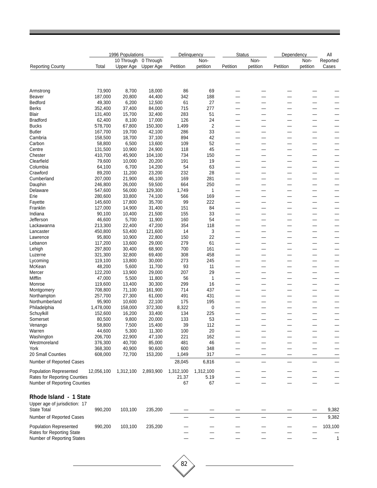|                                     | 1996 Populations |            |           |           | Delinquency    |                          | <b>Status</b> |          | Dependency |                          |
|-------------------------------------|------------------|------------|-----------|-----------|----------------|--------------------------|---------------|----------|------------|--------------------------|
|                                     |                  | 10 Through | 0 Through |           | Non-           |                          | Non-          |          | Non-       | Reported                 |
| <b>Reporting County</b>             | Total            | Upper Age  | Upper Age | Petition  | petition       | Petition                 | petition      | Petition | petition   | Cases                    |
|                                     |                  |            |           |           |                |                          |               |          |            |                          |
| Armstrong                           | 73,900           | 8,700      | 18,000    | 86        | 69             |                          |               |          |            |                          |
| Beaver                              | 187,000          | 20,800     | 44,400    | 342       | 188            | —                        | -             |          |            |                          |
| Bedford                             | 49,300           | 6,200      | 12,500    | 61        | 27             | -                        |               |          |            |                          |
| Berks                               | 352,400          | 37,400     | 84,000    | 715       | 277            | --                       |               |          |            | --                       |
| Blair                               | 131,400          | 15,700     | 32,400    | 283       | 51             | -                        |               |          |            |                          |
| <b>Bradford</b>                     | 62,400           | 8,100      | 17,000    | 126       | 24             |                          |               |          |            |                          |
| <b>Bucks</b>                        | 578,700          | 67,800     | 150,300   | 1,499     | $\overline{2}$ | -                        | —             |          |            | -                        |
| Butler                              | 167,700          | 19,700     | 42,100    | 286       | 33             |                          | <u>.</u>      |          |            |                          |
| Cambria                             | 158,500          | 18,700     | 37,100    | 894       | 42             |                          |               |          |            |                          |
| Carbon                              | 58,800           | 6,500      | 13,600    | 109       | 52             | -                        |               |          |            |                          |
| Centre                              | 131,500          | 10,900     | 24,900    | 118       | 45             |                          |               |          |            |                          |
| Chester                             | 410,700          | 45,900     | 104,100   | 734       | 150            | -                        |               |          |            |                          |
| Clearfield                          | 79,600           | 10,000     | 20,200    | 191       | 19             | -                        |               |          |            |                          |
| Columbia                            | 64,100           | 6,700      | 14,200    | 54        | 63             | -                        | -             |          |            | -                        |
| Crawford                            | 89,200           | 11,200     | 23,200    | 232       | 28             | -                        |               |          |            |                          |
| Cumberland                          | 207,000          | 21,900     | 46,100    | 169       | 281            | -                        |               |          |            |                          |
| Dauphin                             | 246,800          | 26,000     | 59,500    | 664       | 250            | $\overline{\phantom{0}}$ |               |          |            |                          |
| Delaware                            | 547,600          | 56,000     | 129,300   | 1,749     | $\mathbf{1}$   | --                       |               |          |            |                          |
| Erie                                | 280,600          | 33,800     | 74,100    | 566       | 169            | —                        | —             |          | -          | -                        |
| Fayette                             | 145,600          | 17,800     | 35,700    | 99        | 222            | —                        | -             |          | -          | $\sim$                   |
| Franklin                            | 127,000          | 14,900     | 31,400    | 151       | 84             | -                        |               |          |            |                          |
| Indiana                             | 90,100           | 10,400     | 21,500    | 155       | 33             | -                        | —             |          |            |                          |
| Jefferson                           | 46,600           | 5,700      | 11,900    | 160       | 54             |                          |               |          |            |                          |
| Lackawanna                          | 213,300          | 22,400     | 47,200    | 354       | 118            |                          |               |          |            |                          |
| Lancaster                           | 450,800          | 53,400     | 121,600   | 14        | 3              | -                        | -             |          |            | -                        |
| Lawrence                            | 95,800           | 10,900     | 22,800    | 150       | 22             | —                        | —             |          |            | $\overline{\phantom{0}}$ |
| Lebanon                             | 117,200          | 13,600     | 29,000    | 279       | 61             |                          |               |          |            |                          |
| Lehigh                              | 297,800          | 30,400     | 68,900    | 700       | 161            |                          |               |          |            |                          |
| Luzerne                             | 321,300          | 32,800     | 69,400    | 308       | 458            |                          |               |          |            |                          |
| Lycoming                            | 119,100          | 13,800     | 30,000    | 273       | 245            | --                       |               |          |            |                          |
| McKean                              | 48,200           | 5,600      | 11,700    | 93        | 11             | -                        | -             |          |            | -                        |
| Mercer                              | 122,200          | 13,900     | 29,000    | 207       | 29             | -                        | -             |          |            |                          |
| Mifflin                             | 47,000           | 5,500      | 11,800    | 56        | $\overline{1}$ | -                        |               |          |            |                          |
| Monroe                              | 119,600          | 13,400     | 30,300    | 299       | 16             | -                        | —             |          |            | -                        |
| Montgomery                          | 708,800          | 71,100     | 161,900   | 714       | 437            |                          |               |          |            |                          |
| Northampton                         | 257,700          | 27,300     | 61,000    | 491       | 431            | -                        | –             |          |            | -                        |
| Northumberland                      | 95,900           | 10,600     | 22,100    | 175       | 195            | -                        | -             |          |            | -                        |
| Philadelphia                        | 1,478,000        | 158,000    | 372,300   | 8,322     | 0              | —                        | —             |          | -          |                          |
| Schuylkill                          | 152,600          | 16,200     | 33,400    | 134       | 225            |                          |               |          |            |                          |
| Somerset                            | 80,500           | 9,800      | 20,000    | 133       | 53             |                          | -             |          | -          |                          |
| Venango                             | 58,800           | 7,500      | 15,400    | 39        | 112            |                          |               |          |            |                          |
| Warren                              | 44,600           | 5,300      | 11,300    | 100       | 20             |                          |               |          |            |                          |
| Washington                          | 206,700          | 22,900     | 47,100    | 221       | 162            |                          |               |          |            |                          |
| Westmoreland                        | 376,300          | 40,700     | 85,000    | 481       | 46             |                          |               |          |            |                          |
| York                                | 368,300          | 40,900     | 90,600    | 600       | 348            |                          |               |          |            |                          |
| 20 Small Counties                   | 608,000          | 72,700     | 153,200   | 1,049     | 317            | —                        |               |          |            |                          |
| Number of Reported Cases            |                  |            |           | 28,045    | 6,816          | —                        |               |          |            |                          |
| <b>Population Represented</b>       | 12,056,100       | 1,312,100  | 2,893,900 | 1,312,100 | 1,312,100      |                          |               |          |            |                          |
| <b>Rates for Reporting Counties</b> |                  |            |           | 21.37     | 5.19           |                          |               |          |            |                          |
| Number of Reporting Counties        |                  |            |           | 67        | 67             |                          |               |          |            |                          |
| Rhode Island - 1 State              |                  |            |           |           |                |                          |               |          |            |                          |
| Upper age of jurisdiction: 17       |                  |            |           |           |                |                          |               |          |            |                          |
| <b>State Total</b>                  | 990,200          | 103,100    | 235,200   |           |                |                          |               |          |            | 9,382                    |
|                                     |                  |            |           |           |                |                          |               |          |            |                          |
| Number of Reported Cases            |                  |            |           |           |                |                          |               |          |            | 9,382                    |
| <b>Population Represented</b>       | 990,200          | 103,100    | 235,200   |           |                |                          |               |          |            | 103,100                  |
| Rates for Reporting State           |                  |            |           |           |                |                          |               |          |            |                          |
| Number of Reporting States          |                  |            |           |           |                |                          |               |          |            | $\mathbf{1}$             |
|                                     |                  |            |           |           |                |                          |               |          |            |                          |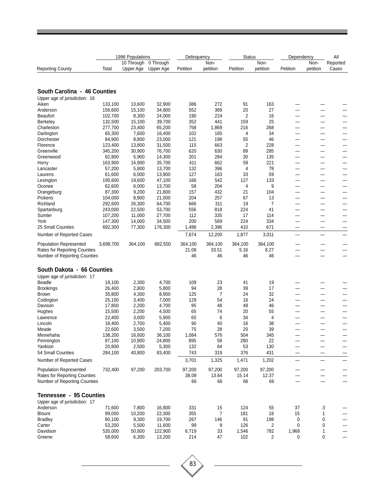|                                                                      |                    | 1996 Populations |                      | Delinquency      |                  | <b>Status</b>   |                 | Dependency                    |                               | All      |
|----------------------------------------------------------------------|--------------------|------------------|----------------------|------------------|------------------|-----------------|-----------------|-------------------------------|-------------------------------|----------|
|                                                                      |                    |                  | 10 Through 0 Through |                  | Non-             |                 | Non-            |                               | Non-                          | Reported |
| <b>Reporting County</b>                                              | Total              | Upper Age        | Upper Age            | Petition         | petition         | Petition        | petition        | Petition                      | petition                      | Cases    |
|                                                                      |                    |                  |                      |                  |                  |                 |                 |                               |                               |          |
| South Carolina - 46 Counties                                         |                    |                  |                      |                  |                  |                 |                 |                               |                               |          |
| Upper age of jurisdiction: 16                                        |                    |                  |                      |                  |                  |                 |                 |                               |                               |          |
| Aiken                                                                | 133,100            | 13,600           | 32,900               | 386              | 272              | 91              | 163             |                               |                               |          |
| Anderson                                                             | 156,600            | 15,100           | 34,800               | 552              | 369              | 20              | 27              |                               |                               |          |
| <b>Beaufort</b>                                                      | 102,700            | 8,300            | 24,000               | 190              | 224              | 2               | 16              |                               |                               |          |
| Berkeley                                                             | 132,500            | 15,100           | 39,700               | 352              | 441              | 159             | 25              | —                             | —                             |          |
| Charleston                                                           | 277,700            | 23,400           | 65,200               | 758              | 1,869            | 216             | 268             | -                             | —                             |          |
| Darlington                                                           | 65,300             | 7,600            | 16,400               | 102              | 165              | 4               | 34              |                               |                               |          |
| Dorchester                                                           | 84,900             | 8,800            | 23,000               | 121              | 198              | 55              | 46              | -                             | —                             |          |
| Florence                                                             | 123,400            | 13,800           | 31,500               | 115              | 663              | 2               | 228             | —                             | —                             |          |
| Greenville                                                           | 345,200            | 30,900           | 76,700               | 620              | 630              | 89              | 285             |                               | $\overline{\phantom{0}}$      |          |
| Greenwood                                                            | 62,800             | 5,900            | 14,300               | 201              | 284              | 30              | 135             | —                             | —                             |          |
| Horry                                                                | 163,900            | 14,900           | 35,700               | 411              | 662              | 59              | 221             | -                             | —                             |          |
| Lancaster                                                            | 57,200             | 5,800            | 13,700               | 132              | 396              | 4               | 78              |                               |                               |          |
| Laurens                                                              | 61,600             | 6,000            | 13,900               | 127              | 163              | 33              | 59              |                               | —                             |          |
| Lexington                                                            | 195,600            | 19,600           | 47,100               | 166              | 542              | 127             | 133             | —                             | $\overline{\phantom{0}}$      |          |
| Oconee                                                               | 62,600             | 6,000            | 13,700               | 58               | 204              | 4               | 9               |                               | $\overline{\phantom{0}}$      |          |
| Orangeburg                                                           | 87,300             | 9,200            | 21,800               | 157              | 432              | 21              | 104             | —                             | —                             |          |
| Pickens                                                              | 104,000            | 8,900            | 21,000               | 204              | 257              | 67              | 13              | -                             | -                             |          |
| Richland                                                             | 292,600            | 26,300           | 64,700               | 666              | 311              | 19              | $\overline{7}$  |                               |                               |          |
| Spartanburg                                                          | 243,000            | 22,500           | 53,700               | 556              | 818              | 224             | 41              | —                             | —                             |          |
| Sumter                                                               | 107,200            | 11,000           | 27,700               | 112<br>200       | 335<br>569       | 17<br>224       | 114<br>334      | $\overline{\phantom{0}}$      | —<br>$\overline{\phantom{0}}$ |          |
| York<br>25 Small Counties                                            | 147,300<br>692,300 | 14,000           | 34,500               |                  | 2,396            | 410             | 671             |                               |                               |          |
| Number of Reported Cases                                             |                    | 77,300           | 176,300              | 1,488<br>7,674   | 12,200           | 1,877           | 3,011           | —<br>$\overline{\phantom{0}}$ | —<br>$\overline{\phantom{0}}$ |          |
|                                                                      |                    |                  |                      |                  |                  |                 |                 |                               |                               |          |
| <b>Population Represented</b><br><b>Rates for Reporting Counties</b> | 3,698,700          | 364,100          | 882,500              | 364,100<br>21.08 | 364,100<br>33.51 | 364,100<br>5.16 | 364,100<br>8.27 |                               | $\overline{\phantom{0}}$      |          |
| <b>Number of Reporting Counties</b>                                  |                    |                  |                      | 46               | 46               | 46              | 46              | $\sim$                        |                               |          |
|                                                                      |                    |                  |                      |                  |                  |                 |                 |                               |                               |          |
| South Dakota - 66 Counties                                           |                    |                  |                      |                  |                  |                 |                 |                               |                               |          |
| Upper age of jurisdiction: 17                                        |                    |                  |                      |                  |                  |                 |                 |                               |                               |          |
| <b>Beadle</b>                                                        | 18,100             | 2,300            | 4,700                | 109              | 23               | 41              | 19              |                               |                               |          |
| <b>Brookings</b>                                                     | 26,400             | 2,800            | 5,800                | 94               | 28               | 39              | 17              |                               |                               |          |
| <b>Brown</b><br>Codington                                            | 35,800<br>25,100   | 4,300<br>3,400   | 8,900<br>7,000       | 125<br>129       | 7<br>54          | 24<br>16        | 32<br>24        | -<br>$\sim$                   | $\overline{\phantom{0}}$      |          |
| Davison                                                              | 17,800             | 2,200            | 4,700                | 95               | 48               | 48              | 46              | —                             | —                             |          |
| Hughes                                                               | 15,500             | 2,200            | 4,500                | 65               | 74               | 20              | 55              | -                             |                               |          |
| Lawrence                                                             | 22,400             | 3,000            | 5,900                | 65               | 6                | 34              | 4               |                               |                               |          |
| Lincoln                                                              | 18,400             | 2,700            | 5,400                | 90               | 40               | 16              | 38              |                               |                               |          |
| Meade                                                                | 22,600             | 3,500            | 7,200                | 75               | 28               | 20              | 39              |                               |                               |          |
| Minnehaha                                                            | 138,200            | 16,600           | 36,100               | 1,084            | 576              | 504             | 345             |                               |                               |          |
| Pennington                                                           | 87,100             | 10,900           | 24,800               | 895              | 58               | 280             | 22              |                               | -                             |          |
| Yankton                                                              | 20,800             | 2,500            | 5,300                | 132              | 64               | 53              | 130             |                               | —                             |          |
| 54 Small Counties                                                    | 284,100            | 40,800           | 83,400               | 743              | 319              | 376             | 431             |                               |                               |          |
| Number of Reported Cases                                             |                    |                  |                      | 3,701            | 1,325            | 1,471           | 1,202           |                               | $\overline{\phantom{0}}$      |          |
| Population Represented                                               | 732,400            | 97,200           | 203,700              | 97,200           | 97,200           | 97,200          | 97,200          |                               |                               |          |
| <b>Rates for Reporting Counties</b>                                  |                    |                  |                      | 38.09            | 13.64            | 15.14           | 12.37           |                               |                               |          |
| <b>Number of Reporting Counties</b>                                  |                    |                  |                      | 66               | 66               | 66              | 66              |                               |                               |          |
| Tennessee - 95 Counties                                              |                    |                  |                      |                  |                  |                 |                 |                               |                               |          |
| Upper age of jurisdiction: 17                                        |                    |                  |                      |                  |                  |                 |                 |                               |                               |          |
| Anderson                                                             | 71,600             | 7,800            | 16,800               | 331              | 15               | 124             | 55              | 37                            | 3                             |          |
| <b>Blount</b>                                                        | 99,000             | 10,200           | 22,300               | 355              | 7                | 181             | 18              | 15                            | 1                             |          |
| <b>Bradley</b>                                                       | 80,100             | 9,300            | 19,700               | 267              | 146              | 91              | 198             | 0                             | 0                             |          |
| Carter                                                               | 53,200             | 5,500            | 11,600               | 99               | 9                | 126             | 2               | 0                             | 0                             |          |
| Davidson                                                             | 535,000            | 50,600           | 122,900              | 6,719            | 33               | 1,546           | 782             | 1,968                         | 1                             |          |
| Greene                                                               | 58,600             | 6,300            | 13,200               | 214              | 47               | 102             | 2               | 0                             | 0                             |          |

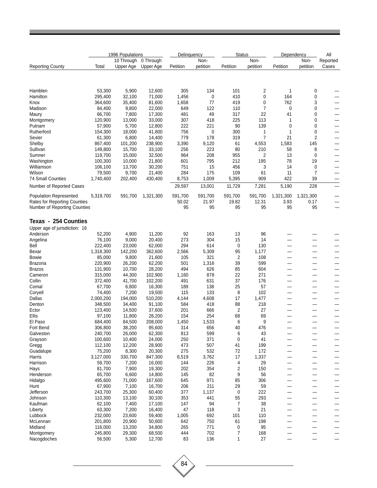|                                                                            | 1996 Populations   |                  |                   | Delinquency  |              | <b>Status</b>        |                     | Dependency               |                     | All                      |
|----------------------------------------------------------------------------|--------------------|------------------|-------------------|--------------|--------------|----------------------|---------------------|--------------------------|---------------------|--------------------------|
|                                                                            |                    | 10 Through       | 0 Through         |              | Non-         |                      | Non-                |                          | Non-                | Reported                 |
| <b>Reporting County</b>                                                    | Total              | Upper Age        | Upper Age         | Petition     | petition     | Petition             | petition            | Petition                 | petition            | Cases                    |
| Hamblen                                                                    | 53,300             | 5,900            | 12,600            | 305          | 134          | 101                  | 2                   | 1                        | 0                   |                          |
| Hamilton                                                                   | 295,400            | 32,100           | 71,000            | 1,456        | 0            | 410                  | 0                   | 164                      | 0                   |                          |
| Knox                                                                       | 364,600            | 35,400           | 81,600            | 1,658        | 77           | 419                  | 0                   | 762                      | 3                   |                          |
| Madison                                                                    | 84,400             | 9,800            | 22,000            | 649          | 122          | 110                  | 7                   | 0                        | 0                   |                          |
| Maury                                                                      | 66,700             | 7,800            | 17,300            | 481          | 49           | 317                  | 22                  | 41                       | 0                   | —                        |
| Montgomery                                                                 | 120,900            | 13,000           | 33,000            | 307          | 418          | 225                  | 113                 | 1                        | 0                   |                          |
| Putnam                                                                     | 57,900             | 5,700            | 12,800            | 222          | 221          | 90                   | 139                 | 0                        | 0                   |                          |
| Rutherford                                                                 | 154,300            | 18,000           | 41,800            | 756          | 0            | 300                  | 1<br>$\overline{7}$ | 1<br>21                  | 0<br>$\overline{2}$ |                          |
| Sevier<br>Shelby                                                           | 61,300<br>867,400  | 6,800<br>101,200 | 14,400<br>238,900 | 779<br>3,390 | 178<br>9,120 | 319<br>61            | 4,553               | 1,583                    | 145                 | $\overline{\phantom{0}}$ |
| Sullivan                                                                   | 149,800            | 15,700           | 33,100            | 256          | 223          | 80                   | 210                 | 58                       | 8                   | $\overline{\phantom{0}}$ |
| Sumner                                                                     | 119,700            | 15,000           | 32,500            | 964          | 208          | 955                  | 2                   | 13                       | 0                   |                          |
| Washington                                                                 | 100,300            | 10,000           | 21,800            | 601          | 795          | 212                  | 195                 | 78                       | 19                  |                          |
| Williamson                                                                 | 106,100            | 13,700           | 30,200            | 751          | 15           | 456                  | 3                   | 14                       | 0                   |                          |
| Wilson                                                                     | 79,500             | 9,700            | 21,400            | 284          | 175          | 109                  | 61                  | 11                       | 7                   |                          |
| <b>74 Small Counties</b>                                                   | 1,740,400          | 202,400          | 430,400           | 8,753        | 1,009        | 5,395                | 909                 | 422                      | 39                  |                          |
| Number of Reported Cases                                                   |                    |                  |                   | 29,597       | 13,001       | 11,729               | 7,281               | 5,190                    | 228                 |                          |
| <b>Population Represented</b>                                              | 5,319,700          | 591,700          | 1,321,300         | 591,700      | 591,700      | 591,700              | 591,700             | 1,321,300                | 1,321,300           |                          |
| <b>Rates for Reporting Counties</b><br><b>Number of Reporting Counties</b> |                    |                  |                   | 50.02<br>95  | 21.97<br>95  | 19.82<br>95          | 12.31<br>95         | 3.93<br>95               | 0.17<br>95          |                          |
| <b>Texas - 254 Counties</b>                                                |                    |                  |                   |              |              |                      |                     |                          |                     |                          |
| Upper age of jurisdiction: 16                                              |                    |                  |                   |              |              |                      |                     |                          |                     |                          |
| Anderson                                                                   | 52,200             | 4,900            | 11,200            | 92           | 163          | 13                   | 96                  |                          |                     |                          |
| Angelina                                                                   | 76,100             | 9,000            | 20,400            | 273          | 304          | 15                   | 14                  |                          |                     |                          |
| Bell                                                                       | 222,400            | 23,000           | 62,000            | 294          | 614          | 0                    | 130                 |                          |                     |                          |
| Bexar                                                                      | 1,318,300          | 142,200          | 362,600           | 2,566        | 5,309        | 95                   | 1,177               |                          |                     |                          |
| <b>Bowie</b>                                                               | 85,000             | 9,800            | 21,600            | 105          | 321          | 2                    | 108                 |                          |                     |                          |
| <b>Brazoria</b>                                                            | 220,900            | 26,200           | 62,200            | 501          | 1,316        | 39                   | 599                 |                          |                     |                          |
| <b>Brazos</b>                                                              | 131,900            | 10,700           | 28,200            | 494          | 626          | 85                   | 604                 |                          |                     |                          |
| Cameron                                                                    | 315,000            | 44,300           | 102,900           | 1,160        | 878          | 22                   | 271                 | $\overline{\phantom{a}}$ |                     | —                        |
| Collin<br>Comal                                                            | 372,400<br>67,700  | 41,700<br>6,800  | 102,200<br>16,300 | 491<br>189   | 631<br>138   | 37<br>25             | 176<br>57           |                          |                     |                          |
| Coryell                                                                    | 74,400             | 7,200            | 19,500            | 115          | 133          | 8                    | 102                 |                          |                     |                          |
| Dallas                                                                     | 2,000,200          | 194,000          | 510,200           | 4,144        | 4,608        | 17                   | 1,477               |                          |                     |                          |
| Denton                                                                     | 348,500            | 34,400           | 91,100            | 584          | 418          | 88                   | 218                 |                          |                     |                          |
| Ector                                                                      | 123,400            | 14,500           | 37,600            | 201          | 666          | 2                    | 27                  |                          |                     |                          |
| Ellis                                                                      | 97,100             | 11,800           | 28,200            | 154          | 254          | 68                   | 69                  |                          |                     |                          |
| El Paso                                                                    | 684,400            | 84,500           | 208,000           | 1,450        | 1,533        | 6                    | 9                   |                          |                     |                          |
| Fort Bend                                                                  | 306,800            | 38,200           | 95,600            | 314          | 656          | 40                   | 476                 |                          |                     |                          |
| Galveston                                                                  | 240,700            | 26,000           | 62,300            | 813          | 599          | 6                    | 43                  |                          |                     |                          |
| Grayson<br>Gregg                                                           | 100,600<br>112,100 | 10,400<br>12,200 | 24,000<br>28,900  | 250<br>473   | 371<br>507   | 0<br>41              | 41<br>199           |                          |                     | —                        |
| Guadalupe                                                                  | 75,200             | 8,300            | 20,300            | 275          | 532          | 72                   | 172                 |                          |                     | —<br>—                   |
| Harris                                                                     | 3,127,000          | 330,700          | 847,300           | 6,519        | 3,762        | 17                   | 1,337               |                          |                     | $\overline{\phantom{0}}$ |
| Harrison                                                                   | 59,700             | 7,200            | 16,000            | 144          | 226          | 4                    | 29                  |                          |                     | —                        |
| Hays                                                                       | 81,700             | 7,900            | 19,300            | 202          | 354          | 2                    | 150                 |                          |                     | $\overline{\phantom{0}}$ |
| Henderson                                                                  | 65,700             | 6,600            | 14,800            | 145          | 82           | 9                    | 56                  |                          |                     | —                        |
| Hidalgo                                                                    | 495,600            | 71,000           | 167,600           | 645          | 971          | 85                   | 306                 |                          |                     | —                        |
| Hunt                                                                       | 67,900             | 7,100            | 16,700            | 206          | 211          | 29                   | 59                  |                          |                     | —                        |
| Jefferson                                                                  | 243,700            | 25,300           | 60,400            | 377          | 1,137        | $\pmb{0}$            | 222                 |                          |                     | —                        |
| Johnson<br>Kaufman                                                         | 110,300<br>62,100  | 13,100<br>7,400  | 30,100<br>17,100  | 353<br>147   | 441<br>94    | 55<br>$\overline{7}$ | 293<br>38           |                          |                     | —                        |
| Liberty                                                                    | 63,300             | 7,200            | 16,400            | 47           | 118          | 3                    | 21                  |                          |                     | —<br>—                   |
| Lubbock                                                                    | 232,000            | 23,600           | 59,400            | 1,005        | 692          | 101                  | 110                 |                          |                     |                          |
| McLennan                                                                   | 201,800            | 20,900           | 50,600            | 642          | 750          | 61                   | 198                 |                          |                     | —                        |
| Midland                                                                    | 116,000            | 13,200           | 34,800            | 265          | 771          | 0                    | 95                  |                          |                     |                          |
| Montgomery                                                                 | 245,800            | 29,300           | 68,500            | 444          | 702          | 7                    | 168                 |                          |                     |                          |
| Nacogdoches                                                                | 56,500             | 5,300            | 12,700            | 83           | 136          | 1                    | 27                  |                          |                     |                          |

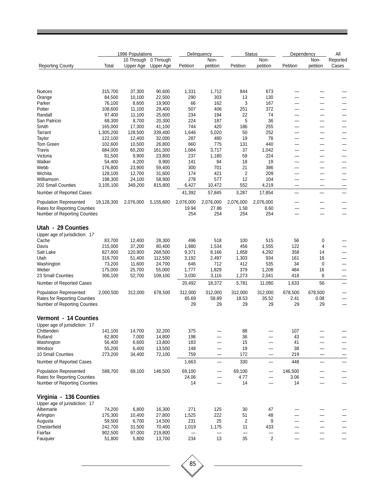|                                     |                   | 1996 Populations |                   |              | Delinguency              |                | <b>Status</b> | Dependency | All                      |          |
|-------------------------------------|-------------------|------------------|-------------------|--------------|--------------------------|----------------|---------------|------------|--------------------------|----------|
|                                     |                   | 10 Through       | 0 Through         |              | Non-                     |                | Non-          |            | Non-                     | Reported |
| <b>Reporting County</b>             | Total             | Upper Age        | Upper Age         | Petition     | petition                 | Petition       | petition      | Petition   | petition                 | Cases    |
|                                     |                   |                  |                   |              |                          |                |               |            |                          |          |
| <b>Nueces</b>                       | 315,700           | 37,300           | 90,600            | 1,331        | 1,712                    | 844            | 673           |            |                          |          |
| Orange                              | 84,500            | 10,100           | 22,500            | 290          | 303                      | 13             | 130           |            |                          |          |
| Parker                              | 76,100            | 8,600            | 19,900            | 66           | 162                      | 3              | 167           |            |                          |          |
| Potter                              | 108,600           | 11,100           | 29,400            | 507          | 406                      | 251            | 372           | —          | —                        | -        |
| Randall                             | 97,400            | 11,100           | 25,600            | 234          | 194                      | 22             | 74            |            | —                        |          |
| San Patricio                        | 68,300            | 8,700            | 20,300            | 224          | 187                      | 5              | 36            |            |                          |          |
| Smith                               | 165,000           | 17,300           | 41,100            | 744          | 420                      | 186            | 255           |            |                          |          |
| Tarrant                             | 1,305,200         | 128,500          | 339,400           | 1,646        | 5,020                    | 50             | 252           |            |                          |          |
| Taylor<br>Tom Green                 | 122,100           | 12,400           | 32,000            | 287          | 480<br>775               | 19             | 78            |            |                          |          |
| Travis                              | 102,600           | 10,500<br>60,200 | 26,800            | 660<br>1,684 | 3,717                    | 131<br>37      | 440<br>1,042  | -<br>—     | —<br>—                   | -        |
| Victoria                            | 684,000<br>81,500 | 9,900            | 161,300<br>23,800 | 237          | 1,180                    | 59             | 224           |            |                          |          |
| Walker                              | 54,400            | 4,200            | 9,900             | 141          | 94                       | 18             | 19            | -          |                          |          |
| Webb                                | 176,800           | 23,900           | 59,400            | 300          | 701                      | 21             | 386           |            |                          |          |
| Wichita                             | 128,100           | 12,700           | 31,600            | 174          | 421                      | $\overline{2}$ | 209           |            |                          |          |
| Williamson                          | 198,300           | 24,100           | 58,900            | 278          | 577                      | 12             | 104           | —          | —                        | —        |
| 202 Small Counties                  | 3,105,100         | 349,200          | 815,800           | 6,427        | 10,472                   | 552            | 4,219         | —          | —                        | -        |
| Number of Reported Cases            |                   |                  |                   | 41,392       | 57,845                   | 3,287          | 17,854        | —          | —                        |          |
| Population Represented              | 19,128,300        | 2,076,000        | 5,155,600         | 2,076,000    | 2,076,000                | 2,076,000      | 2,076,000     |            |                          |          |
| Rates for Reporting Counties        |                   |                  |                   | 19.94        | 27.86                    | 1.58           | 8.60          |            |                          |          |
| Number of Reporting Counties        |                   |                  |                   | 254          | 254                      | 254            | 254           |            |                          |          |
| Utah - 29 Counties                  |                   |                  |                   |              |                          |                |               |            |                          |          |
| Upper age of jurisdiction: 17       |                   |                  |                   |              |                          |                |               |            |                          |          |
| Cache                               | 83,700            | 12,400           | 28,300            | 496          | 518                      | 100            | 515           | 56         | 0                        |          |
| Davis                               | 215,000           | 37,200           | 80,400            | 1,980        | 1,534                    | 456            | 1,555         | 122        | 4                        |          |
| Salt Lake                           | 827,800           | 120,900          | 268,500           | 9,371        | 8,166                    | 1,858          | 4,292         | 358        | 14                       |          |
| Utah                                | 319,700           | 51,400           | 112,500           | 3,192        | 2,497                    | 1,303          | 934           | 161        | 16                       |          |
| Washington                          | 73,200            | 11,600           | 24,700            | 646          | 712                      | 412            | 535           | 34         | 0                        |          |
| Weber                               | 175,000           | 25,700           | 55,000            | 1,777        | 1,829                    | 379            | 1,208         | 484        | 16                       |          |
| 23 Small Counties                   | 306,100           | 52,700           | 109,100           | 3,030        | 3,116                    | 1,273          | 2,041         | 418        | 6                        | —        |
| Number of Reported Cases            |                   |                  |                   | 20,492       | 18,372                   | 5,781          | 11,080        | 1,633      | 56                       |          |
| <b>Population Represented</b>       | 2,000,500         | 312,000          | 678,500           | 312,000      | 312,000                  | 312,000        | 312,000       | 678,500    | 678,500                  |          |
| <b>Rates for Reporting Counties</b> |                   |                  |                   | 65.69        | 58.89                    | 18.53          | 35.52         | 2.41       | 0.08                     |          |
| Number of Reporting Counties        |                   |                  |                   | 29           | 29                       | 29             | 29            | 29         | 29                       | –        |
| Vermont - 14 Counties               |                   |                  |                   |              |                          |                |               |            |                          |          |
| Upper age of jurisdiction: 17       |                   |                  |                   |              |                          |                |               |            |                          |          |
| Chittenden                          | 141,100           | 14,700           | 32,200            | 375          |                          | 88             |               | 107        |                          |          |
| Rutland                             | 62,800            | 7,000            | 14,800            | 198          |                          | 36             |               | 43         |                          |          |
| Washington                          | 56,400            | 6,600            | 13,800            | 183          |                          | 15             |               | 41         |                          |          |
| Windsor                             | 55,200            | 6,400            | 13,500            | 148          | $\overline{\phantom{0}}$ | 19             | —             | 38         |                          |          |
| 10 Small Counties                   | 273,200           | 34,400           | 72,100            | 759          |                          | 172            |               | 219        |                          |          |
| Number of Reported Cases            |                   |                  |                   | 1,663        | -                        | 330            | —             | 448        | -                        |          |
| <b>Population Represented</b>       | 588,700           | 69,100           | 146,500           | 69,100       | -                        | 69,100         | —             | 146,500    |                          |          |
| Rates for Reporting Counties        |                   |                  |                   | 24.06        |                          | 4.77           |               | 3.06       |                          |          |
| Number of Reporting Counties        |                   |                  |                   | 14           |                          | 14             |               | 14         | —                        |          |
| Virginia - 136 Counties             |                   |                  |                   |              |                          |                |               |            |                          |          |
| Upper age of jurisdiction: 17       |                   |                  |                   |              |                          |                |               |            |                          |          |
| Albemarle                           | 74,200            | 6,800            | 16,300            | 271          | 125                      | 30             | 47            |            |                          |          |
| Arlington                           | 175,300           | 10,400           | 27,800            | 1,525        | 222                      | 51             | 48            |            |                          |          |
| Augusta                             | 59,500            | 6,700            | 14,500            | 231          | 25                       | $\overline{2}$ | 9             |            |                          |          |
| Chesterfield                        | 242,700           | 31,500           | 70,400            | 1,019        | 1,175                    | 11             | 433           |            |                          |          |
| Fairfax                             | 902,500           | 97,000           | 219,800           |              |                          |                |               |            |                          |          |
| Fauquier                            | 51,800            | 5,800            | 13,700            | 234          | 13                       | 35             | $\sqrt{2}$    | $\equiv$   | $\overline{\phantom{0}}$ | $\equiv$ |

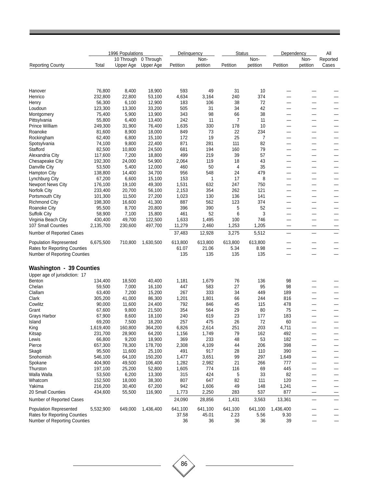|                                     |           | 1996 Populations     |           |          | Delinquency<br><b>Status</b><br>Dependency |          |          |                          |          |                          |
|-------------------------------------|-----------|----------------------|-----------|----------|--------------------------------------------|----------|----------|--------------------------|----------|--------------------------|
|                                     |           | 10 Through 0 Through |           |          | Non-                                       |          | Non-     |                          | Non-     | Reported                 |
| <b>Reporting County</b>             | Total     | Upper Age            | Upper Age | Petition | petition                                   | Petition | petition | Petition                 | petition | Cases                    |
|                                     |           |                      |           |          |                                            |          |          |                          |          |                          |
| Hanover                             | 76,800    | 8,400                | 18,900    | 593      | 49                                         | 31       | 10       |                          |          |                          |
| Henrico                             | 232,800   | 22,800               | 53,100    | 4,634    | 3,164                                      | 240      | 374      | -                        |          |                          |
| Henry                               | 56,300    | 6,100                | 12,900    | 183      | 106                                        | 38       | 72       | ÷                        |          | —                        |
| Loudoun                             | 123,300   | 13,300               | 33,200    | 505      | 31                                         | 34       | 42       |                          |          | —                        |
| Montgomery                          | 75,400    | 5,900                | 13,900    | 343      | 98                                         | 66       | 38       |                          |          | —                        |
| Pittsylvania                        | 55,800    | 6,400                | 13,400    | 242      | 11                                         | 7        | 11       | $\overline{\phantom{0}}$ | -        | —                        |
| Prince William                      | 249,300   | 31,900               | 76,400    | 1,635    | 330                                        | 178      | 10       | —                        |          |                          |
| Roanoke                             | 81,600    | 8,900                | 18,000    | 849      | 73                                         | 22       | 234      | $\qquad \qquad$          | -        | —                        |
| Rockingham                          | 62,400    | 6,800                | 15,100    | 172      | 19                                         | 25       | 7        | ÷                        |          | —                        |
| Spotsylvania                        | 74,100    | 9,800                | 22,400    | 871      | 281                                        | 111      | 82       | $\overline{\phantom{0}}$ |          | —                        |
| Stafford                            | 82,500    | 10,800               | 24,500    | 681      | 194                                        | 160      | 79       | —                        |          | —                        |
|                                     |           |                      |           |          |                                            |          | 57       |                          |          |                          |
| Alexandria City                     | 117,600   | 7,200                | 18,800    | 499      | 219                                        | 39       |          | -                        |          | —                        |
| Chesapeake City                     | 192,300   | 24,000               | 54,900    | 2,064    | 119                                        | 18       | 43       |                          | —        | —                        |
| Danville City                       | 53,500    | 5,400                | 12,000    | 460      | 50                                         | 4        | 35       | —                        | -        | —                        |
| <b>Hampton City</b>                 | 138,800   | 14,400               | 34,700    | 956      | 548                                        | 24       | 479      |                          | —        | —                        |
| Lynchburg City                      | 67,200    | 6,600                | 15,100    | 153      | 1                                          | 17       | 8        |                          |          | —                        |
| <b>Newport News City</b>            | 176,100   | 19,100               | 49,300    | 1,531    | 632                                        | 247      | 750      |                          |          | —                        |
| Norfolk City                        | 233,400   | 20,700               | 56,100    | 2,153    | 354                                        | 262      | 121      | -                        |          | —                        |
| Portsmouth City                     | 101,300   | 11,500               | 27,200    | 1,023    | 130                                        | 136      | 141      | —                        |          | —                        |
| Richmond City                       | 198,300   | 16,600               | 41,300    | 887      | 562                                        | 123      | 374      | $\qquad \qquad$          | —        | —                        |
| Roanoke City                        | 95,500    | 8,700                | 20,800    | 396      | 390                                        | 5        | 52       |                          |          | $\overline{\phantom{0}}$ |
| Suffolk City                        | 58,900    | 7,100                | 15,800    | 461      | 52                                         | 6        | 3        |                          |          | $\overline{\phantom{0}}$ |
| Virginia Beach City                 | 430,400   | 49,700               | 122,500   | 1,633    | 1,495                                      | 100      | 746      | —                        | —        | —                        |
| 107 Small Counties                  | 2,135,700 | 230,600              | 497,700   | 11,279   | 2,460                                      | 1,253    | 1,205    | -                        | -        |                          |
| Number of Reported Cases            |           |                      |           | 37,483   | 12,928                                     | 3,275    | 5,512    | -                        |          |                          |
|                                     | 6,675,500 | 710,800              | 1,630,500 | 613,800  | 613,800                                    |          | 613,800  |                          |          |                          |
| <b>Population Represented</b>       |           |                      |           |          |                                            | 613,800  |          |                          |          |                          |
| <b>Rates for Reporting Counties</b> |           |                      |           | 61.07    | 21.06                                      | 5.34     | 8.98     | ۰                        |          | —                        |
| Number of Reporting Counties        |           |                      |           | 135      | 135                                        | 135      | 135      | -                        | -        | $\overline{\phantom{0}}$ |
| <b>Washington - 39 Counties</b>     |           |                      |           |          |                                            |          |          |                          |          |                          |
| Upper age of jurisdiction: 17       |           |                      |           |          |                                            |          |          |                          |          |                          |
| Benton                              | 134,400   | 18,500               | 40,400    | 1,181    | 1,679                                      | 76       | 136      | 98                       |          |                          |
| Chelan                              | 59,500    | 7,000                | 16,100    | 447      | 583                                        | 27       | 95       | 98                       |          | —                        |
| Clallam                             | 63,400    | 7,200                | 15,200    | 267      | 333                                        | 34       | 449      | 189                      |          |                          |
| Clark                               | 305,200   | 41,000               | 86,300    | 1,201    | 1,801                                      | 66       | 244      | 816                      | $\sim$   | —                        |
| Cowlitz                             | 90,000    | 11,600               | 24,400    | 792      | 846                                        | 45       | 115      | 478                      |          |                          |
| Grant                               | 67,600    | 9,800                | 21,500    | 354      | 564                                        | 29       | 80       | 75                       |          |                          |
| Grays Harbor                        | 67,900    | 8,600                | 18,100    | 240      | 619                                        | 23       | 177      | 183                      |          |                          |
| Island                              | 69,200    | 7,500                | 18,200    | 257      | 475                                        | 26       | 72       | 60                       |          |                          |
| King                                | 1,619,400 | 160,800              | 364,200   | 6,826    | 2,614                                      | 251      | 203      | 4,711                    |          | —                        |
| Kitsap                              | 231,700   | 28,900               | 64,200    | 1,156    | 1,749                                      | 79       | 162      | 492                      |          |                          |
|                                     |           |                      |           |          |                                            |          |          |                          |          |                          |
| Lewis                               | 66,800    | 9,200                | 18,900    | 369      | 233                                        | 48       | 53       | 182                      |          | $\overline{\phantom{0}}$ |
| Pierce                              | 657,300   | 78,300               | 178,700   | 2,308    | 4,109                                      | 44       | 206      | 398                      |          | —                        |
| Skagit                              | 95,500    | 11,600               | 25,100    | 491      | 917                                        | 28       | 110      | 390                      |          |                          |
| Snohomish                           | 546,100   | 64,100               | 150,200   | 1,477    | 3,651                                      | 99       | 297      | 1,649                    |          |                          |
| Spokane                             | 404,900   | 49,500               | 106,400   | 1,282    | 2,982                                      | 21       | 266      | 777                      |          |                          |
| Thurston                            | 197,100   | 25,200               | 52,800    | 1,605    | 774                                        | 116      | 69       | 445                      |          | —                        |
| Walla Walla                         | 53,500    | 6,200                | 13,300    | 315      | 424                                        | 5        | 33       | 82                       |          | —                        |
| Whatcom                             | 152,500   | 18,000               | 38,300    | 807      | 647                                        | 82       | 111      | 120                      |          |                          |
| Yakima                              | 216,200   | 30,400               | 67,200    | 942      | 1,606                                      | 49       | 148      | 1,241                    |          | —                        |
| 20 Small Counties                   | 434,600   | 55,500               | 116,900   | 1,773    | 2,250                                      | 283      | 537      | 877                      |          |                          |
| Number of Reported Cases            |           |                      |           | 24,090   | 28,856                                     | 1,431    | 3,563    | 13,361                   |          |                          |
| <b>Population Represented</b>       |           |                      | 1,436,400 | 641,100  |                                            |          |          |                          |          |                          |
| <b>Rates for Reporting Counties</b> | 5,532,900 | 649,000              |           |          | 641,100                                    | 641,100  | 641,100  | 1,436,400                |          |                          |
|                                     |           |                      |           | 37.58    | 45.01                                      | 2.23     | 5.56     | 9.30                     |          |                          |
| Number of Reporting Counties        |           |                      |           | 36       | 36                                         | 36       | 36       | 39                       |          |                          |

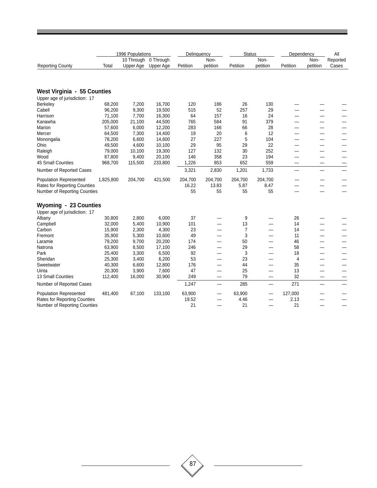|                                     | 1996 Populations |                         |                        | Delinquency |                          | <b>Status</b> |                          | Dependency |                          | All               |
|-------------------------------------|------------------|-------------------------|------------------------|-------------|--------------------------|---------------|--------------------------|------------|--------------------------|-------------------|
| <b>Reporting County</b>             | Total            | 10 Through<br>Upper Age | 0 Through<br>Upper Age | Petition    | Non-<br>petition         | Petition      | Non-<br>petition         | Petition   | Non-<br>petition         | Reported<br>Cases |
|                                     |                  |                         |                        |             |                          |               |                          |            |                          |                   |
| West Virginia - 55 Counties         |                  |                         |                        |             |                          |               |                          |            |                          |                   |
| Upper age of jurisdiction: 17       |                  |                         |                        |             |                          |               |                          |            |                          |                   |
| <b>Berkeley</b>                     | 68,200           | 7,200                   | 16,700                 | 120         | 186                      | 26            | 130                      |            |                          |                   |
| Cabell                              | 96,200           | 9,300                   | 19,500                 | 515         | 52                       | 257           | 29                       |            |                          |                   |
| Harrison                            | 71,100           | 7,700                   | 16,300                 | 64          | 157                      | 16            | 24                       |            | $\overline{\phantom{0}}$ |                   |
| Kanawha                             | 205,000          | 21,100                  | 44,500                 | 765         | 584                      | 91            | 379                      |            | —                        |                   |
| Marion                              | 57,600           | 6,000                   | 12,200                 | 283         | 166                      | 66            | 28                       |            | $\overline{\phantom{0}}$ |                   |
| Mercer                              | 64,500           | 7,300                   | 14,400                 | 19          | 20                       | 6             | 12                       |            | —                        |                   |
| Monongalia                          | 78,200           | 6,600                   | 14,600                 | 27          | 227                      | 5             | 104                      |            | —                        |                   |
| Ohio                                | 49,500           | 4,600                   | 10,100                 | 29          | 95                       | 29            | 22                       |            | -                        |                   |
| Raleigh                             | 79,000           | 10,100                  | 19,300                 | 127         | 132                      | 30            | 252                      |            | –                        |                   |
| Wood                                | 87,800           | 9,400                   | 20,100                 | 146         | 358                      | 23            | 194                      |            | —                        |                   |
| 45 Small Counties                   | 968,700          | 115,500                 | 233,800                | 1,226       | 853                      | 652           | 559                      | a.         |                          |                   |
| Number of Reported Cases            |                  |                         |                        | 3,321       | 2,830                    | 1,201         | 1,733                    |            |                          |                   |
| <b>Population Represented</b>       | 1,825,800        | 204,700                 | 421,500                | 204,700     | 204,700                  | 204,700       | 204,700                  |            |                          |                   |
| Rates for Reporting Counties        |                  |                         |                        | 16.22       | 13.83                    | 5.87          | 8.47                     |            | -                        |                   |
| Number of Reporting Counties        |                  |                         |                        | 55          | 55                       | 55            | 55                       |            |                          |                   |
| Wyoming - 23 Counties               |                  |                         |                        |             |                          |               |                          |            |                          |                   |
| Upper age of jurisdiction: 17       |                  |                         |                        |             |                          |               |                          |            |                          |                   |
| Albany                              | 30,800           | 2,800                   | 6,000                  | 37          |                          | 9             | -                        | 26         | —                        |                   |
| Campbell                            | 32,000           | 5,400                   | 10,900                 | 101         |                          | 13            |                          | 14         | —                        |                   |
| Carbon                              | 15,900           | 2,300                   | 4,300                  | 23          |                          | 7             |                          | 14         | $\overline{\phantom{0}}$ |                   |
| Fremont                             | 35,900           | 5,300                   | 10,600                 | 49          |                          | 3             |                          | 11         | —                        |                   |
| Laramie                             | 79,200           | 9,700                   | 20,200                 | 174         |                          | 50            | —                        | 46         | —                        |                   |
| Natrona                             | 63,900           | 8,500                   | 17,100                 | 246         |                          | 29            |                          | 58         | —                        |                   |
| Park                                | 25,400           | 3,300                   | 6,500                  | 92          |                          | 3             |                          | 18         | —                        |                   |
| Sheridan                            | 25,300           | 3,400                   | 6,200                  | 53          |                          | 23            |                          | 4          | -                        |                   |
| Sweetwater                          | 40,300           | 6,600                   | 12,800                 | 176         |                          | 44            | -                        | 35         | —                        |                   |
| Uinta                               | 20,300           | 3,900                   | 7,600                  | 47          |                          | 25            |                          | 13         | —                        |                   |
| 13 Small Counties                   | 112,400          | 16,000                  | 30,900                 | 249         |                          | 79            |                          | 32         |                          |                   |
| Number of Reported Cases            |                  |                         |                        | 1,247       | $\overline{\phantom{0}}$ | 285           | $\overline{\phantom{0}}$ | 271        | $\overline{\phantom{0}}$ |                   |
| <b>Population Represented</b>       | 481,400          | 67,100                  | 133,100                | 63,900      |                          | 63,900        |                          | 127,000    |                          |                   |
| <b>Rates for Reporting Counties</b> |                  |                         |                        | 19.52       |                          | 4.46          |                          | 2.13       |                          |                   |
| Number of Reporting Counties        |                  |                         |                        | 21          |                          | 21            |                          | 21         |                          |                   |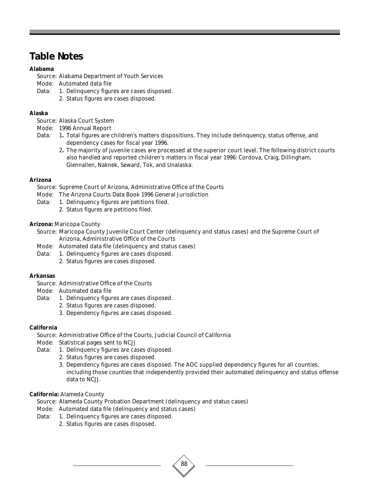## **Table Notes**

## **Alabama**

Source: Alabama Department of Youth Services

Mode: Automated data file

- Data: 1. Delinquency figures are cases disposed.
	- 2. Status figures are cases disposed.

## **Alaska**

Source: Alaska Court System

- Mode: 1996 Annual Report
- Data: 1**.** Total figures are children's matters dispositions. They include delinquency, status offense, and dependency cases for fiscal year 1996.
	- 2**.** The majority of juvenile cases are processed at the superior court level. The following district courts also handled and reported children's matters in fiscal year 1996: Cordova, Craig, Dillingham, Glennallen, Naknek, Seward, Tok, and Unalaska.

## **Arizona**

Source: Supreme Court of Arizona, Administrative Office of the Courts

- Mode: The Arizona Courts Data Book 1996 General Jurisdiction
- Data: 1. Delinquency figures are petitions filed.
	- 2. Status figures are petitions filed.

## **Arizona:** Maricopa County

Source: Maricopa County Juvenile Court Center (delinquency and status cases) and the Supreme Court of Arizona, Administrative Office of the Courts

- Mode: Automated data file (delinquency and status cases)
- Data: 1. Delinquency figures are cases disposed.
	- 2. Status figures are cases disposed.

## **Arkansas**

- Source: Administrative Office of the Courts
- Mode: Automated data file
- Data: 1. Delinquency figures are cases disposed.
	- 2. Status figures are cases disposed.
	- 3. Dependency figures are cases disposed.

## **California**

Source: Administrative Office of the Courts, Judicial Council of California

- Mode: Statistical pages sent to NCJJ
- Data: 1. Delinquency figures are cases disposed.
	- 2. Status figures are cases disposed.
	- 3. Dependency figures are cases disposed. The AOC supplied dependency figures for all counties, including those counties that independently provided their automated delinquency and status offense data to NCJJ.

88

## **California:** Alameda County

Source: Alameda County Probation Department (delinquency and status cases)

- Mode: Automated data file (delinquency and status cases)
- Data: 1. Delinquency figures are cases disposed.
	- 2. Status figures are cases disposed.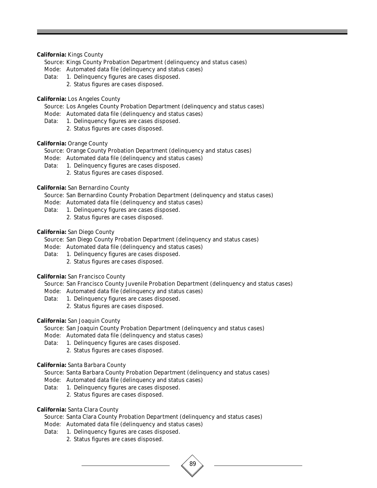#### **California:** Kings County

- Source: Kings County Probation Department (delinquency and status cases)
- Mode: Automated data file (delinquency and status cases)
- Data: 1. Delinquency figures are cases disposed.
	- 2. Status figures are cases disposed.

#### **California:** Los Angeles County

- Source: Los Angeles County Probation Department (delinquency and status cases)
- Mode: Automated data file (delinquency and status cases)
- Data: 1. Delinquency figures are cases disposed.
	- 2. Status figures are cases disposed.

#### **California:** Orange County

- Source: Orange County Probation Department (delinquency and status cases)
- Mode: Automated data file (delinquency and status cases)
- Data: 1. Delinquency figures are cases disposed.
	- 2. Status figures are cases disposed.

#### **California:** San Bernardino County

- Source: San Bernardino County Probation Department (delinquency and status cases)
- Mode: Automated data file (delinquency and status cases)
- Data: 1. Delinquency figures are cases disposed.
	- 2. Status figures are cases disposed.

## **California:** San Diego County

- Source: San Diego County Probation Department (delinquency and status cases)
- Mode: Automated data file (delinquency and status cases)
- Data: 1. Delinquency figures are cases disposed.
	- 2. Status figures are cases disposed.

#### **California:** San Francisco County

- Source: San Francisco County Juvenile Probation Department (delinquency and status cases)
- Mode: Automated data file (delinquency and status cases)
- Data: 1. Delinquency figures are cases disposed.
	- 2. Status figures are cases disposed.

## **California:** San Joaquin County

- Source: San Joaquin County Probation Department (delinquency and status cases)
- Mode: Automated data file (delinquency and status cases)
- Data: 1. Delinquency figures are cases disposed.
	- 2. Status figures are cases disposed.

## **California:** Santa Barbara County

Source: Santa Barbara County Probation Department (delinquency and status cases)

- Mode: Automated data file (delinquency and status cases)
- Data: 1. Delinquency figures are cases disposed.
	- 2. Status figures are cases disposed.

#### **California:** Santa Clara County

- Source: Santa Clara County Probation Department (delinquency and status cases)
- Mode: Automated data file (delinquency and status cases)
- Data: 1. Delinquency figures are cases disposed.
	- 2. Status figures are cases disposed.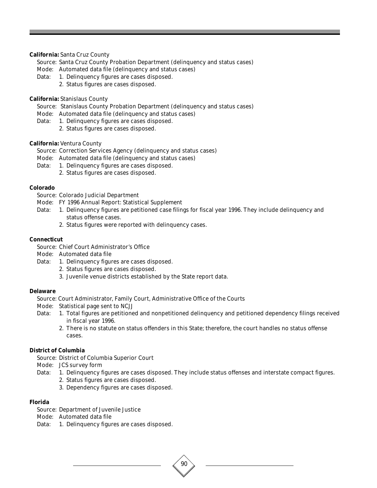#### **California:** Santa Cruz County

Source: Santa Cruz County Probation Department (delinquency and status cases)

- Mode: Automated data file (delinquency and status cases)
- Data: 1. Delinquency figures are cases disposed.
	- 2. Status figures are cases disposed.

#### **California:** Stanislaus County

Source: Stanislaus County Probation Department (delinquency and status cases)

- Mode: Automated data file (delinquency and status cases)
- Data: 1. Delinquency figures are cases disposed.
	- 2. Status figures are cases disposed.

#### **California:** Ventura County

- Source: Correction Services Agency (delinquency and status cases)
- Mode: Automated data file (delinquency and status cases)
- Data: 1. Delinquency figures are cases disposed.
	- 2. Status figures are cases disposed.

#### **Colorado**

Source: Colorado Judicial Department

- Mode: FY 1996 Annual Report: Statistical Supplement
- Data: 1. Delinquency figures are petitioned case filings for fiscal year 1996. They include delinquency and status offense cases.
	- 2. Status figures were reported with delinquency cases.

#### **Connecticut**

Source: Chief Court Administrator's Office

- Mode: Automated data file
- Data: 1. Delinquency figures are cases disposed.
	- 2. Status figures are cases disposed.
	- 3. Juvenile venue districts established by the State report data.

#### **Delaware**

Source: Court Administrator, Family Court, Administrative Office of the Courts

- Mode: Statistical page sent to NCJJ
- Data: 1. Total figures are petitioned and nonpetitioned delinquency and petitioned dependency filings received in fiscal year 1996.
	- 2. There is no statute on status offenders in this State; therefore, the court handles no status offense cases.

## **District of Columbia**

Source: District of Columbia Superior Court

- Mode: JCS survey form
- Data: 1. Delinquency figures are cases disposed. They include status offenses and interstate compact figures.

90

- 2. Status figures are cases disposed.
- 3. Dependency figures are cases disposed.

#### **Florida**

- Source: Department of Juvenile Justice
- Mode: Automated data file
- Data: 1. Delinquency figures are cases disposed.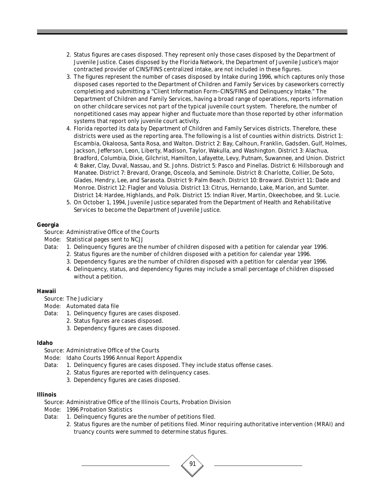- 2. Status figures are cases disposed. They represent only those cases disposed by the Department of Juvenile Justice. Cases disposed by the Florida Network, the Department of Juvenile Justice's major contracted provider of CINS/FINS centralized intake, are not included in these figures.
- 3. The figures represent the number of cases disposed by Intake during 1996, which captures only those disposed cases reported to the Department of Children and Family Services by caseworkers correctly completing and submitting a "Client Information Form–CINS/FINS and Delinquency Intake." The Department of Children and Family Services, having a broad range of operations, reports information on other childcare services not part of the typical juvenile court system. Therefore, the number of nonpetitioned cases may appear higher and fluctuate more than those reported by other information systems that report only juvenile court activity.
- 4. Florida reported its data by Department of Children and Family Services districts. Therefore, these districts were used as the reporting area. The following is a list of counties within districts. District 1: Escambia, Okaloosa, Santa Rosa, and Walton. District 2: Bay, Calhoun, Franklin, Gadsden, Gulf, Holmes, Jackson, Jefferson, Leon, Liberty, Madison, Taylor, Wakulla, and Washington. District 3: Alachua, Bradford, Columbia, Dixie, Gilchrist, Hamilton, Lafayette, Levy, Putnam, Suwannee, and Union. District 4: Baker, Clay, Duval, Nassau, and St. Johns. District 5: Pasco and Pinellas. District 6: Hillsborough and Manatee. District 7: Brevard, Orange, Osceola, and Seminole. District 8: Charlotte, Collier, De Soto, Glades, Hendry, Lee, and Sarasota. District 9: Palm Beach. District 10: Broward. District 11: Dade and Monroe. District 12: Flagler and Volusia. District 13: Citrus, Hernando, Lake, Marion, and Sumter. District 14: Hardee, Highlands, and Polk. District 15: Indian River, Martin, Okeechobee, and St. Lucie.
- 5. On October 1, 1994, Juvenile Justice separated from the Department of Health and Rehabilitative Services to become the Department of Juvenile Justice.

#### **Georgia**

Source: Administrative Office of the Courts

- Mode: Statistical pages sent to NCJJ
- Data: 1. Delinquency figures are the number of children disposed with a petition for calendar year 1996.
	- 2. Status figures are the number of children disposed with a petition for calendar year 1996.
	- 3. Dependency figures are the number of children disposed with a petition for calendar year 1996.
	- 4. Delinquency, status, and dependency figures may include a small percentage of children disposed without a petition.

## **Hawaii**

- Source: The Judiciary
- Mode: Automated data file
- Data: 1. Delinquency figures are cases disposed.
	- 2. Status figures are cases disposed.
		- 3. Dependency figures are cases disposed.

#### **Idaho**

Source: Administrative Office of the Courts

- Mode: Idaho Courts 1996 Annual Report Appendix
- Data: 1. Delinquency figures are cases disposed. They include status offense cases.
	- 2. Status figures are reported with delinquency cases.
	- 3. Dependency figures are cases disposed.

#### **Illinois**

Source: Administrative Office of the Illinois Courts, Probation Division

- Mode: 1996 Probation Statistics
- Data: 1. Delinquency figures are the number of petitions filed.
	- 2. Status figures are the number of petitions filed. Minor requiring authoritative intervention (MRAI) and truancy counts were summed to determine status figures.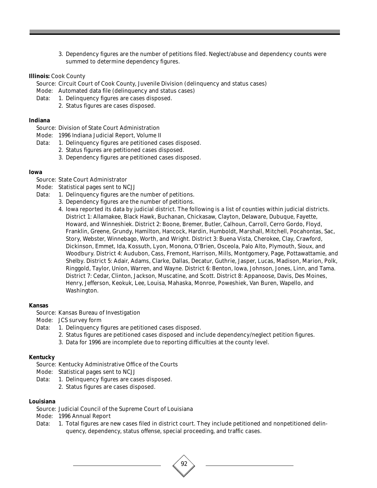3. Dependency figures are the number of petitions filed. Neglect/abuse and dependency counts were summed to determine dependency figures.

#### **Illinois:** Cook County

Source: Circuit Court of Cook County, Juvenile Division (delinquency and status cases)

- Mode: Automated data file (delinquency and status cases)
- Data: 1. Delinquency figures are cases disposed.
	- 2. Status figures are cases disposed.

#### **Indiana**

- Source: Division of State Court Administration
- Mode: 1996 Indiana Judicial Report, Volume II
- Data: 1. Delinquency figures are petitioned cases disposed.
	- 2. Status figures are petitioned cases disposed.
	- 3. Dependency figures are petitioned cases disposed.

#### **Iowa**

- Source: State Court Administrator
- Mode: Statistical pages sent to NCJJ
- Data: 1. Delinquency figures are the number of petitions.
	- 3. Dependency figures are the number of petitions.
	- 4. Iowa reported its data by judicial district. The following is a list of counties within judicial districts. District 1: Allamakee, Black Hawk, Buchanan, Chickasaw, Clayton, Delaware, Dubuque, Fayette, Howard, and Winneshiek. District 2: Boone, Bremer, Butler, Calhoun, Carroll, Cerro Gordo, Floyd, Franklin, Greene, Grundy, Hamilton, Hancock, Hardin, Humboldt, Marshall, Mitchell, Pocahontas, Sac, Story, Webster, Winnebago, Worth, and Wright. District 3: Buena Vista, Cherokee, Clay, Crawford, Dickinson, Emmet, Ida, Kossuth, Lyon, Monona, O'Brien, Osceola, Palo Alto, Plymouth, Sioux, and Woodbury. District 4: Audubon, Cass, Fremont, Harrison, Mills, Montgomery, Page, Pottawattamie, and Shelby. District 5: Adair, Adams, Clarke, Dallas, Decatur, Guthrie, Jasper, Lucas, Madison, Marion, Polk, Ringgold, Taylor, Union, Warren, and Wayne. District 6: Benton, Iowa, Johnson, Jones, Linn, and Tama. District 7: Cedar, Clinton, Jackson, Muscatine, and Scott. District 8: Appanoose, Davis, Des Moines, Henry, Jefferson, Keokuk, Lee, Louisa, Mahaska, Monroe, Poweshiek, Van Buren, Wapello, and Washington.

#### **Kansas**

- Source: Kansas Bureau of Investigation
- Mode: JCS survey form
- Data: 1. Delinquency figures are petitioned cases disposed.
	- 2. Status figures are petitioned cases disposed and include dependency/neglect petition figures.
	- 3. Data for 1996 are incomplete due to reporting difficulties at the county level.

#### **Kentucky**

- Source: Kentucky Administrative Office of the Courts
- Mode: Statistical pages sent to NCJJ
- Data: 1. Delinquency figures are cases disposed.
	- 2. Status figures are cases disposed.

#### **Louisiana**

Source: Judicial Council of the Supreme Court of Louisiana

- Mode: 1996 Annual Report
- Data: 1. Total figures are new cases filed in district court. They include petitioned and nonpetitioned delinquency, dependency, status offense, special proceeding, and traffic cases.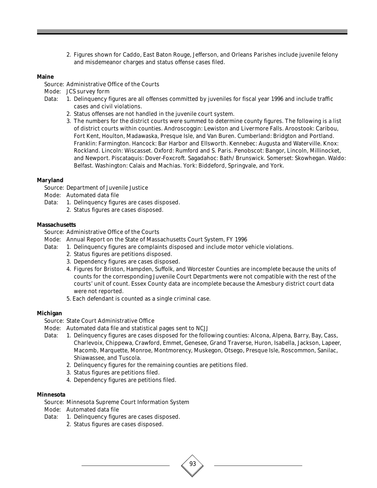2. Figures shown for Caddo, East Baton Rouge, Jefferson, and Orleans Parishes include juvenile felony and misdemeanor charges and status offense cases filed.

#### **Maine**

Source: Administrative Office of the Courts

- Mode: JCS survey form
- Data: 1. Delinquency figures are all offenses committed by juveniles for fiscal year 1996 and include traffic cases and civil violations.
	- 2. Status offenses are not handled in the juvenile court system.
	- 3. The numbers for the district courts were summed to determine county figures. The following is a list of district courts within counties. Androscoggin: Lewiston and Livermore Falls. Aroostook: Caribou, Fort Kent, Houlton, Madawaska, Presque Isle, and Van Buren. Cumberland: Bridgton and Portland. Franklin: Farmington. Hancock: Bar Harbor and Ellsworth. Kennebec: Augusta and Waterville. Knox: Rockland. Lincoln: Wiscasset. Oxford: Rumford and S. Paris. Penobscot: Bangor, Lincoln, Millinocket, and Newport. Piscataquis: Dover-Foxcroft. Sagadahoc: Bath/ Brunswick. Somerset: Skowhegan. Waldo: Belfast. Washington: Calais and Machias. York: Biddeford, Springvale, and York.

#### **Maryland**

Source: Department of Juvenile Justice

- Mode: Automated data file
- Data: 1. Delinquency figures are cases disposed. 2. Status figures are cases disposed.

#### **Massachusetts**

- Source: Administrative Office of the Courts
- Mode: Annual Report on the State of Massachusetts Court System, FY 1996
- Data: 1. Delinquency figures are complaints disposed and include motor vehicle violations.
	- 2. Status figures are petitions disposed.
	- 3. Dependency figures are cases disposed.
	- 4. Figures for Briston, Hampden, Suffolk, and Worcester Counties are incomplete because the units of counts for the corresponding Juvenile Court Departments were not compatible with the rest of the courts' unit of count. Essex County data are incomplete because the Amesbury district court data were not reported.
	- 5. Each defendant is counted as a single criminal case.

#### **Michigan**

Source: State Court Administrative Office

- Mode: Automated data file and statistical pages sent to NCJJ
- Data: 1. Delinquency figures are cases disposed for the following counties: Alcona, Alpena, Barry, Bay, Cass, Charlevoix, Chippewa, Crawford, Emmet, Genesee, Grand Traverse, Huron, Isabella, Jackson, Lapeer, Macomb, Marquette, Monroe, Montmorency, Muskegon, Otsego, Presque Isle, Roscommon, Sanilac, Shiawassee, and Tuscola.
	- 2. Delinquency figures for the remaining counties are petitions filed.
	- 3. Status figures are petitions filed.
	- 4. Dependency figures are petitions filed.

#### **Minnesota**

Source: Minnesota Supreme Court Information System

- Mode: Automated data file
- Data: 1. Delinquency figures are cases disposed.
	- 2. Status figures are cases disposed.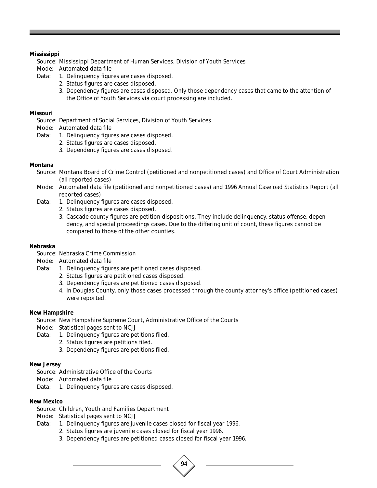## **Mississippi**

Source: Mississippi Department of Human Services, Division of Youth Services

- Mode: Automated data file
- Data: 1. Delinquency figures are cases disposed.
	- 2. Status figures are cases disposed.
	- 3. Dependency figures are cases disposed. Only those dependency cases that came to the attention of the Office of Youth Services via court processing are included.

## **Missouri**

Source: Department of Social Services, Division of Youth Services

Mode: Automated data file

- Data: 1. Delinquency figures are cases disposed.
	- 2. Status figures are cases disposed.
	- 3. Dependency figures are cases disposed.

## **Montana**

- Source: Montana Board of Crime Control (petitioned and nonpetitioned cases) and Office of Court Administration (all reported cases)
- Mode: Automated data file (petitioned and nonpetitioned cases) and 1996 Annual Caseload Statistics Report (all reported cases)
- Data: 1. Delinquency figures are cases disposed.
	- 2. Status figures are cases disposed.
	- 3. Cascade county figures are petition dispositions. They include delinquency, status offense, dependency, and special proceedings cases. Due to the differing unit of count, these figures cannot be compared to those of the other counties.

## **Nebraska**

Source: Nebraska Crime Commission

Mode: Automated data file

- Data: 1. Delinquency figures are petitioned cases disposed.
	- 2. Status figures are petitioned cases disposed.
	- 3. Dependency figures are petitioned cases disposed.
	- 4. In Douglas County, only those cases processed through the county attorney's office (petitioned cases) were reported.

## **New Hampshire**

Source: New Hampshire Supreme Court, Administrative Office of the Courts

- Mode: Statistical pages sent to NCJJ
- Data: 1. Delinquency figures are petitions filed.
	- 2. Status figures are petitions filed.
		- 3. Dependency figures are petitions filed.

## **New Jersey**

- Source: Administrative Office of the Courts
- Mode: Automated data file
- Data: 1. Delinquency figures are cases disposed.

## **New Mexico**

Source: Children, Youth and Families Department

Mode: Statistical pages sent to NCJJ

- Data: 1. Delinquency figures are juvenile cases closed for fiscal year 1996.
	- 2. Status figures are juvenile cases closed for fiscal year 1996.
	- 3. Dependency figures are petitioned cases closed for fiscal year 1996.

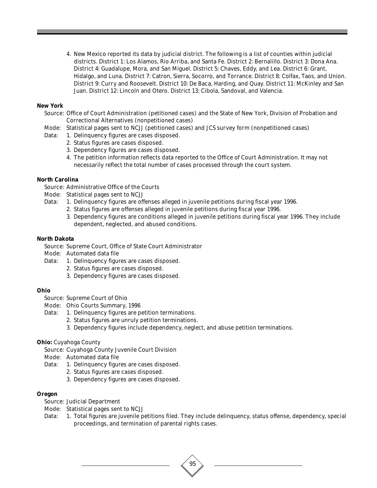4. New Mexico reported its data by judicial district. The following is a list of counties within judicial districts. District 1: Los Alamos, Rio Arriba, and Santa Fe. District 2: Bernalillo. District 3: Dona Ana. District 4: Guadalupe, Mora, and San Miguel. District 5: Chaves, Eddy, and Lea. District 6: Grant, Hidalgo, and Luna. District 7: Catron, Sierra, Socorro, and Torrance. District 8: Colfax, Taos, and Union. District 9: Curry and Roosevelt. District 10: De Baca, Harding, and Quay. District 11: McKinley and San Juan. District 12: Lincoln and Otero. District 13: Cibola, Sandoval, and Valencia.

## **New York**

- Source: Office of Court Administration (petitioned cases) and the State of New York, Division of Probation and Correctional Alternatives (nonpetitioned cases)
- Mode: Statistical pages sent to NCJJ (petitioned cases) and JCS survey form (nonpetitioned cases)
- Data: 1. Delinquency figures are cases disposed.
	- 2. Status figures are cases disposed.
	- 3. Dependency figures are cases disposed.
	- 4. The petition information reflects data reported to the Office of Court Administration. It may not necessarily reflect the total number of cases processed through the court system.

## **North Carolina**

- Source: Administrative Office of the Courts
- Mode: Statistical pages sent to NCJJ
- Data: 1. Delinquency figures are offenses alleged in juvenile petitions during fiscal year 1996.
	- 2. Status figures are offenses alleged in juvenile petitions during fiscal year 1996.
		- 3. Dependency figures are conditions alleged in juvenile petitions during fiscal year 1996. They include dependent, neglected, and abused conditions.

## **North Dakota**

- Source: Supreme Court, Office of State Court Administrator
- Mode: Automated data file
- Data: 1. Delinquency figures are cases disposed.
	- 2. Status figures are cases disposed.
	- 3. Dependency figures are cases disposed.

## **Ohio**

- Source: Supreme Court of Ohio
- Mode: Ohio Courts Summary, 1996
- Data: 1. Delinquency figures are petition terminations.
	- 2. Status figures are unruly petition terminations.
	- 3. Dependency figures include dependency, neglect, and abuse petition terminations.

# **Ohio:** Cuyahoga County

- Source: Cuyahoga County Juvenile Court Division
- Mode: Automated data file
- Data: 1. Delinquency figures are cases disposed.
	- 2. Status figures are cases disposed.
		- 3. Dependency figures are cases disposed.

## **Oregon**

- Source: Judicial Department
- Mode: Statistical pages sent to NCJJ
- Data: 1. Total figures are juvenile petitions filed. They include delinquency, status offense, dependency, special proceedings, and termination of parental rights cases.

95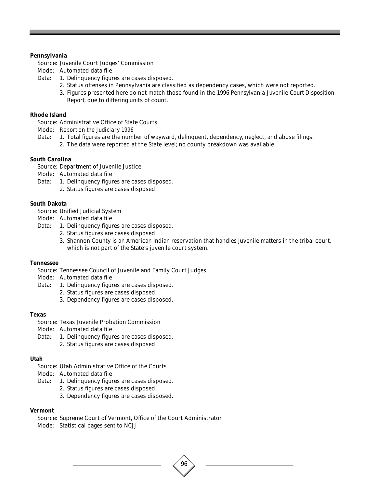## **Pennsylvania**

Source: Juvenile Court Judges' Commission

- Mode: Automated data file
- Data: 1. Delinquency figures are cases disposed.
	- 2. Status offenses in Pennsylvania are classified as dependency cases, which were not reported.
	- 3. Figures presented here do not match those found in the *1996 Pennsylvania Juvenile Court Disposition Report*, due to differing units of count.

# **Rhode Island**

Source: Administrative Office of State Courts

Mode: *Report on the Judiciary 1996*

- Data: 1. Total figures are the number of wayward, delinquent, dependency, neglect, and abuse filings.
	- 2. The data were reported at the State level; no county breakdown was available.

## **South Carolina**

Source: Department of Juvenile Justice

- Mode: Automated data file
- Data: 1. Delinquency figures are cases disposed.
	- 2. Status figures are cases disposed.

## **South Dakota**

Source: Unified Judicial System

- Mode: Automated data file
- Data: 1. Delinquency figures are cases disposed.
	- 2. Status figures are cases disposed.
	- 3. Shannon County is an American Indian reservation that handles juvenile matters in the tribal court, which is not part of the State's juvenile court system.

96

## **Tennessee**

Source: Tennessee Council of Juvenile and Family Court Judges

Mode: Automated data file

- Data: 1. Delinquency figures are cases disposed.
	- 2. Status figures are cases disposed.
	- 3. Dependency figures are cases disposed.

## **Texas**

- Source: Texas Juvenile Probation Commission
- Mode: Automated data file
- Data: 1. Delinquency figures are cases disposed. 2. Status figures are cases disposed.

## **Utah**

Source: Utah Administrative Office of the Courts

Mode: Automated data file

- Data: 1. Delinquency figures are cases disposed.
	- 2. Status figures are cases disposed.
	- 3. Dependency figures are cases disposed.

## **Vermont**

Source: Supreme Court of Vermont, Office of the Court Administrator

Mode: Statistical pages sent to NCJJ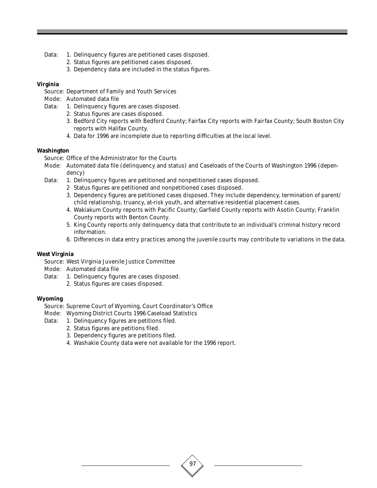- Data: 1. Delinquency figures are petitioned cases disposed.
	- 2. Status figures are petitioned cases disposed.
	- 3. Dependency data are included in the status figures.

# **Virginia**

- Source: Department of Family and Youth Services
- Mode: Automated data file
- Data: 1. Delinquency figures are cases disposed.
	- 2. Status figures are cases disposed.
	- 3. Bedford City reports with Bedford County; Fairfax City reports with Fairfax County; South Boston City reports with Halifax County.
	- 4. Data for 1996 are incomplete due to reporting difficulties at the local level.

## **Washington**

Source: Office of the Administrator for the Courts

- Mode: Automated data file (delinquency and status) and Caseloads of the Courts of Washington 1996 (dependency)
- Data: 1. Delinquency figures are petitioned and nonpetitioned cases disposed.
	- 2 Status figures are petitioned and nonpetitioned cases disposed.
	- 3. Dependency figures are petitioned cases disposed. They include dependency, termination of parent/ child relationship, truancy, at-risk youth, and alternative residential placement cases.
	- 4. Wakiakum County reports with Pacific County; Garfield County reports with Asotin County; Franklin County reports with Benton County.
	- 5. King County reports only delinquency data that contribute to an individual's criminal history record information.
	- 6. Differences in data entry practices among the juvenile courts may contribute to variations in the data.

97

## **West Virginia**

Source: West Virginia Juvenile Justice Committee

- Mode: Automated data file
- Data: 1. Delinquency figures are cases disposed.
	- 2. Status figures are cases disposed.

## **Wyoming**

- Source: Supreme Court of Wyoming, Court Coordinator's Office
- Mode: Wyoming District Courts 1996 Caseload Statistics
- Data: 1. Delinquency figures are petitions filed.
	- 2. Status figures are petitions filed.
	- 3. Dependency figures are petitions filed.
	- 4. Washakie County data were not available for the 1996 report.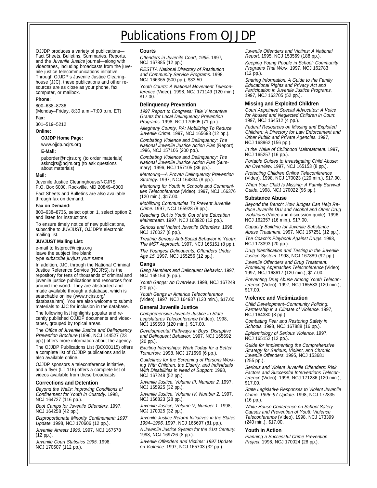# Publications From OJJDP

OJJDP produces a variety of publications— Fact Sheets, Bulletins, Summaries, Reports, and the Juvenile Justice journal—along with videotapes, including broadcasts from the juvenile justice telecommunications initiative. Through OJJDP's Juvenile Justice Clearinghouse (JJC), these publications and other resources are as close as your phone, fax, computer, or mailbox.

### **Phone:**

800–638–8736

(Monday–Friday, 8:30 a.m.–7:00 p.m. ET) **Fax:**

301–519–5212

**Online:**

### **OJJDP Home Page:**

www.ojjdp.ncjrs.org

### **E-Mail:**

puborder@ncjrs.org (to order materials) askncjrs@ncjrs.org (to ask questions about materials)

### **Mail:**

Juvenile Justice Clearinghouse/NCJRS P.O. Box 6000, Rockville, MD 20849–6000

Fact Sheets and Bulletins are also available through fax on demand.

### **Fax on Demand:**

800–638–8736, select option 1, select option 2, and listen for instructions

To ensure timely notice of new publications, subscribe to JUVJUST, OJJDP's electronic mailing list.

## **JUVJUST Mailing List:**

e-mail to listproc@ncjrs.org leave the subject line blank

type subscribe juvjust your name In addition, JJC, through the National Criminal Justice Reference Service (NCJRS), is the repository for tens of thousands of criminal and juvenile justice publications and resources from around the world. They are abstracted and made available through a database, which is searchable online (www.ncjrs.org/ database.htm). You are also welcome to submit materials to JJC for inclusion in the database.

The following list highlights popular and recently published OJJDP documents and videotapes, grouped by topical areas.

The Office of Juvenile Justice and Delinquency Prevention Brochure (1996, NCJ 144527 (23 pp.)) offers more information about the agency. The OJJDP Publications List (BC000115) offers a complete list of OJJDP publications and is also available online.

OJJDP sponsors a teleconference initiative, and a flyer (LT 116) offers a complete list of videos available from these broadcasts.

### **Corrections and Detention**

Beyond the Walls: Improving Conditions of Confinement for Youth in Custody. 1998, NCJ 164727 (116 pp.).

Boot Camps for Juvenile Offenders. 1997, NCJ 164258 (42 pp.).

Disproportionate Minority Confinement: 1997 Update. 1998, NCJ 170606 (12 pp.). Juvenile Arrests 1996. 1997, NCJ 167578

(12 pp.).

Juvenile Court Statistics 1995. 1998, NCJ 170607 (112 pp.).

### **Courts**

Offenders in Juvenile Court, 1995. 1997, NCJ 167885 (12 pp.).

RESTTA National Directory of Restitution and Community Service Programs. 1998, NCJ 166365 (500 pp.), \$33.50.

Youth Courts: A National Movement Teleconference (Video). 1998, NCJ 171149 (120 min.), \$17.00.

### **Delinquency Prevention**

1997 Report to Congress: Title V Incentive Grants for Local Delinquency Prevention Programs. 1998, NCJ 170605 (71 pp.).

Allegheny County, PA: Mobilizing To Reduce Juvenile Crime. 1997, NCJ 165693 (12 pp.).

Combating Violence and Delinquency: The National Juvenile Justice Action Plan (Report). 1996, NCJ 157106 (200 pp.).

Combating Violence and Delinquency: The National Juvenile Justice Action Plan (Summary). 1996, NCJ 157105 (36 pp.).

Mentoring—A Proven Delinquency Prevention Strategy. 1997, NCJ 164834 (8 pp.).

Mentoring for Youth in Schools and Communities Teleconference (Video). 1997, NCJ 166376 (120 min.), \$17.00.

Mobilizing Communities To Prevent Juvenile Crime. 1997, NCJ 165928 (8 pp.).

Reaching Out to Youth Out of the Education Mainstream. 1997, NCJ 163920 (12 pp.).

Serious and Violent Juvenile Offenders. 1998, NCJ 170027 (8 pp.).

Treating Serious Anti-Social Behavior in Youth: The MST Approach. 1997, NCJ 165151 (8 pp.).

The Youngest Delinquents: Offenders Under Age 15. 1997, NCJ 165256 (12 pp.).

### **Gangs**

Gang Members and Delinquent Behavior. 1997, NCJ 165154 (6 pp.).

Youth Gangs: An Overview. 1998, NCJ 167249 (20 pp.).

Youth Gangs in America Teleconference (Video). 1997, NCJ 164937 (120 min.), \$17.00.

### **General Juvenile Justice**

Comprehensive Juvenile Justice in State Legislatures Teleconference (Video). 1998, NCJ 169593 (120 min.), \$17.00.

Developmental Pathways in Boys' Disruptive and Delinquent Behavior. 1997, NCJ 165692 (20 pp.).

Exciting Internships: Work Today for a Better Tomorrow. 1998, NCJ 171696 (6 pp.).

Guidelines for the Screening of Persons Working With Children, the Elderly, and Individuals With Disabilities in Need of Support. 1998, NCJ 167248 (52 pp.).

Juvenile Justice, Volume III, Number 2. 1997, NCJ 165925 (32 pp.).

Juvenile Justice, Volume IV, Number 2. 1997, NCJ 166823 (28 pp.).

Juvenile Justice, Volume V, Number 1. 1998, NCJ 170025 (32 pp.).

Juvenile Justice Reform Initiatives in the States 1994–1996. 1997, NCJ 165697 (81 pp.).

A Juvenile Justice System for the 21st Century. 1998, NCJ 169726 (8 pp.).

Juvenile Offenders and Victims: 1997 Update on Violence. 1997, NCJ 165703 (32 pp.).

Juvenile Offenders and Victims: A National Report. 1995, NCJ 153569 (188 pp.). Keeping Young People in School: Community

Programs That Work. 1997, NCJ 162783 (12 pp.).

Sharing Information: A Guide to the Family Educational Rights and Privacy Act and Participation in Juvenile Justice Programs. 1997, NCJ 163705 (52 pp.).

### **Missing and Exploited Children**

Court Appointed Special Advocates: A Voice for Abused and Neglected Children in Court. 1997, NCJ 164512 (4 pp.).

Federal Resources on Missing and Exploited Children: A Directory for Law Enforcement and Other Public and Private Agencies. 1997, NCJ 168962 (156 pp.).

In the Wake of Childhood Maltreatment. 1997, NCJ 165257 (16 pp.).

Portable Guides to Investigating Child Abuse: An Overview. 1997, NCJ 165153 (8 pp.).

Protecting Children Online Teleconference (Video). 1998, NCJ 170023 (120 min.), \$17.00. When Your Child Is Missing: A Family Survival Guide. 1998, NCJ 170022 (96 pp.).

#### **Substance Abuse**

Beyond the Bench: How Judges Can Help Reduce Juvenile DUI and Alcohol and Other Drug Violations (Video and discussion guide). 1996, NCJ 162357 (16 min.), \$17.00.

Capacity Building for Juvenile Substance Abuse Treatment. 1997, NCJ 167251 (12 pp.).

The Coach's Playbook Against Drugs. 1998, NCJ 173393 (20 pp.).

Drug Identification and Testing in the Juvenile Justice System. 1998, NCJ 167889 (92 pp.).

Juvenile Offenders and Drug Treatment: Promising Approaches Teleconference (Video). 1997, NCJ 168617 (120 min.), \$17.00.

Preventing Drug Abuse Among Youth Teleconference (Video). 1997, NCJ 165583 (120 min.), \$17.00.

### **Violence and Victimization**

Child Development–Community Policing: Partnership in a Climate of Violence. 1997, NCJ 164380 (8 pp.).

Combating Fear and Restoring Safety in Schools. 1998, NCJ 167888 (16 pp.).

Epidemiology of Serious Violence. 1997, NCJ 165152 (12 pp.).

Guide for Implementing the Comprehensive Strategy for Serious, Violent, and Chronic Juvenile Offenders. 1995, NCJ 153681 (255 pp.).

Serious and Violent Juvenile Offenders: Risk Factors and Successful Interventions Teleconference (Video). 1998, NCJ 171286 (120 min.), \$17.00.

State Legislative Responses to Violent Juvenile Crime: 1996–97 Update. 1998, NCJ 172835 (16 pp.).

White House Conference on School Safety: Causes and Prevention of Youth Violence Teleconference (Video). 1998, NCJ 173399 (240 min.), \$17.00.

### **Youth in Action**

Planning a Successful Crime Prevention Project. 1998, NCJ 170024 (28 pp.).